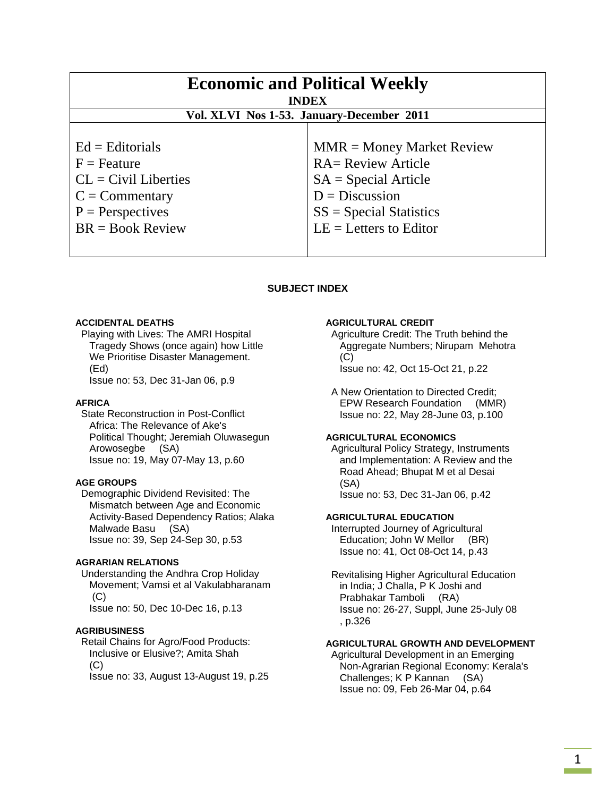| <b>Economic and Political Weekly</b><br><b>INDEX</b>                                                                                  |                                                                                                                                                                 |
|---------------------------------------------------------------------------------------------------------------------------------------|-----------------------------------------------------------------------------------------------------------------------------------------------------------------|
| Vol. XLVI Nos 1-53. January-December 2011                                                                                             |                                                                                                                                                                 |
| $Ed =$ Editorials<br>$F =$ Feature<br>$CL = Civil\:$ Liberties<br>$C = \text{Commentary}$<br>$P =$ Perspectives<br>$BR = Book Review$ | $MMR = Money Market Review$<br><b>RA= Review Article</b><br>$SA = Special Article$<br>$D = Discussion$<br>$SS = Special Statistics$<br>$LE = Letters to Editor$ |

# **SUBJECT INDEX**

## **ACCIDENTAL DEATHS**

 Playing with Lives: The AMRI Hospital Tragedy Shows (once again) how Little We Prioritise Disaster Management. (Ed) Issue no: 53, Dec 31-Jan 06, p.9

#### **AFRICA**

 State Reconstruction in Post-Conflict Africa: The Relevance of Ake's Political Thought; Jeremiah Oluwasegun Arowosegbe (SA) Issue no: 19, May 07-May 13, p.60

#### **AGE GROUPS**

 Demographic Dividend Revisited: The Mismatch between Age and Economic Activity-Based Dependency Ratios; Alaka Malwade Basu (SA) Issue no: 39, Sep 24-Sep 30, p.53

#### **AGRARIAN RELATIONS**

 Understanding the Andhra Crop Holiday Movement; Vamsi et al Vakulabharanam  $(C)$ 

# Issue no: 50, Dec 10-Dec 16, p.13

#### **AGRIBUSINESS**

 Retail Chains for Agro/Food Products: Inclusive or Elusive?; Amita Shah (C) Issue no: 33, August 13-August 19, p.25

#### **AGRICULTURAL CREDIT**

 Agriculture Credit: The Truth behind the Aggregate Numbers; Nirupam Mehotra (C)

Issue no: 42, Oct 15-Oct 21, p.22

 A New Orientation to Directed Credit; EPW Research Foundation (MMR) Issue no: 22, May 28-June 03, p.100

# **AGRICULTURAL ECONOMICS**

 Agricultural Policy Strategy, Instruments and Implementation: A Review and the Road Ahead; Bhupat M et al Desai (SA) Issue no: 53, Dec 31-Jan 06, p.42

## **AGRICULTURAL EDUCATION**

 Interrupted Journey of Agricultural Education; John W Mellor (BR) Issue no: 41, Oct 08-Oct 14, p.43

 Revitalising Higher Agricultural Education in India; J Challa, P K Joshi and Prabhakar Tamboli (RA) Issue no: 26-27, Suppl, June 25-July 08 , p.326

# **AGRICULTURAL GROWTH AND DEVELOPMENT**

 Agricultural Development in an Emerging Non-Agrarian Regional Economy: Kerala's Challenges; K P Kannan (SA) Issue no: 09, Feb 26-Mar 04, p.64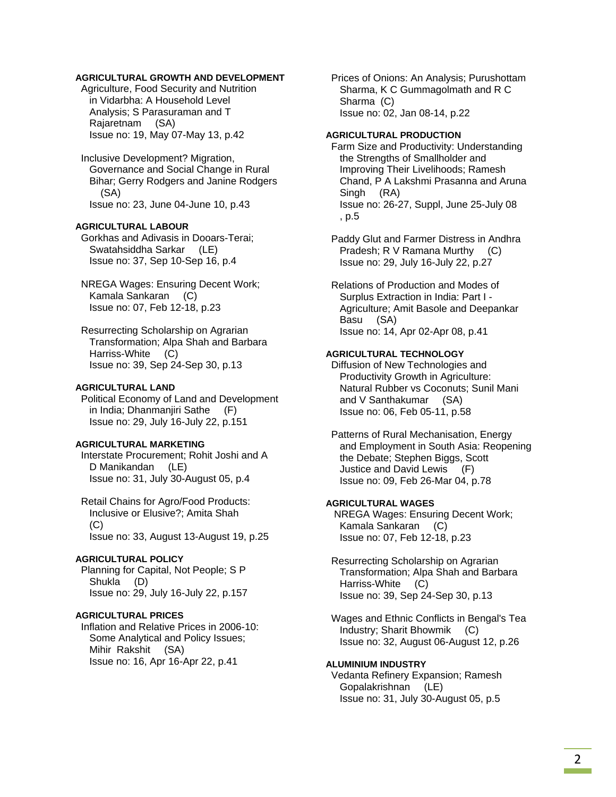# **AGRICULTURAL GROWTH AND DEVELOPMENT**

 Agriculture, Food Security and Nutrition in Vidarbha: A Household Level Analysis; S Parasuraman and T Rajaretnam (SA) Issue no: 19, May 07-May 13, p.42

 Inclusive Development? Migration, Governance and Social Change in Rural Bihar; Gerry Rodgers and Janine Rodgers (SA) Issue no: 23, June 04-June 10, p.43

#### **AGRICULTURAL LABOUR**

 Gorkhas and Adivasis in Dooars-Terai; Swatahsiddha Sarkar (LE) Issue no: 37, Sep 10-Sep 16, p.4

 NREGA Wages: Ensuring Decent Work; Kamala Sankaran (C) Issue no: 07, Feb 12-18, p.23

 Resurrecting Scholarship on Agrarian Transformation; Alpa Shah and Barbara Harriss-White (C) Issue no: 39, Sep 24-Sep 30, p.13

# **AGRICULTURAL LAND**

 Political Economy of Land and Development in India; Dhanmanjiri Sathe (F) Issue no: 29, July 16-July 22, p.151

# **AGRICULTURAL MARKETING**

 Interstate Procurement; Rohit Joshi and A D Manikandan (LE) Issue no: 31, July 30-August 05, p.4

 Retail Chains for Agro/Food Products: Inclusive or Elusive?; Amita Shah (C) Issue no: 33, August 13-August 19, p.25

# **AGRICULTURAL POLICY**

 Planning for Capital, Not People; S P Shukla (D) Issue no: 29, July 16-July 22, p.157

## **AGRICULTURAL PRICES**

 Inflation and Relative Prices in 2006-10: Some Analytical and Policy Issues; Mihir Rakshit (SA) Issue no: 16, Apr 16-Apr 22, p.41

 Prices of Onions: An Analysis; Purushottam Sharma, K C Gummagolmath and R C Sharma (C) Issue no: 02, Jan 08-14, p.22

#### **AGRICULTURAL PRODUCTION**

 Farm Size and Productivity: Understanding the Strengths of Smallholder and Improving Their Livelihoods; Ramesh Chand, P A Lakshmi Prasanna and Aruna Singh (RA) Issue no: 26-27, Suppl, June 25-July 08 , p.5

 Paddy Glut and Farmer Distress in Andhra Pradesh; R V Ramana Murthy (C) Issue no: 29, July 16-July 22, p.27

 Relations of Production and Modes of Surplus Extraction in India: Part I - Agriculture; Amit Basole and Deepankar Basu (SA) Issue no: 14, Apr 02-Apr 08, p.41

## **AGRICULTURAL TECHNOLOGY**

 Diffusion of New Technologies and Productivity Growth in Agriculture: Natural Rubber vs Coconuts; Sunil Mani and V Santhakumar (SA) Issue no: 06, Feb 05-11, p.58

 Patterns of Rural Mechanisation, Energy and Employment in South Asia: Reopening the Debate; Stephen Biggs, Scott Justice and David Lewis Issue no: 09, Feb 26-Mar 04, p.78

# **AGRICULTURAL WAGES**

 NREGA Wages: Ensuring Decent Work; Kamala Sankaran (C) Issue no: 07, Feb 12-18, p.23

 Resurrecting Scholarship on Agrarian Transformation; Alpa Shah and Barbara Harriss-White (C) Issue no: 39, Sep 24-Sep 30, p.13

 Wages and Ethnic Conflicts in Bengal's Tea Industry; Sharit Bhowmik (C) Issue no: 32, August 06-August 12, p.26

## **ALUMINIUM INDUSTRY**

 Vedanta Refinery Expansion; Ramesh Gopalakrishnan (LE) Issue no: 31, July 30-August 05, p.5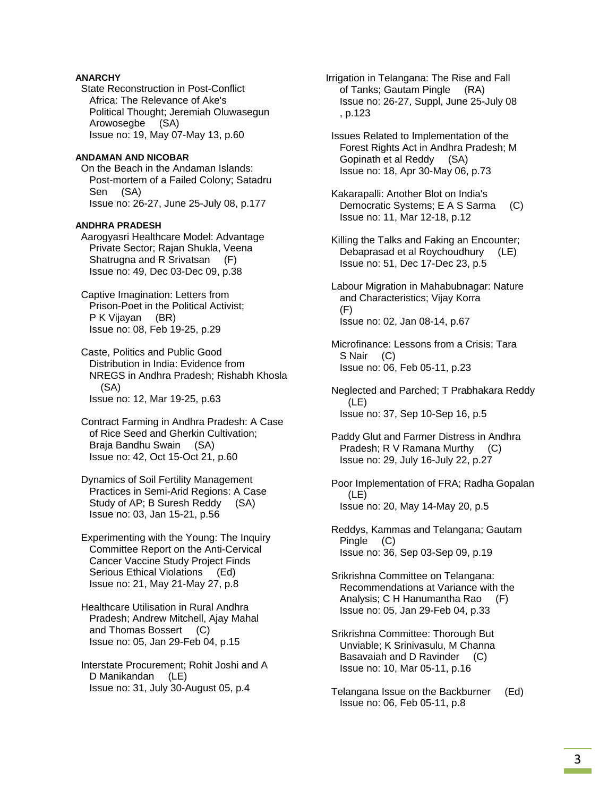# **ANARCHY**

 State Reconstruction in Post-Conflict Africa: The Relevance of Ake's Political Thought; Jeremiah Oluwasegun Arowosegbe (SA) Issue no: 19, May 07-May 13, p.60

## **ANDAMAN AND NICOBAR**

 On the Beach in the Andaman Islands: Post-mortem of a Failed Colony; Satadru Sen (SA) Issue no: 26-27, June 25-July 08, p.177

#### **ANDHRA PRADESH**

 Aarogyasri Healthcare Model: Advantage Private Sector; Rajan Shukla, Veena Shatrugna and R Srivatsan (F) Issue no: 49, Dec 03-Dec 09, p.38

 Captive Imagination: Letters from Prison-Poet in the Political Activist; P K Vijayan (BR) Issue no: 08, Feb 19-25, p.29

 Caste, Politics and Public Good Distribution in India: Evidence from NREGS in Andhra Pradesh; Rishabh Khosla (SA) Issue no: 12, Mar 19-25, p.63

 Contract Farming in Andhra Pradesh: A Case of Rice Seed and Gherkin Cultivation; Braja Bandhu Swain (SA) Issue no: 42, Oct 15-Oct 21, p.60

 Dynamics of Soil Fertility Management Practices in Semi-Arid Regions: A Case Study of AP; B Suresh Reddy (SA) Issue no: 03, Jan 15-21, p.56

 Experimenting with the Young: The Inquiry Committee Report on the Anti-Cervical Cancer Vaccine Study Project Finds Serious Ethical Violations (Ed) Issue no: 21, May 21-May 27, p.8

 Healthcare Utilisation in Rural Andhra Pradesh; Andrew Mitchell, Ajay Mahal and Thomas Bossert (C) Issue no: 05, Jan 29-Feb 04, p.15

 Interstate Procurement; Rohit Joshi and A D Manikandan (LE) Issue no: 31, July 30-August 05, p.4

Irrigation in Telangana: The Rise and Fall of Tanks; Gautam Pingle (RA) Issue no: 26-27, Suppl, June 25-July 08 , p.123

 Issues Related to Implementation of the Forest Rights Act in Andhra Pradesh; M Gopinath et al Reddy (SA) Issue no: 18, Apr 30-May 06, p.73

 Kakarapalli: Another Blot on India's Democratic Systems; E A S Sarma (C) Issue no: 11, Mar 12-18, p.12

 Killing the Talks and Faking an Encounter; Debaprasad et al Roychoudhury (LE) Issue no: 51, Dec 17-Dec 23, p.5

 Labour Migration in Mahabubnagar: Nature and Characteristics; Vijay Korra (F) Issue no: 02, Jan 08-14, p.67

 Microfinance: Lessons from a Crisis; Tara S Nair (C) Issue no: 06, Feb 05-11, p.23

 Neglected and Parched; T Prabhakara Reddy (LE) Issue no: 37, Sep 10-Sep 16, p.5

 Paddy Glut and Farmer Distress in Andhra Pradesh; R V Ramana Murthy (C) Issue no: 29, July 16-July 22, p.27

 Poor Implementation of FRA; Radha Gopalan (LE) Issue no: 20, May 14-May 20, p.5

 Reddys, Kammas and Telangana; Gautam Pingle (C) Issue no: 36, Sep 03-Sep 09, p.19

 Srikrishna Committee on Telangana: Recommendations at Variance with the Analysis; C H Hanumantha Rao (F) Issue no: 05, Jan 29-Feb 04, p.33

 Srikrishna Committee: Thorough But Unviable; K Srinivasulu, M Channa Basavaiah and D Ravinder (C) Issue no: 10, Mar 05-11, p.16

 Telangana Issue on the Backburner (Ed) Issue no: 06, Feb 05-11, p.8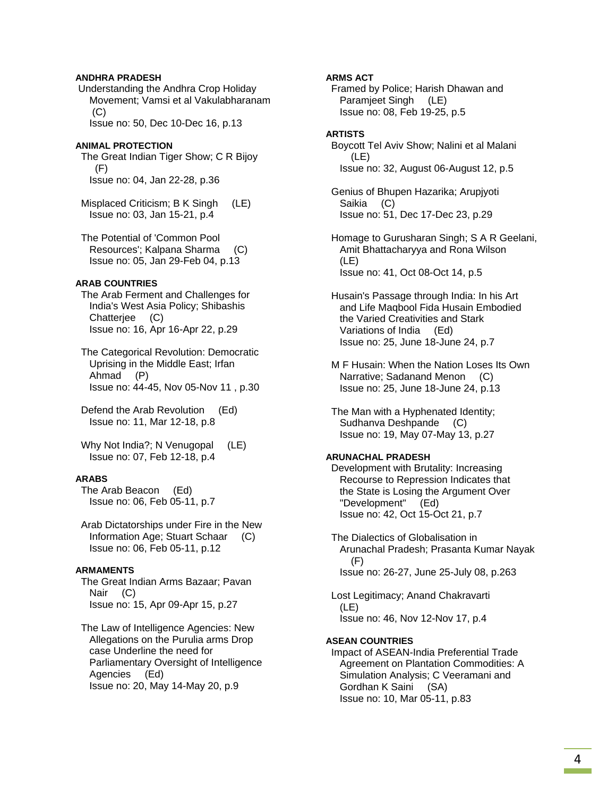## **ANDHRA PRADESH**

 Understanding the Andhra Crop Holiday Movement; Vamsi et al Vakulabharanam (C) Issue no: 50, Dec 10-Dec 16, p.13

#### **ANIMAL PROTECTION**

- The Great Indian Tiger Show; C R Bijoy (F) Issue no: 04, Jan 22-28, p.36
- Misplaced Criticism; B K Singh (LE) Issue no: 03, Jan 15-21, p.4
- The Potential of 'Common Pool Resources'; Kalpana Sharma (C) Issue no: 05, Jan 29-Feb 04, p.13

## **ARAB COUNTRIES**

- The Arab Ferment and Challenges for India's West Asia Policy; Shibashis Chatterjee (C) Issue no: 16, Apr 16-Apr 22, p.29
- The Categorical Revolution: Democratic Uprising in the Middle East; Irfan Ahmad (P) Issue no: 44-45, Nov 05-Nov 11 , p.30
- Defend the Arab Revolution (Ed) Issue no: 11, Mar 12-18, p.8
- Why Not India?; N Venugopal (LE) Issue no: 07, Feb 12-18, p.4

#### **ARABS**

- The Arab Beacon (Ed) Issue no: 06, Feb 05-11, p.7
- Arab Dictatorships under Fire in the New Information Age; Stuart Schaar (C) Issue no: 06, Feb 05-11, p.12

# **ARMAMENTS**

- The Great Indian Arms Bazaar; Pavan Nair (C) Issue no: 15, Apr 09-Apr 15, p.27
- The Law of Intelligence Agencies: New Allegations on the Purulia arms Drop case Underline the need for Parliamentary Oversight of Intelligence Agencies (Ed) Issue no: 20, May 14-May 20, p.9

# **ARMS ACT**

 Framed by Police; Harish Dhawan and Paramjeet Singh (LE) Issue no: 08, Feb 19-25, p.5

# **ARTISTS**

- Boycott Tel Aviv Show; Nalini et al Malani (LE) Issue no: 32, August 06-August 12, p.5
- Genius of Bhupen Hazarika; Arupjyoti Saikia (C) Issue no: 51, Dec 17-Dec 23, p.29
- Homage to Gurusharan Singh; S A R Geelani, Amit Bhattacharyya and Rona Wilson (LE) Issue no: 41, Oct 08-Oct 14, p.5
- Husain's Passage through India: In his Art and Life Maqbool Fida Husain Embodied the Varied Creativities and Stark Variations of India (Ed) Issue no: 25, June 18-June 24, p.7
- M F Husain: When the Nation Loses Its Own Narrative; Sadanand Menon (C) Issue no: 25, June 18-June 24, p.13
- The Man with a Hyphenated Identity; Sudhanva Deshpande (C) Issue no: 19, May 07-May 13, p.27

#### **ARUNACHAL PRADESH**

 Development with Brutality: Increasing Recourse to Repression Indicates that the State is Losing the Argument Over "Development" (Ed) Issue no: 42, Oct 15-Oct 21, p.7

- The Dialectics of Globalisation in Arunachal Pradesh; Prasanta Kumar Nayak (F) Issue no: 26-27, June 25-July 08, p.263
- Lost Legitimacy; Anand Chakravarti (LE) Issue no: 46, Nov 12-Nov 17, p.4

#### **ASEAN COUNTRIES**

 Impact of ASEAN-India Preferential Trade Agreement on Plantation Commodities: A Simulation Analysis; C Veeramani and Gordhan K Saini (SA) Issue no: 10, Mar 05-11, p.83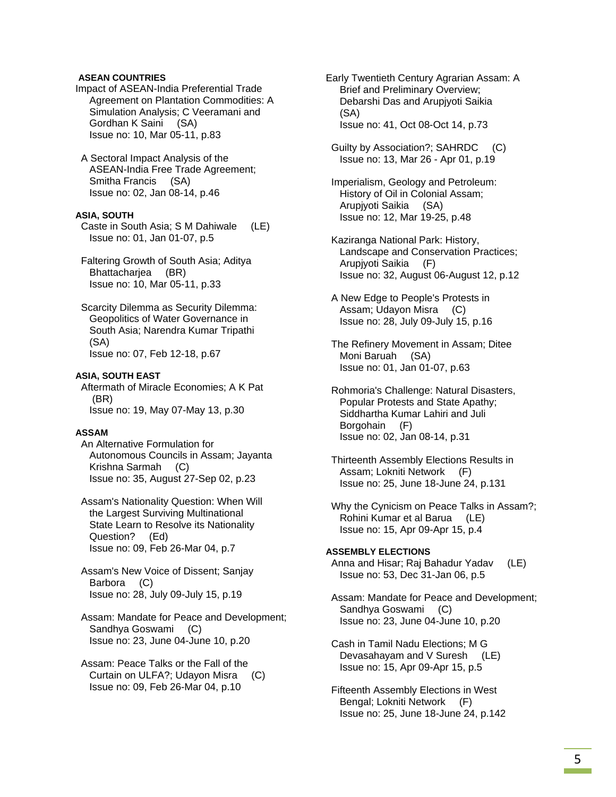# **ASEAN COUNTRIES**

Impact of ASEAN-India Preferential Trade Agreement on Plantation Commodities: A Simulation Analysis; C Veeramani and Gordhan K Saini (SA) Issue no: 10, Mar 05-11, p.83

 A Sectoral Impact Analysis of the ASEAN-India Free Trade Agreement; Smitha Francis (SA) Issue no: 02, Jan 08-14, p.46

# **ASIA, SOUTH**

 Caste in South Asia; S M Dahiwale (LE) Issue no: 01, Jan 01-07, p.5

 Faltering Growth of South Asia; Aditya Bhattacharjea (BR) Issue no: 10, Mar 05-11, p.33

 Scarcity Dilemma as Security Dilemma: Geopolitics of Water Governance in South Asia; Narendra Kumar Tripathi (SA) Issue no: 07, Feb 12-18, p.67

#### **ASIA, SOUTH EAST**

 Aftermath of Miracle Economies; A K Pat (BR) Issue no: 19, May 07-May 13, p.30

# **ASSAM**

 An Alternative Formulation for Autonomous Councils in Assam; Jayanta Krishna Sarmah (C) Issue no: 35, August 27-Sep 02, p.23

 Assam's Nationality Question: When Will the Largest Surviving Multinational State Learn to Resolve its Nationality Question? (Ed) Issue no: 09, Feb 26-Mar 04, p.7

 Assam's New Voice of Dissent; Sanjay Barbora (C) Issue no: 28, July 09-July 15, p.19

 Assam: Mandate for Peace and Development; Sandhya Goswami (C) Issue no: 23, June 04-June 10, p.20

 Assam: Peace Talks or the Fall of the Curtain on ULFA?; Udayon Misra (C) Issue no: 09, Feb 26-Mar 04, p.10

Early Twentieth Century Agrarian Assam: A Brief and Preliminary Overview; Debarshi Das and Arupjyoti Saikia (SA) Issue no: 41, Oct 08-Oct 14, p.73

 Guilty by Association?; SAHRDC (C) Issue no: 13, Mar 26 - Apr 01, p.19

 Imperialism, Geology and Petroleum: History of Oil in Colonial Assam; Arupjyoti Saikia (SA) Issue no: 12, Mar 19-25, p.48

 Kaziranga National Park: History, Landscape and Conservation Practices; Arupjyoti Saikia (F) Issue no: 32, August 06-August 12, p.12

 A New Edge to People's Protests in Assam; Udayon Misra (C) Issue no: 28, July 09-July 15, p.16

 The Refinery Movement in Assam; Ditee Moni Baruah (SA) Issue no: 01, Jan 01-07, p.63

 Rohmoria's Challenge: Natural Disasters, Popular Protests and State Apathy; Siddhartha Kumar Lahiri and Juli Borgohain (F) Issue no: 02, Jan 08-14, p.31

 Thirteenth Assembly Elections Results in Assam; Lokniti Network (F) Issue no: 25, June 18-June 24, p.131

 Why the Cynicism on Peace Talks in Assam?; Rohini Kumar et al Barua (LE) Issue no: 15, Apr 09-Apr 15, p.4

# **ASSEMBLY ELECTIONS**

 Anna and Hisar; Raj Bahadur Yadav (LE) Issue no: 53, Dec 31-Jan 06, p.5

 Assam: Mandate for Peace and Development; Sandhya Goswami (C) Issue no: 23, June 04-June 10, p.20

 Cash in Tamil Nadu Elections; M G Devasahayam and V Suresh (LE) Issue no: 15, Apr 09-Apr 15, p.5

 Fifteenth Assembly Elections in West Bengal; Lokniti Network (F) Issue no: 25, June 18-June 24, p.142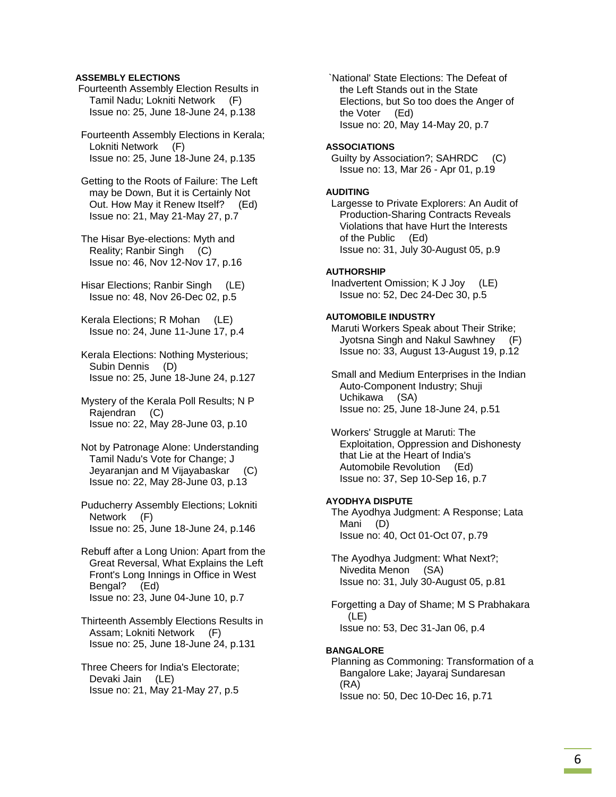## **ASSEMBLY ELECTIONS**

 Fourteenth Assembly Election Results in Tamil Nadu; Lokniti Network (F) Issue no: 25, June 18-June 24, p.138

 Fourteenth Assembly Elections in Kerala; Lokniti Network (F) Issue no: 25, June 18-June 24, p.135

 Getting to the Roots of Failure: The Left may be Down, But it is Certainly Not Out. How May it Renew Itself? (Ed) Issue no: 21, May 21-May 27, p.7

 The Hisar Bye-elections: Myth and Reality; Ranbir Singh (C) Issue no: 46, Nov 12-Nov 17, p.16

 Hisar Elections; Ranbir Singh (LE) Issue no: 48, Nov 26-Dec 02, p.5

 Kerala Elections; R Mohan (LE) Issue no: 24, June 11-June 17, p.4

- Kerala Elections: Nothing Mysterious; Subin Dennis (D) Issue no: 25, June 18-June 24, p.127
- Mystery of the Kerala Poll Results; N P Rajendran (C) Issue no: 22, May 28-June 03, p.10

 Not by Patronage Alone: Understanding Tamil Nadu's Vote for Change; J Jeyaranjan and M Vijayabaskar (C) Issue no: 22, May 28-June 03, p.13

 Puducherry Assembly Elections; Lokniti Network (F) Issue no: 25, June 18-June 24, p.146

 Rebuff after a Long Union: Apart from the Great Reversal, What Explains the Left Front's Long Innings in Office in West Bengal? (Ed) Issue no: 23, June 04-June 10, p.7

 Thirteenth Assembly Elections Results in Assam; Lokniti Network (F) Issue no: 25, June 18-June 24, p.131

 Three Cheers for India's Electorate; Devaki Jain (LE) Issue no: 21, May 21-May 27, p.5

 `National' State Elections: The Defeat of the Left Stands out in the State Elections, but So too does the Anger of the Voter (Ed) Issue no: 20, May 14-May 20, p.7

#### **ASSOCIATIONS**

 Guilty by Association?; SAHRDC (C) Issue no: 13, Mar 26 - Apr 01, p.19

#### **AUDITING**

 Largesse to Private Explorers: An Audit of Production-Sharing Contracts Reveals Violations that have Hurt the Interests of the Public (Ed) Issue no: 31, July 30-August 05, p.9

#### **AUTHORSHIP**

 Inadvertent Omission; K J Joy (LE) Issue no: 52, Dec 24-Dec 30, p.5

# **AUTOMOBILE INDUSTRY**

 Maruti Workers Speak about Their Strike; Jyotsna Singh and Nakul Sawhney (F) Issue no: 33, August 13-August 19, p.12

 Small and Medium Enterprises in the Indian Auto-Component Industry; Shuji Uchikawa (SA) Issue no: 25, June 18-June 24, p.51

 Workers' Struggle at Maruti: The Exploitation, Oppression and Dishonesty that Lie at the Heart of India's Automobile Revolution (Ed) Issue no: 37, Sep 10-Sep 16, p.7

# **AYODHYA DISPUTE**

 The Ayodhya Judgment: A Response; Lata Mani (D) Issue no: 40, Oct 01-Oct 07, p.79

 The Ayodhya Judgment: What Next?; Nivedita Menon (SA) Issue no: 31, July 30-August 05, p.81

 Forgetting a Day of Shame; M S Prabhakara (LE) Issue no: 53, Dec 31-Jan 06, p.4

#### **BANGALORE**

 Planning as Commoning: Transformation of a Bangalore Lake; Jayaraj Sundaresan (RA) Issue no: 50, Dec 10-Dec 16, p.71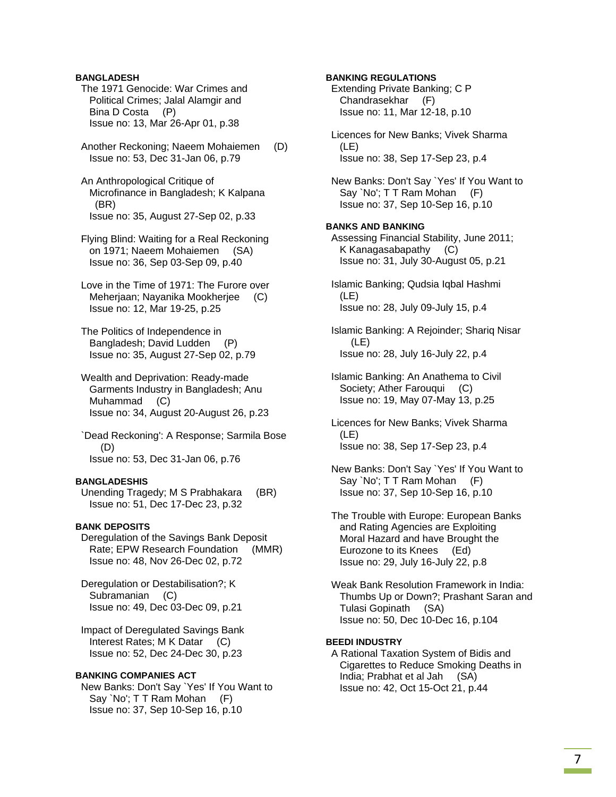## **BANGLADESH**

- The 1971 Genocide: War Crimes and Political Crimes; Jalal Alamgir and Bina D Costa (P) Issue no: 13, Mar 26-Apr 01, p.38
- Another Reckoning; Naeem Mohaiemen (D) Issue no: 53, Dec 31-Jan 06, p.79

 An Anthropological Critique of Microfinance in Bangladesh; K Kalpana (BR) Issue no: 35, August 27-Sep 02, p.33

- Flying Blind: Waiting for a Real Reckoning on 1971; Naeem Mohaiemen (SA) Issue no: 36, Sep 03-Sep 09, p.40
- Love in the Time of 1971: The Furore over Meherjaan; Nayanika Mookherjee (C) Issue no: 12, Mar 19-25, p.25
- The Politics of Independence in Bangladesh; David Ludden (P) Issue no: 35, August 27-Sep 02, p.79
- Wealth and Deprivation: Ready-made Garments Industry in Bangladesh; Anu Muhammad (C) Issue no: 34, August 20-August 26, p.23
- `Dead Reckoning': A Response; Sarmila Bose (D) Issue no: 53, Dec 31-Jan 06, p.76

#### **BANGLADESHIS**

 Unending Tragedy; M S Prabhakara (BR) Issue no: 51, Dec 17-Dec 23, p.32

## **BANK DEPOSITS**

 Deregulation of the Savings Bank Deposit Rate; EPW Research Foundation (MMR) Issue no: 48, Nov 26-Dec 02, p.72

- Deregulation or Destabilisation?; K Subramanian (C) Issue no: 49, Dec 03-Dec 09, p.21
- Impact of Deregulated Savings Bank Interest Rates; M K Datar (C) Issue no: 52, Dec 24-Dec 30, p.23

## **BANKING COMPANIES ACT**

 New Banks: Don't Say `Yes' If You Want to Say `No'; T T Ram Mohan (F) Issue no: 37, Sep 10-Sep 16, p.10

**BANKING REGULATIONS**  Extending Private Banking; C P Chandrasekhar (F) Issue no: 11, Mar 12-18, p.10 Licences for New Banks; Vivek Sharma (LE) Issue no: 38, Sep 17-Sep 23, p.4 New Banks: Don't Say `Yes' If You Want to Say `No'; T T Ram Mohan (F) Issue no: 37, Sep 10-Sep 16, p.10 **BANKS AND BANKING**  Assessing Financial Stability, June 2011; K Kanagasabapathy (C) Issue no: 31, July 30-August 05, p.21 Islamic Banking; Qudsia Iqbal Hashmi (LE) Issue no: 28, July 09-July 15, p.4 Islamic Banking: A Rejoinder; Shariq Nisar (LE) Issue no: 28, July 16-July 22, p.4 Islamic Banking: An Anathema to Civil Society; Ather Farouqui (C) Issue no: 19, May 07-May 13, p.25

 Licences for New Banks; Vivek Sharma (LE) Issue no: 38, Sep 17-Sep 23, p.4

 New Banks: Don't Say `Yes' If You Want to Say `No'; T T Ram Mohan (F) Issue no: 37, Sep 10-Sep 16, p.10

 The Trouble with Europe: European Banks and Rating Agencies are Exploiting Moral Hazard and have Brought the Eurozone to its Knees (Ed) Issue no: 29, July 16-July 22, p.8

 Weak Bank Resolution Framework in India: Thumbs Up or Down?; Prashant Saran and Tulasi Gopinath (SA) Issue no: 50, Dec 10-Dec 16, p.104

# **BEEDI INDUSTRY**

 A Rational Taxation System of Bidis and Cigarettes to Reduce Smoking Deaths in India; Prabhat et al Jah (SA) Issue no: 42, Oct 15-Oct 21, p.44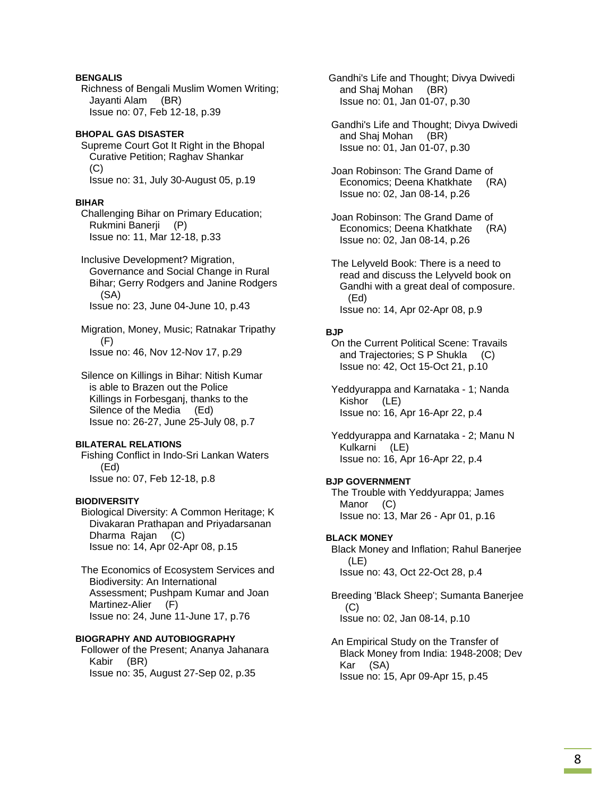# **BENGALIS**

 Richness of Bengali Muslim Women Writing; Jayanti Alam (BR) Issue no: 07, Feb 12-18, p.39

## **BHOPAL GAS DISASTER**

 Supreme Court Got It Right in the Bhopal Curative Petition; Raghav Shankar (C) Issue no: 31, July 30-August 05, p.19

#### **BIHAR**

 Challenging Bihar on Primary Education; Rukmini Banerji (P) Issue no: 11, Mar 12-18, p.33

 Inclusive Development? Migration, Governance and Social Change in Rural Bihar; Gerry Rodgers and Janine Rodgers (SA) Issue no: 23, June 04-June 10, p.43

 Migration, Money, Music; Ratnakar Tripathy (F) Issue no: 46, Nov 12-Nov 17, p.29

 Silence on Killings in Bihar: Nitish Kumar is able to Brazen out the Police Killings in Forbesganj, thanks to the Silence of the Media (Ed) Issue no: 26-27, June 25-July 08, p.7

# **BILATERAL RELATIONS**

 Fishing Conflict in Indo-Sri Lankan Waters (Ed) Issue no: 07, Feb 12-18, p.8

## **BIODIVERSITY**

 Biological Diversity: A Common Heritage; K Divakaran Prathapan and Priyadarsanan Dharma Rajan (C) Issue no: 14, Apr 02-Apr 08, p.15

 The Economics of Ecosystem Services and Biodiversity: An International Assessment; Pushpam Kumar and Joan Martinez-Alier (F) Issue no: 24, June 11-June 17, p.76

# **BIOGRAPHY AND AUTOBIOGRAPHY**

 Follower of the Present; Ananya Jahanara Kabir (BR) Issue no: 35, August 27-Sep 02, p.35

 Gandhi's Life and Thought; Divya Dwivedi and Shaj Mohan (BR) Issue no: 01, Jan 01-07, p.30

 Gandhi's Life and Thought; Divya Dwivedi and Shaj Mohan (BR) Issue no: 01, Jan 01-07, p.30

 Joan Robinson: The Grand Dame of Economics; Deena Khatkhate (RA) Issue no: 02, Jan 08-14, p.26

 Joan Robinson: The Grand Dame of Economics; Deena Khatkhate (RA) Issue no: 02, Jan 08-14, p.26

 The Lelyveld Book: There is a need to read and discuss the Lelyveld book on Gandhi with a great deal of composure. (Ed) Issue no: 14, Apr 02-Apr 08, p.9

#### **BJP**

 On the Current Political Scene: Travails and Trajectories; S P Shukla (C) Issue no: 42, Oct 15-Oct 21, p.10

 Yeddyurappa and Karnataka - 1; Nanda Kishor (LE) Issue no: 16, Apr 16-Apr 22, p.4

 Yeddyurappa and Karnataka - 2; Manu N Kulkarni (LE) Issue no: 16, Apr 16-Apr 22, p.4

#### **BJP GOVERNMENT**

 The Trouble with Yeddyurappa; James Manor (C) Issue no: 13, Mar 26 - Apr 01, p.16

#### **BLACK MONEY**

 Black Money and Inflation; Rahul Banerjee (LE) Issue no: 43, Oct 22-Oct 28, p.4

 Breeding 'Black Sheep'; Sumanta Banerjee (C) Issue no: 02, Jan 08-14, p.10

 An Empirical Study on the Transfer of Black Money from India: 1948-2008; Dev Kar (SA) Issue no: 15, Apr 09-Apr 15, p.45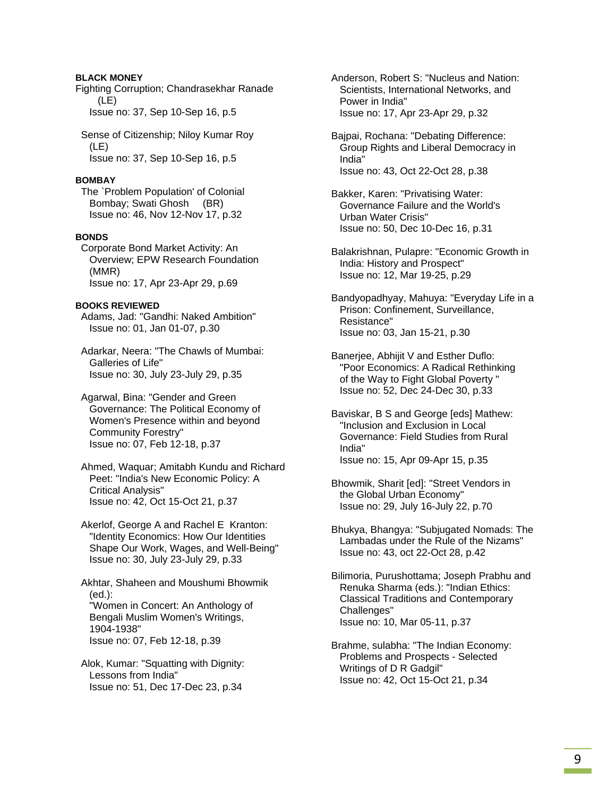# **BLACK MONEY**

Fighting Corruption; Chandrasekhar Ranade (LE)

Issue no: 37, Sep 10-Sep 16, p.5

 Sense of Citizenship; Niloy Kumar Roy (LE) Issue no: 37, Sep 10-Sep 16, p.5

#### **BOMBAY**

 The `Problem Population' of Colonial Bombay; Swati Ghosh (BR) Issue no: 46, Nov 12-Nov 17, p.32

# **BONDS**

 Corporate Bond Market Activity: An Overview; EPW Research Foundation (MMR) Issue no: 17, Apr 23-Apr 29, p.69

## **BOOKS REVIEWED**

 Adams, Jad: "Gandhi: Naked Ambition" Issue no: 01, Jan 01-07, p.30

 Adarkar, Neera: "The Chawls of Mumbai: Galleries of Life" Issue no: 30, July 23-July 29, p.35

 Agarwal, Bina: "Gender and Green Governance: The Political Economy of Women's Presence within and beyond Community Forestry" Issue no: 07, Feb 12-18, p.37

 Ahmed, Waquar; Amitabh Kundu and Richard Peet: "India's New Economic Policy: A Critical Analysis" Issue no: 42, Oct 15-Oct 21, p.37

 Akerlof, George A and Rachel E Kranton: "Identity Economics: How Our Identities Shape Our Work, Wages, and Well-Being" Issue no: 30, July 23-July 29, p.33

 Akhtar, Shaheen and Moushumi Bhowmik (ed.): "Women in Concert: An Anthology of Bengali Muslim Women's Writings, 1904-1938" Issue no: 07, Feb 12-18, p.39

 Alok, Kumar: "Squatting with Dignity: Lessons from India" Issue no: 51, Dec 17-Dec 23, p.34

 Anderson, Robert S: "Nucleus and Nation: Scientists, International Networks, and Power in India" Issue no: 17, Apr 23-Apr 29, p.32

 Bajpai, Rochana: "Debating Difference: Group Rights and Liberal Democracy in India" Issue no: 43, Oct 22-Oct 28, p.38

 Bakker, Karen: "Privatising Water: Governance Failure and the World's Urban Water Crisis" Issue no: 50, Dec 10-Dec 16, p.31

 Balakrishnan, Pulapre: "Economic Growth in India: History and Prospect" Issue no: 12, Mar 19-25, p.29

 Bandyopadhyay, Mahuya: "Everyday Life in a Prison: Confinement, Surveillance, Resistance" Issue no: 03, Jan 15-21, p.30

 Banerjee, Abhijit V and Esther Duflo: "Poor Economics: A Radical Rethinking of the Way to Fight Global Poverty " Issue no: 52, Dec 24-Dec 30, p.33

 Baviskar, B S and George [eds] Mathew: "Inclusion and Exclusion in Local Governance: Field Studies from Rural India" Issue no: 15, Apr 09-Apr 15, p.35

 Bhowmik, Sharit [ed]: "Street Vendors in the Global Urban Economy" Issue no: 29, July 16-July 22, p.70

 Bhukya, Bhangya: "Subjugated Nomads: The Lambadas under the Rule of the Nizams" Issue no: 43, oct 22-Oct 28, p.42

 Bilimoria, Purushottama; Joseph Prabhu and Renuka Sharma (eds.): "Indian Ethics: Classical Traditions and Contemporary Challenges" Issue no: 10, Mar 05-11, p.37

 Brahme, sulabha: "The Indian Economy: Problems and Prospects - Selected Writings of D R Gadgil" Issue no: 42, Oct 15-Oct 21, p.34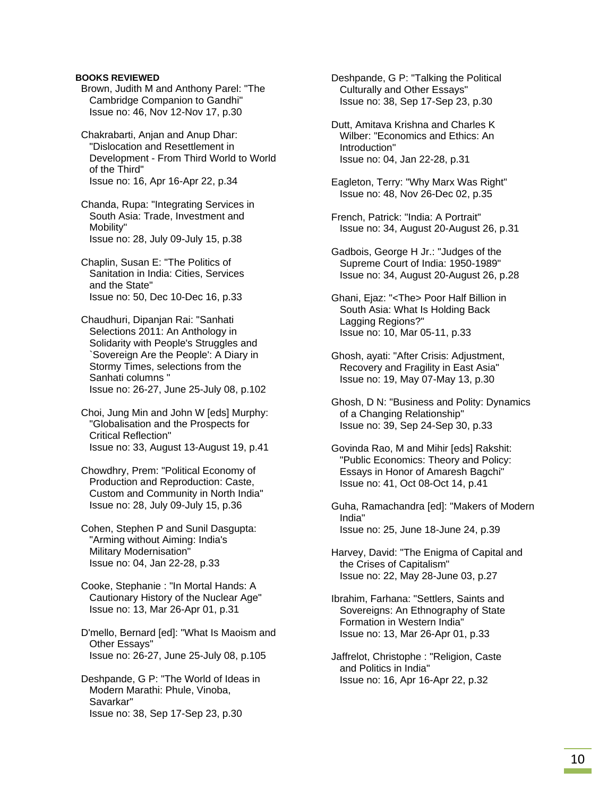Brown, Judith M and Anthony Parel: "The Cambridge Companion to Gandhi" Issue no: 46, Nov 12-Nov 17, p.30

 Chakrabarti, Anjan and Anup Dhar: "Dislocation and Resettlement in Development - From Third World to World of the Third" Issue no: 16, Apr 16-Apr 22, p.34

 Chanda, Rupa: "Integrating Services in South Asia: Trade, Investment and Mobility" Issue no: 28, July 09-July 15, p.38

 Chaplin, Susan E: "The Politics of Sanitation in India: Cities, Services and the State" Issue no: 50, Dec 10-Dec 16, p.33

 Chaudhuri, Dipanjan Rai: "Sanhati Selections 2011: An Anthology in Solidarity with People's Struggles and `Sovereign Are the People': A Diary in Stormy Times, selections from the Sanhati columns " Issue no: 26-27, June 25-July 08, p.102

 Choi, Jung Min and John W [eds] Murphy: "Globalisation and the Prospects for Critical Reflection" Issue no: 33, August 13-August 19, p.41

 Chowdhry, Prem: "Political Economy of Production and Reproduction: Caste, Custom and Community in North India" Issue no: 28, July 09-July 15, p.36

 Cohen, Stephen P and Sunil Dasgupta: "Arming without Aiming: India's Military Modernisation" Issue no: 04, Jan 22-28, p.33

 Cooke, Stephanie : "In Mortal Hands: A Cautionary History of the Nuclear Age" Issue no: 13, Mar 26-Apr 01, p.31

 D'mello, Bernard [ed]: "What Is Maoism and Other Essays" Issue no: 26-27, June 25-July 08, p.105

 Deshpande, G P: "The World of Ideas in Modern Marathi: Phule, Vinoba, Savarkar" Issue no: 38, Sep 17-Sep 23, p.30

 Deshpande, G P: "Talking the Political Culturally and Other Essays" Issue no: 38, Sep 17-Sep 23, p.30

 Dutt, Amitava Krishna and Charles K Wilber: "Economics and Ethics: An Introduction" Issue no: 04, Jan 22-28, p.31

 Eagleton, Terry: "Why Marx Was Right" Issue no: 48, Nov 26-Dec 02, p.35

 French, Patrick: "India: A Portrait" Issue no: 34, August 20-August 26, p.31

 Gadbois, George H Jr.: "Judges of the Supreme Court of India: 1950-1989" Issue no: 34, August 20-August 26, p.28

- Ghani, Ejaz: "<The> Poor Half Billion in South Asia: What Is Holding Back Lagging Regions?" Issue no: 10, Mar 05-11, p.33
- Ghosh, ayati: "After Crisis: Adjustment, Recovery and Fragility in East Asia" Issue no: 19, May 07-May 13, p.30

 Ghosh, D N: "Business and Polity: Dynamics of a Changing Relationship" Issue no: 39, Sep 24-Sep 30, p.33

 Govinda Rao, M and Mihir [eds] Rakshit: "Public Economics: Theory and Policy: Essays in Honor of Amaresh Bagchi" Issue no: 41, Oct 08-Oct 14, p.41

 Guha, Ramachandra [ed]: "Makers of Modern India" Issue no: 25, June 18-June 24, p.39

 Harvey, David: "The Enigma of Capital and the Crises of Capitalism" Issue no: 22, May 28-June 03, p.27

- Ibrahim, Farhana: "Settlers, Saints and Sovereigns: An Ethnography of State Formation in Western India" Issue no: 13, Mar 26-Apr 01, p.33
- Jaffrelot, Christophe : "Religion, Caste and Politics in India" Issue no: 16, Apr 16-Apr 22, p.32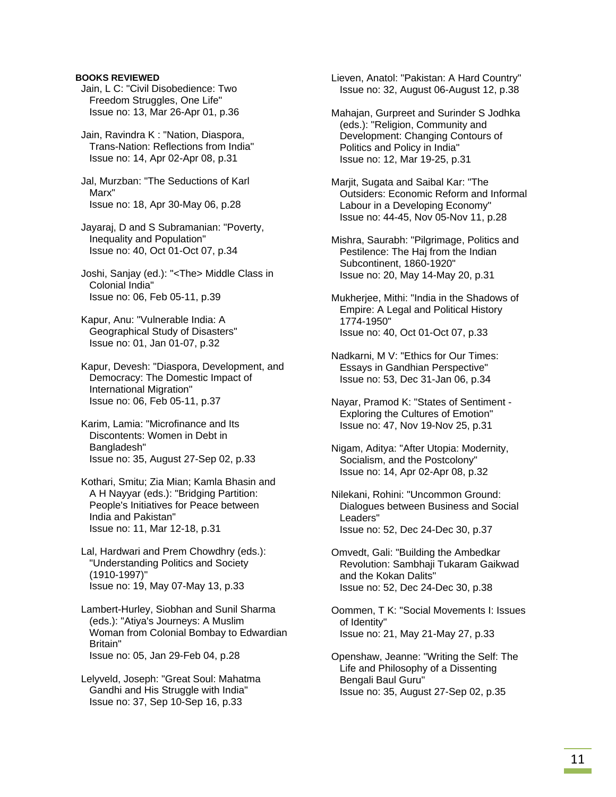- Jain, L C: "Civil Disobedience: Two Freedom Struggles, One Life" Issue no: 13, Mar 26-Apr 01, p.36
- Jain, Ravindra K : "Nation, Diaspora, Trans-Nation: Reflections from India" Issue no: 14, Apr 02-Apr 08, p.31
- Jal, Murzban: "The Seductions of Karl Marx" Issue no: 18, Apr 30-May 06, p.28
- Jayaraj, D and S Subramanian: "Poverty, Inequality and Population" Issue no: 40, Oct 01-Oct 07, p.34
- Joshi, Sanjay (ed.): "<The> Middle Class in Colonial India" Issue no: 06, Feb 05-11, p.39
- Kapur, Anu: "Vulnerable India: A Geographical Study of Disasters" Issue no: 01, Jan 01-07, p.32
- Kapur, Devesh: "Diaspora, Development, and Democracy: The Domestic Impact of International Migration" Issue no: 06, Feb 05-11, p.37
- Karim, Lamia: "Microfinance and Its Discontents: Women in Debt in Bangladesh" Issue no: 35, August 27-Sep 02, p.33
- Kothari, Smitu; Zia Mian; Kamla Bhasin and A H Nayyar (eds.): "Bridging Partition: People's Initiatives for Peace between India and Pakistan" Issue no: 11, Mar 12-18, p.31
- Lal, Hardwari and Prem Chowdhry (eds.): "Understanding Politics and Society (1910-1997)" Issue no: 19, May 07-May 13, p.33
- Lambert-Hurley, Siobhan and Sunil Sharma (eds.): "Atiya's Journeys: A Muslim Woman from Colonial Bombay to Edwardian Britain" Issue no: 05, Jan 29-Feb 04, p.28
- Lelyveld, Joseph: "Great Soul: Mahatma Gandhi and His Struggle with India" Issue no: 37, Sep 10-Sep 16, p.33

 Lieven, Anatol: "Pakistan: A Hard Country" Issue no: 32, August 06-August 12, p.38

- Mahajan, Gurpreet and Surinder S Jodhka (eds.): "Religion, Community and Development: Changing Contours of Politics and Policy in India" Issue no: 12, Mar 19-25, p.31
- Marjit, Sugata and Saibal Kar: "The Outsiders: Economic Reform and Informal Labour in a Developing Economy" Issue no: 44-45, Nov 05-Nov 11, p.28
- Mishra, Saurabh: "Pilgrimage, Politics and Pestilence: The Haj from the Indian Subcontinent, 1860-1920" Issue no: 20, May 14-May 20, p.31
- Mukherjee, Mithi: "India in the Shadows of Empire: A Legal and Political History 1774-1950" Issue no: 40, Oct 01-Oct 07, p.33
- Nadkarni, M V: "Ethics for Our Times: Essays in Gandhian Perspective" Issue no: 53, Dec 31-Jan 06, p.34
- Nayar, Pramod K: "States of Sentiment Exploring the Cultures of Emotion" Issue no: 47, Nov 19-Nov 25, p.31
- Nigam, Aditya: "After Utopia: Modernity, Socialism, and the Postcolony" Issue no: 14, Apr 02-Apr 08, p.32
- Nilekani, Rohini: "Uncommon Ground: Dialogues between Business and Social Leaders" Issue no: 52, Dec 24-Dec 30, p.37
- Omvedt, Gali: "Building the Ambedkar Revolution: Sambhaji Tukaram Gaikwad and the Kokan Dalits" Issue no: 52, Dec 24-Dec 30, p.38
- Oommen, T K: "Social Movements I: Issues of Identity" Issue no: 21, May 21-May 27, p.33
- Openshaw, Jeanne: "Writing the Self: The Life and Philosophy of a Dissenting Bengali Baul Guru" Issue no: 35, August 27-Sep 02, p.35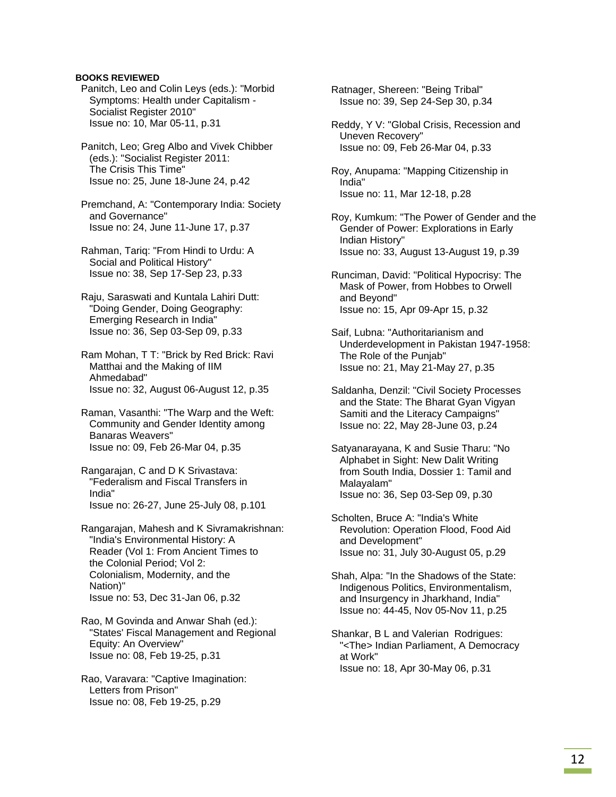Panitch, Leo and Colin Leys (eds.): "Morbid Symptoms: Health under Capitalism - Socialist Register 2010" Issue no: 10, Mar 05-11, p.31

 Panitch, Leo; Greg Albo and Vivek Chibber (eds.): "Socialist Register 2011: The Crisis This Time" Issue no: 25, June 18-June 24, p.42

 Premchand, A: "Contemporary India: Society and Governance" Issue no: 24, June 11-June 17, p.37

 Rahman, Tariq: "From Hindi to Urdu: A Social and Political History" Issue no: 38, Sep 17-Sep 23, p.33

 Raju, Saraswati and Kuntala Lahiri Dutt: "Doing Gender, Doing Geography: Emerging Research in India" Issue no: 36, Sep 03-Sep 09, p.33

 Ram Mohan, T T: "Brick by Red Brick: Ravi Matthai and the Making of IIM Ahmedabad" Issue no: 32, August 06-August 12, p.35

 Raman, Vasanthi: "The Warp and the Weft: Community and Gender Identity among Banaras Weavers" Issue no: 09, Feb 26-Mar 04, p.35

 Rangarajan, C and D K Srivastava: "Federalism and Fiscal Transfers in India" Issue no: 26-27, June 25-July 08, p.101

 Rangarajan, Mahesh and K Sivramakrishnan: "India's Environmental History: A Reader (Vol 1: From Ancient Times to the Colonial Period; Vol 2: Colonialism, Modernity, and the Nation)" Issue no: 53, Dec 31-Jan 06, p.32

 Rao, M Govinda and Anwar Shah (ed.): "States' Fiscal Management and Regional Equity: An Overview" Issue no: 08, Feb 19-25, p.31

 Rao, Varavara: "Captive Imagination: Letters from Prison" Issue no: 08, Feb 19-25, p.29

 Ratnager, Shereen: "Being Tribal" Issue no: 39, Sep 24-Sep 30, p.34

 Reddy, Y V: "Global Crisis, Recession and Uneven Recovery" Issue no: 09, Feb 26-Mar 04, p.33

 Roy, Anupama: "Mapping Citizenship in India" Issue no: 11, Mar 12-18, p.28

 Roy, Kumkum: "The Power of Gender and the Gender of Power: Explorations in Early Indian History" Issue no: 33, August 13-August 19, p.39

 Runciman, David: "Political Hypocrisy: The Mask of Power, from Hobbes to Orwell and Beyond" Issue no: 15, Apr 09-Apr 15, p.32

 Saif, Lubna: "Authoritarianism and Underdevelopment in Pakistan 1947-1958: The Role of the Punjab" Issue no: 21, May 21-May 27, p.35

 Saldanha, Denzil: "Civil Society Processes and the State: The Bharat Gyan Vigyan Samiti and the Literacy Campaigns" Issue no: 22, May 28-June 03, p.24

 Satyanarayana, K and Susie Tharu: "No Alphabet in Sight: New Dalit Writing from South India, Dossier 1: Tamil and Malayalam" Issue no: 36, Sep 03-Sep 09, p.30

 Scholten, Bruce A: "India's White Revolution: Operation Flood, Food Aid and Development" Issue no: 31, July 30-August 05, p.29

 Shah, Alpa: "In the Shadows of the State: Indigenous Politics, Environmentalism, and Insurgency in Jharkhand, India" Issue no: 44-45, Nov 05-Nov 11, p.25

 Shankar, B L and Valerian Rodrigues: "<The> Indian Parliament, A Democracy at Work" Issue no: 18, Apr 30-May 06, p.31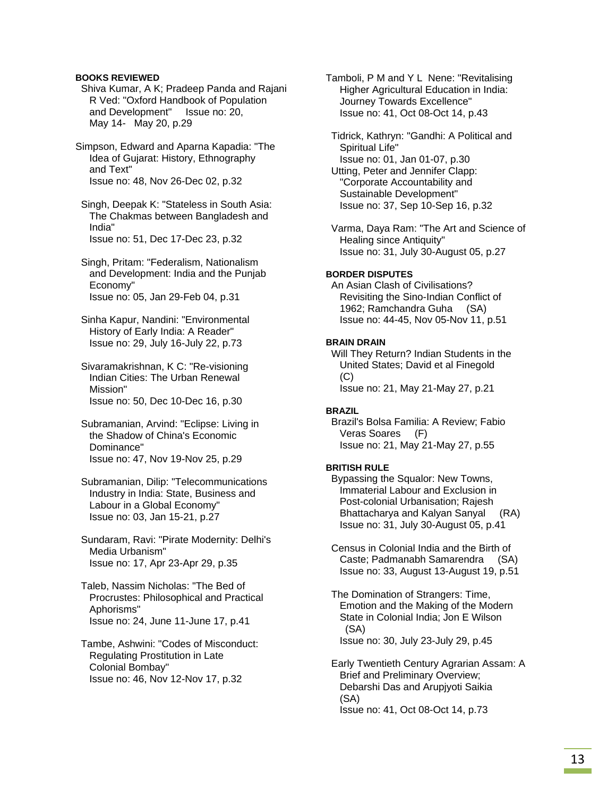- Shiva Kumar, A K; Pradeep Panda and Rajani R Ved: "Oxford Handbook of Population and Development" Issue no: 20, May 14- May 20, p.29
- Simpson, Edward and Aparna Kapadia: "The Idea of Gujarat: History, Ethnography and Text" Issue no: 48, Nov 26-Dec 02, p.32
- Singh, Deepak K: "Stateless in South Asia: The Chakmas between Bangladesh and India" Issue no: 51, Dec 17-Dec 23, p.32
- Singh, Pritam: "Federalism, Nationalism and Development: India and the Punjab Economy" Issue no: 05, Jan 29-Feb 04, p.31
- Sinha Kapur, Nandini: "Environmental History of Early India: A Reader" Issue no: 29, July 16-July 22, p.73
- Sivaramakrishnan, K C: "Re-visioning Indian Cities: The Urban Renewal Mission" Issue no: 50, Dec 10-Dec 16, p.30
- Subramanian, Arvind: "Eclipse: Living in the Shadow of China's Economic Dominance" Issue no: 47, Nov 19-Nov 25, p.29
- Subramanian, Dilip: "Telecommunications Industry in India: State, Business and Labour in a Global Economy" Issue no: 03, Jan 15-21, p.27
- Sundaram, Ravi: "Pirate Modernity: Delhi's Media Urbanism" Issue no: 17, Apr 23-Apr 29, p.35
- Taleb, Nassim Nicholas: "The Bed of Procrustes: Philosophical and Practical Aphorisms" Issue no: 24, June 11-June 17, p.41
- Tambe, Ashwini: "Codes of Misconduct: Regulating Prostitution in Late Colonial Bombay" Issue no: 46, Nov 12-Nov 17, p.32
- Tamboli, P M and Y L Nene: "Revitalising Higher Agricultural Education in India: Journey Towards Excellence" Issue no: 41, Oct 08-Oct 14, p.43
- Tidrick, Kathryn: "Gandhi: A Political and Spiritual Life" Issue no: 01, Jan 01-07, p.30 Utting, Peter and Jennifer Clapp: "Corporate Accountability and Sustainable Development" Issue no: 37, Sep 10-Sep 16, p.32
- Varma, Daya Ram: "The Art and Science of Healing since Antiquity" Issue no: 31, July 30-August 05, p.27

## **BORDER DISPUTES**

 An Asian Clash of Civilisations? Revisiting the Sino-Indian Conflict of 1962; Ramchandra Guha (SA) Issue no: 44-45, Nov 05-Nov 11, p.51

#### **BRAIN DRAIN**

 Will They Return? Indian Students in the United States; David et al Finegold (C) Issue no: 21, May 21-May 27, p.21

## **BRAZIL**

 Brazil's Bolsa Familia: A Review; Fabio Veras Soares (F) Issue no: 21, May 21-May 27, p.55

#### **BRITISH RULE**

- Bypassing the Squalor: New Towns, Immaterial Labour and Exclusion in Post-colonial Urbanisation; Rajesh Bhattacharya and Kalyan Sanyal (RA) Issue no: 31, July 30-August 05, p.41
- Census in Colonial India and the Birth of Caste; Padmanabh Samarendra (SA) Issue no: 33, August 13-August 19, p.51
- The Domination of Strangers: Time, Emotion and the Making of the Modern State in Colonial India; Jon E Wilson (SA) Issue no: 30, July 23-July 29, p.45
- Early Twentieth Century Agrarian Assam: A Brief and Preliminary Overview; Debarshi Das and Arupjyoti Saikia (SA) Issue no: 41, Oct 08-Oct 14, p.73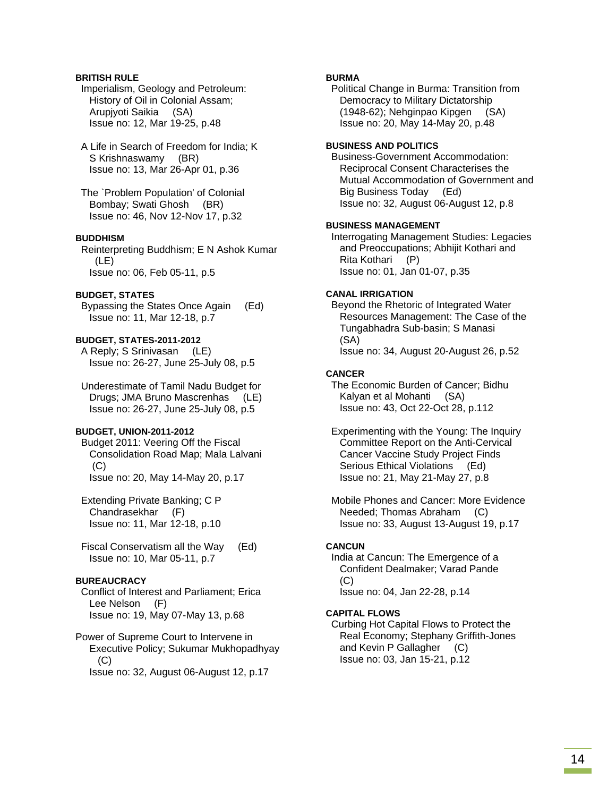## **BRITISH RULE**

 Imperialism, Geology and Petroleum: History of Oil in Colonial Assam; Arupjyoti Saikia (SA) Issue no: 12, Mar 19-25, p.48

 A Life in Search of Freedom for India; K S Krishnaswamy (BR) Issue no: 13, Mar 26-Apr 01, p.36

 The `Problem Population' of Colonial Bombay; Swati Ghosh (BR) Issue no: 46, Nov 12-Nov 17, p.32

### **BUDDHISM**

 Reinterpreting Buddhism; E N Ashok Kumar (LE) Issue no: 06, Feb 05-11, p.5

## **BUDGET, STATES**

 Bypassing the States Once Again (Ed) Issue no: 11, Mar 12-18, p.7

#### **BUDGET, STATES-2011-2012**

 A Reply; S Srinivasan (LE) Issue no: 26-27, June 25-July 08, p.5

 Underestimate of Tamil Nadu Budget for Drugs; JMA Bruno Mascrenhas (LE) Issue no: 26-27, June 25-July 08, p.5

# **BUDGET, UNION-2011-2012**

 Budget 2011: Veering Off the Fiscal Consolidation Road Map; Mala Lalvani (C) Issue no: 20, May 14-May 20, p.17

 Extending Private Banking; C P Chandrasekhar (F) Issue no: 11, Mar 12-18, p.10

 Fiscal Conservatism all the Way (Ed) Issue no: 10, Mar 05-11, p.7

# **BUREAUCRACY**

 Conflict of Interest and Parliament; Erica Lee Nelson (F) Issue no: 19, May 07-May 13, p.68

Power of Supreme Court to Intervene in Executive Policy; Sukumar Mukhopadhyay (C) Issue no: 32, August 06-August 12, p.17

# **BURMA**

 Political Change in Burma: Transition from Democracy to Military Dictatorship (1948-62); Nehginpao Kipgen (SA) Issue no: 20, May 14-May 20, p.48

#### **BUSINESS AND POLITICS**

 Business-Government Accommodation: Reciprocal Consent Characterises the Mutual Accommodation of Government and Big Business Today (Ed) Issue no: 32, August 06-August 12, p.8

#### **BUSINESS MANAGEMENT**

 Interrogating Management Studies: Legacies and Preoccupations; Abhijit Kothari and Rita Kothari (P) Issue no: 01, Jan 01-07, p.35

#### **CANAL IRRIGATION**

 Beyond the Rhetoric of Integrated Water Resources Management: The Case of the Tungabhadra Sub-basin; S Manasi (SA) Issue no: 34, August 20-August 26, p.52

## **CANCER**

 The Economic Burden of Cancer; Bidhu Kalyan et al Mohanti (SA) Issue no: 43, Oct 22-Oct 28, p.112

 Experimenting with the Young: The Inquiry Committee Report on the Anti-Cervical Cancer Vaccine Study Project Finds Serious Ethical Violations (Ed) Issue no: 21, May 21-May 27, p.8

 Mobile Phones and Cancer: More Evidence Needed; Thomas Abraham (C) Issue no: 33, August 13-August 19, p.17

#### **CANCUN**

 India at Cancun: The Emergence of a Confident Dealmaker; Varad Pande (C) Issue no: 04, Jan 22-28, p.14

#### **CAPITAL FLOWS**

 Curbing Hot Capital Flows to Protect the Real Economy; Stephany Griffith-Jones and Kevin P Gallagher (C) Issue no: 03, Jan 15-21, p.12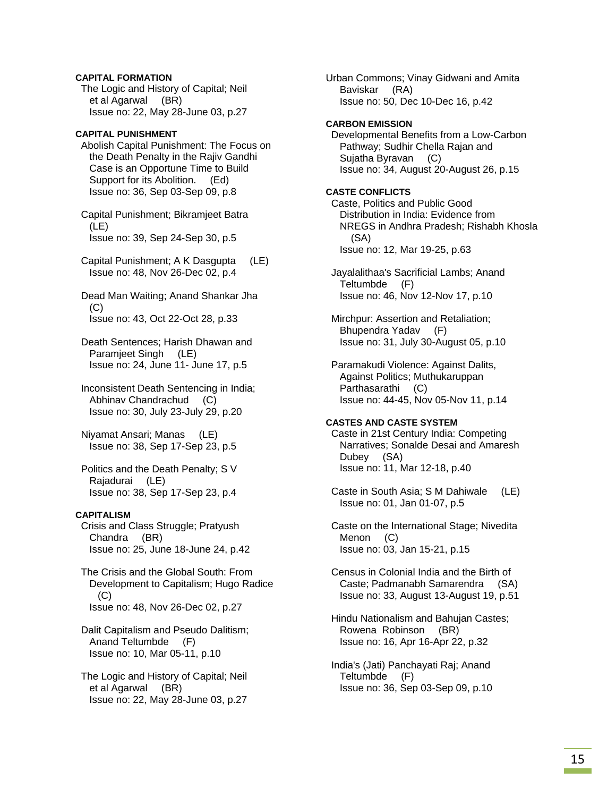## **CAPITAL FORMATION**

 The Logic and History of Capital; Neil et al Agarwal (BR) Issue no: 22, May 28-June 03, p.27

## **CAPITAL PUNISHMENT**

 Abolish Capital Punishment: The Focus on the Death Penalty in the Rajiv Gandhi Case is an Opportune Time to Build Support for its Abolition. (Ed) Issue no: 36, Sep 03-Sep 09, p.8

 Capital Punishment; Bikramjeet Batra (LE) Issue no: 39, Sep 24-Sep 30, p.5

 Capital Punishment; A K Dasgupta (LE) Issue no: 48, Nov 26-Dec 02, p.4

 Dead Man Waiting; Anand Shankar Jha (C) Issue no: 43, Oct 22-Oct 28, p.33

 Death Sentences; Harish Dhawan and Paramjeet Singh (LE) Issue no: 24, June 11- June 17, p.5

 Inconsistent Death Sentencing in India; Abhinav Chandrachud (C) Issue no: 30, July 23-July 29, p.20

 Niyamat Ansari; Manas (LE) Issue no: 38, Sep 17-Sep 23, p.5

 Politics and the Death Penalty; S V Rajadurai (LE) Issue no: 38, Sep 17-Sep 23, p.4

# **CAPITALISM**

 Crisis and Class Struggle; Pratyush Chandra (BR) Issue no: 25, June 18-June 24, p.42

 The Crisis and the Global South: From Development to Capitalism; Hugo Radice (C) Issue no: 48, Nov 26-Dec 02, p.27

 Dalit Capitalism and Pseudo Dalitism; Anand Teltumbde (F) Issue no: 10, Mar 05-11, p.10

 The Logic and History of Capital; Neil et al Agarwal (BR) Issue no: 22, May 28-June 03, p.27

Urban Commons; Vinay Gidwani and Amita Baviskar (RA) Issue no: 50, Dec 10-Dec 16, p.42

# **CARBON EMISSION**

 Developmental Benefits from a Low-Carbon Pathway; Sudhir Chella Rajan and Sujatha Byravan (C) Issue no: 34, August 20-August 26, p.15

## **CASTE CONFLICTS**

 Caste, Politics and Public Good Distribution in India: Evidence from NREGS in Andhra Pradesh; Rishabh Khosla (SA) Issue no: 12, Mar 19-25, p.63

 Jayalalithaa's Sacrificial Lambs; Anand Teltumbde (F) Issue no: 46, Nov 12-Nov 17, p.10

 Mirchpur: Assertion and Retaliation; Bhupendra Yadav (F) Issue no: 31, July 30-August 05, p.10

 Paramakudi Violence: Against Dalits, Against Politics; Muthukaruppan Parthasarathi (C) Issue no: 44-45, Nov 05-Nov 11, p.14

### **CASTES AND CASTE SYSTEM**

 Caste in 21st Century India: Competing Narratives; Sonalde Desai and Amaresh Dubey (SA) Issue no: 11, Mar 12-18, p.40

 Caste in South Asia; S M Dahiwale (LE) Issue no: 01, Jan 01-07, p.5

 Caste on the International Stage; Nivedita Menon (C) Issue no: 03, Jan 15-21, p.15

 Census in Colonial India and the Birth of Caste; Padmanabh Samarendra (SA) Issue no: 33, August 13-August 19, p.51

 Hindu Nationalism and Bahujan Castes; Rowena Robinson (BR) Issue no: 16, Apr 16-Apr 22, p.32

 India's (Jati) Panchayati Raj; Anand Teltumbde (F) Issue no: 36, Sep 03-Sep 09, p.10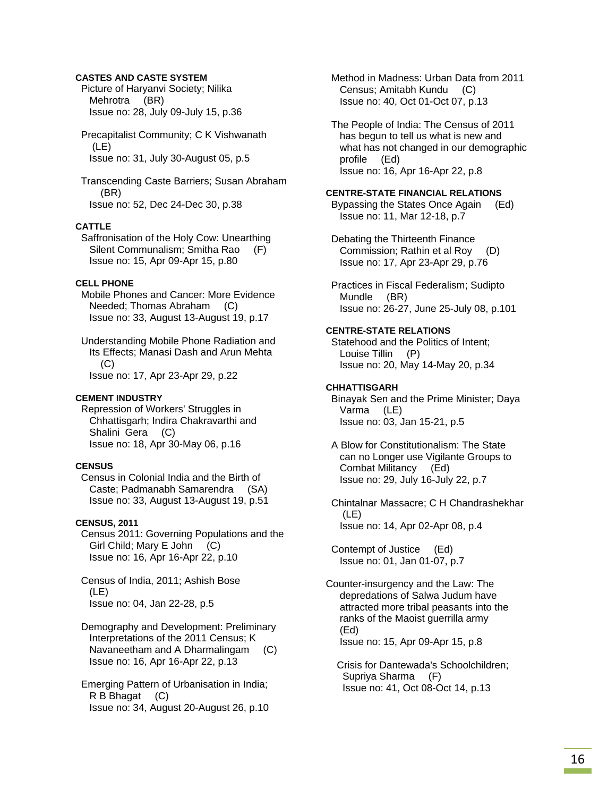# **CASTES AND CASTE SYSTEM**

 Picture of Haryanvi Society; Nilika Mehrotra (BR) Issue no: 28, July 09-July 15, p.36

 Precapitalist Community; C K Vishwanath (LE) Issue no: 31, July 30-August 05, p.5

 Transcending Caste Barriers; Susan Abraham (BR) Issue no: 52, Dec 24-Dec 30, p.38

## **CATTLE**

 Saffronisation of the Holy Cow: Unearthing Silent Communalism; Smitha Rao (F) Issue no: 15, Apr 09-Apr 15, p.80

# **CELL PHONE**

 Mobile Phones and Cancer: More Evidence Needed; Thomas Abraham (C) Issue no: 33, August 13-August 19, p.17

 Understanding Mobile Phone Radiation and Its Effects; Manasi Dash and Arun Mehta (C) Issue no: 17, Apr 23-Apr 29, p.22

#### **CEMENT INDUSTRY**

 Repression of Workers' Struggles in Chhattisgarh; Indira Chakravarthi and Shalini Gera (C) Issue no: 18, Apr 30-May 06, p.16

# **CENSUS**

 Census in Colonial India and the Birth of Caste; Padmanabh Samarendra (SA) Issue no: 33, August 13-August 19, p.51

## **CENSUS, 2011**

 Census 2011: Governing Populations and the Girl Child; Mary E John (C) Issue no: 16, Apr 16-Apr 22, p.10

 Census of India, 2011; Ashish Bose (LE) Issue no: 04, Jan 22-28, p.5

 Demography and Development: Preliminary Interpretations of the 2011 Census; K Navaneetham and A Dharmalingam (C) Issue no: 16, Apr 16-Apr 22, p.13

 Emerging Pattern of Urbanisation in India; R B Bhagat (C) Issue no: 34, August 20-August 26, p.10  Method in Madness: Urban Data from 2011 Census; Amitabh Kundu (C) Issue no: 40, Oct 01-Oct 07, p.13

 The People of India: The Census of 2011 has begun to tell us what is new and what has not changed in our demographic profile (Ed) Issue no: 16, Apr 16-Apr 22, p.8

#### **CENTRE-STATE FINANCIAL RELATIONS**

 Bypassing the States Once Again (Ed) Issue no: 11, Mar 12-18, p.7

 Debating the Thirteenth Finance Commission; Rathin et al Roy (D) Issue no: 17, Apr 23-Apr 29, p.76

 Practices in Fiscal Federalism; Sudipto Mundle (BR) Issue no: 26-27, June 25-July 08, p.101

# **CENTRE-STATE RELATIONS**

 Statehood and the Politics of Intent; Louise Tillin (P) Issue no: 20, May 14-May 20, p.34

#### **CHHATTISGARH**

 Binayak Sen and the Prime Minister; Daya Varma (LE) Issue no: 03, Jan 15-21, p.5

 A Blow for Constitutionalism: The State can no Longer use Vigilante Groups to Combat Militancy (Ed) Issue no: 29, July 16-July 22, p.7

 Chintalnar Massacre; C H Chandrashekhar  $(LE)$ Issue no: 14, Apr 02-Apr 08, p.4

 Contempt of Justice (Ed) Issue no: 01, Jan 01-07, p.7

Counter-insurgency and the Law: The depredations of Salwa Judum have attracted more tribal peasants into the ranks of the Maoist guerrilla army (Ed) Issue no: 15, Apr 09-Apr 15, p.8

 Crisis for Dantewada's Schoolchildren; Supriya Sharma (F) Issue no: 41, Oct 08-Oct 14, p.13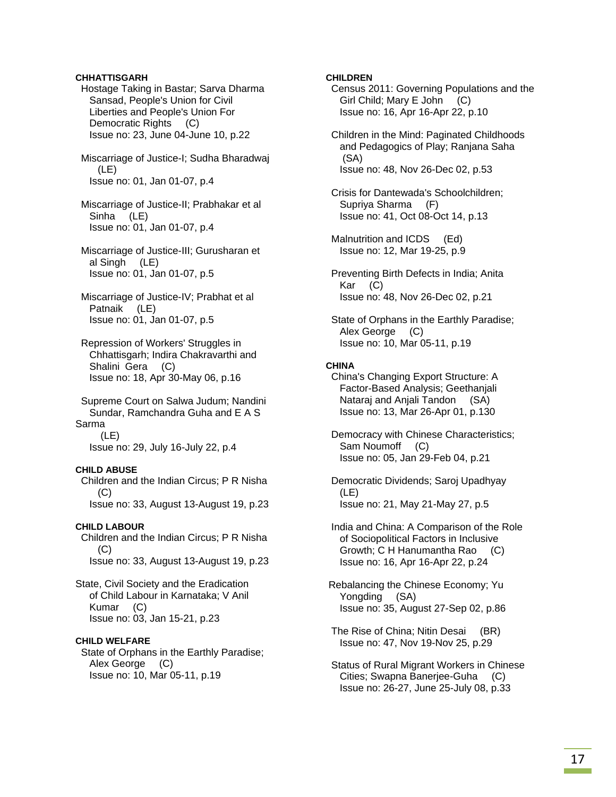## **CHHATTISGARH**

 Hostage Taking in Bastar; Sarva Dharma Sansad, People's Union for Civil Liberties and People's Union For Democratic Rights (C) Issue no: 23, June 04-June 10, p.22

 Miscarriage of Justice-I; Sudha Bharadwaj (LE) Issue no: 01, Jan 01-07, p.4

 Miscarriage of Justice-II; Prabhakar et al Sinha (LE) Issue no: 01, Jan 01-07, p.4

 Miscarriage of Justice-III; Gurusharan et al Singh (LE) Issue no: 01, Jan 01-07, p.5

 Miscarriage of Justice-IV; Prabhat et al Patnaik (LE) Issue no: 01, Jan 01-07, p.5

 Repression of Workers' Struggles in Chhattisgarh; Indira Chakravarthi and Shalini Gera (C) Issue no: 18, Apr 30-May 06, p.16

 Supreme Court on Salwa Judum; Nandini Sundar, Ramchandra Guha and E A S Sarma (LE) Issue no: 29, July 16-July 22, p.4

# **CHILD ABUSE**

 Children and the Indian Circus; P R Nisha (C) Issue no: 33, August 13-August 19, p.23

**CHILD LABOUR** 

 Children and the Indian Circus; P R Nisha  $(C)$ Issue no: 33, August 13-August 19, p.23

State, Civil Society and the Eradication of Child Labour in Karnataka; V Anil Kumar (C) Issue no: 03, Jan 15-21, p.23

#### **CHILD WELFARE**

 State of Orphans in the Earthly Paradise; Alex George (C) Issue no: 10, Mar 05-11, p.19

## **CHILDREN**

 Census 2011: Governing Populations and the Girl Child; Mary E John (C) Issue no: 16, Apr 16-Apr 22, p.10

 Children in the Mind: Paginated Childhoods and Pedagogics of Play; Ranjana Saha (SA) Issue no: 48, Nov 26-Dec 02, p.53

 Crisis for Dantewada's Schoolchildren; Supriya Sharma (F) Issue no: 41, Oct 08-Oct 14, p.13

 Malnutrition and ICDS (Ed) Issue no: 12, Mar 19-25, p.9

 Preventing Birth Defects in India; Anita Kar (C) Issue no: 48, Nov 26-Dec 02, p.21

 State of Orphans in the Earthly Paradise; Alex George (C) Issue no: 10, Mar 05-11, p.19

#### **CHINA**

 China's Changing Export Structure: A Factor-Based Analysis; Geethanjali Nataraj and Anjali Tandon (SA) Issue no: 13, Mar 26-Apr 01, p.130

 Democracy with Chinese Characteristics; Sam Noumoff (C) Issue no: 05, Jan 29-Feb 04, p.21

 Democratic Dividends; Saroj Upadhyay (LE) Issue no: 21, May 21-May 27, p.5

 India and China: A Comparison of the Role of Sociopolitical Factors in Inclusive Growth; C H Hanumantha Rao (C) Issue no: 16, Apr 16-Apr 22, p.24

 Rebalancing the Chinese Economy; Yu Yongding (SA) Issue no: 35, August 27-Sep 02, p.86

 The Rise of China; Nitin Desai (BR) Issue no: 47, Nov 19-Nov 25, p.29

 Status of Rural Migrant Workers in Chinese Cities; Swapna Banerjee-Guha (C) Issue no: 26-27, June 25-July 08, p.33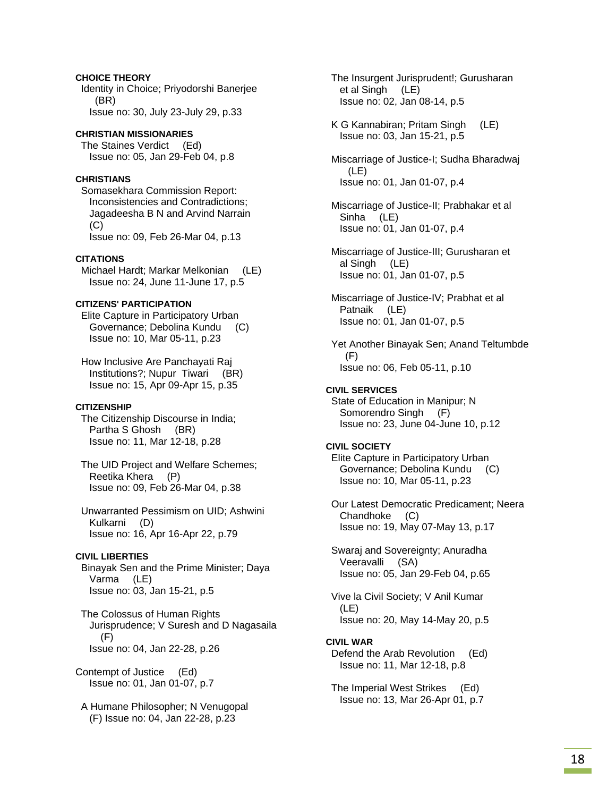# **CHOICE THEORY**

 Identity in Choice; Priyodorshi Banerjee (BR) Issue no: 30, July 23-July 29, p.33

# **CHRISTIAN MISSIONARIES**

 The Staines Verdict (Ed) Issue no: 05, Jan 29-Feb 04, p.8

# **CHRISTIANS**

 Somasekhara Commission Report: Inconsistencies and Contradictions; Jagadeesha B N and Arvind Narrain  $(C)$ Issue no: 09, Feb 26-Mar 04, p.13

# **CITATIONS**

 Michael Hardt; Markar Melkonian (LE) Issue no: 24, June 11-June 17, p.5

# **CITIZENS' PARTICIPATION**

 Elite Capture in Participatory Urban Governance; Debolina Kundu (C) Issue no: 10, Mar 05-11, p.23

 How Inclusive Are Panchayati Raj Institutions?; Nupur Tiwari (BR) Issue no: 15, Apr 09-Apr 15, p.35

# **CITIZENSHIP**

 The Citizenship Discourse in India; Partha S Ghosh (BR) Issue no: 11, Mar 12-18, p.28

 The UID Project and Welfare Schemes; Reetika Khera (P) Issue no: 09, Feb 26-Mar 04, p.38

 Unwarranted Pessimism on UID; Ashwini Kulkarni (D) Issue no: 16, Apr 16-Apr 22, p.79

# **CIVIL LIBERTIES**

 Binayak Sen and the Prime Minister; Daya Varma (LE) Issue no: 03, Jan 15-21, p.5

 The Colossus of Human Rights Jurisprudence; V Suresh and D Nagasaila (F) Issue no: 04, Jan 22-28, p.26

Contempt of Justice (Ed) Issue no: 01, Jan 01-07, p.7

 A Humane Philosopher; N Venugopal (F) Issue no: 04, Jan 22-28, p.23

 The Insurgent Jurisprudent!; Gurusharan et al Singh (LE) Issue no: 02, Jan 08-14, p.5

 K G Kannabiran; Pritam Singh (LE) Issue no: 03, Jan 15-21, p.5

 Miscarriage of Justice-I; Sudha Bharadwaj (LE) Issue no: 01, Jan 01-07, p.4

 Miscarriage of Justice-II; Prabhakar et al Sinha (LE) Issue no: 01, Jan 01-07, p.4

 Miscarriage of Justice-III; Gurusharan et al Singh (LE) Issue no: 01, Jan 01-07, p.5

 Miscarriage of Justice-IV; Prabhat et al Patnaik (LE) Issue no: 01, Jan 01-07, p.5

 Yet Another Binayak Sen; Anand Teltumbde  $(F)$ Issue no: 06, Feb 05-11, p.10

# **CIVIL SERVICES**

 State of Education in Manipur; N Somorendro Singh (F) Issue no: 23, June 04-June 10, p.12

# **CIVIL SOCIETY**

 Elite Capture in Participatory Urban Governance; Debolina Kundu (C) Issue no: 10, Mar 05-11, p.23

 Our Latest Democratic Predicament; Neera Chandhoke (C) Issue no: 19, May 07-May 13, p.17

 Swaraj and Sovereignty; Anuradha Veeravalli (SA) Issue no: 05, Jan 29-Feb 04, p.65

 Vive la Civil Society; V Anil Kumar (LE) Issue no: 20, May 14-May 20, p.5

# **CIVIL WAR**

 Defend the Arab Revolution (Ed) Issue no: 11, Mar 12-18, p.8

 The Imperial West Strikes (Ed) Issue no: 13, Mar 26-Apr 01, p.7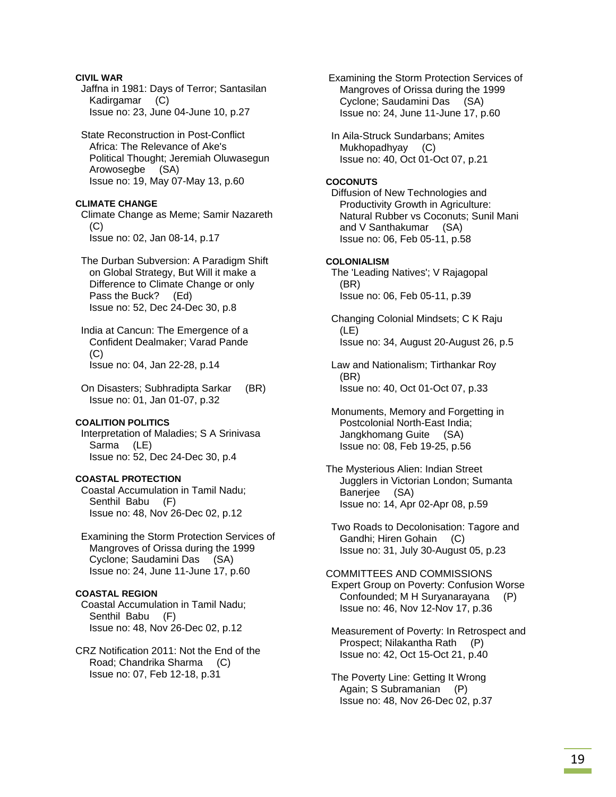Jaffna in 1981: Days of Terror; Santasilan Kadirgamar (C) Issue no: 23, June 04-June 10, p.27 State Reconstruction in Post-Conflict Africa: The Relevance of Ake's Political Thought; Jeremiah Oluwasegun Arowosegbe (SA) Issue no: 19, May 07-May 13, p.60 **CLIMATE CHANGE**  Climate Change as Meme; Samir Nazareth (C) Issue no: 02, Jan 08-14, p.17 The Durban Subversion: A Paradigm Shift on Global Strategy, But Will it make a Difference to Climate Change or only Pass the Buck? (Ed) Issue no: 52, Dec 24-Dec 30, p.8 India at Cancun: The Emergence of a Confident Dealmaker; Varad Pande (C) Issue no: 04, Jan 22-28, p.14 On Disasters; Subhradipta Sarkar (BR) Issue no: 01, Jan 01-07, p.32 **COALITION POLITICS**  Interpretation of Maladies; S A Srinivasa Sarma (LE) Issue no: 52, Dec 24-Dec 30, p.4 **COASTAL PROTECTION**  Coastal Accumulation in Tamil Nadu; Senthil Babu (F) Issue no: 48, Nov 26-Dec 02, p.12 Examining the Storm Protection Services of Mangroves of Orissa during the 1999 Cyclone; Saudamini Das (SA) Issue no: 24, June 11-June 17, p.60 **COASTAL REGION**  Coastal Accumulation in Tamil Nadu; Senthil Babu (F) Issue no: 48, Nov 26-Dec 02, p.12 CRZ Notification 2011: Not the End of the Road; Chandrika Sharma (C) Issue no: 07, Feb 12-18, p.31

**CIVIL WAR** 

 Examining the Storm Protection Services of Mangroves of Orissa during the 1999 Cyclone; Saudamini Das (SA) Issue no: 24, June 11-June 17, p.60

 In Aila-Struck Sundarbans; Amites Mukhopadhyay (C) Issue no: 40, Oct 01-Oct 07, p.21

# **COCONUTS**

 Diffusion of New Technologies and Productivity Growth in Agriculture: Natural Rubber vs Coconuts; Sunil Mani and V Santhakumar (SA) Issue no: 06, Feb 05-11, p.58

#### **COLONIALISM**

 The 'Leading Natives'; V Rajagopal (BR) Issue no: 06, Feb 05-11, p.39

 Changing Colonial Mindsets; C K Raju (LE) Issue no: 34, August 20-August 26, p.5

 Law and Nationalism; Tirthankar Roy (BR) Issue no: 40, Oct 01-Oct 07, p.33

 Monuments, Memory and Forgetting in Postcolonial North-East India; Jangkhomang Guite (SA) Issue no: 08, Feb 19-25, p.56

The Mysterious Alien: Indian Street Jugglers in Victorian London; Sumanta Banerjee (SA) Issue no: 14, Apr 02-Apr 08, p.59

 Two Roads to Decolonisation: Tagore and Gandhi; Hiren Gohain (C) Issue no: 31, July 30-August 05, p.23

COMMITTEES AND COMMISSIONS Expert Group on Poverty: Confusion Worse Confounded; M H Suryanarayana (P) Issue no: 46, Nov 12-Nov 17, p.36

 Measurement of Poverty: In Retrospect and Prospect; Nilakantha Rath (P) Issue no: 42, Oct 15-Oct 21, p.40

 The Poverty Line: Getting It Wrong Again; S Subramanian (P) Issue no: 48, Nov 26-Dec 02, p.37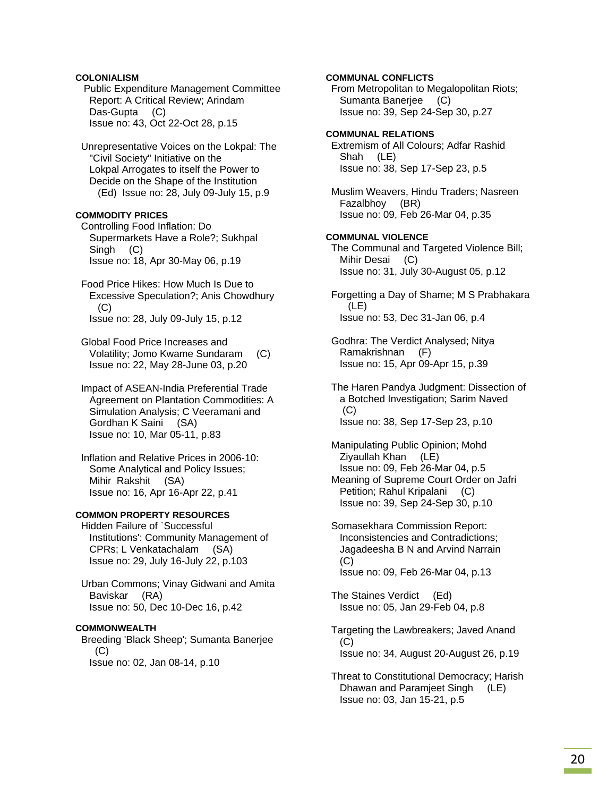# **COLONIALISM**

 Public Expenditure Management Committee Report: A Critical Review; Arindam Das-Gupta (C) Issue no: 43, Oct 22-Oct 28, p.15

 Unrepresentative Voices on the Lokpal: The "Civil Society" Initiative on the Lokpal Arrogates to itself the Power to Decide on the Shape of the Institution (Ed) Issue no: 28, July 09-July 15, p.9

## **COMMODITY PRICES**

 Controlling Food Inflation: Do Supermarkets Have a Role?; Sukhpal Singh (C) Issue no: 18, Apr 30-May 06, p.19

 Food Price Hikes: How Much Is Due to Excessive Speculation?; Anis Chowdhury  $(C)$ Issue no: 28, July 09-July 15, p.12

 Global Food Price Increases and Volatility; Jomo Kwame Sundaram (C) Issue no: 22, May 28-June 03, p.20

 Impact of ASEAN-India Preferential Trade Agreement on Plantation Commodities: A Simulation Analysis; C Veeramani and Gordhan K Saini (SA) Issue no: 10, Mar 05-11, p.83

 Inflation and Relative Prices in 2006-10: Some Analytical and Policy Issues; Mihir Rakshit (SA) Issue no: 16, Apr 16-Apr 22, p.41

# **COMMON PROPERTY RESOURCES**

 Hidden Failure of `Successful Institutions': Community Management of CPRs; L Venkatachalam (SA) Issue no: 29, July 16-July 22, p.103

 Urban Commons; Vinay Gidwani and Amita Baviskar (RA) Issue no: 50, Dec 10-Dec 16, p.42

## **COMMONWEALTH**

 Breeding 'Black Sheep'; Sumanta Banerjee  $(C)$ Issue no: 02, Jan 08-14, p.10

 From Metropolitan to Megalopolitan Riots; Sumanta Banerjee (C) Issue no: 39, Sep 24-Sep 30, p.27 **COMMUNAL RELATIONS**  Extremism of All Colours; Adfar Rashid Shah (LE) Issue no: 38, Sep 17-Sep 23, p.5 Muslim Weavers, Hindu Traders; Nasreen Fazalbhoy (BR) Issue no: 09, Feb 26-Mar 04, p.35 **COMMUNAL VIOLENCE**  The Communal and Targeted Violence Bill; Mihir Desai (C) Issue no: 31, July 30-August 05, p.12 Forgetting a Day of Shame; M S Prabhakara (LE) Issue no: 53, Dec 31-Jan 06, p.4 Godhra: The Verdict Analysed; Nitya Ramakrishnan (F) Issue no: 15, Apr 09-Apr 15, p.39 The Haren Pandya Judgment: Dissection of a Botched Investigation; Sarim Naved  $(C)$ Issue no: 38, Sep 17-Sep 23, p.10

**COMMUNAL CONFLICTS** 

 Manipulating Public Opinion; Mohd Ziyaullah Khan (LE) Issue no: 09, Feb 26-Mar 04, p.5

 Meaning of Supreme Court Order on Jafri Petition; Rahul Kripalani (C) Issue no: 39, Sep 24-Sep 30, p.10

 Somasekhara Commission Report: Inconsistencies and Contradictions; Jagadeesha B N and Arvind Narrain  $(C)$ Issue no: 09, Feb 26-Mar 04, p.13

 The Staines Verdict (Ed) Issue no: 05, Jan 29-Feb 04, p.8

- Targeting the Lawbreakers; Javed Anand (C) Issue no: 34, August 20-August 26, p.19
- Threat to Constitutional Democracy; Harish Dhawan and Paramjeet Singh (LE) Issue no: 03, Jan 15-21, p.5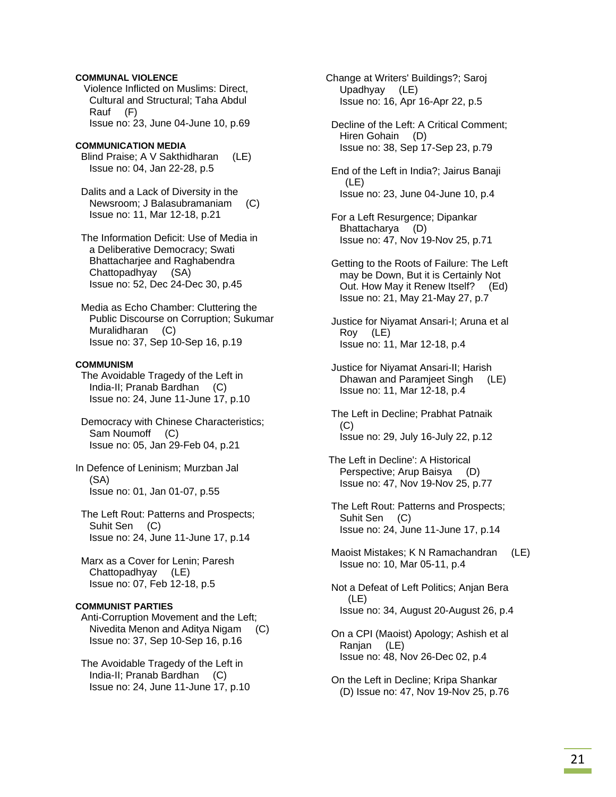## **COMMUNAL VIOLENCE**

 Violence Inflicted on Muslims: Direct, Cultural and Structural; Taha Abdul Rauf (F) Issue no: 23, June 04-June 10, p.69

#### **COMMUNICATION MEDIA**

 Blind Praise; A V Sakthidharan (LE) Issue no: 04, Jan 22-28, p.5

 Dalits and a Lack of Diversity in the Newsroom; J Balasubramaniam (C) Issue no: 11, Mar 12-18, p.21

 The Information Deficit: Use of Media in a Deliberative Democracy; Swati Bhattacharjee and Raghabendra Chattopadhyay (SA) Issue no: 52, Dec 24-Dec 30, p.45

 Media as Echo Chamber: Cluttering the Public Discourse on Corruption; Sukumar Muralidharan (C) Issue no: 37, Sep 10-Sep 16, p.19

## **COMMUNISM**

 The Avoidable Tragedy of the Left in India-II; Pranab Bardhan (C) Issue no: 24, June 11-June 17, p.10

 Democracy with Chinese Characteristics; Sam Noumoff (C) Issue no: 05, Jan 29-Feb 04, p.21

In Defence of Leninism; Murzban Jal (SA) Issue no: 01, Jan 01-07, p.55

 The Left Rout: Patterns and Prospects; Suhit Sen (C) Issue no: 24, June 11-June 17, p.14

 Marx as a Cover for Lenin; Paresh Chattopadhyay (LE) Issue no: 07, Feb 12-18, p.5

# **COMMUNIST PARTIES**

 Anti-Corruption Movement and the Left; Nivedita Menon and Aditya Nigam (C) Issue no: 37, Sep 10-Sep 16, p.16

 The Avoidable Tragedy of the Left in India-II; Pranab Bardhan (C) Issue no: 24, June 11-June 17, p.10 Change at Writers' Buildings?; Saroj Upadhyay (LE) Issue no: 16, Apr 16-Apr 22, p.5

 Decline of the Left: A Critical Comment; Hiren Gohain (D) Issue no: 38, Sep 17-Sep 23, p.79

 End of the Left in India?; Jairus Banaji (LE) Issue no: 23, June 04-June 10, p.4

 For a Left Resurgence; Dipankar Bhattacharya (D) Issue no: 47, Nov 19-Nov 25, p.71

 Getting to the Roots of Failure: The Left may be Down, But it is Certainly Not Out. How May it Renew Itself? (Ed) Issue no: 21, May 21-May 27, p.7

 Justice for Niyamat Ansari-I; Aruna et al Roy (LE) Issue no: 11, Mar 12-18, p.4

 Justice for Niyamat Ansari-II; Harish Dhawan and Paramjeet Singh (LE) Issue no: 11, Mar 12-18, p.4

 The Left in Decline; Prabhat Patnaik  $(C)$ Issue no: 29, July 16-July 22, p.12

 The Left in Decline': A Historical Perspective; Arup Baisya (D) Issue no: 47, Nov 19-Nov 25, p.77

 The Left Rout: Patterns and Prospects; Suhit Sen (C) Issue no: 24, June 11-June 17, p.14

Maoist Mistakes; K N Ramachandran (LE) Issue no: 10, Mar 05-11, p.4

 Not a Defeat of Left Politics; Anjan Bera (LE) Issue no: 34, August 20-August 26, p.4

 On a CPI (Maoist) Apology; Ashish et al Ranjan (LE) Issue no: 48, Nov 26-Dec 02, p.4

 On the Left in Decline; Kripa Shankar (D) Issue no: 47, Nov 19-Nov 25, p.76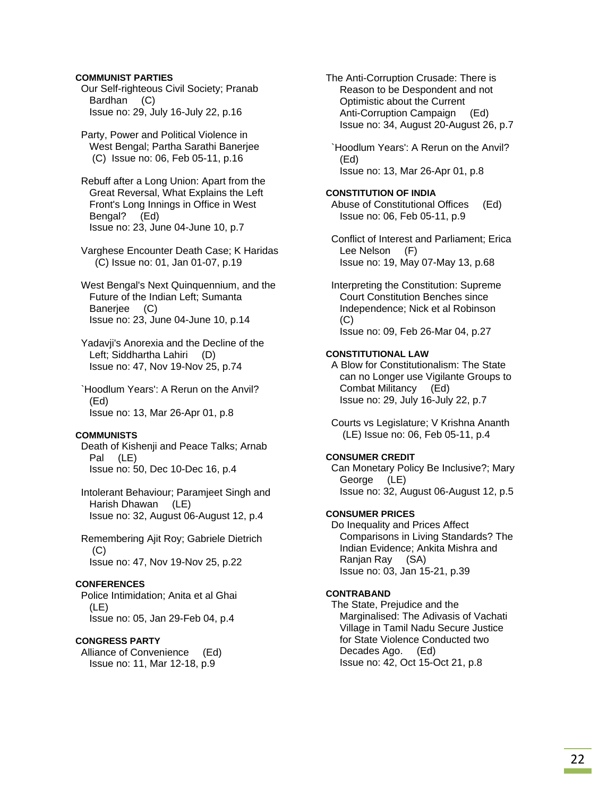## **COMMUNIST PARTIES**

 Our Self-righteous Civil Society; Pranab Bardhan (C) Issue no: 29, July 16-July 22, p.16

 Party, Power and Political Violence in West Bengal; Partha Sarathi Banerjee (C) Issue no: 06, Feb 05-11, p.16

 Rebuff after a Long Union: Apart from the Great Reversal, What Explains the Left Front's Long Innings in Office in West Bengal? (Ed) Issue no: 23, June 04-June 10, p.7

 Varghese Encounter Death Case; K Haridas (C) Issue no: 01, Jan 01-07, p.19

 West Bengal's Next Quinquennium, and the Future of the Indian Left; Sumanta Banerjee (C) Issue no: 23, June 04-June 10, p.14

 Yadavji's Anorexia and the Decline of the Left; Siddhartha Lahiri (D) Issue no: 47, Nov 19-Nov 25, p.74

 `Hoodlum Years': A Rerun on the Anvil? (Ed) Issue no: 13, Mar 26-Apr 01, p.8

#### **COMMUNISTS**

 Death of Kishenji and Peace Talks; Arnab Pal (LE) Issue no: 50, Dec 10-Dec 16, p.4

 Intolerant Behaviour; Paramjeet Singh and Harish Dhawan (LE) Issue no: 32, August 06-August 12, p.4

 Remembering Ajit Roy; Gabriele Dietrich (C) Issue no: 47, Nov 19-Nov 25, p.22

#### **CONFERENCES**

 Police Intimidation; Anita et al Ghai (LE) Issue no: 05, Jan 29-Feb 04, p.4

## **CONGRESS PARTY**

 Alliance of Convenience (Ed) Issue no: 11, Mar 12-18, p.9

The Anti-Corruption Crusade: There is Reason to be Despondent and not Optimistic about the Current Anti-Corruption Campaign (Ed) Issue no: 34, August 20-August 26, p.7

 `Hoodlum Years': A Rerun on the Anvil? (Ed) Issue no: 13, Mar 26-Apr 01, p.8

### **CONSTITUTION OF INDIA**

 Abuse of Constitutional Offices (Ed) Issue no: 06, Feb 05-11, p.9

 Conflict of Interest and Parliament; Erica Lee Nelson (F) Issue no: 19, May 07-May 13, p.68

 Interpreting the Constitution: Supreme Court Constitution Benches since Independence; Nick et al Robinson (C) Issue no: 09, Feb 26-Mar 04, p.27

## **CONSTITUTIONAL LAW**

 A Blow for Constitutionalism: The State can no Longer use Vigilante Groups to Combat Militancy (Ed) Issue no: 29, July 16-July 22, p.7

 Courts vs Legislature; V Krishna Ananth (LE) Issue no: 06, Feb 05-11, p.4

#### **CONSUMER CREDIT**

 Can Monetary Policy Be Inclusive?; Mary George (LE) Issue no: 32, August 06-August 12, p.5

## **CONSUMER PRICES**

 Do Inequality and Prices Affect Comparisons in Living Standards? The Indian Evidence; Ankita Mishra and Ranjan Ray (SA) Issue no: 03, Jan 15-21, p.39

## **CONTRABAND**

 The State, Prejudice and the Marginalised: The Adivasis of Vachati Village in Tamil Nadu Secure Justice for State Violence Conducted two Decades Ago. (Ed) Issue no: 42, Oct 15-Oct 21, p.8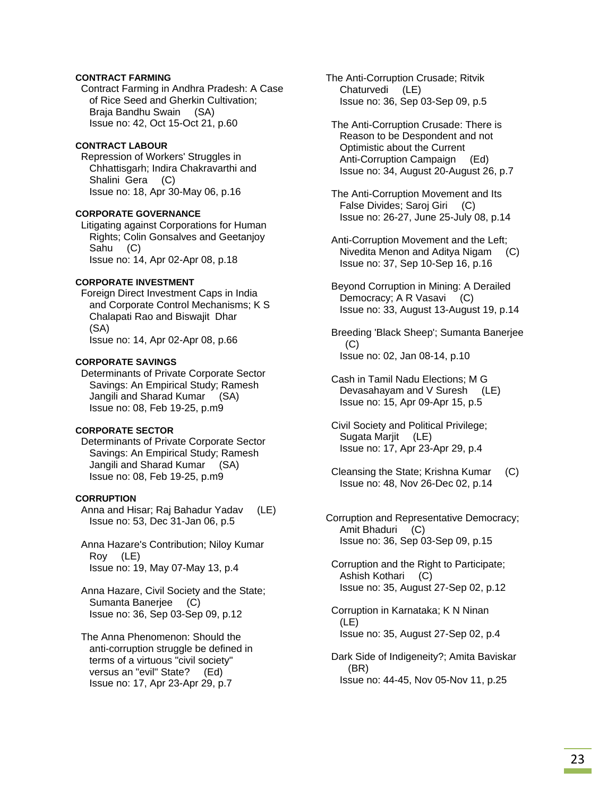# **CONTRACT FARMING**

 Contract Farming in Andhra Pradesh: A Case of Rice Seed and Gherkin Cultivation; Braja Bandhu Swain (SA) Issue no: 42, Oct 15-Oct 21, p.60

### **CONTRACT LABOUR**

 Repression of Workers' Struggles in Chhattisgarh; Indira Chakravarthi and Shalini Gera (C) Issue no: 18, Apr 30-May 06, p.16

#### **CORPORATE GOVERNANCE**

 Litigating against Corporations for Human Rights; Colin Gonsalves and Geetanjoy Sahu (C) Issue no: 14, Apr 02-Apr 08, p.18

## **CORPORATE INVESTMENT**

 Foreign Direct Investment Caps in India and Corporate Control Mechanisms; K S Chalapati Rao and Biswajit Dhar (SA)

Issue no: 14, Apr 02-Apr 08, p.66

# **CORPORATE SAVINGS**

 Determinants of Private Corporate Sector Savings: An Empirical Study; Ramesh Jangili and Sharad Kumar (SA) Issue no: 08, Feb 19-25, p.m9

## **CORPORATE SECTOR**

 Determinants of Private Corporate Sector Savings: An Empirical Study; Ramesh Jangili and Sharad Kumar (SA) Issue no: 08, Feb 19-25, p.m9

#### **CORRUPTION**

 Anna and Hisar; Raj Bahadur Yadav (LE) Issue no: 53, Dec 31-Jan 06, p.5

 Anna Hazare's Contribution; Niloy Kumar Roy (LE) Issue no: 19, May 07-May 13, p.4

 Anna Hazare, Civil Society and the State; Sumanta Banerjee (C) Issue no: 36, Sep 03-Sep 09, p.12

 The Anna Phenomenon: Should the anti-corruption struggle be defined in terms of a virtuous "civil society" versus an "evil" State? (Ed) Issue no: 17, Apr 23-Apr 29, p.7

The Anti-Corruption Crusade; Ritvik Chaturvedi (LE) Issue no: 36, Sep 03-Sep 09, p.5

 The Anti-Corruption Crusade: There is Reason to be Despondent and not Optimistic about the Current Anti-Corruption Campaign (Ed) Issue no: 34, August 20-August 26, p.7

 The Anti-Corruption Movement and Its False Divides; Saroj Giri (C) Issue no: 26-27, June 25-July 08, p.14

 Anti-Corruption Movement and the Left; Nivedita Menon and Aditya Nigam (C) Issue no: 37, Sep 10-Sep 16, p.16

 Beyond Corruption in Mining: A Derailed Democracy; A R Vasavi (C) Issue no: 33, August 13-August 19, p.14

 Breeding 'Black Sheep'; Sumanta Banerjee (C) Issue no: 02, Jan 08-14, p.10

 Cash in Tamil Nadu Elections; M G Devasahayam and V Suresh (LE) Issue no: 15, Apr 09-Apr 15, p.5

 Civil Society and Political Privilege; Sugata Marjit (LE) Issue no: 17, Apr 23-Apr 29, p.4

- Cleansing the State; Krishna Kumar (C) Issue no: 48, Nov 26-Dec 02, p.14
- Corruption and Representative Democracy; Amit Bhaduri (C) Issue no: 36, Sep 03-Sep 09, p.15

 Corruption and the Right to Participate; Ashish Kothari (C) Issue no: 35, August 27-Sep 02, p.12

 Corruption in Karnataka; K N Ninan (LE) Issue no: 35, August 27-Sep 02, p.4

 Dark Side of Indigeneity?; Amita Baviskar (BR) Issue no: 44-45, Nov 05-Nov 11, p.25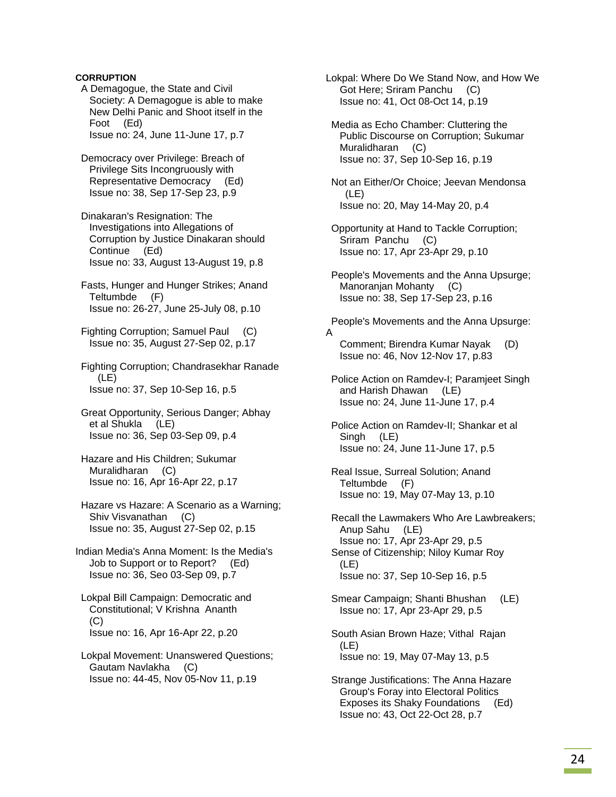# **CORRUPTION**

 A Demagogue, the State and Civil Society: A Demagogue is able to make New Delhi Panic and Shoot itself in the Foot (Ed) Issue no: 24, June 11-June 17, p.7

 Democracy over Privilege: Breach of Privilege Sits Incongruously with Representative Democracy (Ed) Issue no: 38, Sep 17-Sep 23, p.9

 Dinakaran's Resignation: The Investigations into Allegations of Corruption by Justice Dinakaran should Continue (Ed) Issue no: 33, August 13-August 19, p.8

 Fasts, Hunger and Hunger Strikes; Anand Teltumbde (F) Issue no: 26-27, June 25-July 08, p.10

 Fighting Corruption; Samuel Paul (C) Issue no: 35, August 27-Sep 02, p.17

 Fighting Corruption; Chandrasekhar Ranade (LE) Issue no: 37, Sep 10-Sep 16, p.5

 Great Opportunity, Serious Danger; Abhay et al Shukla (LE) Issue no: 36, Sep 03-Sep 09, p.4

 Hazare and His Children; Sukumar Muralidharan (C) Issue no: 16, Apr 16-Apr 22, p.17

 Hazare vs Hazare: A Scenario as a Warning; Shiv Visvanathan (C) Issue no: 35, August 27-Sep 02, p.15

Indian Media's Anna Moment: Is the Media's Job to Support or to Report? (Ed) Issue no: 36, Seo 03-Sep 09, p.7

 Lokpal Bill Campaign: Democratic and Constitutional; V Krishna Ananth  $(C)$ Issue no: 16, Apr 16-Apr 22, p.20

 Lokpal Movement: Unanswered Questions; Gautam Navlakha (C) Issue no: 44-45, Nov 05-Nov 11, p.19

Lokpal: Where Do We Stand Now, and How We Got Here; Sriram Panchu (C) Issue no: 41, Oct 08-Oct 14, p.19

 Media as Echo Chamber: Cluttering the Public Discourse on Corruption; Sukumar Muralidharan (C) Issue no: 37, Sep 10-Sep 16, p.19

 Not an Either/Or Choice; Jeevan Mendonsa (LE) Issue no: 20, May 14-May 20, p.4

 Opportunity at Hand to Tackle Corruption; Sriram Panchu (C) Issue no: 17, Apr 23-Apr 29, p.10

 People's Movements and the Anna Upsurge; Manoranjan Mohanty (C) Issue no: 38, Sep 17-Sep 23, p.16

 People's Movements and the Anna Upsurge: A Comment; Birendra Kumar Nayak (D)

Issue no: 46, Nov 12-Nov 17, p.83

 Police Action on Ramdev-I; Paramjeet Singh and Harish Dhawan (LE) Issue no: 24, June 11-June 17, p.4

 Police Action on Ramdev-II; Shankar et al Singh (LE) Issue no: 24, June 11-June 17, p.5

 Real Issue, Surreal Solution; Anand Teltumbde (F) Issue no: 19, May 07-May 13, p.10

 Recall the Lawmakers Who Are Lawbreakers; Anup Sahu (LE) Issue no: 17, Apr 23-Apr 29, p.5 Sense of Citizenship; Niloy Kumar Roy (LE) Issue no: 37, Sep 10-Sep 16, p.5

 Smear Campaign; Shanti Bhushan (LE) Issue no: 17, Apr 23-Apr 29, p.5

 South Asian Brown Haze; Vithal Rajan (LE) Issue no: 19, May 07-May 13, p.5

 Strange Justifications: The Anna Hazare Group's Foray into Electoral Politics Exposes its Shaky Foundations (Ed) Issue no: 43, Oct 22-Oct 28, p.7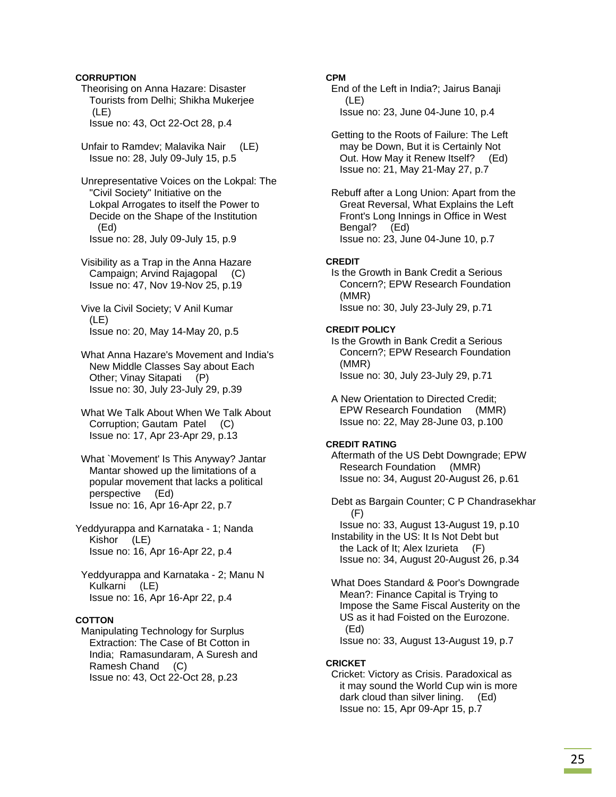# **CORRUPTION**

 Theorising on Anna Hazare: Disaster Tourists from Delhi; Shikha Mukerjee (LE) Issue no: 43, Oct 22-Oct 28, p.4

 Unfair to Ramdev; Malavika Nair (LE) Issue no: 28, July 09-July 15, p.5

 Unrepresentative Voices on the Lokpal: The "Civil Society" Initiative on the Lokpal Arrogates to itself the Power to Decide on the Shape of the Institution (Ed) Issue no: 28, July 09-July 15, p.9

 Visibility as a Trap in the Anna Hazare Campaign; Arvind Rajagopal (C) Issue no: 47, Nov 19-Nov 25, p.19

 Vive la Civil Society; V Anil Kumar (LE) Issue no: 20, May 14-May 20, p.5

 What Anna Hazare's Movement and India's New Middle Classes Say about Each Other; Vinay Sitapati (P) Issue no: 30, July 23-July 29, p.39

 What We Talk About When We Talk About Corruption; Gautam Patel (C) Issue no: 17, Apr 23-Apr 29, p.13

 What `Movement' Is This Anyway? Jantar Mantar showed up the limitations of a popular movement that lacks a political perspective (Ed) Issue no: 16, Apr 16-Apr 22, p.7

Yeddyurappa and Karnataka - 1; Nanda Kishor (LE) Issue no: 16, Apr 16-Apr 22, p.4

Yeddyurappa and Karnataka - 2; Manu N Kulkarni (LE) Issue no: 16, Apr 16-Apr 22, p.4

## **COTTON**

 Manipulating Technology for Surplus Extraction: The Case of Bt Cotton in India; Ramasundaram, A Suresh and Ramesh Chand (C) Issue no: 43, Oct 22-Oct 28, p.23

# **CPM**

 End of the Left in India?; Jairus Banaji (LE) Issue no: 23, June 04-June 10, p.4

 Getting to the Roots of Failure: The Left may be Down, But it is Certainly Not Out. How May it Renew Itself? (Ed) Issue no: 21, May 21-May 27, p.7

 Rebuff after a Long Union: Apart from the Great Reversal, What Explains the Left Front's Long Innings in Office in West Bengal? (Ed) Issue no: 23, June 04-June 10, p.7

### **CREDIT**

 Is the Growth in Bank Credit a Serious Concern?; EPW Research Foundation (MMR) Issue no: 30, July 23-July 29, p.71

#### **CREDIT POLICY**

 Is the Growth in Bank Credit a Serious Concern?; EPW Research Foundation (MMR) Issue no: 30, July 23-July 29, p.71

 A New Orientation to Directed Credit; EPW Research Foundation (MMR) Issue no: 22, May 28-June 03, p.100

## **CREDIT RATING**

 Aftermath of the US Debt Downgrade; EPW Research Foundation (MMR) Issue no: 34, August 20-August 26, p.61

 Debt as Bargain Counter; C P Chandrasekhar (F)

 Issue no: 33, August 13-August 19, p.10 Instability in the US: It Is Not Debt but the Lack of It; Alex Izurieta (F) Issue no: 34, August 20-August 26, p.34

 What Does Standard & Poor's Downgrade Mean?: Finance Capital is Trying to Impose the Same Fiscal Austerity on the US as it had Foisted on the Eurozone. (Ed) Issue no: 33, August 13-August 19, p.7

## **CRICKET**

 Cricket: Victory as Crisis. Paradoxical as it may sound the World Cup win is more dark cloud than silver lining. (Ed) Issue no: 15, Apr 09-Apr 15, p.7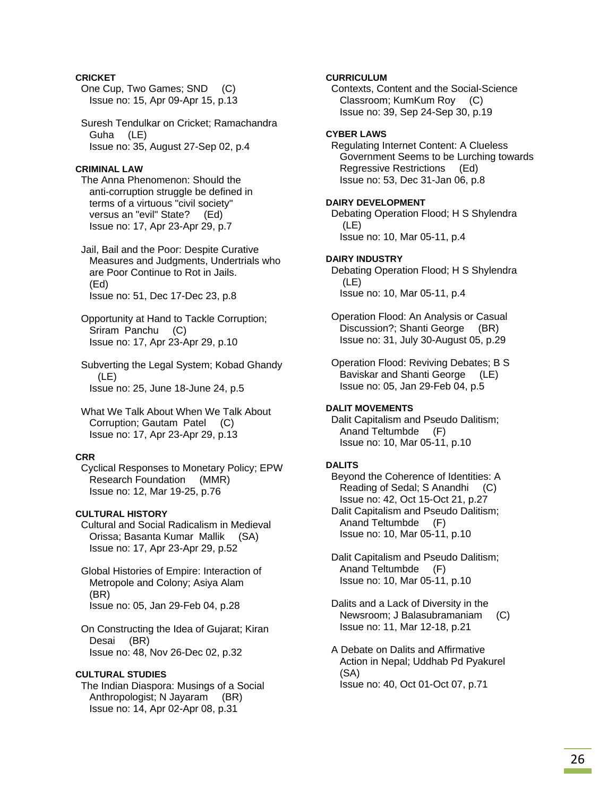# **CRICKET**

- One Cup, Two Games; SND (C) Issue no: 15, Apr 09-Apr 15, p.13
- Suresh Tendulkar on Cricket; Ramachandra Guha (LE) Issue no: 35, August 27-Sep 02, p.4

## **CRIMINAL LAW**

 The Anna Phenomenon: Should the anti-corruption struggle be defined in terms of a virtuous "civil society" versus an "evil" State? (Ed) Issue no: 17, Apr 23-Apr 29, p.7

 Jail, Bail and the Poor: Despite Curative Measures and Judgments, Undertrials who are Poor Continue to Rot in Jails. (Ed) Issue no: 51, Dec 17-Dec 23, p.8

 Opportunity at Hand to Tackle Corruption; Sriram Panchu (C) Issue no: 17, Apr 23-Apr 29, p.10

 Subverting the Legal System; Kobad Ghandy (LE) Issue no: 25, June 18-June 24, p.5

 What We Talk About When We Talk About Corruption; Gautam Patel (C) Issue no: 17, Apr 23-Apr 29, p.13

# **CRR**

 Cyclical Responses to Monetary Policy; EPW Research Foundation (MMR) Issue no: 12, Mar 19-25, p.76

#### **CULTURAL HISTORY**

 Cultural and Social Radicalism in Medieval Orissa; Basanta Kumar Mallik (SA) Issue no: 17, Apr 23-Apr 29, p.52

 Global Histories of Empire: Interaction of Metropole and Colony; Asiya Alam (BR) Issue no: 05, Jan 29-Feb 04, p.28

 On Constructing the Idea of Gujarat; Kiran Desai (BR) Issue no: 48, Nov 26-Dec 02, p.32

# **CULTURAL STUDIES**

 The Indian Diaspora: Musings of a Social Anthropologist; N Jayaram (BR) Issue no: 14, Apr 02-Apr 08, p.31

### **CURRICULUM**

 Contexts, Content and the Social-Science Classroom; KumKum Roy (C) Issue no: 39, Sep 24-Sep 30, p.19

# **CYBER LAWS**

 Regulating Internet Content: A Clueless Government Seems to be Lurching towards Regressive Restrictions (Ed) Issue no: 53, Dec 31-Jan 06, p.8

#### **DAIRY DEVELOPMENT**

 Debating Operation Flood; H S Shylendra (LE) Issue no: 10, Mar 05-11, p.4

#### **DAIRY INDUSTRY**

 Debating Operation Flood; H S Shylendra (LE) Issue no: 10, Mar 05-11, p.4

 Operation Flood: An Analysis or Casual Discussion?; Shanti George (BR) Issue no: 31, July 30-August 05, p.29

 Operation Flood: Reviving Debates; B S Baviskar and Shanti George (LE) Issue no: 05, Jan 29-Feb 04, p.5

## **DALIT MOVEMENTS**

 Dalit Capitalism and Pseudo Dalitism; Anand Teltumbde (F) Issue no: 10, Mar 05-11, p.10

# **DALITS**

 Beyond the Coherence of Identities: A Reading of Sedal; S Anandhi (C) Issue no: 42, Oct 15-Oct 21, p.27 Dalit Capitalism and Pseudo Dalitism; Anand Teltumbde (F) Issue no: 10, Mar 05-11, p.10

 Dalit Capitalism and Pseudo Dalitism; Anand Teltumbde (F) Issue no: 10, Mar 05-11, p.10

 Dalits and a Lack of Diversity in the Newsroom; J Balasubramaniam (C) Issue no: 11, Mar 12-18, p.21

 A Debate on Dalits and Affirmative Action in Nepal; Uddhab Pd Pyakurel (SA) Issue no: 40, Oct 01-Oct 07, p.71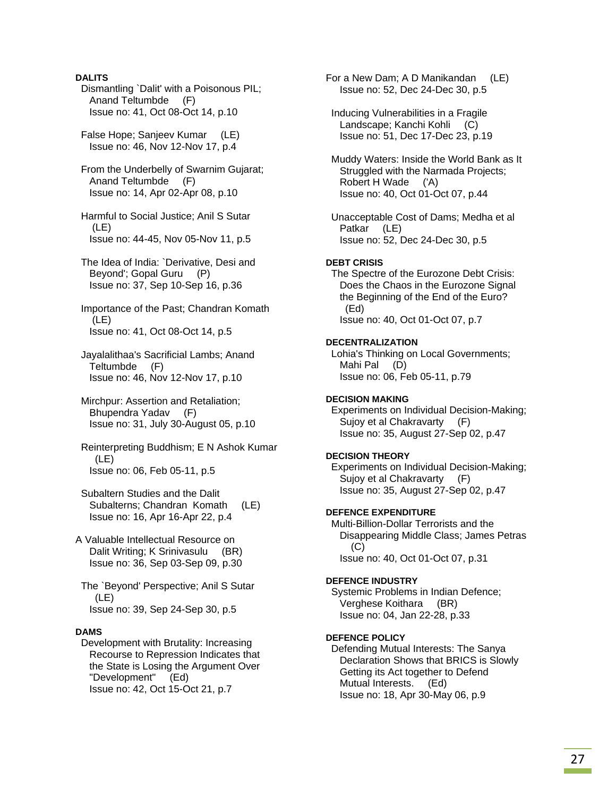## **DALITS**

 Dismantling `Dalit' with a Poisonous PIL; Anand Teltumbde (F) Issue no: 41, Oct 08-Oct 14, p.10 False Hope; Sanjeev Kumar (LE) Issue no: 46, Nov 12-Nov 17, p.4 From the Underbelly of Swarnim Gujarat; Anand Teltumbde (F) Issue no: 14, Apr 02-Apr 08, p.10 Harmful to Social Justice; Anil S Sutar (LE) Issue no: 44-45, Nov 05-Nov 11, p.5 The Idea of India: `Derivative, Desi and Beyond'; Gopal Guru (P) Issue no: 37, Sep 10-Sep 16, p.36 Importance of the Past; Chandran Komath (LE) Issue no: 41, Oct 08-Oct 14, p.5 Jayalalithaa's Sacrificial Lambs; Anand Teltumbde (F) Issue no: 46, Nov 12-Nov 17, p.10 Mirchpur: Assertion and Retaliation; Bhupendra Yadav (F) Issue no: 31, July 30-August 05, p.10 Reinterpreting Buddhism; E N Ashok Kumar (LE) Issue no: 06, Feb 05-11, p.5 Subaltern Studies and the Dalit Subalterns; Chandran Komath (LE) Issue no: 16, Apr 16-Apr 22, p.4 A Valuable Intellectual Resource on Dalit Writing; K Srinivasulu (BR) Issue no: 36, Sep 03-Sep 09, p.30 The `Beyond' Perspective; Anil S Sutar (LE) Issue no: 39, Sep 24-Sep 30, p.5 **DAMS**  Development with Brutality: Increasing Recourse to Repression Indicates that the State is Losing the Argument Over "Development" (Ed) Issue no: 42, Oct 15-Oct 21, p.7

For a New Dam; A D Manikandan (LE) Issue no: 52, Dec 24-Dec 30, p.5

 Inducing Vulnerabilities in a Fragile Landscape; Kanchi Kohli (C) Issue no: 51, Dec 17-Dec 23, p.19

 Muddy Waters: Inside the World Bank as It Struggled with the Narmada Projects; Robert H Wade ('A) Issue no: 40, Oct 01-Oct 07, p.44

 Unacceptable Cost of Dams; Medha et al Patkar (LE) Issue no: 52, Dec 24-Dec 30, p.5

#### **DEBT CRISIS**

 The Spectre of the Eurozone Debt Crisis: Does the Chaos in the Eurozone Signal the Beginning of the End of the Euro? (Ed) Issue no: 40, Oct 01-Oct 07, p.7

## **DECENTRALIZATION**

 Lohia's Thinking on Local Governments; Mahi Pal (D) Issue no: 06, Feb 05-11, p.79

### **DECISION MAKING**

 Experiments on Individual Decision-Making; Sujoy et al Chakravarty (F) Issue no: 35, August 27-Sep 02, p.47

# **DECISION THEORY**

 Experiments on Individual Decision-Making; Sujoy et al Chakravarty (F) Issue no: 35, August 27-Sep 02, p.47

#### **DEFENCE EXPENDITURE**

 Multi-Billion-Dollar Terrorists and the Disappearing Middle Class; James Petras (C) Issue no: 40, Oct 01-Oct 07, p.31

## **DEFENCE INDUSTRY**

 Systemic Problems in Indian Defence; Verghese Koithara (BR) Issue no: 04, Jan 22-28, p.33

# **DEFENCE POLICY**

 Defending Mutual Interests: The Sanya Declaration Shows that BRICS is Slowly Getting its Act together to Defend Mutual Interests. (Ed) Issue no: 18, Apr 30-May 06, p.9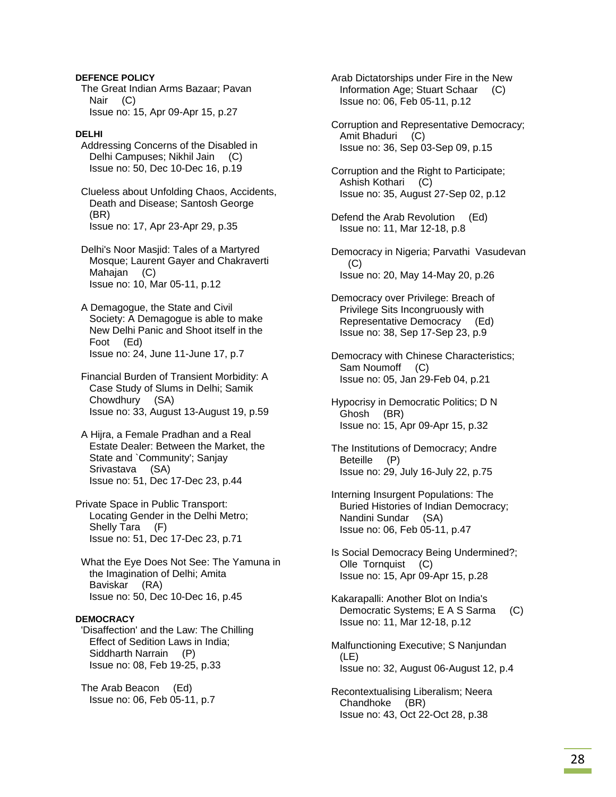**DEFENCE POLICY**  The Great Indian Arms Bazaar; Pavan Nair (C) Issue no: 15, Apr 09-Apr 15, p.27

## **DELHI**

 Addressing Concerns of the Disabled in Delhi Campuses; Nikhil Jain (C) Issue no: 50, Dec 10-Dec 16, p.19

 Clueless about Unfolding Chaos, Accidents, Death and Disease; Santosh George (BR) Issue no: 17, Apr 23-Apr 29, p.35

 Delhi's Noor Masjid: Tales of a Martyred Mosque; Laurent Gayer and Chakraverti Mahajan (C) Issue no: 10, Mar 05-11, p.12

 A Demagogue, the State and Civil Society: A Demagogue is able to make New Delhi Panic and Shoot itself in the Foot (Ed) Issue no: 24, June 11-June 17, p.7

 Financial Burden of Transient Morbidity: A Case Study of Slums in Delhi; Samik Chowdhury (SA) Issue no: 33, August 13-August 19, p.59

 A Hijra, a Female Pradhan and a Real Estate Dealer: Between the Market, the State and `Community'; Sanjay Srivastava (SA) Issue no: 51, Dec 17-Dec 23, p.44

Private Space in Public Transport: Locating Gender in the Delhi Metro; Shelly Tara (F) Issue no: 51, Dec 17-Dec 23, p.71

 What the Eye Does Not See: The Yamuna in the Imagination of Delhi; Amita Baviskar (RA) Issue no: 50, Dec 10-Dec 16, p.45

## **DEMOCRACY**

 'Disaffection' and the Law: The Chilling Effect of Sedition Laws in India; Siddharth Narrain (P) Issue no: 08, Feb 19-25, p.33

 The Arab Beacon (Ed) Issue no: 06, Feb 05-11, p.7  Arab Dictatorships under Fire in the New Information Age; Stuart Schaar (C) Issue no: 06, Feb 05-11, p.12

 Corruption and Representative Democracy; Amit Bhaduri (C) Issue no: 36, Sep 03-Sep 09, p.15

 Corruption and the Right to Participate; Ashish Kothari (C) Issue no: 35, August 27-Sep 02, p.12

 Defend the Arab Revolution (Ed) Issue no: 11, Mar 12-18, p.8

 Democracy in Nigeria; Parvathi Vasudevan  $(C)$ Issue no: 20, May 14-May 20, p.26

 Democracy over Privilege: Breach of Privilege Sits Incongruously with Representative Democracy (Ed) Issue no: 38, Sep 17-Sep 23, p.9

 Democracy with Chinese Characteristics; Sam Noumoff (C) Issue no: 05, Jan 29-Feb 04, p.21

 Hypocrisy in Democratic Politics; D N Ghosh (BR) Issue no: 15, Apr 09-Apr 15, p.32

 The Institutions of Democracy; Andre Beteille (P) Issue no: 29, July 16-July 22, p.75

 Interning Insurgent Populations: The Buried Histories of Indian Democracy; Nandini Sundar (SA) Issue no: 06, Feb 05-11, p.47

 Is Social Democracy Being Undermined?; Olle Tornquist (C) Issue no: 15, Apr 09-Apr 15, p.28

 Kakarapalli: Another Blot on India's Democratic Systems; E A S Sarma (C) Issue no: 11, Mar 12-18, p.12

 Malfunctioning Executive; S Nanjundan (LE) Issue no: 32, August 06-August 12, p.4

 Recontextualising Liberalism; Neera Chandhoke (BR) Issue no: 43, Oct 22-Oct 28, p.38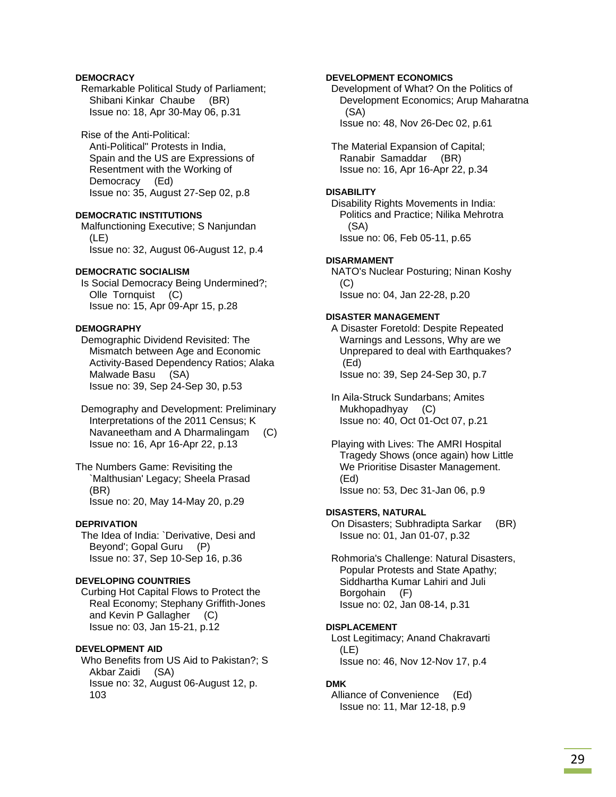# **DEMOCRACY**

 Remarkable Political Study of Parliament; Shibani Kinkar Chaube (BR) Issue no: 18, Apr 30-May 06, p.31

Rise of the Anti-Political:

 Anti-Political" Protests in India, Spain and the US are Expressions of Resentment with the Working of Democracy (Ed) Issue no: 35, August 27-Sep 02, p.8

## **DEMOCRATIC INSTITUTIONS**

 Malfunctioning Executive; S Nanjundan (LE) Issue no: 32, August 06-August 12, p.4

# **DEMOCRATIC SOCIALISM**

 Is Social Democracy Being Undermined?; Olle Tornquist (C) Issue no: 15, Apr 09-Apr 15, p.28

# **DEMOGRAPHY**

 Demographic Dividend Revisited: The Mismatch between Age and Economic Activity-Based Dependency Ratios; Alaka Malwade Basu (SA) Issue no: 39, Sep 24-Sep 30, p.53

 Demography and Development: Preliminary Interpretations of the 2011 Census; K Navaneetham and A Dharmalingam (C) Issue no: 16, Apr 16-Apr 22, p.13

The Numbers Game: Revisiting the `Malthusian' Legacy; Sheela Prasad (BR) Issue no: 20, May 14-May 20, p.29

#### **DEPRIVATION**

 The Idea of India: `Derivative, Desi and Beyond'; Gopal Guru (P) Issue no: 37, Sep 10-Sep 16, p.36

# **DEVELOPING COUNTRIES**

 Curbing Hot Capital Flows to Protect the Real Economy; Stephany Griffith-Jones and Kevin P Gallagher (C) Issue no: 03, Jan 15-21, p.12

# **DEVELOPMENT AID**

 Who Benefits from US Aid to Pakistan?; S Akbar Zaidi (SA) Issue no: 32, August 06-August 12, p. 103

### **DEVELOPMENT ECONOMICS**

 Development of What? On the Politics of Development Economics; Arup Maharatna (SA) Issue no: 48, Nov 26-Dec 02, p.61

 The Material Expansion of Capital; Ranabir Samaddar (BR) Issue no: 16, Apr 16-Apr 22, p.34

#### **DISABILITY**

 Disability Rights Movements in India: Politics and Practice; Nilika Mehrotra (SA) Issue no: 06, Feb 05-11, p.65

#### **DISARMAMENT**

 NATO's Nuclear Posturing; Ninan Koshy (C) Issue no: 04, Jan 22-28, p.20

## **DISASTER MANAGEMENT**

 A Disaster Foretold: Despite Repeated Warnings and Lessons, Why are we Unprepared to deal with Earthquakes? (Ed) Issue no: 39, Sep 24-Sep 30, p.7

 In Aila-Struck Sundarbans; Amites Mukhopadhyay (C) Issue no: 40, Oct 01-Oct 07, p.21

 Playing with Lives: The AMRI Hospital Tragedy Shows (once again) how Little We Prioritise Disaster Management. (Ed) Issue no: 53, Dec 31-Jan 06, p.9

# **DISASTERS, NATURAL**

 On Disasters; Subhradipta Sarkar (BR) Issue no: 01, Jan 01-07, p.32

 Rohmoria's Challenge: Natural Disasters, Popular Protests and State Apathy; Siddhartha Kumar Lahiri and Juli Borgohain (F) Issue no: 02, Jan 08-14, p.31

## **DISPLACEMENT**

 Lost Legitimacy; Anand Chakravarti (LE) Issue no: 46, Nov 12-Nov 17, p.4

# **DMK**

 Alliance of Convenience (Ed) Issue no: 11, Mar 12-18, p.9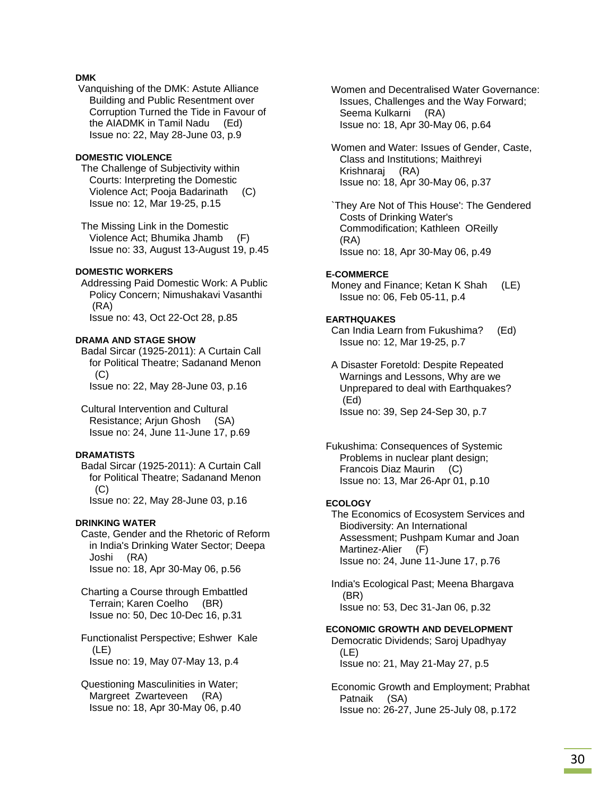# **DMK**

 Vanquishing of the DMK: Astute Alliance Building and Public Resentment over Corruption Turned the Tide in Favour of the AIADMK in Tamil Nadu (Ed) Issue no: 22, May 28-June 03, p.9

# **DOMESTIC VIOLENCE**

 The Challenge of Subjectivity within Courts: Interpreting the Domestic Violence Act; Pooja Badarinath (C) Issue no: 12, Mar 19-25, p.15

 The Missing Link in the Domestic Violence Act; Bhumika Jhamb (F) Issue no: 33, August 13-August 19, p.45

# **DOMESTIC WORKERS**

 Addressing Paid Domestic Work: A Public Policy Concern; Nimushakavi Vasanthi (RA) Issue no: 43, Oct 22-Oct 28, p.85

## **DRAMA AND STAGE SHOW**

 Badal Sircar (1925-2011): A Curtain Call for Political Theatre; Sadanand Menon  $(C)$ Issue no: 22, May 28-June 03, p.16

 Cultural Intervention and Cultural Resistance; Arjun Ghosh (SA) Issue no: 24, June 11-June 17, p.69

# **DRAMATISTS**

 Badal Sircar (1925-2011): A Curtain Call for Political Theatre; Sadanand Menon (C) Issue no: 22, May 28-June 03, p.16

#### **DRINKING WATER**

 Caste, Gender and the Rhetoric of Reform in India's Drinking Water Sector; Deepa Joshi (RA) Issue no: 18, Apr 30-May 06, p.56

 Charting a Course through Embattled Terrain; Karen Coelho (BR) Issue no: 50, Dec 10-Dec 16, p.31

 Functionalist Perspective; Eshwer Kale (LE) Issue no: 19, May 07-May 13, p.4

 Questioning Masculinities in Water; Margreet Zwarteveen (RA) Issue no: 18, Apr 30-May 06, p.40  Women and Decentralised Water Governance: Issues, Challenges and the Way Forward; Seema Kulkarni (RA) Issue no: 18, Apr 30-May 06, p.64

 Women and Water: Issues of Gender, Caste, Class and Institutions; Maithreyi Krishnaraj (RA) Issue no: 18, Apr 30-May 06, p.37

 `They Are Not of This House': The Gendered Costs of Drinking Water's Commodification; Kathleen OReilly (RA) Issue no: 18, Apr 30-May 06, p.49

## **E-COMMERCE**

 Money and Finance; Ketan K Shah (LE) Issue no: 06, Feb 05-11, p.4

#### **EARTHQUAKES**

 Can India Learn from Fukushima? (Ed) Issue no: 12, Mar 19-25, p.7

 A Disaster Foretold: Despite Repeated Warnings and Lessons, Why are we Unprepared to deal with Earthquakes? (Ed) Issue no: 39, Sep 24-Sep 30, p.7

Fukushima: Consequences of Systemic Problems in nuclear plant design; Francois Diaz Maurin (C) Issue no: 13, Mar 26-Apr 01, p.10

# **ECOLOGY**

 The Economics of Ecosystem Services and Biodiversity: An International Assessment; Pushpam Kumar and Joan Martinez-Alier (F) Issue no: 24, June 11-June 17, p.76

 India's Ecological Past; Meena Bhargava (BR) Issue no: 53, Dec 31-Jan 06, p.32

#### **ECONOMIC GROWTH AND DEVELOPMENT**

 Democratic Dividends; Saroj Upadhyay (LE) Issue no: 21, May 21-May 27, p.5

 Economic Growth and Employment; Prabhat Patnaik (SA) Issue no: 26-27, June 25-July 08, p.172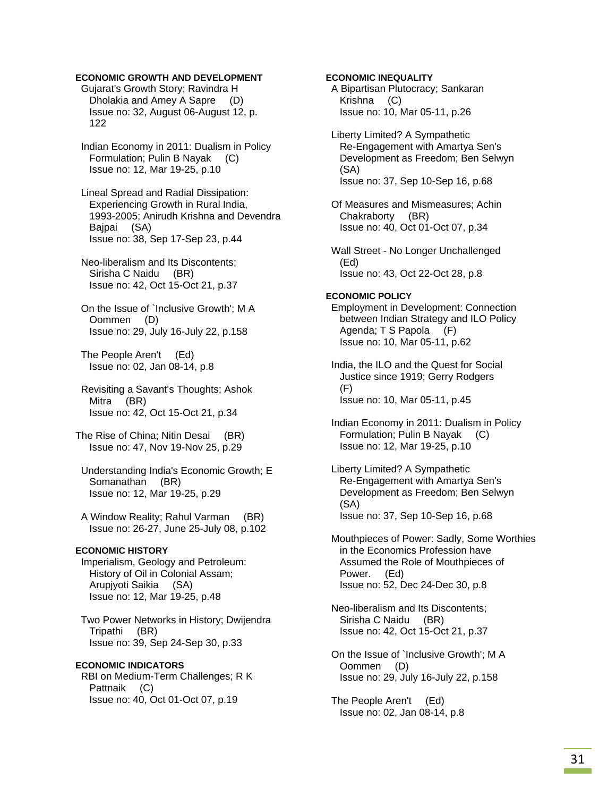## **ECONOMIC GROWTH AND DEVELOPMENT**

 Gujarat's Growth Story; Ravindra H Dholakia and Amey A Sapre (D) Issue no: 32, August 06-August 12, p. 122

 Indian Economy in 2011: Dualism in Policy Formulation; Pulin B Nayak (C) Issue no: 12, Mar 19-25, p.10

 Lineal Spread and Radial Dissipation: Experiencing Growth in Rural India, 1993-2005; Anirudh Krishna and Devendra Bajpai (SA) Issue no: 38, Sep 17-Sep 23, p.44

 Neo-liberalism and Its Discontents; Sirisha C Naidu (BR) Issue no: 42, Oct 15-Oct 21, p.37

 On the Issue of `Inclusive Growth'; M A Oommen (D) Issue no: 29, July 16-July 22, p.158

 The People Aren't (Ed) Issue no: 02, Jan 08-14, p.8

 Revisiting a Savant's Thoughts; Ashok Mitra (BR) Issue no: 42, Oct 15-Oct 21, p.34

The Rise of China; Nitin Desai (BR) Issue no: 47, Nov 19-Nov 25, p.29

 Understanding India's Economic Growth; E Somanathan (BR) Issue no: 12, Mar 19-25, p.29

 A Window Reality; Rahul Varman (BR) Issue no: 26-27, June 25-July 08, p.102

# **ECONOMIC HISTORY**

 Imperialism, Geology and Petroleum: History of Oil in Colonial Assam; Arupjyoti Saikia (SA) Issue no: 12, Mar 19-25, p.48

 Two Power Networks in History; Dwijendra Tripathi (BR) Issue no: 39, Sep 24-Sep 30, p.33

# **ECONOMIC INDICATORS**

 RBI on Medium-Term Challenges; R K Pattnaik (C) Issue no: 40, Oct 01-Oct 07, p.19

## **ECONOMIC INEQUALITY**

 A Bipartisan Plutocracy; Sankaran Krishna (C) Issue no: 10, Mar 05-11, p.26

 Liberty Limited? A Sympathetic Re-Engagement with Amartya Sen's Development as Freedom; Ben Selwyn (SA) Issue no: 37, Sep 10-Sep 16, p.68

 Of Measures and Mismeasures; Achin Chakraborty (BR) Issue no: 40, Oct 01-Oct 07, p.34

 Wall Street - No Longer Unchallenged (Ed) Issue no: 43, Oct 22-Oct 28, p.8

#### **ECONOMIC POLICY**

 Employment in Development: Connection between Indian Strategy and ILO Policy Agenda; T S Papola (F) Issue no: 10, Mar 05-11, p.62

 India, the ILO and the Quest for Social Justice since 1919; Gerry Rodgers (F) Issue no: 10, Mar 05-11, p.45

 Indian Economy in 2011: Dualism in Policy Formulation; Pulin B Nayak (C) Issue no: 12, Mar 19-25, p.10

 Liberty Limited? A Sympathetic Re-Engagement with Amartya Sen's Development as Freedom; Ben Selwyn (SA) Issue no: 37, Sep 10-Sep 16, p.68

 Mouthpieces of Power: Sadly, Some Worthies in the Economics Profession have Assumed the Role of Mouthpieces of Power. (Ed) Issue no: 52, Dec 24-Dec 30, p.8

 Neo-liberalism and Its Discontents; Sirisha C Naidu (BR) Issue no: 42, Oct 15-Oct 21, p.37

 On the Issue of `Inclusive Growth'; M A Oommen (D) Issue no: 29, July 16-July 22, p.158

 The People Aren't (Ed) Issue no: 02, Jan 08-14, p.8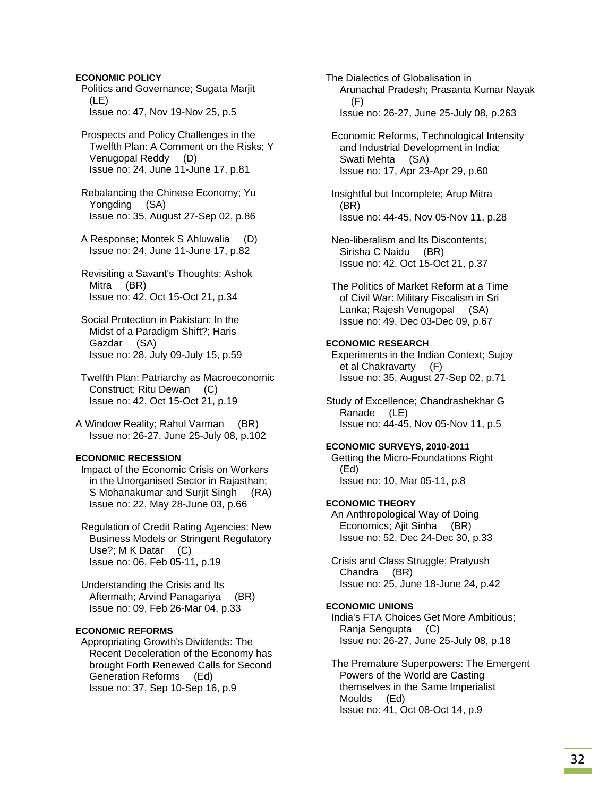**ECONOMIC POLICY**  Politics and Governance; Sugata Marjit (LE) Issue no: 47, Nov 19-Nov 25, p.5

 Prospects and Policy Challenges in the Twelfth Plan: A Comment on the Risks; Y Venugopal Reddy (D) Issue no: 24, June 11-June 17, p.81

 Rebalancing the Chinese Economy; Yu Yongding (SA) Issue no: 35, August 27-Sep 02, p.86

 A Response; Montek S Ahluwalia (D) Issue no: 24, June 11-June 17, p.82

 Revisiting a Savant's Thoughts; Ashok Mitra (BR) Issue no: 42, Oct 15-Oct 21, p.34

 Social Protection in Pakistan: In the Midst of a Paradigm Shift?; Haris Gazdar (SA) Issue no: 28, July 09-July 15, p.59

 Twelfth Plan: Patriarchy as Macroeconomic Construct; Ritu Dewan (C) Issue no: 42, Oct 15-Oct 21, p.19

A Window Reality; Rahul Varman (BR) Issue no: 26-27, June 25-July 08, p.102

# **ECONOMIC RECESSION**

 Impact of the Economic Crisis on Workers in the Unorganised Sector in Rajasthan; S Mohanakumar and Surjit Singh (RA) Issue no: 22, May 28-June 03, p.66

 Regulation of Credit Rating Agencies: New Business Models or Stringent Regulatory Use?; M K Datar (C) Issue no: 06, Feb 05-11, p.19

 Understanding the Crisis and Its Aftermath; Arvind Panagariya (BR) Issue no: 09, Feb 26-Mar 04, p.33

# **ECONOMIC REFORMS**

 Appropriating Growth's Dividends: The Recent Deceleration of the Economy has brought Forth Renewed Calls for Second Generation Reforms (Ed) Issue no: 37, Sep 10-Sep 16, p.9

The Dialectics of Globalisation in Arunachal Pradesh; Prasanta Kumar Nayak (F) Issue no: 26-27, June 25-July 08, p.263

 Economic Reforms, Technological Intensity and Industrial Development in India; Swati Mehta (SA) Issue no: 17, Apr 23-Apr 29, p.60

 Insightful but Incomplete; Arup Mitra (BR) Issue no: 44-45, Nov 05-Nov 11, p.28

 Neo-liberalism and Its Discontents; Sirisha C Naidu (BR) Issue no: 42, Oct 15-Oct 21, p.37

 The Politics of Market Reform at a Time of Civil War: Military Fiscalism in Sri Lanka; Rajesh Venugopal (SA) Issue no: 49, Dec 03-Dec 09, p.67

## **ECONOMIC RESEARCH**

 Experiments in the Indian Context; Sujoy et al Chakravarty (F) Issue no: 35, August 27-Sep 02, p.71

Study of Excellence; Chandrashekhar G Ranade (LE) Issue no: 44-45, Nov 05-Nov 11, p.5

# **ECONOMIC SURVEYS, 2010-2011**

 Getting the Micro-Foundations Right (Ed) Issue no: 10, Mar 05-11, p.8

# **ECONOMIC THEORY**

 An Anthropological Way of Doing Economics; Ajit Sinha (BR) Issue no: 52, Dec 24-Dec 30, p.33

 Crisis and Class Struggle; Pratyush Chandra (BR) Issue no: 25, June 18-June 24, p.42

# **ECONOMIC UNIONS**

 India's FTA Choices Get More Ambitious; Ranja Sengupta (C) Issue no: 26-27, June 25-July 08, p.18

 The Premature Superpowers: The Emergent Powers of the World are Casting themselves in the Same Imperialist Moulds (Ed) Issue no: 41, Oct 08-Oct 14, p.9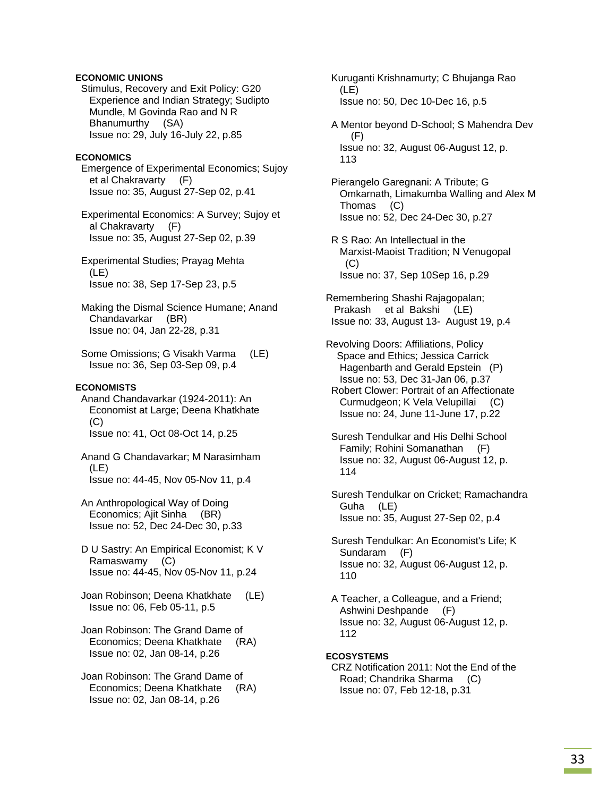# **ECONOMIC UNIONS**

 Stimulus, Recovery and Exit Policy: G20 Experience and Indian Strategy; Sudipto Mundle, M Govinda Rao and N R Bhanumurthy (SA) Issue no: 29, July 16-July 22, p.85

# **ECONOMICS**

 Emergence of Experimental Economics; Sujoy et al Chakravarty (F) Issue no: 35, August 27-Sep 02, p.41

 Experimental Economics: A Survey; Sujoy et al Chakravarty (F) Issue no: 35, August 27-Sep 02, p.39

 Experimental Studies; Prayag Mehta (LE) Issue no: 38, Sep 17-Sep 23, p.5

 Making the Dismal Science Humane; Anand Chandavarkar (BR) Issue no: 04, Jan 22-28, p.31

 Some Omissions; G Visakh Varma (LE) Issue no: 36, Sep 03-Sep 09, p.4

# **ECONOMISTS**

 Anand Chandavarkar (1924-2011): An Economist at Large; Deena Khatkhate (C) Issue no: 41, Oct 08-Oct 14, p.25

 Anand G Chandavarkar; M Narasimham (LE) Issue no: 44-45, Nov 05-Nov 11, p.4

 An Anthropological Way of Doing Economics; Ajit Sinha (BR) Issue no: 52, Dec 24-Dec 30, p.33

- D U Sastry: An Empirical Economist; K V Ramaswamy (C) Issue no: 44-45, Nov 05-Nov 11, p.24
- Joan Robinson; Deena Khatkhate (LE) Issue no: 06, Feb 05-11, p.5
- Joan Robinson: The Grand Dame of Economics; Deena Khatkhate (RA) Issue no: 02, Jan 08-14, p.26
- Joan Robinson: The Grand Dame of Economics; Deena Khatkhate (RA) Issue no: 02, Jan 08-14, p.26

 Kuruganti Krishnamurty; C Bhujanga Rao (LE) Issue no: 50, Dec 10-Dec 16, p.5

- A Mentor beyond D-School; S Mahendra Dev (F) Issue no: 32, August 06-August 12, p. 113
- Pierangelo Garegnani: A Tribute; G Omkarnath, Limakumba Walling and Alex M Thomas (C) Issue no: 52, Dec 24-Dec 30, p.27
- R S Rao: An Intellectual in the Marxist-Maoist Tradition; N Venugopal (C) Issue no: 37, Sep 10Sep 16, p.29
- Remembering Shashi Rajagopalan; Prakash et al Bakshi (LE) Issue no: 33, August 13- August 19, p.4
- Revolving Doors: Affiliations, Policy Space and Ethics; Jessica Carrick Hagenbarth and Gerald Epstein (P) Issue no: 53, Dec 31-Jan 06, p.37 Robert Clower: Portrait of an Affectionate Curmudgeon; K Vela Velupillai (C)

Issue no: 24, June 11-June 17, p.22

 Suresh Tendulkar and His Delhi School Family; Rohini Somanathan (F) Issue no: 32, August 06-August 12, p. 114

 Suresh Tendulkar on Cricket; Ramachandra Guha (LE) Issue no: 35, August 27-Sep 02, p.4

- Suresh Tendulkar: An Economist's Life; K Sundaram (F) Issue no: 32, August 06-August 12, p. 110
- A Teacher, a Colleague, and a Friend; Ashwini Deshpande (F) Issue no: 32, August 06-August 12, p. 112

#### **ECOSYSTEMS**

 CRZ Notification 2011: Not the End of the Road; Chandrika Sharma (C) Issue no: 07, Feb 12-18, p.31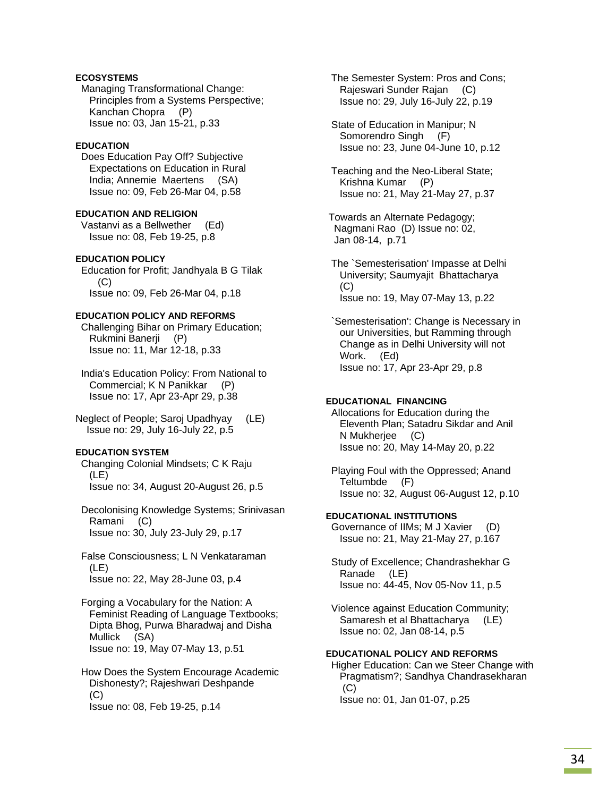# **ECOSYSTEMS**

 Managing Transformational Change: Principles from a Systems Perspective; Kanchan Chopra (P) Issue no: 03, Jan 15-21, p.33

### **EDUCATION**

 Does Education Pay Off? Subjective Expectations on Education in Rural India; Annemie Maertens (SA) Issue no: 09, Feb 26-Mar 04, p.58

**EDUCATION AND RELIGION**  Vastanvi as a Bellwether (Ed) Issue no: 08, Feb 19-25, p.8

# **EDUCATION POLICY**

 Education for Profit; Jandhyala B G Tilak (C) Issue no: 09, Feb 26-Mar 04, p.18

## **EDUCATION POLICY AND REFORMS**

 Challenging Bihar on Primary Education; Rukmini Banerji (P) Issue no: 11, Mar 12-18, p.33

 India's Education Policy: From National to Commercial; K N Panikkar (P) Issue no: 17, Apr 23-Apr 29, p.38

Neglect of People; Saroj Upadhyay (LE) Issue no: 29, July 16-July 22, p.5

# **EDUCATION SYSTEM**

 Changing Colonial Mindsets; C K Raju (LE) Issue no: 34, August 20-August 26, p.5

 Decolonising Knowledge Systems; Srinivasan Ramani (C) Issue no: 30, July 23-July 29, p.17

 False Consciousness; L N Venkataraman (LE) Issue no: 22, May 28-June 03, p.4

 Forging a Vocabulary for the Nation: A Feminist Reading of Language Textbooks; Dipta Bhog, Purwa Bharadwaj and Disha Mullick (SA) Issue no: 19, May 07-May 13, p.51

 How Does the System Encourage Academic Dishonesty?; Rajeshwari Deshpande  $(C)$ Issue no: 08, Feb 19-25, p.14

 The Semester System: Pros and Cons; Rajeswari Sunder Rajan (C) Issue no: 29, July 16-July 22, p.19

 State of Education in Manipur; N Somorendro Singh (F) Issue no: 23, June 04-June 10, p.12

 Teaching and the Neo-Liberal State; Krishna Kumar (P) Issue no: 21, May 21-May 27, p.37

 Towards an Alternate Pedagogy; Nagmani Rao (D) Issue no: 02, Jan 08-14, p.71

 The `Semesterisation' Impasse at Delhi University; Saumyajit Bhattacharya (C) Issue no: 19, May 07-May 13, p.22

 `Semesterisation': Change is Necessary in our Universities, but Ramming through Change as in Delhi University will not Work. (Ed) Issue no: 17, Apr 23-Apr 29, p.8

### **EDUCATIONAL FINANCING**

 Allocations for Education during the Eleventh Plan; Satadru Sikdar and Anil N Mukherjee (C) Issue no: 20, May 14-May 20, p.22

 Playing Foul with the Oppressed; Anand Teltumbde (F) Issue no: 32, August 06-August 12, p.10

## **EDUCATIONAL INSTITUTIONS**

 Governance of IIMs; M J Xavier (D) Issue no: 21, May 21-May 27, p.167

 Study of Excellence; Chandrashekhar G Ranade (LE) Issue no: 44-45, Nov 05-Nov 11, p.5

 Violence against Education Community; Samaresh et al Bhattacharya (LE) Issue no: 02, Jan 08-14, p.5

# **EDUCATIONAL POLICY AND REFORMS**

 Higher Education: Can we Steer Change with Pragmatism?; Sandhya Chandrasekharan  $(C)$ Issue no: 01, Jan 01-07, p.25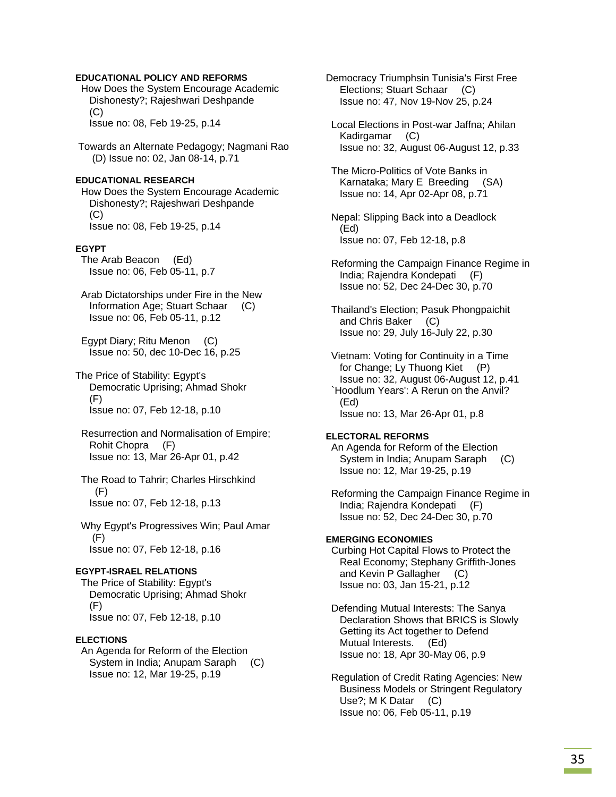#### **EDUCATIONAL POLICY AND REFORMS**

 How Does the System Encourage Academic Dishonesty?; Rajeshwari Deshpande (C) Issue no: 08, Feb 19-25, p.14

 Towards an Alternate Pedagogy; Nagmani Rao (D) Issue no: 02, Jan 08-14, p.71

#### **EDUCATIONAL RESEARCH**

 How Does the System Encourage Academic Dishonesty?; Rajeshwari Deshpande (C) Issue no: 08, Feb 19-25, p.14

### **EGYPT**

 The Arab Beacon (Ed) Issue no: 06, Feb 05-11, p.7

 Arab Dictatorships under Fire in the New Information Age; Stuart Schaar (C) Issue no: 06, Feb 05-11, p.12

 Egypt Diary; Ritu Menon (C) Issue no: 50, dec 10-Dec 16, p.25

The Price of Stability: Egypt's Democratic Uprising; Ahmad Shokr (F) Issue no: 07, Feb 12-18, p.10

 Resurrection and Normalisation of Empire; Rohit Chopra (F) Issue no: 13, Mar 26-Apr 01, p.42

 The Road to Tahrir; Charles Hirschkind (F) Issue no: 07, Feb 12-18, p.13

 Why Egypt's Progressives Win; Paul Amar (F) Issue no: 07, Feb 12-18, p.16

## **EGYPT-ISRAEL RELATIONS**

 The Price of Stability: Egypt's Democratic Uprising; Ahmad Shokr (F) Issue no: 07, Feb 12-18, p.10

#### **ELECTIONS**

 An Agenda for Reform of the Election System in India; Anupam Saraph (C) Issue no: 12, Mar 19-25, p.19

Democracy Triumphsin Tunisia's First Free Elections; Stuart Schaar (C) Issue no: 47, Nov 19-Nov 25, p.24

 Local Elections in Post-war Jaffna; Ahilan Kadirgamar (C) Issue no: 32, August 06-August 12, p.33

 The Micro-Politics of Vote Banks in Karnataka; Mary E Breeding (SA) Issue no: 14, Apr 02-Apr 08, p.71

 Nepal: Slipping Back into a Deadlock (Ed) Issue no: 07, Feb 12-18, p.8

 Reforming the Campaign Finance Regime in India; Rajendra Kondepati (F) Issue no: 52, Dec 24-Dec 30, p.70

 Thailand's Election; Pasuk Phongpaichit and Chris Baker (C) Issue no: 29, July 16-July 22, p.30

 Vietnam: Voting for Continuity in a Time for Change; Ly Thuong Kiet (P) Issue no: 32, August 06-August 12, p.41 `Hoodlum Years': A Rerun on the Anvil? (Ed) Issue no: 13, Mar 26-Apr 01, p.8

#### **ELECTORAL REFORMS**

 An Agenda for Reform of the Election System in India; Anupam Saraph (C) Issue no: 12, Mar 19-25, p.19

 Reforming the Campaign Finance Regime in India; Rajendra Kondepati (F) Issue no: 52, Dec 24-Dec 30, p.70

#### **EMERGING ECONOMIES**

 Curbing Hot Capital Flows to Protect the Real Economy; Stephany Griffith-Jones and Kevin P Gallagher (C) Issue no: 03, Jan 15-21, p.12

 Defending Mutual Interests: The Sanya Declaration Shows that BRICS is Slowly Getting its Act together to Defend Mutual Interests. (Ed) Issue no: 18, Apr 30-May 06, p.9

 Regulation of Credit Rating Agencies: New Business Models or Stringent Regulatory Use?; M K Datar (C) Issue no: 06, Feb 05-11, p.19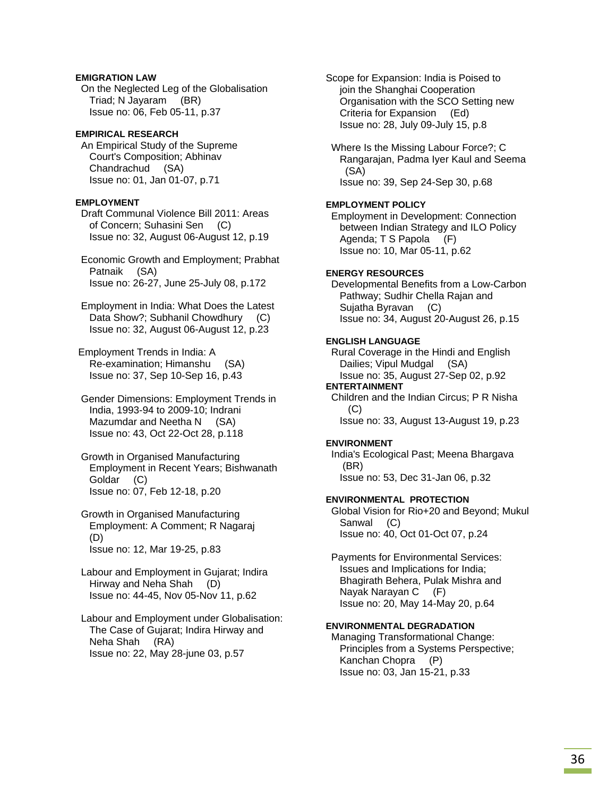## **EMIGRATION LAW**

 On the Neglected Leg of the Globalisation Triad; N Jayaram (BR) Issue no: 06, Feb 05-11, p.37

## **EMPIRICAL RESEARCH**

 An Empirical Study of the Supreme Court's Composition; Abhinav Chandrachud (SA) Issue no: 01, Jan 01-07, p.71

#### **EMPLOYMENT**

 Draft Communal Violence Bill 2011: Areas of Concern; Suhasini Sen (C) Issue no: 32, August 06-August 12, p.19

 Economic Growth and Employment; Prabhat Patnaik (SA) Issue no: 26-27, June 25-July 08, p.172

 Employment in India: What Does the Latest Data Show?; Subhanil Chowdhury Issue no: 32, August 06-August 12, p.23

 Employment Trends in India: A Re-examination; Himanshu (SA) Issue no: 37, Sep 10-Sep 16, p.43

 Gender Dimensions: Employment Trends in India, 1993-94 to 2009-10; Indrani Mazumdar and Neetha N (SA) Issue no: 43, Oct 22-Oct 28, p.118

 Growth in Organised Manufacturing Employment in Recent Years; Bishwanath Goldar (C) Issue no: 07, Feb 12-18, p.20

 Growth in Organised Manufacturing Employment: A Comment; R Nagaraj (D) Issue no: 12, Mar 19-25, p.83

 Labour and Employment in Gujarat; Indira Hirway and Neha Shah (D) Issue no: 44-45, Nov 05-Nov 11, p.62

 Labour and Employment under Globalisation: The Case of Gujarat; Indira Hirway and Neha Shah (RA) Issue no: 22, May 28-june 03, p.57

Scope for Expansion: India is Poised to join the Shanghai Cooperation Organisation with the SCO Setting new Criteria for Expansion (Ed) Issue no: 28, July 09-July 15, p.8

 Where Is the Missing Labour Force?; C Rangarajan, Padma Iyer Kaul and Seema (SA) Issue no: 39, Sep 24-Sep 30, p.68

# **EMPLOYMENT POLICY**

 Employment in Development: Connection between Indian Strategy and ILO Policy Agenda; T S Papola (F) Issue no: 10, Mar 05-11, p.62

## **ENERGY RESOURCES**

 Developmental Benefits from a Low-Carbon Pathway; Sudhir Chella Rajan and Sujatha Byravan (C) Issue no: 34, August 20-August 26, p.15

#### **ENGLISH LANGUAGE**

 Rural Coverage in the Hindi and English Dailies; Vipul Mudgal (SA) Issue no: 35, August 27-Sep 02, p.92

# **ENTERTAINMENT**

 Children and the Indian Circus; P R Nisha (C) Issue no: 33, August 13-August 19, p.23

#### **ENVIRONMENT**

 India's Ecological Past; Meena Bhargava (BR) Issue no: 53, Dec 31-Jan 06, p.32

# **ENVIRONMENTAL PROTECTION**

 Global Vision for Rio+20 and Beyond; Mukul Sanwal (C) Issue no: 40, Oct 01-Oct 07, p.24

 Payments for Environmental Services: Issues and Implications for India; Bhagirath Behera, Pulak Mishra and Nayak Narayan C (F) Issue no: 20, May 14-May 20, p.64

# **ENVIRONMENTAL DEGRADATION**

 Managing Transformational Change: Principles from a Systems Perspective; Kanchan Chopra (P) Issue no: 03, Jan 15-21, p.33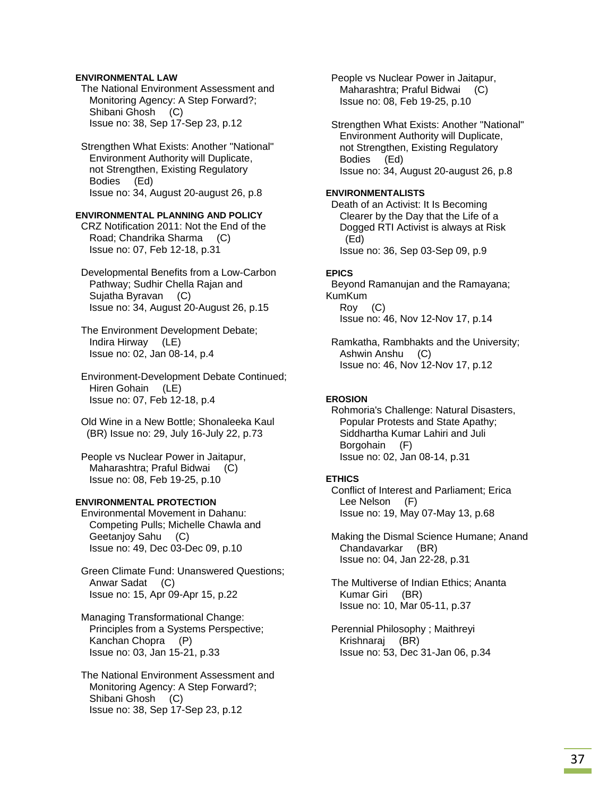### **ENVIRONMENTAL LAW**

 The National Environment Assessment and Monitoring Agency: A Step Forward?; Shibani Ghosh (C) Issue no: 38, Sep 17-Sep 23, p.12

 Strengthen What Exists: Another "National" Environment Authority will Duplicate, not Strengthen, Existing Regulatory Bodies (Ed) Issue no: 34, August 20-august 26, p.8

### **ENVIRONMENTAL PLANNING AND POLICY**

 CRZ Notification 2011: Not the End of the Road; Chandrika Sharma (C) Issue no: 07, Feb 12-18, p.31

 Developmental Benefits from a Low-Carbon Pathway; Sudhir Chella Rajan and Sujatha Byravan (C) Issue no: 34, August 20-August 26, p.15

 The Environment Development Debate; Indira Hirway (LE) Issue no: 02, Jan 08-14, p.4

 Environment-Development Debate Continued; Hiren Gohain (LE) Issue no: 07, Feb 12-18, p.4

 Old Wine in a New Bottle; Shonaleeka Kaul (BR) Issue no: 29, July 16-July 22, p.73

 People vs Nuclear Power in Jaitapur, Maharashtra; Praful Bidwai (C) Issue no: 08, Feb 19-25, p.10

#### **ENVIRONMENTAL PROTECTION**

 Environmental Movement in Dahanu: Competing Pulls; Michelle Chawla and Geetanjoy Sahu (C) Issue no: 49, Dec 03-Dec 09, p.10

 Green Climate Fund: Unanswered Questions; Anwar Sadat (C) Issue no: 15, Apr 09-Apr 15, p.22

 Managing Transformational Change: Principles from a Systems Perspective; Kanchan Chopra (P) Issue no: 03, Jan 15-21, p.33

 The National Environment Assessment and Monitoring Agency: A Step Forward?; Shibani Ghosh (C) Issue no: 38, Sep 17-Sep 23, p.12

 People vs Nuclear Power in Jaitapur, Maharashtra; Praful Bidwai (C) Issue no: 08, Feb 19-25, p.10

 Strengthen What Exists: Another "National" Environment Authority will Duplicate, not Strengthen, Existing Regulatory Bodies (Ed) Issue no: 34, August 20-august 26, p.8

### **ENVIRONMENTALISTS**

 Death of an Activist: It Is Becoming Clearer by the Day that the Life of a Dogged RTI Activist is always at Risk (Ed) Issue no: 36, Sep 03-Sep 09, p.9

#### **EPICS**

 Beyond Ramanujan and the Ramayana; KumKum Roy (C) Issue no: 46, Nov 12-Nov 17, p.14

 Ramkatha, Rambhakts and the University; Ashwin Anshu (C) Issue no: 46, Nov 12-Nov 17, p.12

#### **EROSION**

 Rohmoria's Challenge: Natural Disasters, Popular Protests and State Apathy; Siddhartha Kumar Lahiri and Juli Borgohain (F) Issue no: 02, Jan 08-14, p.31

#### **ETHICS**

 Conflict of Interest and Parliament; Erica Lee Nelson (F) Issue no: 19, May 07-May 13, p.68

 Making the Dismal Science Humane; Anand Chandavarkar (BR) Issue no: 04, Jan 22-28, p.31

 The Multiverse of Indian Ethics; Ananta Kumar Giri (BR) Issue no: 10, Mar 05-11, p.37

 Perennial Philosophy ; Maithreyi Krishnaraj (BR) Issue no: 53, Dec 31-Jan 06, p.34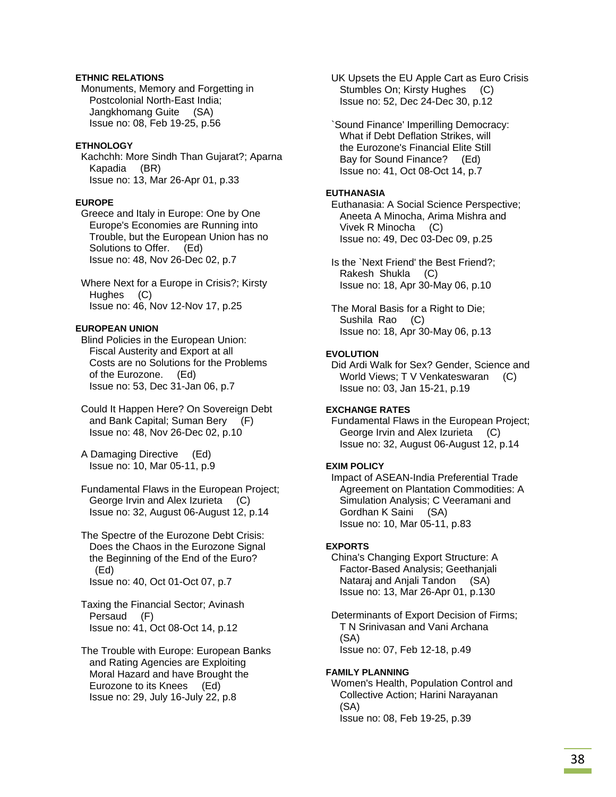## **ETHNIC RELATIONS**

 Monuments, Memory and Forgetting in Postcolonial North-East India; Jangkhomang Guite (SA) Issue no: 08, Feb 19-25, p.56

### **ETHNOLOGY**

 Kachchh: More Sindh Than Gujarat?; Aparna Kapadia (BR) Issue no: 13, Mar 26-Apr 01, p.33

## **EUROPE**

 Greece and Italy in Europe: One by One Europe's Economies are Running into Trouble, but the European Union has no Solutions to Offer. (Ed) Issue no: 48, Nov 26-Dec 02, p.7

 Where Next for a Europe in Crisis?; Kirsty Hughes (C) Issue no: 46, Nov 12-Nov 17, p.25

## **EUROPEAN UNION**

 Blind Policies in the European Union: Fiscal Austerity and Export at all Costs are no Solutions for the Problems of the Eurozone. (Ed) Issue no: 53, Dec 31-Jan 06, p.7

 Could It Happen Here? On Sovereign Debt and Bank Capital; Suman Bery (F) Issue no: 48, Nov 26-Dec 02, p.10

 A Damaging Directive (Ed) Issue no: 10, Mar 05-11, p.9

 Fundamental Flaws in the European Project; George Irvin and Alex Izurieta (C) Issue no: 32, August 06-August 12, p.14

 The Spectre of the Eurozone Debt Crisis: Does the Chaos in the Eurozone Signal the Beginning of the End of the Euro? (Ed) Issue no: 40, Oct 01-Oct 07, p.7

 Taxing the Financial Sector; Avinash Persaud (F) Issue no: 41, Oct 08-Oct 14, p.12

 The Trouble with Europe: European Banks and Rating Agencies are Exploiting Moral Hazard and have Brought the Eurozone to its Knees (Ed) Issue no: 29, July 16-July 22, p.8

 UK Upsets the EU Apple Cart as Euro Crisis Stumbles On; Kirsty Hughes (C) Issue no: 52, Dec 24-Dec 30, p.12

 `Sound Finance' Imperilling Democracy: What if Debt Deflation Strikes, will the Eurozone's Financial Elite Still Bay for Sound Finance? (Ed) Issue no: 41, Oct 08-Oct 14, p.7

### **EUTHANASIA**

 Euthanasia: A Social Science Perspective; Aneeta A Minocha, Arima Mishra and Vivek R Minocha (C) Issue no: 49, Dec 03-Dec 09, p.25

 Is the `Next Friend' the Best Friend?; Rakesh Shukla (C) Issue no: 18, Apr 30-May 06, p.10

 The Moral Basis for a Right to Die; Sushila Rao (C) Issue no: 18, Apr 30-May 06, p.13

## **EVOLUTION**

 Did Ardi Walk for Sex? Gender, Science and World Views; T V Venkateswaran (C) Issue no: 03, Jan 15-21, p.19

## **EXCHANGE RATES**

 Fundamental Flaws in the European Project; George Irvin and Alex Izurieta (C) Issue no: 32, August 06-August 12, p.14

## **EXIM POLICY**

 Impact of ASEAN-India Preferential Trade Agreement on Plantation Commodities: A Simulation Analysis; C Veeramani and Gordhan K Saini (SA) Issue no: 10, Mar 05-11, p.83

#### **EXPORTS**

 China's Changing Export Structure: A Factor-Based Analysis; Geethanjali Nataraj and Anjali Tandon (SA) Issue no: 13, Mar 26-Apr 01, p.130

 Determinants of Export Decision of Firms; T N Srinivasan and Vani Archana (SA) Issue no: 07, Feb 12-18, p.49

## **FAMILY PLANNING**

 Women's Health, Population Control and Collective Action; Harini Narayanan (SA) Issue no: 08, Feb 19-25, p.39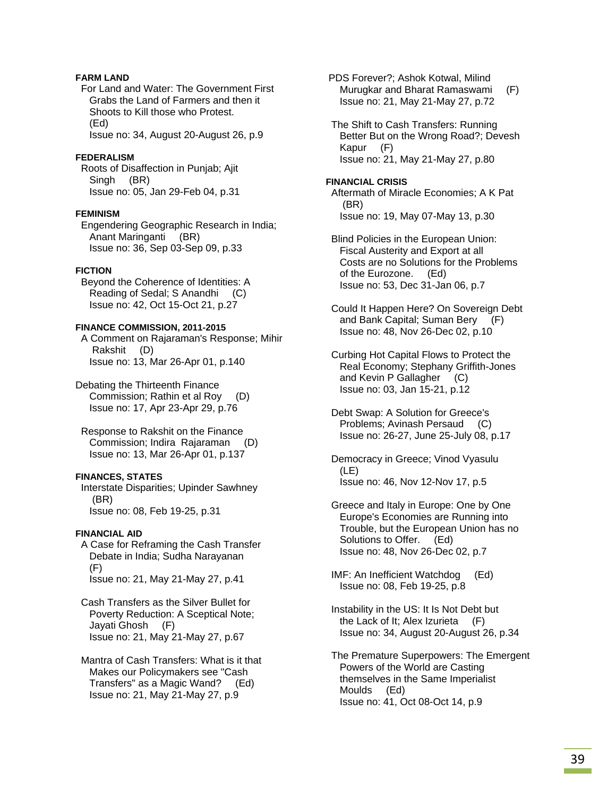# **FARM LAND**

 For Land and Water: The Government First Grabs the Land of Farmers and then it Shoots to Kill those who Protest. (Ed)

Issue no: 34, August 20-August 26, p.9

### **FEDERALISM**

 Roots of Disaffection in Punjab; Ajit Singh (BR) Issue no: 05, Jan 29-Feb 04, p.31

#### **FEMINISM**

 Engendering Geographic Research in India; Anant Maringanti (BR) Issue no: 36, Sep 03-Sep 09, p.33

## **FICTION**

 Beyond the Coherence of Identities: A Reading of Sedal; S Anandhi (C) Issue no: 42, Oct 15-Oct 21, p.27

## **FINANCE COMMISSION, 2011-2015**

 A Comment on Rajaraman's Response; Mihir Rakshit (D) Issue no: 13, Mar 26-Apr 01, p.140

Debating the Thirteenth Finance Commission; Rathin et al Roy (D) Issue no: 17, Apr 23-Apr 29, p.76

 Response to Rakshit on the Finance Commission; Indira Rajaraman (D) Issue no: 13, Mar 26-Apr 01, p.137

## **FINANCES, STATES**

 Interstate Disparities; Upinder Sawhney (BR) Issue no: 08, Feb 19-25, p.31

#### **FINANCIAL AID**

 A Case for Reframing the Cash Transfer Debate in India; Sudha Narayanan (F) Issue no: 21, May 21-May 27, p.41

- Cash Transfers as the Silver Bullet for Poverty Reduction: A Sceptical Note; Jayati Ghosh (F) Issue no: 21, May 21-May 27, p.67
- Mantra of Cash Transfers: What is it that Makes our Policymakers see "Cash Transfers" as a Magic Wand? (Ed) Issue no: 21, May 21-May 27, p.9

 PDS Forever?; Ashok Kotwal, Milind Murugkar and Bharat Ramaswami (F) Issue no: 21, May 21-May 27, p.72

 The Shift to Cash Transfers: Running Better But on the Wrong Road?; Devesh Kapur (F) Issue no: 21, May 21-May 27, p.80

# **FINANCIAL CRISIS**

 Aftermath of Miracle Economies; A K Pat (BR) Issue no: 19, May 07-May 13, p.30

 Blind Policies in the European Union: Fiscal Austerity and Export at all Costs are no Solutions for the Problems of the Eurozone. (Ed) Issue no: 53, Dec 31-Jan 06, p.7

 Could It Happen Here? On Sovereign Debt and Bank Capital; Suman Bery (F) Issue no: 48, Nov 26-Dec 02, p.10

 Curbing Hot Capital Flows to Protect the Real Economy; Stephany Griffith-Jones and Kevin P Gallagher (C) Issue no: 03, Jan 15-21, p.12

 Debt Swap: A Solution for Greece's Problems; Avinash Persaud (C) Issue no: 26-27, June 25-July 08, p.17

 Democracy in Greece; Vinod Vyasulu (LE) Issue no: 46, Nov 12-Nov 17, p.5

 Greece and Italy in Europe: One by One Europe's Economies are Running into Trouble, but the European Union has no Solutions to Offer. (Ed) Issue no: 48, Nov 26-Dec 02, p.7

 IMF: An Inefficient Watchdog (Ed) Issue no: 08, Feb 19-25, p.8

 Instability in the US: It Is Not Debt but the Lack of It; Alex Izurieta (F) Issue no: 34, August 20-August 26, p.34

 The Premature Superpowers: The Emergent Powers of the World are Casting themselves in the Same Imperialist Moulds (Ed) Issue no: 41, Oct 08-Oct 14, p.9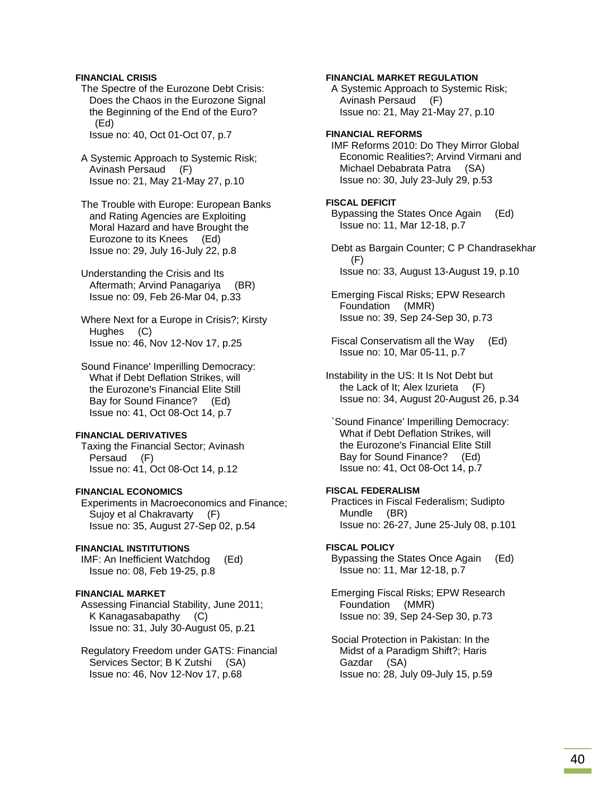### **FINANCIAL CRISIS**

 The Spectre of the Eurozone Debt Crisis: Does the Chaos in the Eurozone Signal the Beginning of the End of the Euro? (Ed)

Issue no: 40, Oct 01-Oct 07, p.7

- A Systemic Approach to Systemic Risk; Avinash Persaud (F) Issue no: 21, May 21-May 27, p.10
- The Trouble with Europe: European Banks and Rating Agencies are Exploiting Moral Hazard and have Brought the Eurozone to its Knees (Ed) Issue no: 29, July 16-July 22, p.8
- Understanding the Crisis and Its Aftermath; Arvind Panagariya (BR) Issue no: 09, Feb 26-Mar 04, p.33
- Where Next for a Europe in Crisis?; Kirsty Hughes (C) Issue no: 46, Nov 12-Nov 17, p.25
- Sound Finance' Imperilling Democracy: What if Debt Deflation Strikes, will the Eurozone's Financial Elite Still Bay for Sound Finance? (Ed) Issue no: 41, Oct 08-Oct 14, p.7

#### **FINANCIAL DERIVATIVES**

 Taxing the Financial Sector; Avinash Persaud (F) Issue no: 41, Oct 08-Oct 14, p.12

#### **FINANCIAL ECONOMICS**

 Experiments in Macroeconomics and Finance; Sujoy et al Chakravarty (F) Issue no: 35, August 27-Sep 02, p.54

### **FINANCIAL INSTITUTIONS**

 IMF: An Inefficient Watchdog (Ed) Issue no: 08, Feb 19-25, p.8

# **FINANCIAL MARKET**

 Assessing Financial Stability, June 2011; K Kanagasabapathy (C) Issue no: 31, July 30-August 05, p.21

 Regulatory Freedom under GATS: Financial Services Sector; B K Zutshi (SA) Issue no: 46, Nov 12-Nov 17, p.68

#### **FINANCIAL MARKET REGULATION**

 A Systemic Approach to Systemic Risk; Avinash Persaud (F) Issue no: 21, May 21-May 27, p.10

#### **FINANCIAL REFORMS**

 IMF Reforms 2010: Do They Mirror Global Economic Realities?; Arvind Virmani and Michael Debabrata Patra (SA) Issue no: 30, July 23-July 29, p.53

### **FISCAL DEFICIT**

 Bypassing the States Once Again (Ed) Issue no: 11, Mar 12-18, p.7

 Debt as Bargain Counter; C P Chandrasekhar (F) Issue no: 33, August 13-August 19, p.10

 Emerging Fiscal Risks; EPW Research Foundation (MMR) Issue no: 39, Sep 24-Sep 30, p.73

 Fiscal Conservatism all the Way (Ed) Issue no: 10, Mar 05-11, p.7

Instability in the US: It Is Not Debt but the Lack of It; Alex Izurieta (F) Issue no: 34, August 20-August 26, p.34

 `Sound Finance' Imperilling Democracy: What if Debt Deflation Strikes, will the Eurozone's Financial Elite Still Bay for Sound Finance? (Ed) Issue no: 41, Oct 08-Oct 14, p.7

## **FISCAL FEDERALISM**

 Practices in Fiscal Federalism; Sudipto Mundle (BR) Issue no: 26-27, June 25-July 08, p.101

#### **FISCAL POLICY**

 Bypassing the States Once Again (Ed) Issue no: 11, Mar 12-18, p.7

 Emerging Fiscal Risks; EPW Research Foundation (MMR) Issue no: 39, Sep 24-Sep 30, p.73

 Social Protection in Pakistan: In the Midst of a Paradigm Shift?; Haris Gazdar (SA) Issue no: 28, July 09-July 15, p.59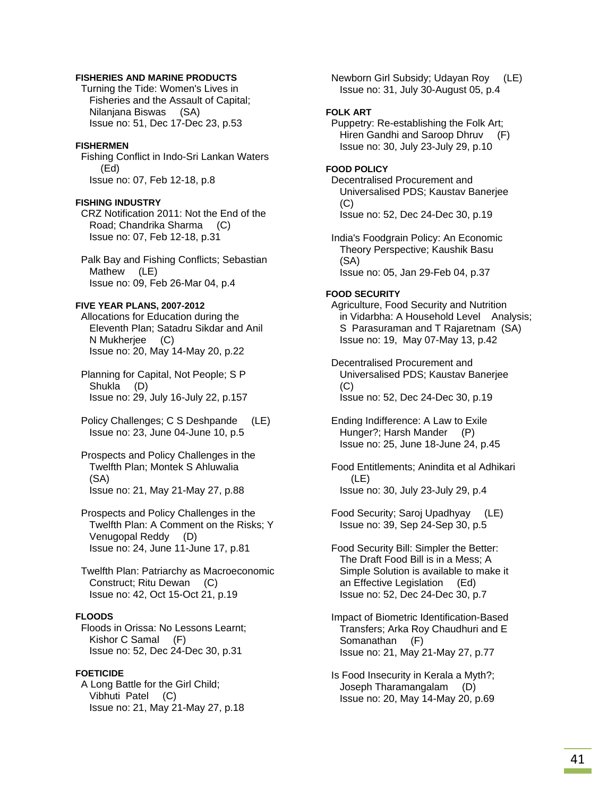### **FISHERIES AND MARINE PRODUCTS**

 Turning the Tide: Women's Lives in Fisheries and the Assault of Capital; Nilanjana Biswas (SA) Issue no: 51, Dec 17-Dec 23, p.53

#### **FISHERMEN**

 Fishing Conflict in Indo-Sri Lankan Waters (Ed) Issue no: 07, Feb 12-18, p.8

### **FISHING INDUSTRY**

 CRZ Notification 2011: Not the End of the Road; Chandrika Sharma (C) Issue no: 07, Feb 12-18, p.31

 Palk Bay and Fishing Conflicts; Sebastian Mathew (LE) Issue no: 09, Feb 26-Mar 04, p.4

#### **FIVE YEAR PLANS, 2007-2012**

 Allocations for Education during the Eleventh Plan; Satadru Sikdar and Anil N Mukheriee (C) Issue no: 20, May 14-May 20, p.22

 Planning for Capital, Not People; S P Shukla (D) Issue no: 29, July 16-July 22, p.157

 Policy Challenges; C S Deshpande (LE) Issue no: 23, June 04-June 10, p.5

 Prospects and Policy Challenges in the Twelfth Plan; Montek S Ahluwalia (SA) Issue no: 21, May 21-May 27, p.88

 Prospects and Policy Challenges in the Twelfth Plan: A Comment on the Risks; Y Venugopal Reddy (D) Issue no: 24, June 11-June 17, p.81

 Twelfth Plan: Patriarchy as Macroeconomic Construct; Ritu Dewan (C) Issue no: 42, Oct 15-Oct 21, p.19

## **FLOODS**

 Floods in Orissa: No Lessons Learnt; Kishor C Samal (F) Issue no: 52, Dec 24-Dec 30, p.31

#### **FOETICIDE**

 A Long Battle for the Girl Child; Vibhuti Patel (C) Issue no: 21, May 21-May 27, p.18  Newborn Girl Subsidy; Udayan Roy (LE) Issue no: 31, July 30-August 05, p.4

### **FOLK ART**

 Puppetry: Re-establishing the Folk Art; Hiren Gandhi and Saroop Dhruv (F) Issue no: 30, July 23-July 29, p.10

### **FOOD POLICY**

 Decentralised Procurement and Universalised PDS; Kaustav Banerjee (C) Issue no: 52, Dec 24-Dec 30, p.19

 India's Foodgrain Policy: An Economic Theory Perspective; Kaushik Basu (SA) Issue no: 05, Jan 29-Feb 04, p.37

#### **FOOD SECURITY**

 Agriculture, Food Security and Nutrition in Vidarbha: A Household Level Analysis; S Parasuraman and T Rajaretnam (SA) Issue no: 19, May 07-May 13, p.42

 Decentralised Procurement and Universalised PDS; Kaustav Banerjee  $(C)$ Issue no: 52, Dec 24-Dec 30, p.19

 Ending Indifference: A Law to Exile Hunger?; Harsh Mander (P) Issue no: 25, June 18-June 24, p.45

 Food Entitlements; Anindita et al Adhikari (LE) Issue no: 30, July 23-July 29, p.4

 Food Security; Saroj Upadhyay (LE) Issue no: 39, Sep 24-Sep 30, p.5

 Food Security Bill: Simpler the Better: The Draft Food Bill is in a Mess; A Simple Solution is available to make it an Effective Legislation (Ed) Issue no: 52, Dec 24-Dec 30, p.7

 Impact of Biometric Identification-Based Transfers; Arka Roy Chaudhuri and E Somanathan (F) Issue no: 21, May 21-May 27, p.77

 Is Food Insecurity in Kerala a Myth?; Joseph Tharamangalam (D) Issue no: 20, May 14-May 20, p.69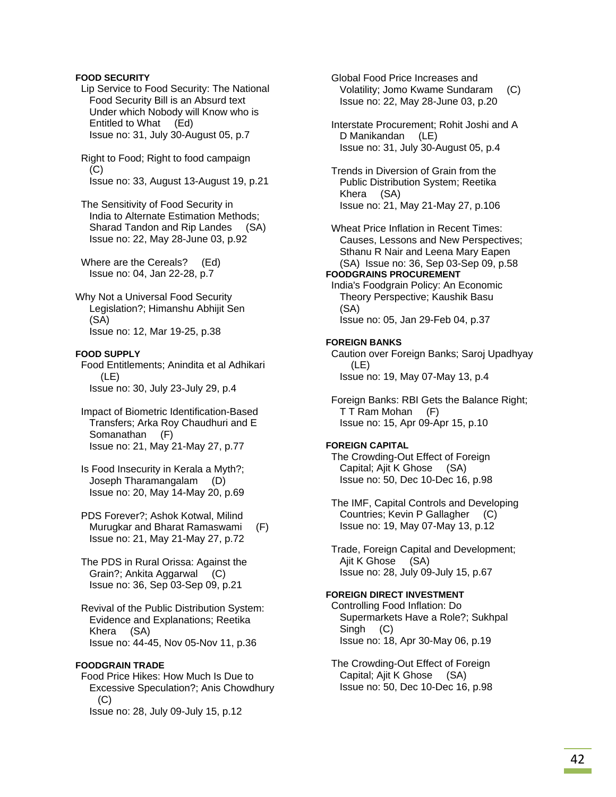### **FOOD SECURITY**

 Lip Service to Food Security: The National Food Security Bill is an Absurd text Under which Nobody will Know who is Entitled to What (Ed) Issue no: 31, July 30-August 05, p.7

 Right to Food; Right to food campaign (C) Issue no: 33, August 13-August 19, p.21

 The Sensitivity of Food Security in India to Alternate Estimation Methods; Sharad Tandon and Rip Landes (SA) Issue no: 22, May 28-June 03, p.92

 Where are the Cereals? (Ed) Issue no: 04, Jan 22-28, p.7

Why Not a Universal Food Security Legislation?; Himanshu Abhijit Sen (SA) Issue no: 12, Mar 19-25, p.38

### **FOOD SUPPLY**

 Food Entitlements; Anindita et al Adhikari (LE) Issue no: 30, July 23-July 29, p.4

 Impact of Biometric Identification-Based Transfers; Arka Roy Chaudhuri and E Somanathan (F) Issue no: 21, May 21-May 27, p.77

 Is Food Insecurity in Kerala a Myth?; Joseph Tharamangalam (D) Issue no: 20, May 14-May 20, p.69

 PDS Forever?; Ashok Kotwal, Milind Murugkar and Bharat Ramaswami (F) Issue no: 21, May 21-May 27, p.72

 The PDS in Rural Orissa: Against the Grain?; Ankita Aggarwal (C) Issue no: 36, Sep 03-Sep 09, p.21

 Revival of the Public Distribution System: Evidence and Explanations; Reetika Khera (SA) Issue no: 44-45, Nov 05-Nov 11, p.36

## **FOODGRAIN TRADE**

 Food Price Hikes: How Much Is Due to Excessive Speculation?; Anis Chowdhury (C) Issue no: 28, July 09-July 15, p.12

 Global Food Price Increases and Volatility; Jomo Kwame Sundaram (C) Issue no: 22, May 28-June 03, p.20

 Interstate Procurement; Rohit Joshi and A D Manikandan (LE) Issue no: 31, July 30-August 05, p.4

 Trends in Diversion of Grain from the Public Distribution System; Reetika Khera (SA) Issue no: 21, May 21-May 27, p.106

 Wheat Price Inflation in Recent Times: Causes, Lessons and New Perspectives; Sthanu R Nair and Leena Mary Eapen (SA) Issue no: 36, Sep 03-Sep 09, p.58

# **FOODGRAINS PROCUREMENT**

 India's Foodgrain Policy: An Economic Theory Perspective; Kaushik Basu (SA) Issue no: 05, Jan 29-Feb 04, p.37

### **FOREIGN BANKS**

 Caution over Foreign Banks; Saroj Upadhyay (LE) Issue no: 19, May 07-May 13, p.4

 Foreign Banks: RBI Gets the Balance Right; T T Ram Mohan (F) Issue no: 15, Apr 09-Apr 15, p.10

#### **FOREIGN CAPITAL**

 The Crowding-Out Effect of Foreign Capital; Ajit K Ghose (SA) Issue no: 50, Dec 10-Dec 16, p.98

 The IMF, Capital Controls and Developing Countries; Kevin P Gallagher (C) Issue no: 19, May 07-May 13, p.12

 Trade, Foreign Capital and Development; Ajit K Ghose (SA) Issue no: 28, July 09-July 15, p.67

### **FOREIGN DIRECT INVESTMENT**

 Controlling Food Inflation: Do Supermarkets Have a Role?; Sukhpal Singh (C) Issue no: 18, Apr 30-May 06, p.19

 The Crowding-Out Effect of Foreign Capital; Ajit K Ghose (SA) Issue no: 50, Dec 10-Dec 16, p.98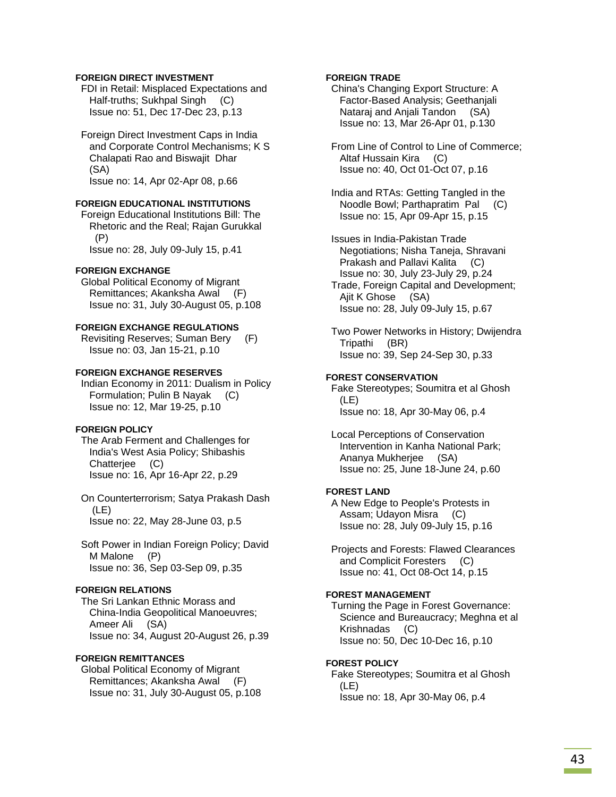### **FOREIGN DIRECT INVESTMENT**

 FDI in Retail: Misplaced Expectations and Half-truths; Sukhpal Singh (C) Issue no: 51, Dec 17-Dec 23, p.13

 Foreign Direct Investment Caps in India and Corporate Control Mechanisms; K S Chalapati Rao and Biswajit Dhar (SA) Issue no: 14, Apr 02-Apr 08, p.66

#### **FOREIGN EDUCATIONAL INSTITUTIONS**

 Foreign Educational Institutions Bill: The Rhetoric and the Real; Rajan Gurukkal (P) Issue no: 28, July 09-July 15, p.41

#### **FOREIGN EXCHANGE**

 Global Political Economy of Migrant Remittances; Akanksha Awal (F) Issue no: 31, July 30-August 05, p.108

# **FOREIGN EXCHANGE REGULATIONS**

 Revisiting Reserves; Suman Bery (F) Issue no: 03, Jan 15-21, p.10

### **FOREIGN EXCHANGE RESERVES**

 Indian Economy in 2011: Dualism in Policy Formulation; Pulin B Nayak (C) Issue no: 12, Mar 19-25, p.10

## **FOREIGN POLICY**

 The Arab Ferment and Challenges for India's West Asia Policy; Shibashis Chatterjee (C) Issue no: 16, Apr 16-Apr 22, p.29

 On Counterterrorism; Satya Prakash Dash (LE) Issue no: 22, May 28-June 03, p.5

 Soft Power in Indian Foreign Policy; David M Malone (P) Issue no: 36, Sep 03-Sep 09, p.35

#### **FOREIGN RELATIONS**

 The Sri Lankan Ethnic Morass and China-India Geopolitical Manoeuvres; Ameer Ali (SA) Issue no: 34, August 20-August 26, p.39

### **FOREIGN REMITTANCES**

 Global Political Economy of Migrant Remittances; Akanksha Awal (F) Issue no: 31, July 30-August 05, p.108

### **FOREIGN TRADE**

 China's Changing Export Structure: A Factor-Based Analysis; Geethanjali Nataraj and Anjali Tandon (SA) Issue no: 13, Mar 26-Apr 01, p.130

 From Line of Control to Line of Commerce; Altaf Hussain Kira (C) Issue no: 40, Oct 01-Oct 07, p.16

 India and RTAs: Getting Tangled in the Noodle Bowl; Parthapratim Pal (C) Issue no: 15, Apr 09-Apr 15, p.15

 Issues in India-Pakistan Trade Negotiations; Nisha Taneja, Shravani Prakash and Pallavi Kalita (C) Issue no: 30, July 23-July 29, p.24 Trade, Foreign Capital and Development; Ajit K Ghose (SA) Issue no: 28, July 09-July 15, p.67

 Two Power Networks in History; Dwijendra Tripathi (BR) Issue no: 39, Sep 24-Sep 30, p.33

## **FOREST CONSERVATION**

 Fake Stereotypes; Soumitra et al Ghosh (LE) Issue no: 18, Apr 30-May 06, p.4

 Local Perceptions of Conservation Intervention in Kanha National Park; Ananya Mukherjee (SA) Issue no: 25, June 18-June 24, p.60

### **FOREST LAND**

 A New Edge to People's Protests in Assam; Udayon Misra (C) Issue no: 28, July 09-July 15, p.16

 Projects and Forests: Flawed Clearances and Complicit Foresters (C) Issue no: 41, Oct 08-Oct 14, p.15

#### **FOREST MANAGEMENT**

 Turning the Page in Forest Governance: Science and Bureaucracy; Meghna et al Krishnadas (C) Issue no: 50, Dec 10-Dec 16, p.10

### **FOREST POLICY**

 Fake Stereotypes; Soumitra et al Ghosh (LE) Issue no: 18, Apr 30-May 06, p.4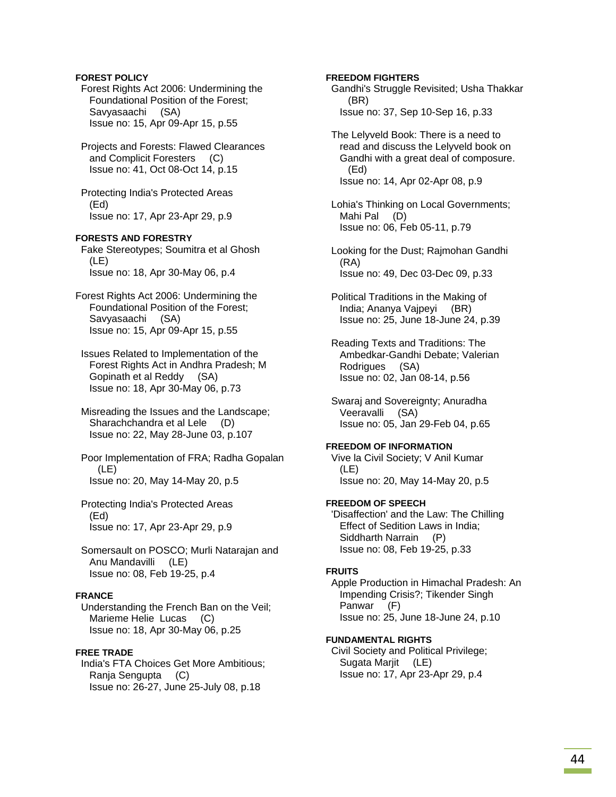**FOREST POLICY**  Forest Rights Act 2006: Undermining the Foundational Position of the Forest; Savyasaachi (SA) Issue no: 15, Apr 09-Apr 15, p.55 Projects and Forests: Flawed Clearances and Complicit Foresters (C) Issue no: 41, Oct 08-Oct 14, p.15 Protecting India's Protected Areas (Ed) Issue no: 17, Apr 23-Apr 29, p.9 **FORESTS AND FORESTRY**  Fake Stereotypes; Soumitra et al Ghosh (LE) Issue no: 18, Apr 30-May 06, p.4 Forest Rights Act 2006: Undermining the Foundational Position of the Forest; Savyasaachi (SA) Issue no: 15, Apr 09-Apr 15, p.55 Issues Related to Implementation of the Forest Rights Act in Andhra Pradesh; M Gopinath et al Reddy (SA) Issue no: 18, Apr 30-May 06, p.73 Misreading the Issues and the Landscape;

 Sharachchandra et al Lele (D) Issue no: 22, May 28-June 03, p.107

 Poor Implementation of FRA; Radha Gopalan (LE) Issue no: 20, May 14-May 20, p.5

- Protecting India's Protected Areas (Ed) Issue no: 17, Apr 23-Apr 29, p.9
- Somersault on POSCO; Murli Natarajan and Anu Mandavilli (LE) Issue no: 08, Feb 19-25, p.4

#### **FRANCE**

 Understanding the French Ban on the Veil; Marieme Helie Lucas (C) Issue no: 18, Apr 30-May 06, p.25

## **FREE TRADE**

 India's FTA Choices Get More Ambitious; Ranja Sengupta (C) Issue no: 26-27, June 25-July 08, p.18

**FREEDOM FIGHTERS** 

 Gandhi's Struggle Revisited; Usha Thakkar (BR) Issue no: 37, Sep 10-Sep 16, p.33

 The Lelyveld Book: There is a need to read and discuss the Lelyveld book on Gandhi with a great deal of composure. (Ed) Issue no: 14, Apr 02-Apr 08, p.9

- Lohia's Thinking on Local Governments; Mahi Pal (D) Issue no: 06, Feb 05-11, p.79
- Looking for the Dust; Rajmohan Gandhi (RA) Issue no: 49, Dec 03-Dec 09, p.33
- Political Traditions in the Making of India; Ananya Vajpeyi (BR) Issue no: 25, June 18-June 24, p.39

 Reading Texts and Traditions: The Ambedkar-Gandhi Debate; Valerian Rodrigues (SA) Issue no: 02, Jan 08-14, p.56

 Swaraj and Sovereignty; Anuradha Veeravalli (SA) Issue no: 05, Jan 29-Feb 04, p.65

# **FREEDOM OF INFORMATION**

 Vive la Civil Society; V Anil Kumar (LE) Issue no: 20, May 14-May 20, p.5

## **FREEDOM OF SPEECH**

 'Disaffection' and the Law: The Chilling Effect of Sedition Laws in India; Siddharth Narrain (P) Issue no: 08, Feb 19-25, p.33

#### **FRUITS**

 Apple Production in Himachal Pradesh: An Impending Crisis?; Tikender Singh Panwar (F) Issue no: 25, June 18-June 24, p.10

## **FUNDAMENTAL RIGHTS**

 Civil Society and Political Privilege; Sugata Marjit (LE) Issue no: 17, Apr 23-Apr 29, p.4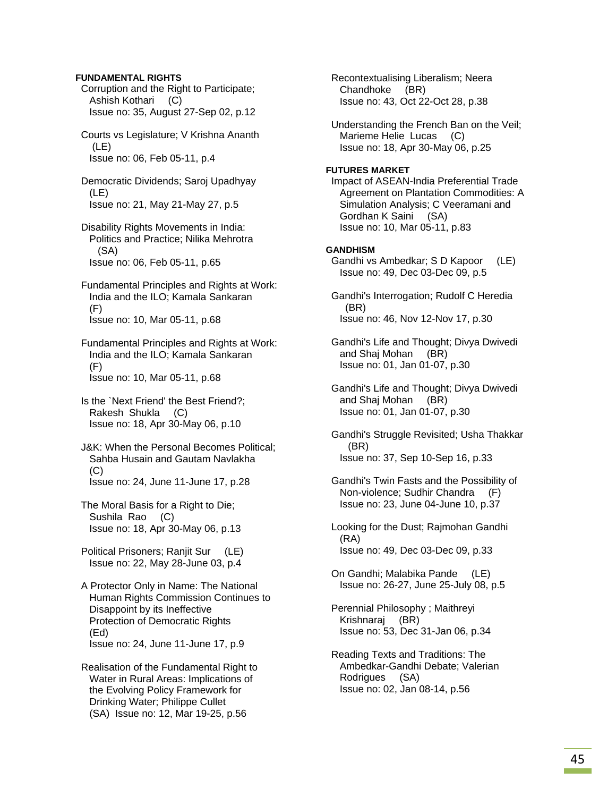### **FUNDAMENTAL RIGHTS**

- Corruption and the Right to Participate; Ashish Kothari (C) Issue no: 35, August 27-Sep 02, p.12
- Courts vs Legislature; V Krishna Ananth (LE) Issue no: 06, Feb 05-11, p.4
- Democratic Dividends; Saroj Upadhyay (LE) Issue no: 21, May 21-May 27, p.5
- Disability Rights Movements in India: Politics and Practice; Nilika Mehrotra (SA) Issue no: 06, Feb 05-11, p.65
- Fundamental Principles and Rights at Work: India and the ILO; Kamala Sankaran  $(F)$ Issue no: 10, Mar 05-11, p.68
- Fundamental Principles and Rights at Work: India and the ILO; Kamala Sankaran (F) Issue no: 10, Mar 05-11, p.68
- Is the `Next Friend' the Best Friend?; Rakesh Shukla (C) Issue no: 18, Apr 30-May 06, p.10
- J&K: When the Personal Becomes Political; Sahba Husain and Gautam Navlakha  $(C)$ Issue no: 24, June 11-June 17, p.28
- The Moral Basis for a Right to Die; Sushila Rao (C) Issue no: 18, Apr 30-May 06, p.13
- Political Prisoners; Ranjit Sur (LE) Issue no: 22, May 28-June 03, p.4
- A Protector Only in Name: The National Human Rights Commission Continues to Disappoint by its Ineffective Protection of Democratic Rights (Ed) Issue no: 24, June 11-June 17, p.9
- Realisation of the Fundamental Right to Water in Rural Areas: Implications of the Evolving Policy Framework for Drinking Water; Philippe Cullet (SA) Issue no: 12, Mar 19-25, p.56

 Recontextualising Liberalism; Neera Chandhoke (BR) Issue no: 43, Oct 22-Oct 28, p.38

 Understanding the French Ban on the Veil; Marieme Helie Lucas (C) Issue no: 18, Apr 30-May 06, p.25

#### **FUTURES MARKET**

 Impact of ASEAN-India Preferential Trade Agreement on Plantation Commodities: A Simulation Analysis; C Veeramani and Gordhan K Saini (SA) Issue no: 10, Mar 05-11, p.83

#### **GANDHISM**

- Gandhi vs Ambedkar; S D Kapoor (LE) Issue no: 49, Dec 03-Dec 09, p.5
- Gandhi's Interrogation; Rudolf C Heredia (BR) Issue no: 46, Nov 12-Nov 17, p.30
- Gandhi's Life and Thought; Divya Dwivedi and Shaj Mohan (BR) Issue no: 01, Jan 01-07, p.30
- Gandhi's Life and Thought; Divya Dwivedi and Shaj Mohan (BR) Issue no: 01, Jan 01-07, p.30
- Gandhi's Struggle Revisited; Usha Thakkar (BR) Issue no: 37, Sep 10-Sep 16, p.33
- Gandhi's Twin Fasts and the Possibility of Non-violence; Sudhir Chandra (F) Issue no: 23, June 04-June 10, p.37
- Looking for the Dust; Rajmohan Gandhi (RA) Issue no: 49, Dec 03-Dec 09, p.33
- On Gandhi; Malabika Pande (LE) Issue no: 26-27, June 25-July 08, p.5
- Perennial Philosophy ; Maithreyi Krishnaraj (BR) Issue no: 53, Dec 31-Jan 06, p.34
- Reading Texts and Traditions: The Ambedkar-Gandhi Debate; Valerian Rodrigues (SA) Issue no: 02, Jan 08-14, p.56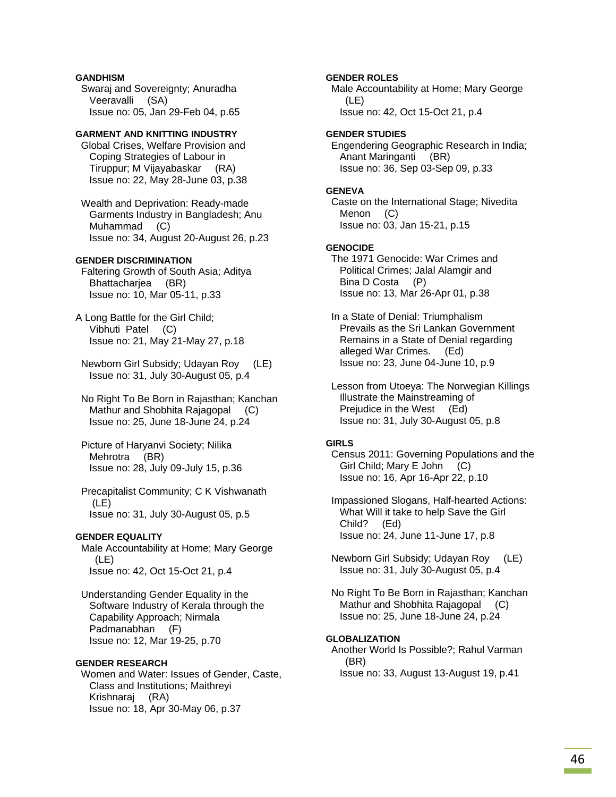## **GANDHISM**

 Swaraj and Sovereignty; Anuradha Veeravalli (SA) Issue no: 05, Jan 29-Feb 04, p.65

## **GARMENT AND KNITTING INDUSTRY**

 Global Crises, Welfare Provision and Coping Strategies of Labour in Tiruppur; M Vijayabaskar (RA) Issue no: 22, May 28-June 03, p.38

 Wealth and Deprivation: Ready-made Garments Industry in Bangladesh; Anu Muhammad (C) Issue no: 34, August 20-August 26, p.23

### **GENDER DISCRIMINATION**

 Faltering Growth of South Asia; Aditya Bhattacharjea (BR) Issue no: 10, Mar 05-11, p.33

A Long Battle for the Girl Child; Vibhuti Patel (C) Issue no: 21, May 21-May 27, p.18

 Newborn Girl Subsidy; Udayan Roy (LE) Issue no: 31, July 30-August 05, p.4

 No Right To Be Born in Rajasthan; Kanchan Mathur and Shobhita Rajagopal (C) Issue no: 25, June 18-June 24, p.24

 Picture of Haryanvi Society; Nilika Mehrotra (BR) Issue no: 28, July 09-July 15, p.36

 Precapitalist Community; C K Vishwanath (LE) Issue no: 31, July 30-August 05, p.5

## **GENDER EQUALITY**

 Male Accountability at Home; Mary George (LE) Issue no: 42, Oct 15-Oct 21, p.4

 Understanding Gender Equality in the Software Industry of Kerala through the Capability Approach; Nirmala Padmanabhan (F) Issue no: 12, Mar 19-25, p.70

## **GENDER RESEARCH**

 Women and Water: Issues of Gender, Caste, Class and Institutions; Maithreyi Krishnaraj (RA) Issue no: 18, Apr 30-May 06, p.37

### **GENDER ROLES**

 Male Accountability at Home; Mary George (LE) Issue no: 42, Oct 15-Oct 21, p.4

#### **GENDER STUDIES**

 Engendering Geographic Research in India; Anant Maringanti (BR) Issue no: 36, Sep 03-Sep 09, p.33

#### **GENEVA**

 Caste on the International Stage; Nivedita Menon (C) Issue no: 03, Jan 15-21, p.15

### **GENOCIDE**

 The 1971 Genocide: War Crimes and Political Crimes; Jalal Alamgir and Bina D Costa (P) Issue no: 13, Mar 26-Apr 01, p.38

 In a State of Denial: Triumphalism Prevails as the Sri Lankan Government Remains in a State of Denial regarding alleged War Crimes. (Ed) Issue no: 23, June 04-June 10, p.9

 Lesson from Utoeya: The Norwegian Killings Illustrate the Mainstreaming of Prejudice in the West (Ed) Issue no: 31, July 30-August 05, p.8

#### **GIRLS**

 Census 2011: Governing Populations and the Girl Child; Mary E John (C) Issue no: 16, Apr 16-Apr 22, p.10

 Impassioned Slogans, Half-hearted Actions: What Will it take to help Save the Girl Child? (Ed) Issue no: 24, June 11-June 17, p.8

 Newborn Girl Subsidy; Udayan Roy (LE) Issue no: 31, July 30-August 05, p.4

 No Right To Be Born in Rajasthan; Kanchan Mathur and Shobhita Rajagopal (C) Issue no: 25, June 18-June 24, p.24

## **GLOBALIZATION**

 Another World Is Possible?; Rahul Varman (BR) Issue no: 33, August 13-August 19, p.41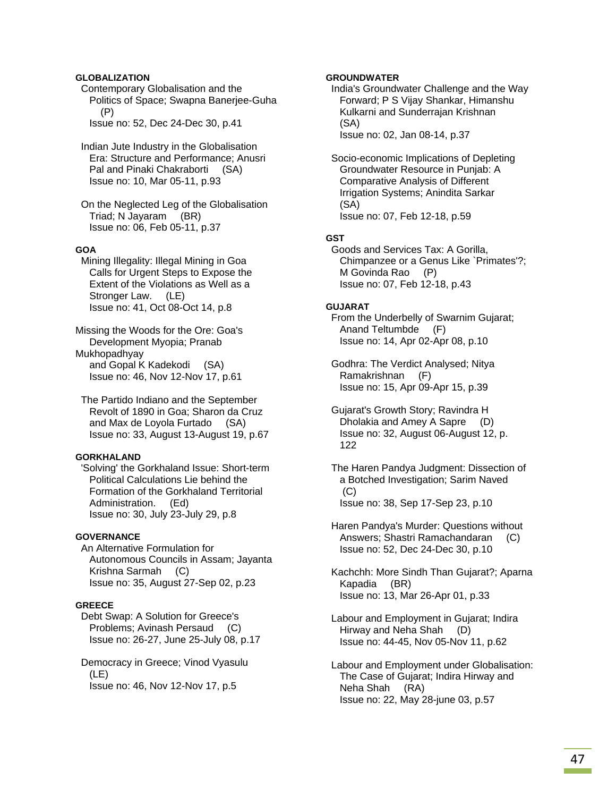### **GLOBALIZATION**

 Contemporary Globalisation and the Politics of Space; Swapna Banerjee-Guha (P) Issue no: 52, Dec 24-Dec 30, p.41

 Indian Jute Industry in the Globalisation Era: Structure and Performance; Anusri Pal and Pinaki Chakraborti (SA) Issue no: 10, Mar 05-11, p.93

 On the Neglected Leg of the Globalisation Triad; N Jayaram (BR) Issue no: 06, Feb 05-11, p.37

## **GOA**

 Mining Illegality: Illegal Mining in Goa Calls for Urgent Steps to Expose the Extent of the Violations as Well as a Stronger Law. (LE) Issue no: 41, Oct 08-Oct 14, p.8

Missing the Woods for the Ore: Goa's Development Myopia; Pranab Mukhopadhyay and Gopal K Kadekodi (SA) Issue no: 46, Nov 12-Nov 17, p.61

 The Partido Indiano and the September Revolt of 1890 in Goa; Sharon da Cruz and Max de Loyola Furtado (SA) Issue no: 33, August 13-August 19, p.67

## **GORKHALAND**

 'Solving' the Gorkhaland Issue: Short-term Political Calculations Lie behind the Formation of the Gorkhaland Territorial Administration. (Ed) Issue no: 30, July 23-July 29, p.8

### **GOVERNANCE**

 An Alternative Formulation for Autonomous Councils in Assam; Jayanta Krishna Sarmah (C) Issue no: 35, August 27-Sep 02, p.23

#### **GREECE**

 Debt Swap: A Solution for Greece's Problems; Avinash Persaud (C) Issue no: 26-27, June 25-July 08, p.17

 Democracy in Greece; Vinod Vyasulu (LE) Issue no: 46, Nov 12-Nov 17, p.5

### **GROUNDWATER**

 India's Groundwater Challenge and the Way Forward; P S Vijay Shankar, Himanshu Kulkarni and Sunderrajan Krishnan (SA) Issue no: 02, Jan 08-14, p.37

 Socio-economic Implications of Depleting Groundwater Resource in Punjab: A Comparative Analysis of Different Irrigation Systems; Anindita Sarkar (SA) Issue no: 07, Feb 12-18, p.59

### **GST**

 Goods and Services Tax: A Gorilla, Chimpanzee or a Genus Like `Primates'?; M Govinda Rao (P) Issue no: 07, Feb 12-18, p.43

#### **GUJARAT**

 From the Underbelly of Swarnim Gujarat; Anand Teltumbde (F) Issue no: 14, Apr 02-Apr 08, p.10

 Godhra: The Verdict Analysed; Nitya Ramakrishnan (F) Issue no: 15, Apr 09-Apr 15, p.39

 Gujarat's Growth Story; Ravindra H Dholakia and Amey A Sapre (D) Issue no: 32, August 06-August 12, p. 122

 The Haren Pandya Judgment: Dissection of a Botched Investigation; Sarim Naved  $(C)$ Issue no: 38, Sep 17-Sep 23, p.10

 Haren Pandya's Murder: Questions without Answers; Shastri Ramachandaran (C) Issue no: 52, Dec 24-Dec 30, p.10

 Kachchh: More Sindh Than Gujarat?; Aparna Kapadia (BR) Issue no: 13, Mar 26-Apr 01, p.33

 Labour and Employment in Gujarat; Indira Hirway and Neha Shah (D) Issue no: 44-45, Nov 05-Nov 11, p.62

 Labour and Employment under Globalisation: The Case of Gujarat; Indira Hirway and Neha Shah (RA) Issue no: 22, May 28-june 03, p.57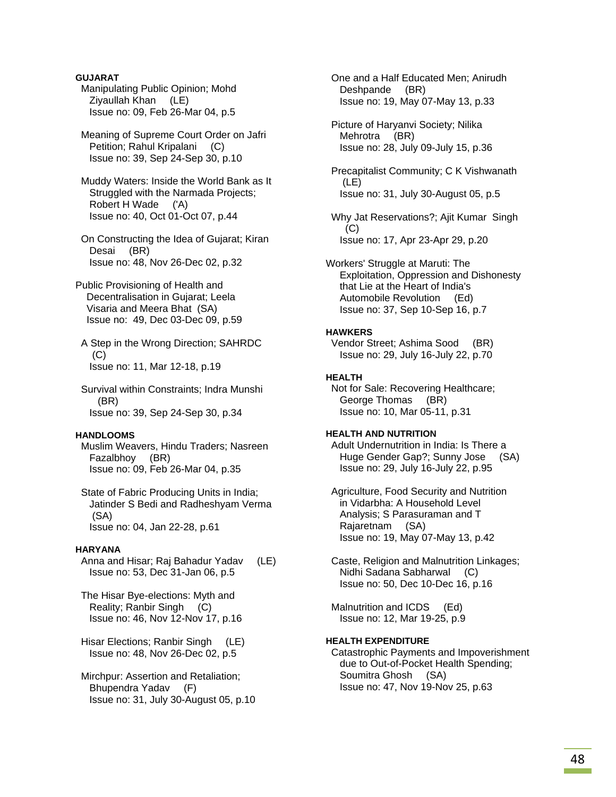## **GUJARAT**

 Manipulating Public Opinion; Mohd Ziyaullah Khan (LE) Issue no: 09, Feb 26-Mar 04, p.5

 Meaning of Supreme Court Order on Jafri Petition: Rahul Kripalani (C) Issue no: 39, Sep 24-Sep 30, p.10

 Muddy Waters: Inside the World Bank as It Struggled with the Narmada Projects; Robert H Wade ('A) Issue no: 40, Oct 01-Oct 07, p.44

 On Constructing the Idea of Gujarat; Kiran Desai (BR) Issue no: 48, Nov 26-Dec 02, p.32

Public Provisioning of Health and Decentralisation in Gujarat; Leela Visaria and Meera Bhat (SA) Issue no: 49, Dec 03-Dec 09, p.59

 A Step in the Wrong Direction; SAHRDC (C) Issue no: 11, Mar 12-18, p.19

 Survival within Constraints; Indra Munshi (BR) Issue no: 39, Sep 24-Sep 30, p.34

### **HANDLOOMS**

 Muslim Weavers, Hindu Traders; Nasreen Fazalbhoy (BR) Issue no: 09, Feb 26-Mar 04, p.35

 State of Fabric Producing Units in India; Jatinder S Bedi and Radheshyam Verma (SA) Issue no: 04, Jan 22-28, p.61

#### **HARYANA**

 Anna and Hisar; Raj Bahadur Yadav (LE) Issue no: 53, Dec 31-Jan 06, p.5

 The Hisar Bye-elections: Myth and Reality; Ranbir Singh (C) Issue no: 46, Nov 12-Nov 17, p.16

 Hisar Elections; Ranbir Singh (LE) Issue no: 48, Nov 26-Dec 02, p.5

 Mirchpur: Assertion and Retaliation; Bhupendra Yadav (F) Issue no: 31, July 30-August 05, p.10  One and a Half Educated Men; Anirudh Deshpande (BR) Issue no: 19, May 07-May 13, p.33

 Picture of Haryanvi Society; Nilika Mehrotra (BR) Issue no: 28, July 09-July 15, p.36

 Precapitalist Community; C K Vishwanath (LE) Issue no: 31, July 30-August 05, p.5

 Why Jat Reservations?; Ajit Kumar Singh (C) Issue no: 17, Apr 23-Apr 29, p.20

Workers' Struggle at Maruti: The Exploitation, Oppression and Dishonesty that Lie at the Heart of India's Automobile Revolution (Ed) Issue no: 37, Sep 10-Sep 16, p.7

## **HAWKERS**

 Vendor Street; Ashima Sood (BR) Issue no: 29, July 16-July 22, p.70

### **HEALTH**

 Not for Sale: Recovering Healthcare; George Thomas (BR) Issue no: 10, Mar 05-11, p.31

### **HEALTH AND NUTRITION**

 Adult Undernutrition in India: Is There a Huge Gender Gap?; Sunny Jose (SA) Issue no: 29, July 16-July 22, p.95

 Agriculture, Food Security and Nutrition in Vidarbha: A Household Level Analysis; S Parasuraman and T Rajaretnam (SA) Issue no: 19, May 07-May 13, p.42

 Caste, Religion and Malnutrition Linkages; Nidhi Sadana Sabharwal (C) Issue no: 50, Dec 10-Dec 16, p.16

 Malnutrition and ICDS (Ed) Issue no: 12, Mar 19-25, p.9

### **HEALTH EXPENDITURE**

 Catastrophic Payments and Impoverishment due to Out-of-Pocket Health Spending; Soumitra Ghosh (SA) Issue no: 47, Nov 19-Nov 25, p.63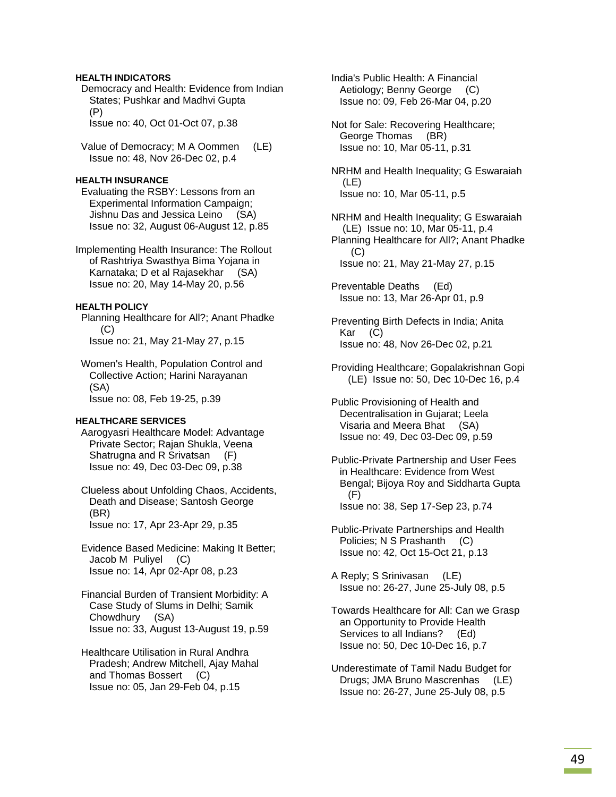### **HEALTH INDICATORS**

- Democracy and Health: Evidence from Indian States; Pushkar and Madhvi Gupta (P) Issue no: 40, Oct 01-Oct 07, p.38
- Value of Democracy; M A Oommen (LE) Issue no: 48, Nov 26-Dec 02, p.4

#### **HEALTH INSURANCE**

- Evaluating the RSBY: Lessons from an Experimental Information Campaign; Jishnu Das and Jessica Leino (SA) Issue no: 32, August 06-August 12, p.85
- Implementing Health Insurance: The Rollout of Rashtriya Swasthya Bima Yojana in Karnataka; D et al Rajasekhar (SA) Issue no: 20, May 14-May 20, p.56

### **HEALTH POLICY**

- Planning Healthcare for All?; Anant Phadke (C) Issue no: 21, May 21-May 27, p.15
- Women's Health, Population Control and Collective Action; Harini Narayanan (SA) Issue no: 08, Feb 19-25, p.39

#### **HEALTHCARE SERVICES**

- Aarogyasri Healthcare Model: Advantage Private Sector; Rajan Shukla, Veena Shatrugna and R Srivatsan (F) Issue no: 49, Dec 03-Dec 09, p.38
- Clueless about Unfolding Chaos, Accidents, Death and Disease; Santosh George (BR) Issue no: 17, Apr 23-Apr 29, p.35
- Evidence Based Medicine: Making It Better; Jacob M Puliyel (C) Issue no: 14, Apr 02-Apr 08, p.23
- Financial Burden of Transient Morbidity: A Case Study of Slums in Delhi; Samik Chowdhury (SA) Issue no: 33, August 13-August 19, p.59
- Healthcare Utilisation in Rural Andhra Pradesh; Andrew Mitchell, Ajay Mahal and Thomas Bossert (C) Issue no: 05, Jan 29-Feb 04, p.15

 India's Public Health: A Financial Aetiology; Benny George (C) Issue no: 09, Feb 26-Mar 04, p.20

 Not for Sale: Recovering Healthcare; George Thomas (BR) Issue no: 10, Mar 05-11, p.31

 NRHM and Health Inequality; G Eswaraiah (LE) Issue no: 10, Mar 05-11, p.5

- NRHM and Health Inequality; G Eswaraiah (LE) Issue no: 10, Mar 05-11, p.4
- Planning Healthcare for All?; Anant Phadke (C) Issue no: 21, May 21-May 27, p.15
- Preventable Deaths (Ed) Issue no: 13, Mar 26-Apr 01, p.9
- Preventing Birth Defects in India; Anita Kar (C) Issue no: 48, Nov 26-Dec 02, p.21
- Providing Healthcare; Gopalakrishnan Gopi (LE) Issue no: 50, Dec 10-Dec 16, p.4
- Public Provisioning of Health and Decentralisation in Gujarat; Leela Visaria and Meera Bhat (SA) Issue no: 49, Dec 03-Dec 09, p.59
- Public-Private Partnership and User Fees in Healthcare: Evidence from West Bengal; Bijoya Roy and Siddharta Gupta (F) Issue no: 38, Sep 17-Sep 23, p.74
- Public-Private Partnerships and Health Policies; N S Prashanth (C) Issue no: 42, Oct 15-Oct 21, p.13
- A Reply; S Srinivasan (LE) Issue no: 26-27, June 25-July 08, p.5
- Towards Healthcare for All: Can we Grasp an Opportunity to Provide Health Services to all Indians? (Ed) Issue no: 50, Dec 10-Dec 16, p.7
- Underestimate of Tamil Nadu Budget for Drugs; JMA Bruno Mascrenhas (LE) Issue no: 26-27, June 25-July 08, p.5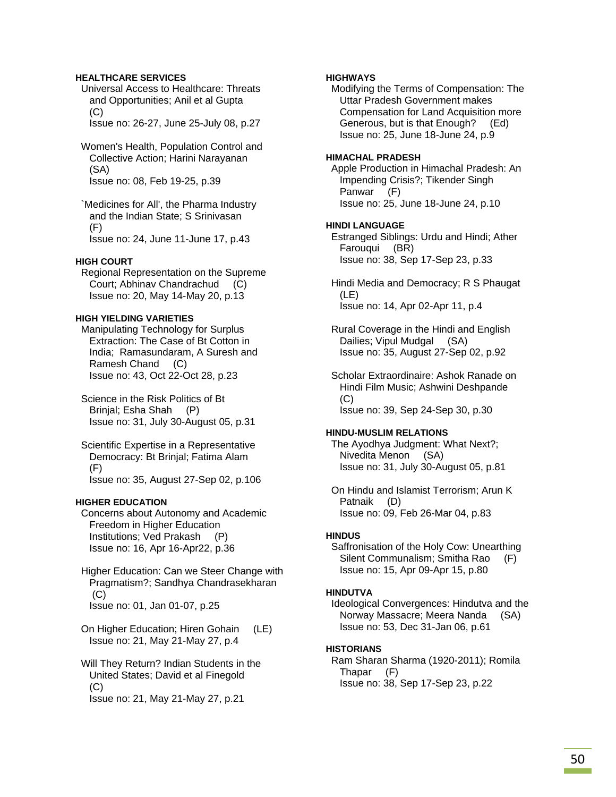### **HEALTHCARE SERVICES**

 Universal Access to Healthcare: Threats and Opportunities; Anil et al Gupta (C) Issue no: 26-27, June 25-July 08, p.27

 Women's Health, Population Control and Collective Action; Harini Narayanan (SA) Issue no: 08, Feb 19-25, p.39

 `Medicines for All', the Pharma Industry and the Indian State; S Srinivasan (F) Issue no: 24, June 11-June 17, p.43

#### **HIGH COURT**

 Regional Representation on the Supreme Court; Abhinav Chandrachud (C) Issue no: 20, May 14-May 20, p.13

### **HIGH YIELDING VARIETIES**

 Manipulating Technology for Surplus Extraction: The Case of Bt Cotton in India; Ramasundaram, A Suresh and Ramesh Chand (C) Issue no: 43, Oct 22-Oct 28, p.23

 Science in the Risk Politics of Bt Brinjal; Esha Shah (P) Issue no: 31, July 30-August 05, p.31

 Scientific Expertise in a Representative Democracy: Bt Brinjal; Fatima Alam (F) Issue no: 35, August 27-Sep 02, p.106

#### **HIGHER EDUCATION**

 Concerns about Autonomy and Academic Freedom in Higher Education Institutions; Ved Prakash (P) Issue no: 16, Apr 16-Apr22, p.36

 Higher Education: Can we Steer Change with Pragmatism?; Sandhya Chandrasekharan  $(C)$ Issue no: 01, Jan 01-07, p.25

 On Higher Education; Hiren Gohain (LE) Issue no: 21, May 21-May 27, p.4

 Will They Return? Indian Students in the United States; David et al Finegold (C)

Issue no: 21, May 21-May 27, p.21

### **HIGHWAYS**

 Modifying the Terms of Compensation: The Uttar Pradesh Government makes Compensation for Land Acquisition more Generous, but is that Enough? (Ed) Issue no: 25, June 18-June 24, p.9

### **HIMACHAL PRADESH**

 Apple Production in Himachal Pradesh: An Impending Crisis?; Tikender Singh Panwar (F) Issue no: 25, June 18-June 24, p.10

#### **HINDI LANGUAGE**

 Estranged Siblings: Urdu and Hindi; Ather Farouqui (BR) Issue no: 38, Sep 17-Sep 23, p.33

 Hindi Media and Democracy; R S Phaugat (LE) Issue no: 14, Apr 02-Apr 11, p.4

 Rural Coverage in the Hindi and English Dailies; Vipul Mudgal (SA) Issue no: 35, August 27-Sep 02, p.92

 Scholar Extraordinaire: Ashok Ranade on Hindi Film Music; Ashwini Deshpande (C) Issue no: 39, Sep 24-Sep 30, p.30

#### **HINDU-MUSLIM RELATIONS**

 The Ayodhya Judgment: What Next?; Nivedita Menon (SA) Issue no: 31, July 30-August 05, p.81

 On Hindu and Islamist Terrorism; Arun K Patnaik (D) Issue no: 09, Feb 26-Mar 04, p.83

#### **HINDUS**

 Saffronisation of the Holy Cow: Unearthing Silent Communalism; Smitha Rao (F) Issue no: 15, Apr 09-Apr 15, p.80

#### **HINDUTVA**

 Ideological Convergences: Hindutva and the Norway Massacre; Meera Nanda (SA) Issue no: 53, Dec 31-Jan 06, p.61

### **HISTORIANS**

 Ram Sharan Sharma (1920-2011); Romila Thapar (F) Issue no: 38, Sep 17-Sep 23, p.22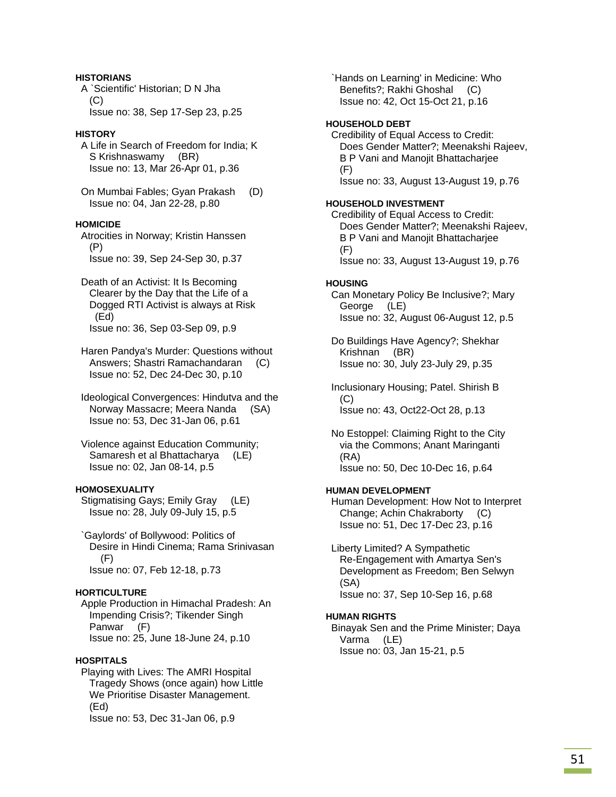## **HISTORIANS**

 A `Scientific' Historian; D N Jha  $(C)$ Issue no: 38, Sep 17-Sep 23, p.25

### **HISTORY**

- A Life in Search of Freedom for India; K S Krishnaswamy (BR) Issue no: 13, Mar 26-Apr 01, p.36
- On Mumbai Fables; Gyan Prakash (D) Issue no: 04, Jan 22-28, p.80

### **HOMICIDE**

- Atrocities in Norway; Kristin Hanssen (P) Issue no: 39, Sep 24-Sep 30, p.37
- Death of an Activist: It Is Becoming Clearer by the Day that the Life of a Dogged RTI Activist is always at Risk (Ed) Issue no: 36, Sep 03-Sep 09, p.9
- Haren Pandya's Murder: Questions without Answers; Shastri Ramachandaran (C) Issue no: 52, Dec 24-Dec 30, p.10
- Ideological Convergences: Hindutva and the Norway Massacre; Meera Nanda (SA) Issue no: 53, Dec 31-Jan 06, p.61
- Violence against Education Community; Samaresh et al Bhattacharya (LE) Issue no: 02, Jan 08-14, p.5

## **HOMOSEXUALITY**

 Stigmatising Gays; Emily Gray (LE) Issue no: 28, July 09-July 15, p.5

 `Gaylords' of Bollywood: Politics of Desire in Hindi Cinema; Rama Srinivasan (F) Issue no: 07, Feb 12-18, p.73

## **HORTICULTURE**

 Apple Production in Himachal Pradesh: An Impending Crisis?; Tikender Singh Panwar (F) Issue no: 25, June 18-June 24, p.10

## **HOSPITALS**

 Playing with Lives: The AMRI Hospital Tragedy Shows (once again) how Little We Prioritise Disaster Management. (Ed) Issue no: 53, Dec 31-Jan 06, p.9

 `Hands on Learning' in Medicine: Who Benefits?; Rakhi Ghoshal (C) Issue no: 42, Oct 15-Oct 21, p.16

### **HOUSEHOLD DEBT**

 Credibility of Equal Access to Credit: Does Gender Matter?; Meenakshi Rajeev, B P Vani and Manojit Bhattacharjee (F) Issue no: 33, August 13-August 19, p.76

## **HOUSEHOLD INVESTMENT**

 Credibility of Equal Access to Credit: Does Gender Matter?; Meenakshi Rajeev, B P Vani and Manojit Bhattacharjee (F) Issue no: 33, August 13-August 19, p.76

### **HOUSING**

 Can Monetary Policy Be Inclusive?; Mary George (LE) Issue no: 32, August 06-August 12, p.5

 Do Buildings Have Agency?; Shekhar Krishnan (BR) Issue no: 30, July 23-July 29, p.35

 Inclusionary Housing; Patel. Shirish B  $(C)$ Issue no: 43, Oct22-Oct 28, p.13

 No Estoppel: Claiming Right to the City via the Commons; Anant Maringanti (RA) Issue no: 50, Dec 10-Dec 16, p.64

## **HUMAN DEVELOPMENT**

 Human Development: How Not to Interpret Change; Achin Chakraborty (C) Issue no: 51, Dec 17-Dec 23, p.16

 Liberty Limited? A Sympathetic Re-Engagement with Amartya Sen's Development as Freedom; Ben Selwyn (SA) Issue no: 37, Sep 10-Sep 16, p.68

## **HUMAN RIGHTS**

 Binayak Sen and the Prime Minister; Daya Varma (LE) Issue no: 03, Jan 15-21, p.5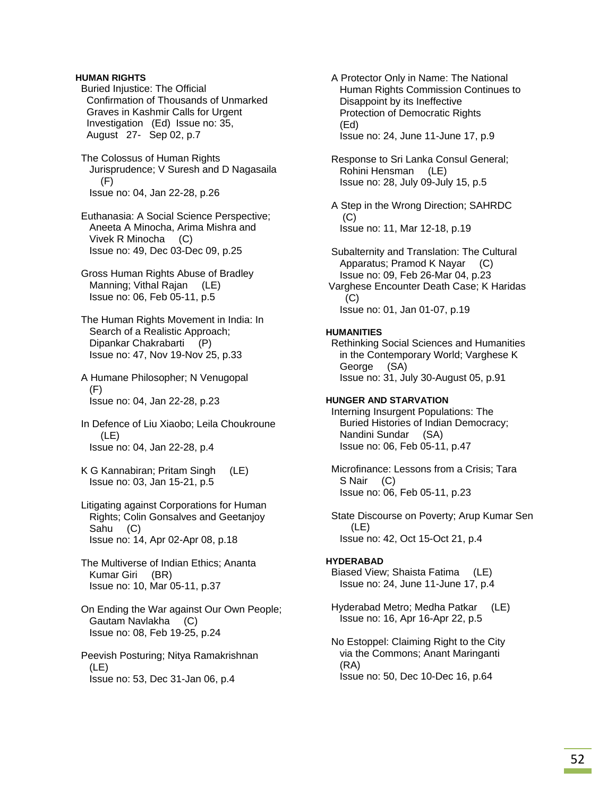### **HUMAN RIGHTS**

 Buried Injustice: The Official Confirmation of Thousands of Unmarked Graves in Kashmir Calls for Urgent Investigation (Ed) Issue no: 35, August 27- Sep 02, p.7

 The Colossus of Human Rights Jurisprudence; V Suresh and D Nagasaila (F) Issue no: 04, Jan 22-28, p.26

 Euthanasia: A Social Science Perspective; Aneeta A Minocha, Arima Mishra and Vivek R Minocha (C) Issue no: 49, Dec 03-Dec 09, p.25

 Gross Human Rights Abuse of Bradley Manning; Vithal Rajan (LE) Issue no: 06, Feb 05-11, p.5

 The Human Rights Movement in India: In Search of a Realistic Approach; Dipankar Chakrabarti (P) Issue no: 47, Nov 19-Nov 25, p.33

 A Humane Philosopher; N Venugopal (F) Issue no: 04, Jan 22-28, p.23

 In Defence of Liu Xiaobo; Leila Choukroune (LE) Issue no: 04, Jan 22-28, p.4

 K G Kannabiran; Pritam Singh (LE) Issue no: 03, Jan 15-21, p.5

 Litigating against Corporations for Human Rights; Colin Gonsalves and Geetanjoy Sahu (C) Issue no: 14, Apr 02-Apr 08, p.18

 The Multiverse of Indian Ethics; Ananta Kumar Giri (BR) Issue no: 10, Mar 05-11, p.37

 On Ending the War against Our Own People; Gautam Navlakha (C) Issue no: 08, Feb 19-25, p.24

 Peevish Posturing; Nitya Ramakrishnan (LE) Issue no: 53, Dec 31-Jan 06, p.4

 A Protector Only in Name: The National Human Rights Commission Continues to Disappoint by its Ineffective Protection of Democratic Rights (Ed) Issue no: 24, June 11-June 17, p.9

 Response to Sri Lanka Consul General; Rohini Hensman (LE) Issue no: 28, July 09-July 15, p.5

 A Step in the Wrong Direction; SAHRDC (C) Issue no: 11, Mar 12-18, p.19

 Subalternity and Translation: The Cultural Apparatus; Pramod K Nayar (C) Issue no: 09, Feb 26-Mar 04, p.23 Varghese Encounter Death Case; K Haridas (C) Issue no: 01, Jan 01-07, p.19

# **HUMANITIES**

 Rethinking Social Sciences and Humanities in the Contemporary World; Varghese K George (SA) Issue no: 31, July 30-August 05, p.91

#### **HUNGER AND STARVATION**

 Interning Insurgent Populations: The Buried Histories of Indian Democracy; Nandini Sundar (SA) Issue no: 06, Feb 05-11, p.47

 Microfinance: Lessons from a Crisis; Tara S Nair (C) Issue no: 06, Feb 05-11, p.23

 State Discourse on Poverty; Arup Kumar Sen (LE) Issue no: 42, Oct 15-Oct 21, p.4

#### **HYDERABAD**

 Biased View; Shaista Fatima (LE) Issue no: 24, June 11-June 17, p.4

 Hyderabad Metro; Medha Patkar (LE) Issue no: 16, Apr 16-Apr 22, p.5

 No Estoppel: Claiming Right to the City via the Commons; Anant Maringanti (RA) Issue no: 50, Dec 10-Dec 16, p.64

52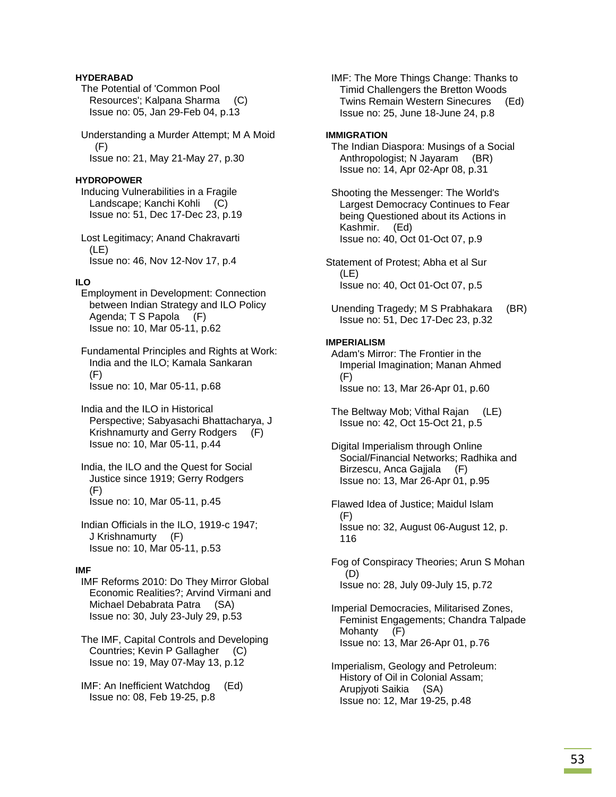## **HYDERABAD**

 The Potential of 'Common Pool Resources'; Kalpana Sharma (C) Issue no: 05, Jan 29-Feb 04, p.13

## Understanding a Murder Attempt; M A Moid (F) Issue no: 21, May 21-May 27, p.30

### **HYDROPOWER**

 Inducing Vulnerabilities in a Fragile Landscape; Kanchi Kohli (C) Issue no: 51, Dec 17-Dec 23, p.19

 Lost Legitimacy; Anand Chakravarti (LE) Issue no: 46, Nov 12-Nov 17, p.4

### **ILO**

 Employment in Development: Connection between Indian Strategy and ILO Policy Agenda; T S Papola (F) Issue no: 10, Mar 05-11, p.62

 Fundamental Principles and Rights at Work: India and the ILO; Kamala Sankaran (F) Issue no: 10, Mar 05-11, p.68

 India and the ILO in Historical Perspective; Sabyasachi Bhattacharya, J Krishnamurty and Gerry Rodgers (F) Issue no: 10, Mar 05-11, p.44

- India, the ILO and the Quest for Social Justice since 1919; Gerry Rodgers (F) Issue no: 10, Mar 05-11, p.45
- Indian Officials in the ILO, 1919-c 1947; J Krishnamurty (F) Issue no: 10, Mar 05-11, p.53

#### **IMF**

 IMF Reforms 2010: Do They Mirror Global Economic Realities?; Arvind Virmani and Michael Debabrata Patra (SA) Issue no: 30, July 23-July 29, p.53

 The IMF, Capital Controls and Developing Countries; Kevin P Gallagher (C) Issue no: 19, May 07-May 13, p.12

 IMF: An Inefficient Watchdog (Ed) Issue no: 08, Feb 19-25, p.8

 IMF: The More Things Change: Thanks to Timid Challengers the Bretton Woods Twins Remain Western Sinecures (Ed) Issue no: 25, June 18-June 24, p.8

### **IMMIGRATION**

 The Indian Diaspora: Musings of a Social Anthropologist; N Jayaram (BR) Issue no: 14, Apr 02-Apr 08, p.31

 Shooting the Messenger: The World's Largest Democracy Continues to Fear being Questioned about its Actions in Kashmir. (Ed) Issue no: 40, Oct 01-Oct 07, p.9

Statement of Protest; Abha et al Sur (LE) Issue no: 40, Oct 01-Oct 07, p.5

Unending Tragedy; M S Prabhakara (BR) Issue no: 51, Dec 17-Dec 23, p.32

### **IMPERIALISM**

 Adam's Mirror: The Frontier in the Imperial Imagination; Manan Ahmed (F) Issue no: 13, Mar 26-Apr 01, p.60

 The Beltway Mob; Vithal Rajan (LE) Issue no: 42, Oct 15-Oct 21, p.5

 Digital Imperialism through Online Social/Financial Networks; Radhika and Birzescu, Anca Gajjala (F) Issue no: 13, Mar 26-Apr 01, p.95

 Flawed Idea of Justice; Maidul Islam (F) Issue no: 32, August 06-August 12, p. 116

 Fog of Conspiracy Theories; Arun S Mohan (D) Issue no: 28, July 09-July 15, p.72

 Imperial Democracies, Militarised Zones, Feminist Engagements; Chandra Talpade Mohanty (F) Issue no: 13, Mar 26-Apr 01, p.76

 Imperialism, Geology and Petroleum: History of Oil in Colonial Assam; Arupjyoti Saikia (SA) Issue no: 12, Mar 19-25, p.48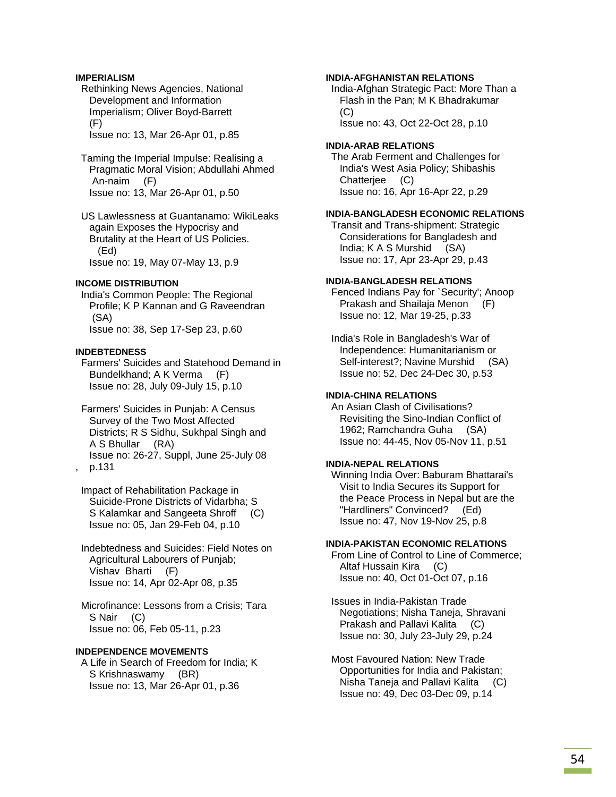### **IMPERIALISM**

 Rethinking News Agencies, National Development and Information Imperialism; Oliver Boyd-Barrett (F) Issue no: 13, Mar 26-Apr 01, p.85

 Taming the Imperial Impulse: Realising a Pragmatic Moral Vision; Abdullahi Ahmed An-naim (F) Issue no: 13, Mar 26-Apr 01, p.50

 US Lawlessness at Guantanamo: WikiLeaks again Exposes the Hypocrisy and Brutality at the Heart of US Policies. (Ed) Issue no: 19, May 07-May 13, p.9

#### **INCOME DISTRIBUTION**

 India's Common People: The Regional Profile; K P Kannan and G Raveendran (SA) Issue no: 38, Sep 17-Sep 23, p.60

### **INDEBTEDNESS**

 Farmers' Suicides and Statehood Demand in Bundelkhand; A K Verma (F) Issue no: 28, July 09-July 15, p.10

 Farmers' Suicides in Punjab: A Census Survey of the Two Most Affected Districts; R S Sidhu, Sukhpal Singh and A S Bhullar (RA) Issue no: 26-27, Suppl, June 25-July 08

, p.131

 Impact of Rehabilitation Package in Suicide-Prone Districts of Vidarbha; S S Kalamkar and Sangeeta Shroff (C) Issue no: 05, Jan 29-Feb 04, p.10

 Indebtedness and Suicides: Field Notes on Agricultural Labourers of Punjab; Vishav Bharti (F) Issue no: 14, Apr 02-Apr 08, p.35

 Microfinance: Lessons from a Crisis; Tara S Nair (C) Issue no: 06, Feb 05-11, p.23

#### **INDEPENDENCE MOVEMENTS**

 A Life in Search of Freedom for India; K S Krishnaswamy (BR) Issue no: 13, Mar 26-Apr 01, p.36

#### **INDIA-AFGHANISTAN RELATIONS**

 India-Afghan Strategic Pact: More Than a Flash in the Pan; M K Bhadrakumar (C) Issue no: 43, Oct 22-Oct 28, p.10

#### **INDIA-ARAB RELATIONS**

 The Arab Ferment and Challenges for India's West Asia Policy; Shibashis Chatterjee (C) Issue no: 16, Apr 16-Apr 22, p.29

### **INDIA-BANGLADESH ECONOMIC RELATIONS**

 Transit and Trans-shipment: Strategic Considerations for Bangladesh and India; K A S Murshid (SA) Issue no: 17, Apr 23-Apr 29, p.43

### **INDIA-BANGLADESH RELATIONS**

 Fenced Indians Pay for `Security'; Anoop Prakash and Shailaja Menon (F) Issue no: 12, Mar 19-25, p.33

 India's Role in Bangladesh's War of Independence: Humanitarianism or Self-interest?; Navine Murshid (SA) Issue no: 52, Dec 24-Dec 30, p.53

#### **INDIA-CHINA RELATIONS**

 An Asian Clash of Civilisations? Revisiting the Sino-Indian Conflict of 1962; Ramchandra Guha (SA) Issue no: 44-45, Nov 05-Nov 11, p.51

#### **INDIA-NEPAL RELATIONS**

 Winning India Over: Baburam Bhattarai's Visit to India Secures its Support for the Peace Process in Nepal but are the "Hardliners" Convinced? (Ed) Issue no: 47, Nov 19-Nov 25, p.8

#### **INDIA-PAKISTAN ECONOMIC RELATIONS**

 From Line of Control to Line of Commerce; Altaf Hussain Kira (C) Issue no: 40, Oct 01-Oct 07, p.16

 Issues in India-Pakistan Trade Negotiations; Nisha Taneja, Shravani Prakash and Pallavi Kalita (C) Issue no: 30, July 23-July 29, p.24

 Most Favoured Nation: New Trade Opportunities for India and Pakistan; Nisha Taneja and Pallavi Kalita (C) Issue no: 49, Dec 03-Dec 09, p.14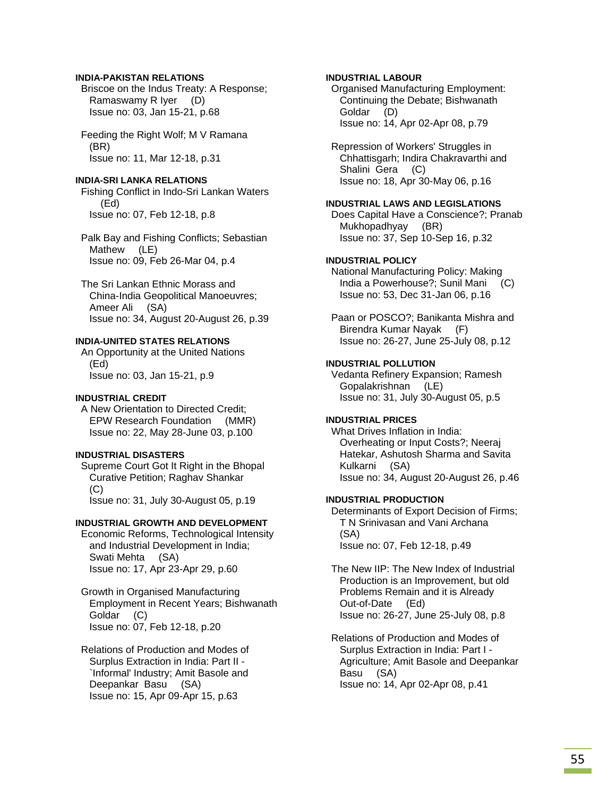#### **INDIA-PAKISTAN RELATIONS**

 Briscoe on the Indus Treaty: A Response; Ramaswamy R Iyer (D) Issue no: 03, Jan 15-21, p.68

 Feeding the Right Wolf; M V Ramana (BR) Issue no: 11, Mar 12-18, p.31

#### **INDIA-SRI LANKA RELATIONS**

 Fishing Conflict in Indo-Sri Lankan Waters (Ed) Issue no: 07, Feb 12-18, p.8

 Palk Bay and Fishing Conflicts; Sebastian Mathew (LE) Issue no: 09, Feb 26-Mar 04, p.4

 The Sri Lankan Ethnic Morass and China-India Geopolitical Manoeuvres; Ameer Ali (SA) Issue no: 34, August 20-August 26, p.39

## **INDIA-UNITED STATES RELATIONS**

 An Opportunity at the United Nations (Ed) Issue no: 03, Jan 15-21, p.9

### **INDUSTRIAL CREDIT**

 A New Orientation to Directed Credit; EPW Research Foundation (MMR) Issue no: 22, May 28-June 03, p.100

## **INDUSTRIAL DISASTERS**

 Supreme Court Got It Right in the Bhopal Curative Petition; Raghav Shankar (C) Issue no: 31, July 30-August 05, p.19

#### **INDUSTRIAL GROWTH AND DEVELOPMENT**

 Economic Reforms, Technological Intensity and Industrial Development in India; Swati Mehta (SA) Issue no: 17, Apr 23-Apr 29, p.60

 Growth in Organised Manufacturing Employment in Recent Years; Bishwanath Goldar (C) Issue no: 07, Feb 12-18, p.20

 Relations of Production and Modes of Surplus Extraction in India: Part II - `Informal' Industry; Amit Basole and Deepankar Basu (SA) Issue no: 15, Apr 09-Apr 15, p.63

### **INDUSTRIAL LABOUR**

 Organised Manufacturing Employment: Continuing the Debate; Bishwanath Goldar (D) Issue no: 14, Apr 02-Apr 08, p.79

 Repression of Workers' Struggles in Chhattisgarh; Indira Chakravarthi and Shalini Gera (C) Issue no: 18, Apr 30-May 06, p.16

## **INDUSTRIAL LAWS AND LEGISLATIONS**

 Does Capital Have a Conscience?; Pranab Mukhopadhyay (BR) Issue no: 37, Sep 10-Sep 16, p.32

### **INDUSTRIAL POLICY**

 National Manufacturing Policy: Making India a Powerhouse?; Sunil Mani (C) Issue no: 53, Dec 31-Jan 06, p.16

 Paan or POSCO?; Banikanta Mishra and Birendra Kumar Nayak (F) Issue no: 26-27, June 25-July 08, p.12

#### **INDUSTRIAL POLLUTION**

 Vedanta Refinery Expansion; Ramesh Gopalakrishnan (LE) Issue no: 31, July 30-August 05, p.5

## **INDUSTRIAL PRICES**

 What Drives Inflation in India: Overheating or Input Costs?; Neeraj Hatekar, Ashutosh Sharma and Savita Kulkarni (SA) Issue no: 34, August 20-August 26, p.46

### **INDUSTRIAL PRODUCTION**

 Determinants of Export Decision of Firms; T N Srinivasan and Vani Archana (SA) Issue no: 07, Feb 12-18, p.49

 The New IIP: The New Index of Industrial Production is an Improvement, but old Problems Remain and it is Already Out-of-Date (Ed) Issue no: 26-27, June 25-July 08, p.8

 Relations of Production and Modes of Surplus Extraction in India: Part I - Agriculture; Amit Basole and Deepankar Basu (SA) Issue no: 14, Apr 02-Apr 08, p.41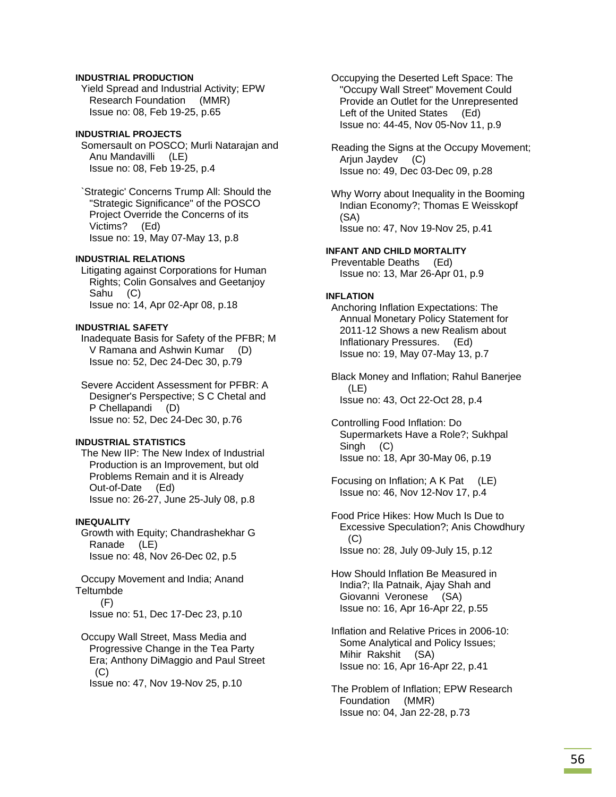### **INDUSTRIAL PRODUCTION**

 Yield Spread and Industrial Activity; EPW Research Foundation (MMR) Issue no: 08, Feb 19-25, p.65

### **INDUSTRIAL PROJECTS**

 Somersault on POSCO; Murli Natarajan and Anu Mandavilli (LE) Issue no: 08, Feb 19-25, p.4

 `Strategic' Concerns Trump All: Should the "Strategic Significance" of the POSCO Project Override the Concerns of its Victims? (Ed) Issue no: 19, May 07-May 13, p.8

### **INDUSTRIAL RELATIONS**

 Litigating against Corporations for Human Rights; Colin Gonsalves and Geetanjoy Sahu (C) Issue no: 14, Apr 02-Apr 08, p.18

### **INDUSTRIAL SAFETY**

 Inadequate Basis for Safety of the PFBR; M V Ramana and Ashwin Kumar (D) Issue no: 52, Dec 24-Dec 30, p.79

 Severe Accident Assessment for PFBR: A Designer's Perspective; S C Chetal and P Chellapandi (D) Issue no: 52, Dec 24-Dec 30, p.76

### **INDUSTRIAL STATISTICS**

 The New IIP: The New Index of Industrial Production is an Improvement, but old Problems Remain and it is Already Out-of-Date (Ed) Issue no: 26-27, June 25-July 08, p.8

#### **INEQUALITY**

 Growth with Equity; Chandrashekhar G Ranade (LE) Issue no: 48, Nov 26-Dec 02, p.5

 Occupy Movement and India; Anand **Teltumbde**  $(F)$ Issue no: 51, Dec 17-Dec 23, p.10

 Occupy Wall Street, Mass Media and Progressive Change in the Tea Party Era; Anthony DiMaggio and Paul Street  $(C)$ Issue no: 47, Nov 19-Nov 25, p.10

 Occupying the Deserted Left Space: The "Occupy Wall Street" Movement Could Provide an Outlet for the Unrepresented Left of the United States (Ed) Issue no: 44-45, Nov 05-Nov 11, p.9

 Reading the Signs at the Occupy Movement; Arjun Jaydev (C) Issue no: 49, Dec 03-Dec 09, p.28

 Why Worry about Inequality in the Booming Indian Economy?; Thomas E Weisskopf (SA) Issue no: 47, Nov 19-Nov 25, p.41

### **INFANT AND CHILD MORTALITY**

 Preventable Deaths (Ed) Issue no: 13, Mar 26-Apr 01, p.9

#### **INFLATION**

 Anchoring Inflation Expectations: The Annual Monetary Policy Statement for 2011-12 Shows a new Realism about Inflationary Pressures. (Ed) Issue no: 19, May 07-May 13, p.7

 Black Money and Inflation; Rahul Banerjee (LE) Issue no: 43, Oct 22-Oct 28, p.4

 Controlling Food Inflation: Do Supermarkets Have a Role?; Sukhpal Singh (C) Issue no: 18, Apr 30-May 06, p.19

- Focusing on Inflation; A K Pat (LE) Issue no: 46, Nov 12-Nov 17, p.4
- Food Price Hikes: How Much Is Due to Excessive Speculation?; Anis Chowdhury (C) Issue no: 28, July 09-July 15, p.12

 How Should Inflation Be Measured in India?; Ila Patnaik, Ajay Shah and Giovanni Veronese (SA) Issue no: 16, Apr 16-Apr 22, p.55

 Inflation and Relative Prices in 2006-10: Some Analytical and Policy Issues; Mihir Rakshit (SA) Issue no: 16, Apr 16-Apr 22, p.41

 The Problem of Inflation; EPW Research Foundation (MMR) Issue no: 04, Jan 22-28, p.73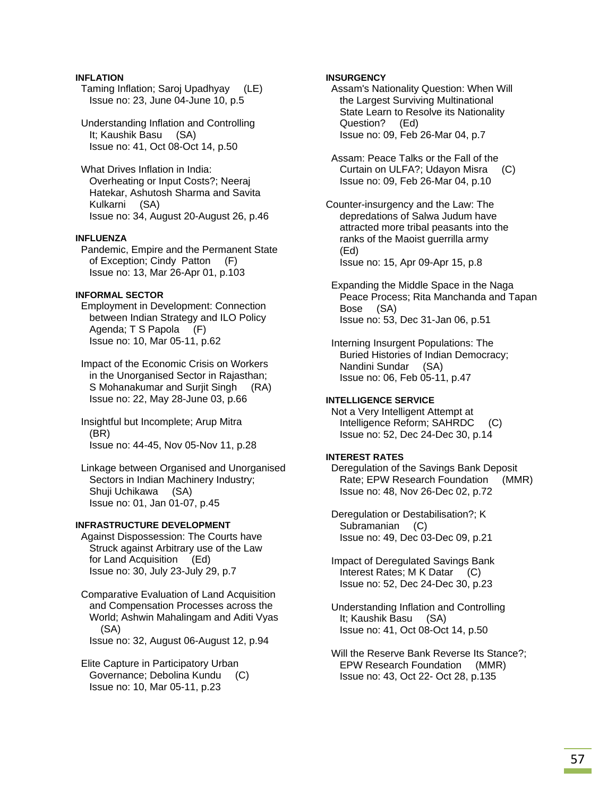### **INFLATION**

 Taming Inflation; Saroj Upadhyay (LE) Issue no: 23, June 04-June 10, p.5

 Understanding Inflation and Controlling It; Kaushik Basu (SA) Issue no: 41, Oct 08-Oct 14, p.50

 What Drives Inflation in India: Overheating or Input Costs?; Neeraj Hatekar, Ashutosh Sharma and Savita Kulkarni (SA) Issue no: 34, August 20-August 26, p.46

#### **INFLUENZA**

 Pandemic, Empire and the Permanent State of Exception; Cindy Patton (F) Issue no: 13, Mar 26-Apr 01, p.103

#### **INFORMAL SECTOR**

 Employment in Development: Connection between Indian Strategy and ILO Policy Agenda; T S Papola (F) Issue no: 10, Mar 05-11, p.62

 Impact of the Economic Crisis on Workers in the Unorganised Sector in Rajasthan; S Mohanakumar and Surjit Singh (RA) Issue no: 22, May 28-June 03, p.66

 Insightful but Incomplete; Arup Mitra (BR) Issue no: 44-45, Nov 05-Nov 11, p.28

 Linkage between Organised and Unorganised Sectors in Indian Machinery Industry; Shuji Uchikawa (SA) Issue no: 01, Jan 01-07, p.45

### **INFRASTRUCTURE DEVELOPMENT**

 Against Dispossession: The Courts have Struck against Arbitrary use of the Law for Land Acquisition (Ed) Issue no: 30, July 23-July 29, p.7

 Comparative Evaluation of Land Acquisition and Compensation Processes across the World; Ashwin Mahalingam and Aditi Vyas (SA)

Issue no: 32, August 06-August 12, p.94

 Elite Capture in Participatory Urban Governance; Debolina Kundu (C) Issue no: 10, Mar 05-11, p.23

### **INSURGENCY**

 Assam's Nationality Question: When Will the Largest Surviving Multinational State Learn to Resolve its Nationality Question? (Ed) Issue no: 09, Feb 26-Mar 04, p.7

 Assam: Peace Talks or the Fall of the Curtain on ULFA?; Udayon Misra (C) Issue no: 09, Feb 26-Mar 04, p.10

Counter-insurgency and the Law: The depredations of Salwa Judum have attracted more tribal peasants into the ranks of the Maoist guerrilla army (Ed) Issue no: 15, Apr 09-Apr 15, p.8

 Expanding the Middle Space in the Naga Peace Process; Rita Manchanda and Tapan Bose (SA) Issue no: 53, Dec 31-Jan 06, p.51

 Interning Insurgent Populations: The Buried Histories of Indian Democracy; Nandini Sundar (SA) Issue no: 06, Feb 05-11, p.47

### **INTELLIGENCE SERVICE**

 Not a Very Intelligent Attempt at Intelligence Reform; SAHRDC (C) Issue no: 52, Dec 24-Dec 30, p.14

#### **INTEREST RATES**

 Deregulation of the Savings Bank Deposit Rate; EPW Research Foundation (MMR) Issue no: 48, Nov 26-Dec 02, p.72

 Deregulation or Destabilisation?; K Subramanian (C) Issue no: 49, Dec 03-Dec 09, p.21

 Impact of Deregulated Savings Bank Interest Rates; M K Datar (C) Issue no: 52, Dec 24-Dec 30, p.23

 Understanding Inflation and Controlling It; Kaushik Basu (SA) Issue no: 41, Oct 08-Oct 14, p.50

Will the Reserve Bank Reverse Its Stance?; EPW Research Foundation (MMR) Issue no: 43, Oct 22- Oct 28, p.135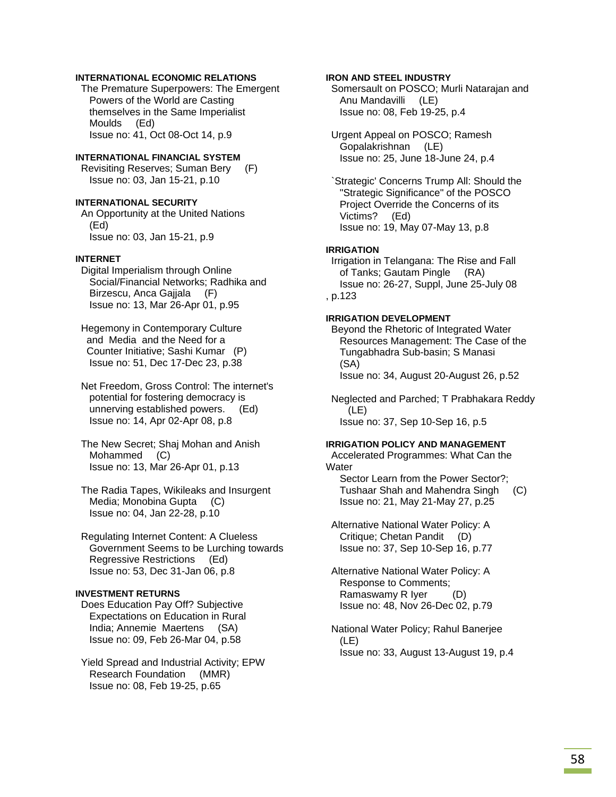### **INTERNATIONAL ECONOMIC RELATIONS**

 The Premature Superpowers: The Emergent Powers of the World are Casting themselves in the Same Imperialist Moulds (Ed) Issue no: 41, Oct 08-Oct 14, p.9

#### **INTERNATIONAL FINANCIAL SYSTEM**

 Revisiting Reserves; Suman Bery (F) Issue no: 03, Jan 15-21, p.10

**INTERNATIONAL SECURITY**  An Opportunity at the United Nations (Ed) Issue no: 03, Jan 15-21, p.9

#### **INTERNET**

 Digital Imperialism through Online Social/Financial Networks; Radhika and Birzescu, Anca Gajjala (F) Issue no: 13, Mar 26-Apr 01, p.95

 Hegemony in Contemporary Culture and Media and the Need for a Counter Initiative; Sashi Kumar (P) Issue no: 51, Dec 17-Dec 23, p.38

 Net Freedom, Gross Control: The internet's potential for fostering democracy is unnerving established powers. (Ed) Issue no: 14, Apr 02-Apr 08, p.8

 The New Secret; Shaj Mohan and Anish Mohammed (C) Issue no: 13, Mar 26-Apr 01, p.13

 The Radia Tapes, Wikileaks and Insurgent Media; Monobina Gupta (C) Issue no: 04, Jan 22-28, p.10

 Regulating Internet Content: A Clueless Government Seems to be Lurching towards Regressive Restrictions (Ed) Issue no: 53, Dec 31-Jan 06, p.8

## **INVESTMENT RETURNS**

 Does Education Pay Off? Subjective Expectations on Education in Rural India; Annemie Maertens (SA) Issue no: 09, Feb 26-Mar 04, p.58

 Yield Spread and Industrial Activity; EPW Research Foundation (MMR) Issue no: 08, Feb 19-25, p.65

**IRON AND STEEL INDUSTRY** 

 Somersault on POSCO; Murli Natarajan and Anu Mandavilli (LE) Issue no: 08, Feb 19-25, p.4

 Urgent Appeal on POSCO; Ramesh Gopalakrishnan (LE) Issue no: 25, June 18-June 24, p.4

 `Strategic' Concerns Trump All: Should the "Strategic Significance" of the POSCO Project Override the Concerns of its Victims? (Ed) Issue no: 19, May 07-May 13, p.8

#### **IRRIGATION**

 Irrigation in Telangana: The Rise and Fall of Tanks; Gautam Pingle (RA) Issue no: 26-27, Suppl, June 25-July 08 , p.123

### **IRRIGATION DEVELOPMENT**

 Beyond the Rhetoric of Integrated Water Resources Management: The Case of the Tungabhadra Sub-basin; S Manasi (SA) Issue no: 34, August 20-August 26, p.52

 Neglected and Parched; T Prabhakara Reddy (LE) Issue no: 37, Sep 10-Sep 16, p.5

#### **IRRIGATION POLICY AND MANAGEMENT**

 Accelerated Programmes: What Can the **Water** 

 Sector Learn from the Power Sector?; Tushaar Shah and Mahendra Singh (C) Issue no: 21, May 21-May 27, p.25

 Alternative National Water Policy: A Critique; Chetan Pandit (D) Issue no: 37, Sep 10-Sep 16, p.77

 Alternative National Water Policy: A Response to Comments; Ramaswamy R Iyer (D) Issue no: 48, Nov 26-Dec 02, p.79

 National Water Policy; Rahul Banerjee (LE) Issue no: 33, August 13-August 19, p.4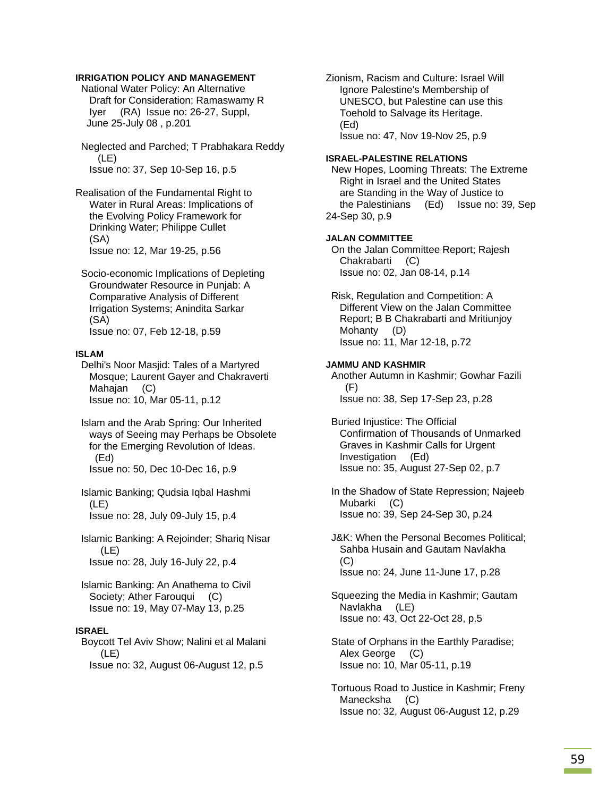# **IRRIGATION POLICY AND MANAGEMENT**

 National Water Policy: An Alternative Draft for Consideration; Ramaswamy R Iyer (RA) Issue no: 26-27, Suppl, June 25-July 08 , p.201

 Neglected and Parched; T Prabhakara Reddy (LE) Issue no: 37, Sep 10-Sep 16, p.5

Realisation of the Fundamental Right to Water in Rural Areas: Implications of the Evolving Policy Framework for Drinking Water; Philippe Cullet (SA) Issue no: 12, Mar 19-25, p.56

 Socio-economic Implications of Depleting Groundwater Resource in Punjab: A Comparative Analysis of Different Irrigation Systems; Anindita Sarkar (SA) Issue no: 07, Feb 12-18, p.59

### **ISLAM**

 Delhi's Noor Masjid: Tales of a Martyred Mosque; Laurent Gayer and Chakraverti Mahajan (C) Issue no: 10, Mar 05-11, p.12

 Islam and the Arab Spring: Our Inherited ways of Seeing may Perhaps be Obsolete for the Emerging Revolution of Ideas. (Ed) Issue no: 50, Dec 10-Dec 16, p.9

 Islamic Banking; Qudsia Iqbal Hashmi (LE) Issue no: 28, July 09-July 15, p.4

 Islamic Banking: A Rejoinder; Shariq Nisar (LE) Issue no: 28, July 16-July 22, p.4

 Islamic Banking: An Anathema to Civil Society; Ather Farouqui (C) Issue no: 19, May 07-May 13, p.25

## **ISRAEL**

 Boycott Tel Aviv Show; Nalini et al Malani (LE) Issue no: 32, August 06-August 12, p.5

Zionism, Racism and Culture: Israel Will Ignore Palestine's Membership of UNESCO, but Palestine can use this Toehold to Salvage its Heritage. (Ed) Issue no: 47, Nov 19-Nov 25, p.9

#### **ISRAEL-PALESTINE RELATIONS**

 New Hopes, Looming Threats: The Extreme Right in Israel and the United States are Standing in the Way of Justice to the Palestinians (Ed) Issue no: 39, Sep 24-Sep 30, p.9

### **JALAN COMMITTEE**

 On the Jalan Committee Report; Rajesh Chakrabarti (C) Issue no: 02, Jan 08-14, p.14

 Risk, Regulation and Competition: A Different View on the Jalan Committee Report; B B Chakrabarti and Mritiunjoy Mohanty (D) Issue no: 11, Mar 12-18, p.72

#### **JAMMU AND KASHMIR**

 Another Autumn in Kashmir; Gowhar Fazili (F) Issue no: 38, Sep 17-Sep 23, p.28

 Buried Injustice: The Official Confirmation of Thousands of Unmarked Graves in Kashmir Calls for Urgent Investigation (Ed) Issue no: 35, August 27-Sep 02, p.7

 In the Shadow of State Repression; Najeeb Mubarki (C) Issue no: 39, Sep 24-Sep 30, p.24

 J&K: When the Personal Becomes Political; Sahba Husain and Gautam Navlakha  $(C)$ Issue no: 24, June 11-June 17, p.28

 Squeezing the Media in Kashmir; Gautam Navlakha (LE) Issue no: 43, Oct 22-Oct 28, p.5

 State of Orphans in the Earthly Paradise; Alex George (C) Issue no: 10, Mar 05-11, p.19

 Tortuous Road to Justice in Kashmir; Freny Manecksha (C) Issue no: 32, August 06-August 12, p.29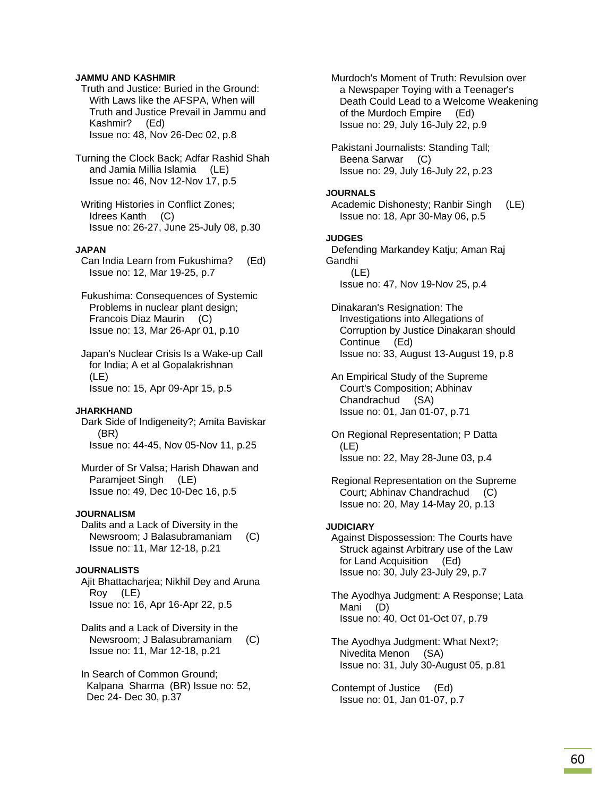#### **JAMMU AND KASHMIR**

 Truth and Justice: Buried in the Ground: With Laws like the AFSPA. When will Truth and Justice Prevail in Jammu and Kashmir? (Ed) Issue no: 48, Nov 26-Dec 02, p.8

Turning the Clock Back; Adfar Rashid Shah and Jamia Millia Islamia (LE) Issue no: 46, Nov 12-Nov 17, p.5

 Writing Histories in Conflict Zones; Idrees Kanth (C) Issue no: 26-27, June 25-July 08, p.30

### **JAPAN**

 Can India Learn from Fukushima? (Ed) Issue no: 12, Mar 19-25, p.7

 Fukushima: Consequences of Systemic Problems in nuclear plant design; Francois Diaz Maurin (C) Issue no: 13, Mar 26-Apr 01, p.10

 Japan's Nuclear Crisis Is a Wake-up Call for India; A et al Gopalakrishnan (LE) Issue no: 15, Apr 09-Apr 15, p.5

#### **JHARKHAND**

 Dark Side of Indigeneity?; Amita Baviskar (BR) Issue no: 44-45, Nov 05-Nov 11, p.25

 Murder of Sr Valsa; Harish Dhawan and Paramjeet Singh (LE) Issue no: 49, Dec 10-Dec 16, p.5

## **JOURNALISM**

 Dalits and a Lack of Diversity in the Newsroom; J Balasubramaniam (C) Issue no: 11, Mar 12-18, p.21

#### **JOURNALISTS**

 Ajit Bhattacharjea; Nikhil Dey and Aruna Roy (LE) Issue no: 16, Apr 16-Apr 22, p.5

 Dalits and a Lack of Diversity in the Newsroom; J Balasubramaniam (C) Issue no: 11, Mar 12-18, p.21

 In Search of Common Ground; Kalpana Sharma (BR) Issue no: 52, Dec 24- Dec 30, p.37

 Murdoch's Moment of Truth: Revulsion over a Newspaper Toying with a Teenager's Death Could Lead to a Welcome Weakening of the Murdoch Empire (Ed) Issue no: 29, July 16-July 22, p.9 Pakistani Journalists: Standing Tall; Beena Sarwar (C) Issue no: 29, July 16-July 22, p.23 **JOURNALS**  Academic Dishonesty; Ranbir Singh (LE) Issue no: 18, Apr 30-May 06, p.5 **JUDGES**  Defending Markandey Katju; Aman Raj Gandhi (LE) Issue no: 47, Nov 19-Nov 25, p.4 Dinakaran's Resignation: The Investigations into Allegations of Corruption by Justice Dinakaran should Continue (Ed) Issue no: 33, August 13-August 19, p.8 An Empirical Study of the Supreme Court's Composition; Abhinav Chandrachud (SA) Issue no: 01, Jan 01-07, p.71 On Regional Representation; P Datta (LE) Issue no: 22, May 28-June 03, p.4 Regional Representation on the Supreme Court; Abhinav Chandrachud (C) Issue no: 20, May 14-May 20, p.13 **JUDICIARY**  Against Dispossession: The Courts have Struck against Arbitrary use of the Law for Land Acquisition (Ed) Issue no: 30, July 23-July 29, p.7 The Ayodhya Judgment: A Response; Lata Mani (D) Issue no: 40, Oct 01-Oct 07, p.79 The Ayodhya Judgment: What Next?; Nivedita Menon (SA) Issue no: 31, July 30-August 05, p.81 Contempt of Justice (Ed) Issue no: 01, Jan 01-07, p.7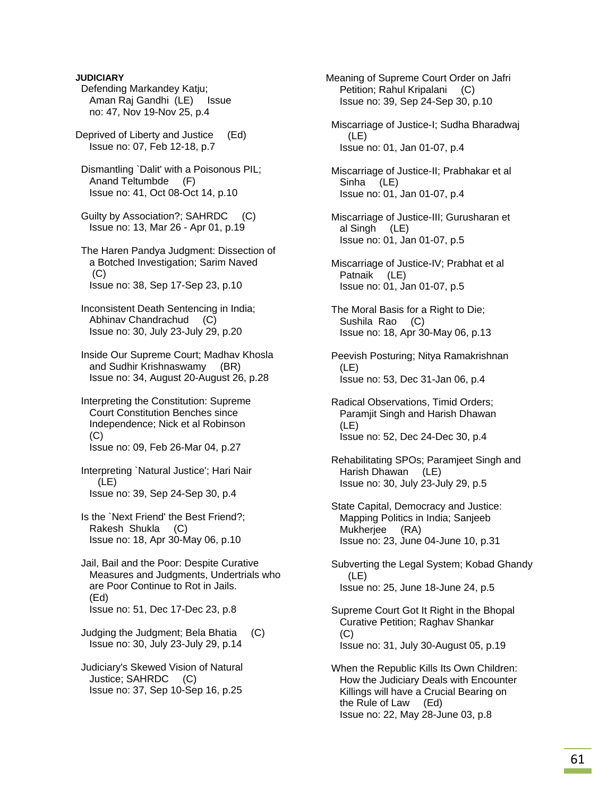**JUDICIARY** 

- Defending Markandey Katju; Aman Raj Gandhi (LE) Issue no: 47, Nov 19-Nov 25, p.4
- Deprived of Liberty and Justice (Ed) Issue no: 07, Feb 12-18, p.7
- Dismantling `Dalit' with a Poisonous PIL; Anand Teltumbde (F) Issue no: 41, Oct 08-Oct 14, p.10
- Guilty by Association?; SAHRDC (C) Issue no: 13, Mar 26 - Apr 01, p.19
- The Haren Pandya Judgment: Dissection of a Botched Investigation; Sarim Naved  $(C)$ Issue no: 38, Sep 17-Sep 23, p.10
- Inconsistent Death Sentencing in India; Abhinav Chandrachud (C) Issue no: 30, July 23-July 29, p.20
- Inside Our Supreme Court; Madhav Khosla and Sudhir Krishnaswamy (BR) Issue no: 34, August 20-August 26, p.28
- Interpreting the Constitution: Supreme Court Constitution Benches since Independence; Nick et al Robinson  $(C)$ Issue no: 09, Feb 26-Mar 04, p.27
- Interpreting `Natural Justice'; Hari Nair (LE) Issue no: 39, Sep 24-Sep 30, p.4
- Is the `Next Friend' the Best Friend?; Rakesh Shukla (C) Issue no: 18, Apr 30-May 06, p.10
- Jail, Bail and the Poor: Despite Curative Measures and Judgments, Undertrials who are Poor Continue to Rot in Jails. (Ed) Issue no: 51, Dec 17-Dec 23, p.8
- Judging the Judgment; Bela Bhatia (C) Issue no: 30, July 23-July 29, p.14
- Judiciary's Skewed Vision of Natural Justice; SAHRDC (C) Issue no: 37, Sep 10-Sep 16, p.25

Meaning of Supreme Court Order on Jafri Petition; Rahul Kripalani (C) Issue no: 39, Sep 24-Sep 30, p.10

- Miscarriage of Justice-I; Sudha Bharadwaj (LE) Issue no: 01, Jan 01-07, p.4
- Miscarriage of Justice-II; Prabhakar et al Sinha (LE) Issue no: 01, Jan 01-07, p.4
- Miscarriage of Justice-III; Gurusharan et al Singh (LE) Issue no: 01, Jan 01-07, p.5
- Miscarriage of Justice-IV; Prabhat et al Patnaik (LE) Issue no: 01, Jan 01-07, p.5
- The Moral Basis for a Right to Die; Sushila Rao (C) Issue no: 18, Apr 30-May 06, p.13
- Peevish Posturing; Nitya Ramakrishnan (LE) Issue no: 53, Dec 31-Jan 06, p.4
- Radical Observations, Timid Orders; Paramjit Singh and Harish Dhawan (LE) Issue no: 52, Dec 24-Dec 30, p.4
- Rehabilitating SPOs; Paramjeet Singh and Harish Dhawan (LE) Issue no: 30, July 23-July 29, p.5
- State Capital, Democracy and Justice: Mapping Politics in India; Sanjeeb Mukherjee (RA) Issue no: 23, June 04-June 10, p.31
- Subverting the Legal System; Kobad Ghandy (LE) Issue no: 25, June 18-June 24, p.5
- Supreme Court Got It Right in the Bhopal Curative Petition; Raghav Shankar (C) Issue no: 31, July 30-August 05, p.19
- When the Republic Kills Its Own Children: How the Judiciary Deals with Encounter Killings will have a Crucial Bearing on the Rule of Law (Ed) Issue no: 22, May 28-June 03, p.8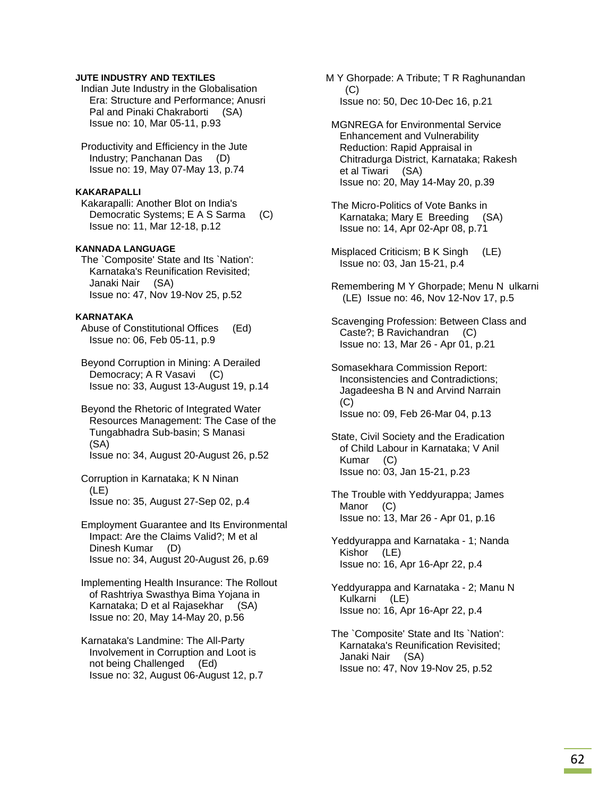### **JUTE INDUSTRY AND TEXTILES**

 Indian Jute Industry in the Globalisation Era: Structure and Performance; Anusri Pal and Pinaki Chakraborti (SA) Issue no: 10, Mar 05-11, p.93

 Productivity and Efficiency in the Jute Industry; Panchanan Das (D) Issue no: 19, May 07-May 13, p.74

#### **KAKARAPALLI**

 Kakarapalli: Another Blot on India's Democratic Systems; E A S Sarma (C) Issue no: 11, Mar 12-18, p.12

## **KANNADA LANGUAGE**

 The `Composite' State and Its `Nation': Karnataka's Reunification Revisited; Janaki Nair (SA) Issue no: 47, Nov 19-Nov 25, p.52

#### **KARNATAKA**

 Abuse of Constitutional Offices (Ed) Issue no: 06, Feb 05-11, p.9

 Beyond Corruption in Mining: A Derailed Democracy; A R Vasavi (C) Issue no: 33, August 13-August 19, p.14

 Beyond the Rhetoric of Integrated Water Resources Management: The Case of the Tungabhadra Sub-basin; S Manasi (SA) Issue no: 34, August 20-August 26, p.52

 Corruption in Karnataka; K N Ninan (LE) Issue no: 35, August 27-Sep 02, p.4

 Employment Guarantee and Its Environmental Impact: Are the Claims Valid?; M et al Dinesh Kumar (D) Issue no: 34, August 20-August 26, p.69

 Implementing Health Insurance: The Rollout of Rashtriya Swasthya Bima Yojana in Karnataka; D et al Rajasekhar (SA) Issue no: 20, May 14-May 20, p.56

 Karnataka's Landmine: The All-Party Involvement in Corruption and Loot is not being Challenged (Ed) Issue no: 32, August 06-August 12, p.7 M Y Ghorpade: A Tribute; T R Raghunandan (C) Issue no: 50, Dec 10-Dec 16, p.21

 MGNREGA for Environmental Service Enhancement and Vulnerability Reduction: Rapid Appraisal in Chitradurga District, Karnataka; Rakesh et al Tiwari (SA) Issue no: 20, May 14-May 20, p.39

- The Micro-Politics of Vote Banks in Karnataka; Mary E Breeding (SA) Issue no: 14, Apr 02-Apr 08, p.71
- Misplaced Criticism; B K Singh (LE) Issue no: 03, Jan 15-21, p.4
- Remembering M Y Ghorpade; Menu N ulkarni (LE) Issue no: 46, Nov 12-Nov 17, p.5

 Scavenging Profession: Between Class and Caste?; B Ravichandran (C) Issue no: 13, Mar 26 - Apr 01, p.21

 Somasekhara Commission Report: Inconsistencies and Contradictions; Jagadeesha B N and Arvind Narrain (C) Issue no: 09, Feb 26-Mar 04, p.13

 State, Civil Society and the Eradication of Child Labour in Karnataka; V Anil Kumar (C) Issue no: 03, Jan 15-21, p.23

 The Trouble with Yeddyurappa; James Manor (C) Issue no: 13, Mar 26 - Apr 01, p.16

Yeddyurappa and Karnataka - 1; Nanda Kishor (LE) Issue no: 16, Apr 16-Apr 22, p.4

 Yeddyurappa and Karnataka - 2; Manu N Kulkarni (LE) Issue no: 16, Apr 16-Apr 22, p.4

 The `Composite' State and Its `Nation': Karnataka's Reunification Revisited; Janaki Nair (SA) Issue no: 47, Nov 19-Nov 25, p.52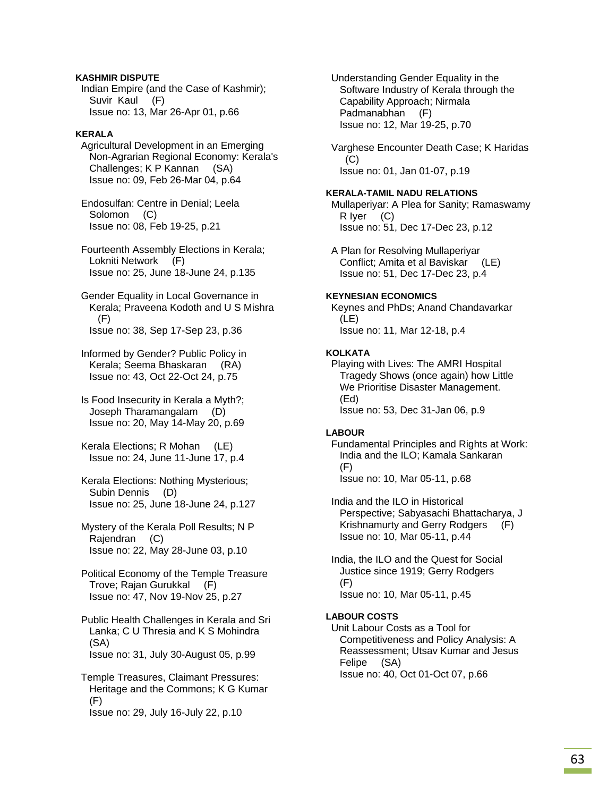### **KASHMIR DISPUTE**

 Indian Empire (and the Case of Kashmir); Suvir Kaul (F) Issue no: 13, Mar 26-Apr 01, p.66

## **KERALA**

- Agricultural Development in an Emerging Non-Agrarian Regional Economy: Kerala's Challenges; K P Kannan (SA) Issue no: 09, Feb 26-Mar 04, p.64
- Endosulfan: Centre in Denial; Leela Solomon (C) Issue no: 08, Feb 19-25, p.21
- Fourteenth Assembly Elections in Kerala; Lokniti Network (F) Issue no: 25, June 18-June 24, p.135

 Gender Equality in Local Governance in Kerala; Praveena Kodoth and U S Mishra (F) Issue no: 38, Sep 17-Sep 23, p.36

- Informed by Gender? Public Policy in Kerala; Seema Bhaskaran (RA) Issue no: 43, Oct 22-Oct 24, p.75
- Is Food Insecurity in Kerala a Myth?; Joseph Tharamangalam (D) Issue no: 20, May 14-May 20, p.69
- Kerala Elections; R Mohan (LE) Issue no: 24, June 11-June 17, p.4
- Kerala Elections: Nothing Mysterious; Subin Dennis (D) Issue no: 25, June 18-June 24, p.127
- Mystery of the Kerala Poll Results; N P Rajendran (C) Issue no: 22, May 28-June 03, p.10
- Political Economy of the Temple Treasure Trove; Rajan Gurukkal (F) Issue no: 47, Nov 19-Nov 25, p.27
- Public Health Challenges in Kerala and Sri Lanka; C U Thresia and K S Mohindra (SA) Issue no: 31, July 30-August 05, p.99
- Temple Treasures, Claimant Pressures: Heritage and the Commons; K G Kumar (F) Issue no: 29, July 16-July 22, p.10

 Understanding Gender Equality in the Software Industry of Kerala through the Capability Approach; Nirmala Padmanabhan (F) Issue no: 12, Mar 19-25, p.70

 Varghese Encounter Death Case; K Haridas  $(C)$ Issue no: 01, Jan 01-07, p.19

# **KERALA-TAMIL NADU RELATIONS**

 Mullaperiyar: A Plea for Sanity; Ramaswamy R Iyer (C) Issue no: 51, Dec 17-Dec 23, p.12

 A Plan for Resolving Mullaperiyar Conflict; Amita et al Baviskar (LE) Issue no: 51, Dec 17-Dec 23, p.4

### **KEYNESIAN ECONOMICS**

 Keynes and PhDs; Anand Chandavarkar (LE) Issue no: 11, Mar 12-18, p.4

### **KOLKATA**

 Playing with Lives: The AMRI Hospital Tragedy Shows (once again) how Little We Prioritise Disaster Management. (Ed) Issue no: 53, Dec 31-Jan 06, p.9

#### **LABOUR**

 Fundamental Principles and Rights at Work: India and the ILO; Kamala Sankaran (F) Issue no: 10, Mar 05-11, p.68

 India and the ILO in Historical Perspective; Sabyasachi Bhattacharya, J Krishnamurty and Gerry Rodgers (F) Issue no: 10, Mar 05-11, p.44

 India, the ILO and the Quest for Social Justice since 1919; Gerry Rodgers (F) Issue no: 10, Mar 05-11, p.45

## **LABOUR COSTS**

 Unit Labour Costs as a Tool for Competitiveness and Policy Analysis: A Reassessment; Utsav Kumar and Jesus Felipe (SA) Issue no: 40, Oct 01-Oct 07, p.66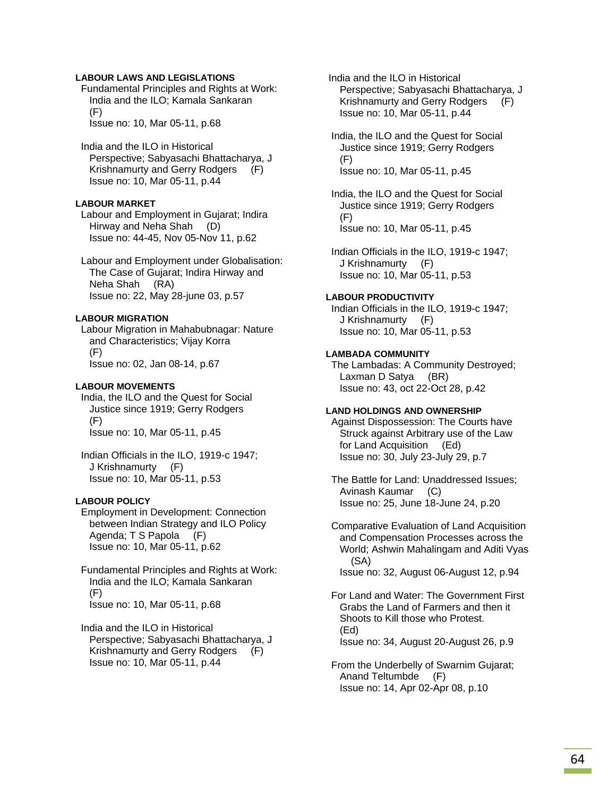#### **LABOUR LAWS AND LEGISLATIONS**

 Fundamental Principles and Rights at Work: India and the ILO; Kamala Sankaran (F) Issue no: 10, Mar 05-11, p.68

 India and the ILO in Historical Perspective; Sabyasachi Bhattacharya, J Krishnamurty and Gerry Rodgers (F) Issue no: 10, Mar 05-11, p.44

## **LABOUR MARKET**

 Labour and Employment in Gujarat; Indira Hirway and Neha Shah (D) Issue no: 44-45, Nov 05-Nov 11, p.62

 Labour and Employment under Globalisation: The Case of Gujarat; Indira Hirway and Neha Shah (RA) Issue no: 22, May 28-june 03, p.57

#### **LABOUR MIGRATION**

 Labour Migration in Mahabubnagar: Nature and Characteristics; Vijay Korra (F) Issue no: 02, Jan 08-14, p.67

#### **LABOUR MOVEMENTS**

 India, the ILO and the Quest for Social Justice since 1919; Gerry Rodgers (F) Issue no: 10, Mar 05-11, p.45

 Indian Officials in the ILO, 1919-c 1947; J Krishnamurty (F) Issue no: 10, Mar 05-11, p.53

### **LABOUR POLICY**

 Employment in Development: Connection between Indian Strategy and ILO Policy Agenda; T S Papola (F) Issue no: 10, Mar 05-11, p.62

 Fundamental Principles and Rights at Work: India and the ILO; Kamala Sankaran (F) Issue no: 10, Mar 05-11, p.68

 India and the ILO in Historical Perspective; Sabyasachi Bhattacharya, J Krishnamurty and Gerry Rodgers (F) Issue no: 10, Mar 05-11, p.44

 India and the ILO in Historical Perspective; Sabyasachi Bhattacharya, J Krishnamurty and Gerry Rodgers (F) Issue no: 10, Mar 05-11, p.44

 India, the ILO and the Quest for Social Justice since 1919; Gerry Rodgers (F) Issue no: 10, Mar 05-11, p.45

 India, the ILO and the Quest for Social Justice since 1919; Gerry Rodgers  $(F)$ Issue no: 10, Mar 05-11, p.45

 Indian Officials in the ILO, 1919-c 1947; J Krishnamurty (F) Issue no: 10, Mar 05-11, p.53

#### **LABOUR PRODUCTIVITY**

 Indian Officials in the ILO, 1919-c 1947; J Krishnamurty (F) Issue no: 10, Mar 05-11, p.53

## **LAMBADA COMMUNITY**

 The Lambadas: A Community Destroyed; Laxman D Satya (BR) Issue no: 43, oct 22-Oct 28, p.42

### **LAND HOLDINGS AND OWNERSHIP**

 Against Dispossession: The Courts have Struck against Arbitrary use of the Law for Land Acquisition (Ed) Issue no: 30, July 23-July 29, p.7

 The Battle for Land: Unaddressed Issues; Avinash Kaumar (C) Issue no: 25, June 18-June 24, p.20

 Comparative Evaluation of Land Acquisition and Compensation Processes across the World; Ashwin Mahalingam and Aditi Vyas (SA)

Issue no: 32, August 06-August 12, p.94

 For Land and Water: The Government First Grabs the Land of Farmers and then it Shoots to Kill those who Protest. (Ed) Issue no: 34, August 20-August 26, p.9

 From the Underbelly of Swarnim Gujarat; Anand Teltumbde (F) Issue no: 14, Apr 02-Apr 08, p.10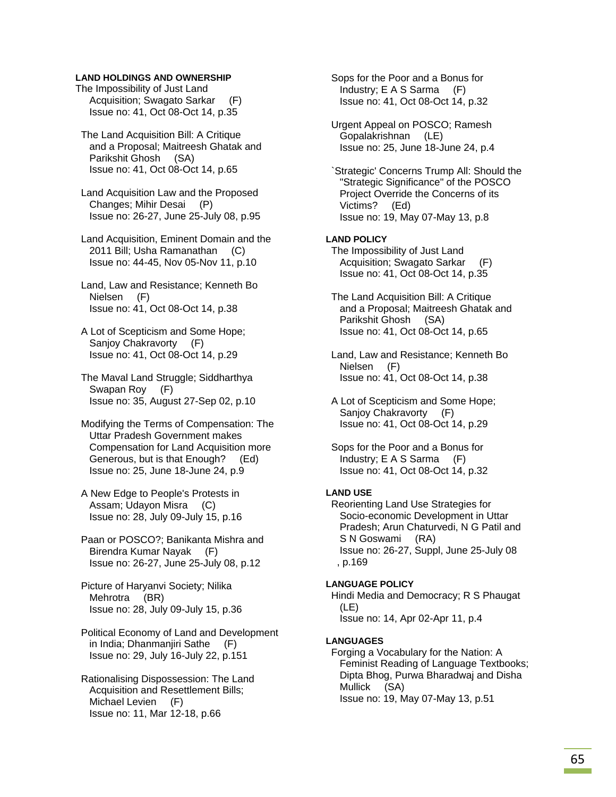### **LAND HOLDINGS AND OWNERSHIP**

The Impossibility of Just Land Acquisition; Swagato Sarkar (F) Issue no: 41, Oct 08-Oct 14, p.35

 The Land Acquisition Bill: A Critique and a Proposal; Maitreesh Ghatak and Parikshit Ghosh (SA) Issue no: 41, Oct 08-Oct 14, p.65

 Land Acquisition Law and the Proposed Changes; Mihir Desai (P) Issue no: 26-27, June 25-July 08, p.95

 Land Acquisition, Eminent Domain and the 2011 Bill; Usha Ramanathan (C) Issue no: 44-45, Nov 05-Nov 11, p.10

- Land, Law and Resistance; Kenneth Bo Nielsen (F) Issue no: 41, Oct 08-Oct 14, p.38
- A Lot of Scepticism and Some Hope; Sanjoy Chakravorty (F) Issue no: 41, Oct 08-Oct 14, p.29
- The Maval Land Struggle; Siddharthya Swapan Roy (F) Issue no: 35, August 27-Sep 02, p.10

 Modifying the Terms of Compensation: The Uttar Pradesh Government makes Compensation for Land Acquisition more Generous, but is that Enough? (Ed) Issue no: 25, June 18-June 24, p.9

 A New Edge to People's Protests in Assam; Udayon Misra (C) Issue no: 28, July 09-July 15, p.16

 Paan or POSCO?; Banikanta Mishra and Birendra Kumar Nayak (F) Issue no: 26-27, June 25-July 08, p.12

 Picture of Haryanvi Society; Nilika Mehrotra (BR) Issue no: 28, July 09-July 15, p.36

 Political Economy of Land and Development in India; Dhanmanjiri Sathe (F) Issue no: 29, July 16-July 22, p.151

 Rationalising Dispossession: The Land Acquisition and Resettlement Bills; Michael Levien (F) Issue no: 11, Mar 12-18, p.66

 Sops for the Poor and a Bonus for Industry; E A S Sarma (F) Issue no: 41, Oct 08-Oct 14, p.32

 Urgent Appeal on POSCO; Ramesh Gopalakrishnan (LE) Issue no: 25, June 18-June 24, p.4

 `Strategic' Concerns Trump All: Should the "Strategic Significance" of the POSCO Project Override the Concerns of its Victims? (Ed) Issue no: 19, May 07-May 13, p.8

## **LAND POLICY**

 The Impossibility of Just Land Acquisition; Swagato Sarkar (F) Issue no: 41, Oct 08-Oct 14, p.35

 The Land Acquisition Bill: A Critique and a Proposal; Maitreesh Ghatak and Parikshit Ghosh (SA) Issue no: 41, Oct 08-Oct 14, p.65

 Land, Law and Resistance; Kenneth Bo Nielsen (F) Issue no: 41, Oct 08-Oct 14, p.38

 A Lot of Scepticism and Some Hope; Sanjoy Chakravorty (F) Issue no: 41, Oct 08-Oct 14, p.29

 Sops for the Poor and a Bonus for Industry; E A S Sarma (F) Issue no: 41, Oct 08-Oct 14, p.32

### **LAND USE**

 Reorienting Land Use Strategies for Socio-economic Development in Uttar Pradesh; Arun Chaturvedi, N G Patil and S N Goswami (RA) Issue no: 26-27, Suppl, June 25-July 08 , p.169

#### **LANGUAGE POLICY**

 Hindi Media and Democracy; R S Phaugat (LE) Issue no: 14, Apr 02-Apr 11, p.4

#### **LANGUAGES**

 Forging a Vocabulary for the Nation: A Feminist Reading of Language Textbooks; Dipta Bhog, Purwa Bharadwaj and Disha Mullick (SA) Issue no: 19, May 07-May 13, p.51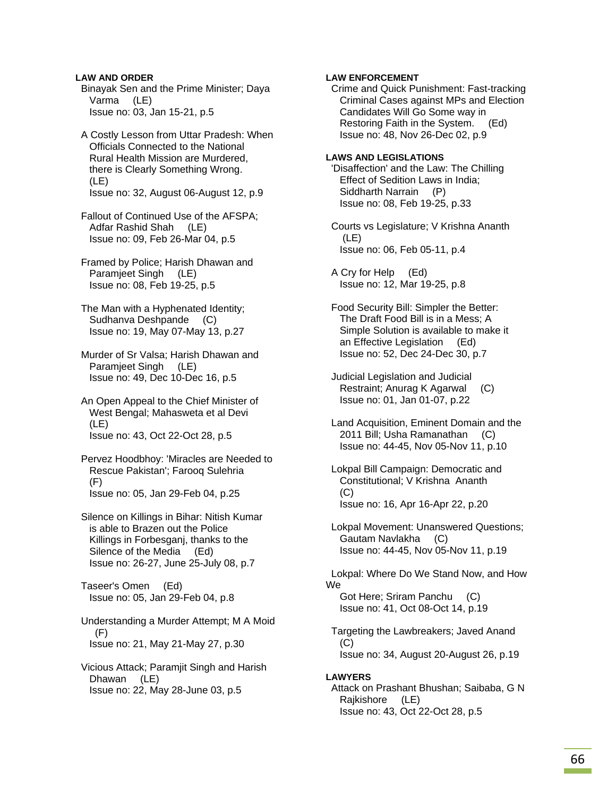**LAW AND ORDER**  Binayak Sen and the Prime Minister; Daya Varma (LE) Issue no: 03, Jan 15-21, p.5

- A Costly Lesson from Uttar Pradesh: When Officials Connected to the National Rural Health Mission are Murdered, there is Clearly Something Wrong. (LE) Issue no: 32, August 06-August 12, p.9
- Fallout of Continued Use of the AFSPA; Adfar Rashid Shah (LE) Issue no: 09, Feb 26-Mar 04, p.5
- Framed by Police; Harish Dhawan and Paramjeet Singh (LE) Issue no: 08, Feb 19-25, p.5
- The Man with a Hyphenated Identity; Sudhanva Deshpande (C) Issue no: 19, May 07-May 13, p.27
- Murder of Sr Valsa; Harish Dhawan and Paramjeet Singh (LE) Issue no: 49, Dec 10-Dec 16, p.5
- An Open Appeal to the Chief Minister of West Bengal; Mahasweta et al Devi (LE) Issue no: 43, Oct 22-Oct 28, p.5
- Pervez Hoodbhoy: 'Miracles are Needed to Rescue Pakistan'; Farooq Sulehria (F) Issue no: 05, Jan 29-Feb 04, p.25
- Silence on Killings in Bihar: Nitish Kumar is able to Brazen out the Police Killings in Forbesganj, thanks to the Silence of the Media (Ed) Issue no: 26-27, June 25-July 08, p.7

 Taseer's Omen (Ed) Issue no: 05, Jan 29-Feb 04, p.8

- Understanding a Murder Attempt; M A Moid (F) Issue no: 21, May 21-May 27, p.30
- Vicious Attack; Paramjit Singh and Harish Dhawan (LE) Issue no: 22, May 28-June 03, p.5

## **LAW ENFORCEMENT**

 Crime and Quick Punishment: Fast-tracking Criminal Cases against MPs and Election Candidates Will Go Some way in Restoring Faith in the System. (Ed) Issue no: 48, Nov 26-Dec 02, p.9

### **LAWS AND LEGISLATIONS**

- 'Disaffection' and the Law: The Chilling Effect of Sedition Laws in India; Siddharth Narrain (P) Issue no: 08, Feb 19-25, p.33
- Courts vs Legislature; V Krishna Ananth (LE) Issue no: 06, Feb 05-11, p.4
- A Cry for Help (Ed) Issue no: 12, Mar 19-25, p.8
- Food Security Bill: Simpler the Better: The Draft Food Bill is in a Mess; A Simple Solution is available to make it an Effective Legislation (Ed) Issue no: 52, Dec 24-Dec 30, p.7
- Judicial Legislation and Judicial Restraint; Anurag K Agarwal (C) Issue no: 01, Jan 01-07, p.22
- Land Acquisition, Eminent Domain and the 2011 Bill; Usha Ramanathan (C) Issue no: 44-45, Nov 05-Nov 11, p.10
- Lokpal Bill Campaign: Democratic and Constitutional; V Krishna Ananth (C) Issue no: 16, Apr 16-Apr 22, p.20
- Lokpal Movement: Unanswered Questions; Gautam Navlakha (C) Issue no: 44-45, Nov 05-Nov 11, p.19

 Lokpal: Where Do We Stand Now, and How We Got Here; Sriram Panchu (C)

Issue no: 41, Oct 08-Oct 14, p.19

 Targeting the Lawbreakers; Javed Anand (C) Issue no: 34, August 20-August 26, p.19

## **LAWYERS**

 Attack on Prashant Bhushan; Saibaba, G N Rajkishore (LE) Issue no: 43, Oct 22-Oct 28, p.5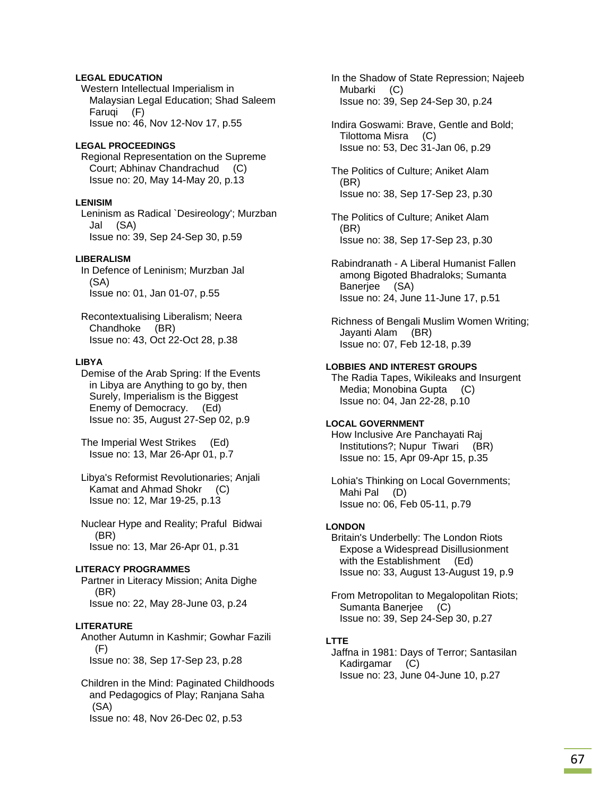### **LEGAL EDUCATION**

 Western Intellectual Imperialism in Malaysian Legal Education; Shad Saleem Faruqi (F) Issue no: 46, Nov 12-Nov 17, p.55

#### **LEGAL PROCEEDINGS**

 Regional Representation on the Supreme Court; Abhinav Chandrachud (C) Issue no: 20, May 14-May 20, p.13

## **LENISIM**

 Leninism as Radical `Desireology'; Murzban Jal (SA) Issue no: 39, Sep 24-Sep 30, p.59

#### **LIBERALISM**

 In Defence of Leninism; Murzban Jal (SA) Issue no: 01, Jan 01-07, p.55

 Recontextualising Liberalism; Neera Chandhoke (BR) Issue no: 43, Oct 22-Oct 28, p.38

#### **LIBYA**

 Demise of the Arab Spring: If the Events in Libya are Anything to go by, then Surely, Imperialism is the Biggest Enemy of Democracy. (Ed) Issue no: 35, August 27-Sep 02, p.9

 The Imperial West Strikes (Ed) Issue no: 13, Mar 26-Apr 01, p.7

 Libya's Reformist Revolutionaries; Anjali Kamat and Ahmad Shokr (C) Issue no: 12, Mar 19-25, p.13

 Nuclear Hype and Reality; Praful Bidwai (BR) Issue no: 13, Mar 26-Apr 01, p.31

#### **LITERACY PROGRAMMES**

 Partner in Literacy Mission; Anita Dighe (BR) Issue no: 22, May 28-June 03, p.24

### **LITERATURE**

 Another Autumn in Kashmir; Gowhar Fazili  $(F)$ Issue no: 38, Sep 17-Sep 23, p.28

 Children in the Mind: Paginated Childhoods and Pedagogics of Play; Ranjana Saha (SA) Issue no: 48, Nov 26-Dec 02, p.53

 In the Shadow of State Repression; Najeeb Mubarki (C) Issue no: 39, Sep 24-Sep 30, p.24

 Indira Goswami: Brave, Gentle and Bold; Tilottoma Misra (C) Issue no: 53, Dec 31-Jan 06, p.29

 The Politics of Culture; Aniket Alam (BR) Issue no: 38, Sep 17-Sep 23, p.30

 The Politics of Culture; Aniket Alam (BR) Issue no: 38, Sep 17-Sep 23, p.30

 Rabindranath - A Liberal Humanist Fallen among Bigoted Bhadraloks; Sumanta Banerjee (SA) Issue no: 24, June 11-June 17, p.51

 Richness of Bengali Muslim Women Writing; Jayanti Alam (BR) Issue no: 07, Feb 12-18, p.39

## **LOBBIES AND INTEREST GROUPS**

 The Radia Tapes, Wikileaks and Insurgent Media; Monobina Gupta (C) Issue no: 04, Jan 22-28, p.10

### **LOCAL GOVERNMENT**

 How Inclusive Are Panchayati Raj Institutions?; Nupur Tiwari (BR) Issue no: 15, Apr 09-Apr 15, p.35

 Lohia's Thinking on Local Governments; Mahi Pal (D) Issue no: 06, Feb 05-11, p.79

## **LONDON**

 Britain's Underbelly: The London Riots Expose a Widespread Disillusionment with the Establishment (Ed) Issue no: 33, August 13-August 19, p.9

 From Metropolitan to Megalopolitan Riots; Sumanta Banerjee (C) Issue no: 39, Sep 24-Sep 30, p.27

## **LTTE**

 Jaffna in 1981: Days of Terror; Santasilan Kadirgamar (C) Issue no: 23, June 04-June 10, p.27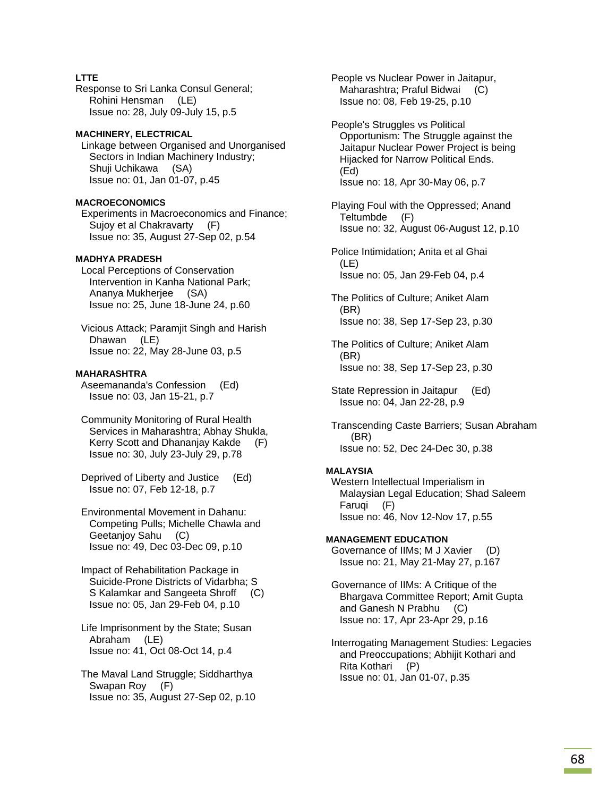# **LTTE**

Response to Sri Lanka Consul General; Rohini Hensman (LE) Issue no: 28, July 09-July 15, p.5

# **MACHINERY, ELECTRICAL**

 Linkage between Organised and Unorganised Sectors in Indian Machinery Industry; Shuji Uchikawa (SA) Issue no: 01, Jan 01-07, p.45

## **MACROECONOMICS**

 Experiments in Macroeconomics and Finance; Sujoy et al Chakravarty (F) Issue no: 35, August 27-Sep 02, p.54

## **MADHYA PRADESH**

 Local Perceptions of Conservation Intervention in Kanha National Park; Ananya Mukherjee (SA) Issue no: 25, June 18-June 24, p.60

 Vicious Attack; Paramjit Singh and Harish Dhawan (LE) Issue no: 22, May 28-June 03, p.5

## **MAHARASHTRA**

 Aseemananda's Confession (Ed) Issue no: 03, Jan 15-21, p.7

 Community Monitoring of Rural Health Services in Maharashtra; Abhay Shukla, Kerry Scott and Dhananjay Kakde (F) Issue no: 30, July 23-July 29, p.78

 Deprived of Liberty and Justice (Ed) Issue no: 07, Feb 12-18, p.7

 Environmental Movement in Dahanu: Competing Pulls; Michelle Chawla and Geetanjoy Sahu (C) Issue no: 49, Dec 03-Dec 09, p.10

 Impact of Rehabilitation Package in Suicide-Prone Districts of Vidarbha; S S Kalamkar and Sangeeta Shroff (C) Issue no: 05, Jan 29-Feb 04, p.10

 Life Imprisonment by the State; Susan Abraham (LE) Issue no: 41, Oct 08-Oct 14, p.4

 The Maval Land Struggle; Siddharthya Swapan Roy (F) Issue no: 35, August 27-Sep 02, p.10  People vs Nuclear Power in Jaitapur, Maharashtra; Praful Bidwai (C) Issue no: 08, Feb 19-25, p.10

 People's Struggles vs Political Opportunism: The Struggle against the Jaitapur Nuclear Power Project is being Hijacked for Narrow Political Ends. (Ed) Issue no: 18, Apr 30-May 06, p.7

 Playing Foul with the Oppressed; Anand Teltumbde (F) Issue no: 32, August 06-August 12, p.10

 Police Intimidation; Anita et al Ghai (LE) Issue no: 05, Jan 29-Feb 04, p.4

 The Politics of Culture; Aniket Alam (BR) Issue no: 38, Sep 17-Sep 23, p.30

 The Politics of Culture; Aniket Alam (BR) Issue no: 38, Sep 17-Sep 23, p.30

State Repression in Jaitapur (Ed) Issue no: 04, Jan 22-28, p.9

 Transcending Caste Barriers; Susan Abraham (BR) Issue no: 52, Dec 24-Dec 30, p.38

## **MALAYSIA**

 Western Intellectual Imperialism in Malaysian Legal Education; Shad Saleem Faruqi (F) Issue no: 46, Nov 12-Nov 17, p.55

#### **MANAGEMENT EDUCATION**

 Governance of IIMs; M J Xavier (D) Issue no: 21, May 21-May 27, p.167

 Governance of IIMs: A Critique of the Bhargava Committee Report; Amit Gupta and Ganesh N Prabhu (C) Issue no: 17, Apr 23-Apr 29, p.16

 Interrogating Management Studies: Legacies and Preoccupations; Abhijit Kothari and Rita Kothari (P) Issue no: 01, Jan 01-07, p.35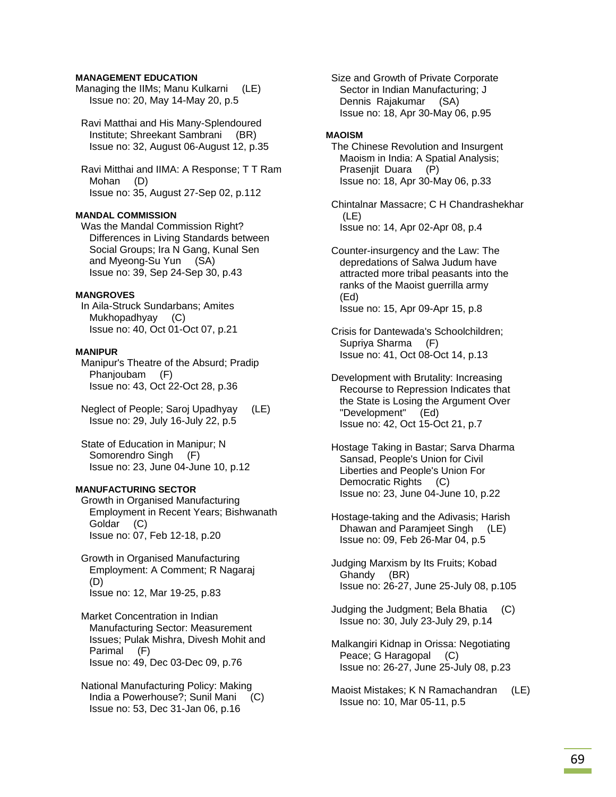### **MANAGEMENT EDUCATION**

Managing the IIMs; Manu Kulkarni (LE) Issue no: 20, May 14-May 20, p.5

 Ravi Matthai and His Many-Splendoured Institute; Shreekant Sambrani (BR) Issue no: 32, August 06-August 12, p.35

 Ravi Mitthai and IIMA: A Response; T T Ram Mohan (D) Issue no: 35, August 27-Sep 02, p.112

### **MANDAL COMMISSION**

 Was the Mandal Commission Right? Differences in Living Standards between Social Groups; Ira N Gang, Kunal Sen and Myeong-Su Yun (SA) Issue no: 39, Sep 24-Sep 30, p.43

#### **MANGROVES**

 In Aila-Struck Sundarbans; Amites Mukhopadhyay (C) Issue no: 40, Oct 01-Oct 07, p.21

### **MANIPUR**

 Manipur's Theatre of the Absurd; Pradip Phanjoubam (F) Issue no: 43, Oct 22-Oct 28, p.36

 Neglect of People; Saroj Upadhyay (LE) Issue no: 29, July 16-July 22, p.5

 State of Education in Manipur; N Somorendro Singh (F) Issue no: 23, June 04-June 10, p.12

#### **MANUFACTURING SECTOR**

 Growth in Organised Manufacturing Employment in Recent Years; Bishwanath Goldar (C) Issue no: 07, Feb 12-18, p.20

 Growth in Organised Manufacturing Employment: A Comment; R Nagaraj (D) Issue no: 12, Mar 19-25, p.83

 Market Concentration in Indian Manufacturing Sector: Measurement Issues; Pulak Mishra, Divesh Mohit and Parimal (F) Issue no: 49, Dec 03-Dec 09, p.76

 National Manufacturing Policy: Making India a Powerhouse?; Sunil Mani (C) Issue no: 53, Dec 31-Jan 06, p.16

 Size and Growth of Private Corporate Sector in Indian Manufacturing; J Dennis Rajakumar (SA) Issue no: 18, Apr 30-May 06, p.95

### **MAOISM**

 The Chinese Revolution and Insurgent Maoism in India: A Spatial Analysis; Prasenjit Duara (P) Issue no: 18, Apr 30-May 06, p.33

 Chintalnar Massacre; C H Chandrashekhar (LE) Issue no: 14, Apr 02-Apr 08, p.4

 Counter-insurgency and the Law: The depredations of Salwa Judum have attracted more tribal peasants into the ranks of the Maoist guerrilla army (Ed) Issue no: 15, Apr 09-Apr 15, p.8

 Crisis for Dantewada's Schoolchildren; Supriya Sharma (F) Issue no: 41, Oct 08-Oct 14, p.13

 Development with Brutality: Increasing Recourse to Repression Indicates that the State is Losing the Argument Over "Development" (Ed) Issue no: 42, Oct 15-Oct 21, p.7

 Hostage Taking in Bastar; Sarva Dharma Sansad, People's Union for Civil Liberties and People's Union For Democratic Rights (C) Issue no: 23, June 04-June 10, p.22

 Hostage-taking and the Adivasis; Harish Dhawan and Paramjeet Singh (LE) Issue no: 09, Feb 26-Mar 04, p.5

 Judging Marxism by Its Fruits; Kobad Ghandy (BR) Issue no: 26-27, June 25-July 08, p.105

- Judging the Judgment; Bela Bhatia (C) Issue no: 30, July 23-July 29, p.14
- Malkangiri Kidnap in Orissa: Negotiating Peace; G Haragopal (C) Issue no: 26-27, June 25-July 08, p.23
- Maoist Mistakes; K N Ramachandran (LE) Issue no: 10, Mar 05-11, p.5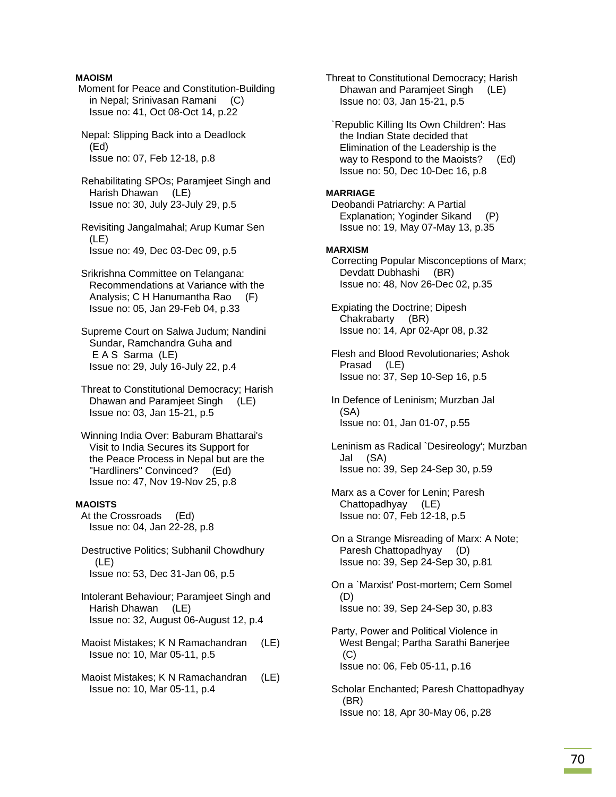## **MAOISM**

 Moment for Peace and Constitution-Building in Nepal; Srinivasan Ramani (C) Issue no: 41, Oct 08-Oct 14, p.22

 Nepal: Slipping Back into a Deadlock (Ed) Issue no: 07, Feb 12-18, p.8

 Rehabilitating SPOs; Paramjeet Singh and Harish Dhawan (LE) Issue no: 30, July 23-July 29, p.5

 Revisiting Jangalmahal; Arup Kumar Sen (LE) Issue no: 49, Dec 03-Dec 09, p.5

 Srikrishna Committee on Telangana: Recommendations at Variance with the Analysis; C H Hanumantha Rao (F) Issue no: 05, Jan 29-Feb 04, p.33

 Supreme Court on Salwa Judum; Nandini Sundar, Ramchandra Guha and E A S Sarma (LE) Issue no: 29, July 16-July 22, p.4

 Threat to Constitutional Democracy; Harish Dhawan and Paramjeet Singh (LE) Issue no: 03, Jan 15-21, p.5

 Winning India Over: Baburam Bhattarai's Visit to India Secures its Support for the Peace Process in Nepal but are the "Hardliners" Convinced? (Ed) Issue no: 47, Nov 19-Nov 25, p.8

#### **MAOISTS**

 At the Crossroads (Ed) Issue no: 04, Jan 22-28, p.8

- Destructive Politics; Subhanil Chowdhury (LE) Issue no: 53, Dec 31-Jan 06, p.5
- Intolerant Behaviour; Paramjeet Singh and Harish Dhawan (LE) Issue no: 32, August 06-August 12, p.4
- Maoist Mistakes; K N Ramachandran (LE) Issue no: 10, Mar 05-11, p.5
- Maoist Mistakes; K N Ramachandran (LE) Issue no: 10, Mar 05-11, p.4

Threat to Constitutional Democracy; Harish Dhawan and Paramjeet Singh (LE) Issue no: 03, Jan 15-21, p.5

 `Republic Killing Its Own Children': Has the Indian State decided that Elimination of the Leadership is the way to Respond to the Maoists? (Ed) Issue no: 50, Dec 10-Dec 16, p.8

#### **MARRIAGE**

 Deobandi Patriarchy: A Partial Explanation; Yoginder Sikand (P) Issue no: 19, May 07-May 13, p.35

#### **MARXISM**

 Correcting Popular Misconceptions of Marx; Devdatt Dubhashi (BR) Issue no: 48, Nov 26-Dec 02, p.35

 Expiating the Doctrine; Dipesh Chakrabarty (BR) Issue no: 14, Apr 02-Apr 08, p.32

 Flesh and Blood Revolutionaries; Ashok Prasad (LE) Issue no: 37, Sep 10-Sep 16, p.5

 In Defence of Leninism; Murzban Jal (SA) Issue no: 01, Jan 01-07, p.55

 Leninism as Radical `Desireology'; Murzban Jal (SA) Issue no: 39, Sep 24-Sep 30, p.59

 Marx as a Cover for Lenin; Paresh Chattopadhyay (LE) Issue no: 07, Feb 12-18, p.5

 On a Strange Misreading of Marx: A Note; Paresh Chattopadhyay (D) Issue no: 39, Sep 24-Sep 30, p.81

 On a `Marxist' Post-mortem; Cem Somel (D) Issue no: 39, Sep 24-Sep 30, p.83

- Party, Power and Political Violence in West Bengal; Partha Sarathi Banerjee  $(C)$ Issue no: 06, Feb 05-11, p.16
- Scholar Enchanted; Paresh Chattopadhyay (BR) Issue no: 18, Apr 30-May 06, p.28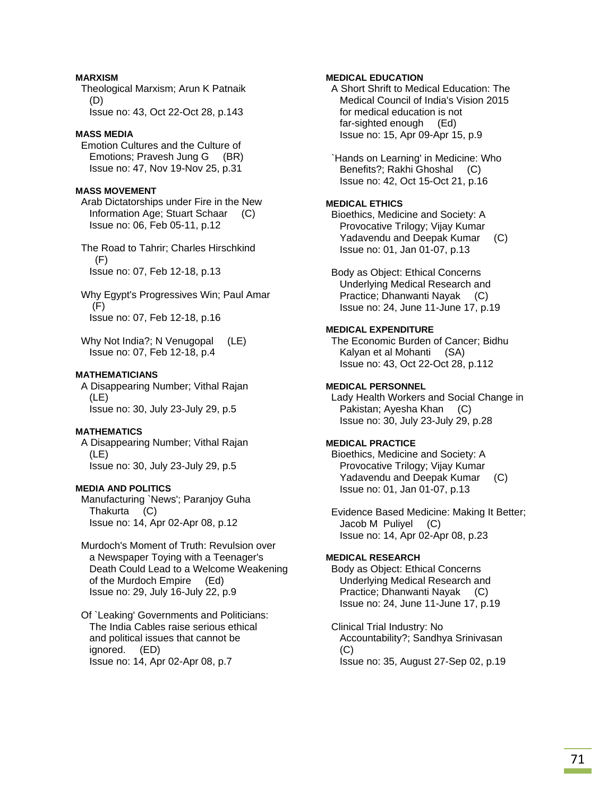## **MARXISM**

 Theological Marxism; Arun K Patnaik (D)

Issue no: 43, Oct 22-Oct 28, p.143

## **MASS MEDIA**

 Emotion Cultures and the Culture of Emotions; Pravesh Jung G (BR) Issue no: 47, Nov 19-Nov 25, p.31

# **MASS MOVEMENT**

 Arab Dictatorships under Fire in the New Information Age; Stuart Schaar (C) Issue no: 06, Feb 05-11, p.12

- The Road to Tahrir; Charles Hirschkind  $(F)$ Issue no: 07, Feb 12-18, p.13
- Why Egypt's Progressives Win; Paul Amar  $(F)$ Issue no: 07, Feb 12-18, p.16
- Why Not India?; N Venugopal (LE) Issue no: 07, Feb 12-18, p.4

## **MATHEMATICIANS**

 A Disappearing Number; Vithal Rajan (LE) Issue no: 30, July 23-July 29, p.5

# **MATHEMATICS**

 A Disappearing Number; Vithal Rajan (LE) Issue no: 30, July 23-July 29, p.5

# **MEDIA AND POLITICS**

 Manufacturing `News'; Paranjoy Guha Thakurta (C) Issue no: 14, Apr 02-Apr 08, p.12

- Murdoch's Moment of Truth: Revulsion over a Newspaper Toying with a Teenager's Death Could Lead to a Welcome Weakening of the Murdoch Empire (Ed) Issue no: 29, July 16-July 22, p.9
- Of `Leaking' Governments and Politicians: The India Cables raise serious ethical and political issues that cannot be ignored. (ED) Issue no: 14, Apr 02-Apr 08, p.7

## **MEDICAL EDUCATION**

 A Short Shrift to Medical Education: The Medical Council of India's Vision 2015 for medical education is not far-sighted enough (Ed) Issue no: 15, Apr 09-Apr 15, p.9

 `Hands on Learning' in Medicine: Who Benefits?; Rakhi Ghoshal (C) Issue no: 42, Oct 15-Oct 21, p.16

# **MEDICAL ETHICS**

 Bioethics, Medicine and Society: A Provocative Trilogy; Vijay Kumar Yadavendu and Deepak Kumar (C) Issue no: 01, Jan 01-07, p.13

 Body as Object: Ethical Concerns Underlying Medical Research and Practice; Dhanwanti Nayak (C) Issue no: 24, June 11-June 17, p.19

## **MEDICAL EXPENDITURE**

 The Economic Burden of Cancer; Bidhu Kalyan et al Mohanti (SA) Issue no: 43, Oct 22-Oct 28, p.112

## **MEDICAL PERSONNEL**

 Lady Health Workers and Social Change in Pakistan; Ayesha Khan (C) Issue no: 30, July 23-July 29, p.28

# **MEDICAL PRACTICE**

 Bioethics, Medicine and Society: A Provocative Trilogy; Vijay Kumar Yadavendu and Deepak Kumar (C) Issue no: 01, Jan 01-07, p.13

 Evidence Based Medicine: Making It Better; Jacob M Puliyel (C) Issue no: 14, Apr 02-Apr 08, p.23

# **MEDICAL RESEARCH**

 Body as Object: Ethical Concerns Underlying Medical Research and Practice; Dhanwanti Nayak (C) Issue no: 24, June 11-June 17, p.19

 Clinical Trial Industry: No Accountability?; Sandhya Srinivasan (C) Issue no: 35, August 27-Sep 02, p.19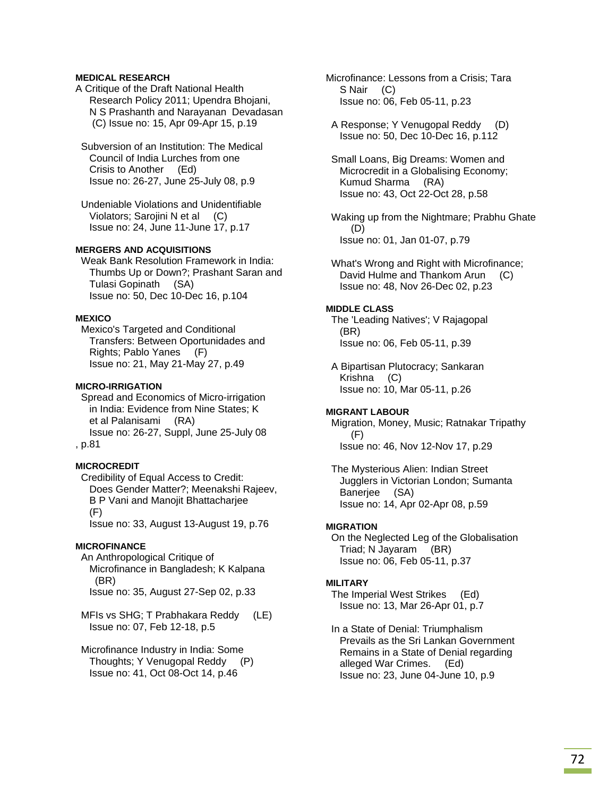### **MEDICAL RESEARCH**

A Critique of the Draft National Health Research Policy 2011; Upendra Bhojani, N S Prashanth and Narayanan Devadasan (C) Issue no: 15, Apr 09-Apr 15, p.19

 Subversion of an Institution: The Medical Council of India Lurches from one Crisis to Another (Ed) Issue no: 26-27, June 25-July 08, p.9

 Undeniable Violations and Unidentifiable Violators; Sarojini N et al (C) Issue no: 24, June 11-June 17, p.17

### **MERGERS AND ACQUISITIONS**

 Weak Bank Resolution Framework in India: Thumbs Up or Down?; Prashant Saran and Tulasi Gopinath (SA) Issue no: 50, Dec 10-Dec 16, p.104

#### **MEXICO**

 Mexico's Targeted and Conditional Transfers: Between Oportunidades and Rights; Pablo Yanes (F) Issue no: 21, May 21-May 27, p.49

#### **MICRO-IRRIGATION**

 Spread and Economics of Micro-irrigation in India: Evidence from Nine States; K et al Palanisami (RA) Issue no: 26-27, Suppl, June 25-July 08 , p.81

### **MICROCREDIT**

 Credibility of Equal Access to Credit: Does Gender Matter?; Meenakshi Rajeev, B P Vani and Manojit Bhattacharjee (F) Issue no: 33, August 13-August 19, p.76

#### **MICROFINANCE**

 An Anthropological Critique of Microfinance in Bangladesh; K Kalpana (BR) Issue no: 35, August 27-Sep 02, p.33

 MFIs vs SHG; T Prabhakara Reddy (LE) Issue no: 07, Feb 12-18, p.5

 Microfinance Industry in India: Some Thoughts; Y Venugopal Reddy (P) Issue no: 41, Oct 08-Oct 14, p.46

Microfinance: Lessons from a Crisis; Tara S Nair (C) Issue no: 06, Feb 05-11, p.23

 A Response; Y Venugopal Reddy (D) Issue no: 50, Dec 10-Dec 16, p.112

 Small Loans, Big Dreams: Women and Microcredit in a Globalising Economy; Kumud Sharma (RA) Issue no: 43, Oct 22-Oct 28, p.58

 Waking up from the Nightmare; Prabhu Ghate (D) Issue no: 01, Jan 01-07, p.79

 What's Wrong and Right with Microfinance; David Hulme and Thankom Arun (C) Issue no: 48, Nov 26-Dec 02, p.23

#### **MIDDLE CLASS**

 The 'Leading Natives'; V Rajagopal (BR) Issue no: 06, Feb 05-11, p.39

 A Bipartisan Plutocracy; Sankaran Krishna (C) Issue no: 10, Mar 05-11, p.26

#### **MIGRANT LABOUR**

 Migration, Money, Music; Ratnakar Tripathy (F) Issue no: 46, Nov 12-Nov 17, p.29

 The Mysterious Alien: Indian Street Jugglers in Victorian London; Sumanta Banerjee (SA) Issue no: 14, Apr 02-Apr 08, p.59

#### **MIGRATION**

 On the Neglected Leg of the Globalisation Triad; N Jayaram (BR) Issue no: 06, Feb 05-11, p.37

### **MILITARY**

 The Imperial West Strikes (Ed) Issue no: 13, Mar 26-Apr 01, p.7

 In a State of Denial: Triumphalism Prevails as the Sri Lankan Government Remains in a State of Denial regarding alleged War Crimes. (Ed) Issue no: 23, June 04-June 10, p.9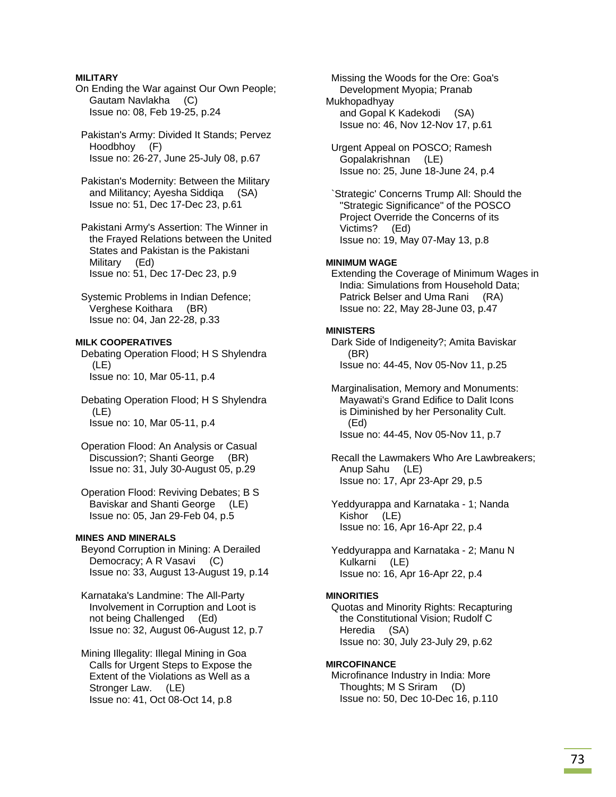## **MILITARY**

- On Ending the War against Our Own People; Gautam Navlakha (C) Issue no: 08, Feb 19-25, p.24
- Pakistan's Army: Divided It Stands; Pervez Hoodbhoy (F) Issue no: 26-27, June 25-July 08, p.67
- Pakistan's Modernity: Between the Military and Militancy; Ayesha Siddiqa (SA) Issue no: 51, Dec 17-Dec 23, p.61
- Pakistani Army's Assertion: The Winner in the Frayed Relations between the United States and Pakistan is the Pakistani Military (Ed) Issue no: 51, Dec 17-Dec 23, p.9
- Systemic Problems in Indian Defence; Verghese Koithara (BR) Issue no: 04, Jan 22-28, p.33

## **MILK COOPERATIVES**

 Debating Operation Flood; H S Shylendra (LE) Issue no: 10, Mar 05-11, p.4

- Debating Operation Flood; H S Shylendra (LE) Issue no: 10, Mar 05-11, p.4
- Operation Flood: An Analysis or Casual Discussion?; Shanti George (BR) Issue no: 31, July 30-August 05, p.29
- Operation Flood: Reviving Debates; B S Baviskar and Shanti George (LE) Issue no: 05, Jan 29-Feb 04, p.5

## **MINES AND MINERALS**

- Beyond Corruption in Mining: A Derailed Democracy; A R Vasavi (C) Issue no: 33, August 13-August 19, p.14
- Karnataka's Landmine: The All-Party Involvement in Corruption and Loot is not being Challenged (Ed) Issue no: 32, August 06-August 12, p.7

 Mining Illegality: Illegal Mining in Goa Calls for Urgent Steps to Expose the Extent of the Violations as Well as a Stronger Law. (LE) Issue no: 41, Oct 08-Oct 14, p.8

 Missing the Woods for the Ore: Goa's Development Myopia; Pranab **Mukhopadhyay**  and Gopal K Kadekodi (SA) Issue no: 46, Nov 12-Nov 17, p.61

 Urgent Appeal on POSCO; Ramesh Gopalakrishnan (LE) Issue no: 25, June 18-June 24, p.4

Strategic' Concerns Trump All: Should the "Strategic Significance" of the POSCO Project Override the Concerns of its Victims? (Ed) Issue no: 19, May 07-May 13, p.8

### **MINIMUM WAGE**

 Extending the Coverage of Minimum Wages in India: Simulations from Household Data; Patrick Belser and Uma Rani (RA) Issue no: 22, May 28-June 03, p.47

### **MINISTERS**

 Dark Side of Indigeneity?; Amita Baviskar (BR) Issue no: 44-45, Nov 05-Nov 11, p.25

 Marginalisation, Memory and Monuments: Mayawati's Grand Edifice to Dalit Icons is Diminished by her Personality Cult. (Ed) Issue no: 44-45, Nov 05-Nov 11, p.7

 Recall the Lawmakers Who Are Lawbreakers; Anup Sahu (LE) Issue no: 17, Apr 23-Apr 29, p.5

Yeddyurappa and Karnataka - 1; Nanda Kishor (LE) Issue no: 16, Apr 16-Apr 22, p.4

Yeddyurappa and Karnataka - 2; Manu N Kulkarni (LE) Issue no: 16, Apr 16-Apr 22, p.4

#### **MINORITIES**

 Quotas and Minority Rights: Recapturing the Constitutional Vision; Rudolf C Heredia (SA) Issue no: 30, July 23-July 29, p.62

### **MIRCOFINANCE**

 Microfinance Industry in India: More Thoughts; M S Sriram (D) Issue no: 50, Dec 10-Dec 16, p.110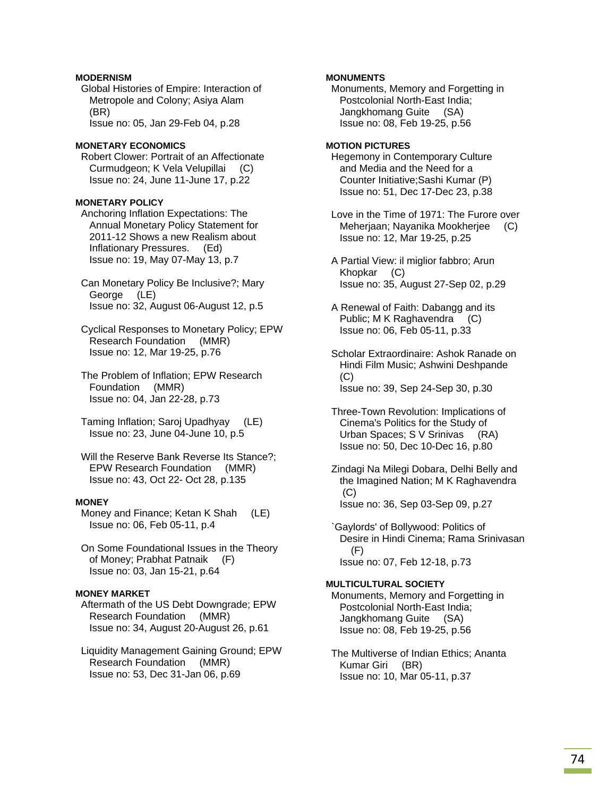## **MODERNISM**

 Global Histories of Empire: Interaction of Metropole and Colony; Asiya Alam (BR)

Issue no: 05, Jan 29-Feb 04, p.28

### **MONETARY ECONOMICS**

 Robert Clower: Portrait of an Affectionate Curmudgeon; K Vela Velupillai (C) Issue no: 24, June 11-June 17, p.22

## **MONETARY POLICY**

 Anchoring Inflation Expectations: The Annual Monetary Policy Statement for 2011-12 Shows a new Realism about Inflationary Pressures. (Ed) Issue no: 19, May 07-May 13, p.7

 Can Monetary Policy Be Inclusive?; Mary George (LE) Issue no: 32, August 06-August 12, p.5

 Cyclical Responses to Monetary Policy; EPW Research Foundation (MMR) Issue no: 12, Mar 19-25, p.76

 The Problem of Inflation; EPW Research Foundation (MMR) Issue no: 04, Jan 22-28, p.73

- Taming Inflation; Saroj Upadhyay (LE) Issue no: 23, June 04-June 10, p.5
- Will the Reserve Bank Reverse Its Stance?; EPW Research Foundation (MMR) Issue no: 43, Oct 22- Oct 28, p.135

#### **MONEY**

- Money and Finance; Ketan K Shah (LE) Issue no: 06, Feb 05-11, p.4
- On Some Foundational Issues in the Theory of Money; Prabhat Patnaik (F) Issue no: 03, Jan 15-21, p.64

### **MONEY MARKET**

 Aftermath of the US Debt Downgrade; EPW Research Foundation (MMR) Issue no: 34, August 20-August 26, p.61

 Liquidity Management Gaining Ground; EPW Research Foundation (MMR) Issue no: 53, Dec 31-Jan 06, p.69

## **MONUMENTS**

 Monuments, Memory and Forgetting in Postcolonial North-East India; Jangkhomang Guite (SA) Issue no: 08, Feb 19-25, p.56

#### **MOTION PICTURES**

 Hegemony in Contemporary Culture and Media and the Need for a Counter Initiative;Sashi Kumar (P) Issue no: 51, Dec 17-Dec 23, p.38

 Love in the Time of 1971: The Furore over Meherjaan; Nayanika Mookherjee (C) Issue no: 12, Mar 19-25, p.25

 A Partial View: il miglior fabbro; Arun Khopkar (C) Issue no: 35, August 27-Sep 02, p.29

- A Renewal of Faith: Dabangg and its Public; M K Raghavendra (C) Issue no: 06, Feb 05-11, p.33
- Scholar Extraordinaire: Ashok Ranade on Hindi Film Music; Ashwini Deshpande (C) Issue no: 39, Sep 24-Sep 30, p.30
- Three-Town Revolution: Implications of Cinema's Politics for the Study of Urban Spaces; S V Srinivas (RA) Issue no: 50, Dec 10-Dec 16, p.80
- Zindagi Na Milegi Dobara, Delhi Belly and the Imagined Nation; M K Raghavendra (C) Issue no: 36, Sep 03-Sep 09, p.27
- `Gaylords' of Bollywood: Politics of Desire in Hindi Cinema; Rama Srinivasan (F) Issue no: 07, Feb 12-18, p.73

**MULTICULTURAL SOCIETY**  Monuments, Memory and Forgetting in Postcolonial North-East India; Jangkhomang Guite (SA) Issue no: 08, Feb 19-25, p.56

 The Multiverse of Indian Ethics; Ananta Kumar Giri (BR) Issue no: 10, Mar 05-11, p.37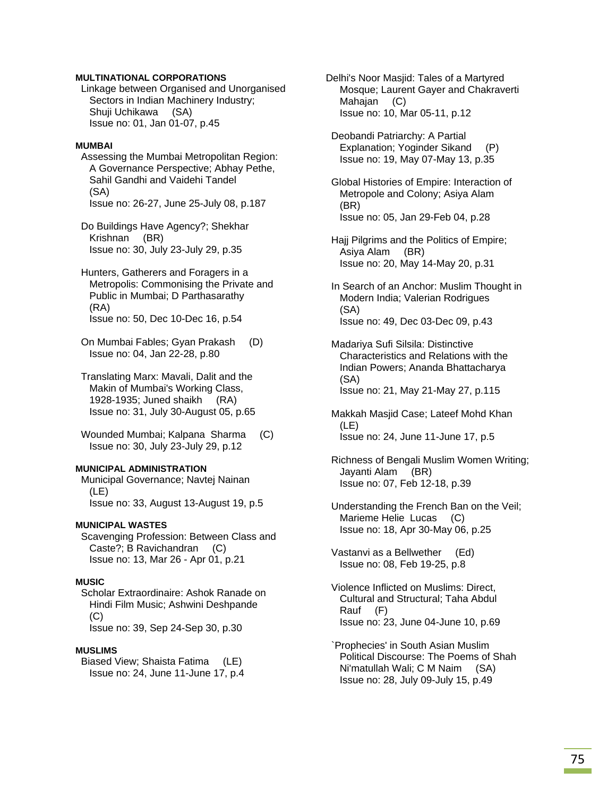## **MULTINATIONAL CORPORATIONS**

 Linkage between Organised and Unorganised Sectors in Indian Machinery Industry; Shuji Uchikawa (SA) Issue no: 01, Jan 01-07, p.45

#### **MUMBAI**

 Assessing the Mumbai Metropolitan Region: A Governance Perspective; Abhay Pethe, Sahil Gandhi and Vaidehi Tandel (SA) Issue no: 26-27, June 25-July 08, p.187

 Do Buildings Have Agency?; Shekhar Krishnan (BR) Issue no: 30, July 23-July 29, p.35

 Hunters, Gatherers and Foragers in a Metropolis: Commonising the Private and Public in Mumbai; D Parthasarathy (RA) Issue no: 50, Dec 10-Dec 16, p.54

 On Mumbai Fables; Gyan Prakash (D) Issue no: 04, Jan 22-28, p.80

 Translating Marx: Mavali, Dalit and the Makin of Mumbai's Working Class, 1928-1935; Juned shaikh (RA) Issue no: 31, July 30-August 05, p.65

 Wounded Mumbai; Kalpana Sharma (C) Issue no: 30, July 23-July 29, p.12

#### **MUNICIPAL ADMINISTRATION**

 Municipal Governance; Navtej Nainan (LE) Issue no: 33, August 13-August 19, p.5

## **MUNICIPAL WASTES**

 Scavenging Profession: Between Class and Caste?; B Ravichandran (C) Issue no: 13, Mar 26 - Apr 01, p.21

## **MUSIC**

 Scholar Extraordinaire: Ashok Ranade on Hindi Film Music; Ashwini Deshpande (C) Issue no: 39, Sep 24-Sep 30, p.30

#### **MUSLIMS**

 Biased View; Shaista Fatima (LE) Issue no: 24, June 11-June 17, p.4 Delhi's Noor Masjid: Tales of a Martyred Mosque; Laurent Gayer and Chakraverti Mahajan (C) Issue no: 10, Mar 05-11, p.12

 Deobandi Patriarchy: A Partial Explanation; Yoginder Sikand (P) Issue no: 19, May 07-May 13, p.35

 Global Histories of Empire: Interaction of Metropole and Colony; Asiya Alam (BR) Issue no: 05, Jan 29-Feb 04, p.28

 Hajj Pilgrims and the Politics of Empire; Asiya Alam (BR) Issue no: 20, May 14-May 20, p.31

 In Search of an Anchor: Muslim Thought in Modern India; Valerian Rodrigues (SA) Issue no: 49, Dec 03-Dec 09, p.43

 Madariya Sufi Silsila: Distinctive Characteristics and Relations with the Indian Powers; Ananda Bhattacharya (SA) Issue no: 21, May 21-May 27, p.115

 Makkah Masjid Case; Lateef Mohd Khan (LE) Issue no: 24, June 11-June 17, p.5

 Richness of Bengali Muslim Women Writing; Jayanti Alam (BR) Issue no: 07, Feb 12-18, p.39

 Understanding the French Ban on the Veil; Marieme Helie Lucas (C) Issue no: 18, Apr 30-May 06, p.25

 Vastanvi as a Bellwether (Ed) Issue no: 08, Feb 19-25, p.8

 Violence Inflicted on Muslims: Direct, Cultural and Structural; Taha Abdul Rauf (F) Issue no: 23, June 04-June 10, p.69

 `Prophecies' in South Asian Muslim Political Discourse: The Poems of Shah Ni'matullah Wali; C M Naim (SA) Issue no: 28, July 09-July 15, p.49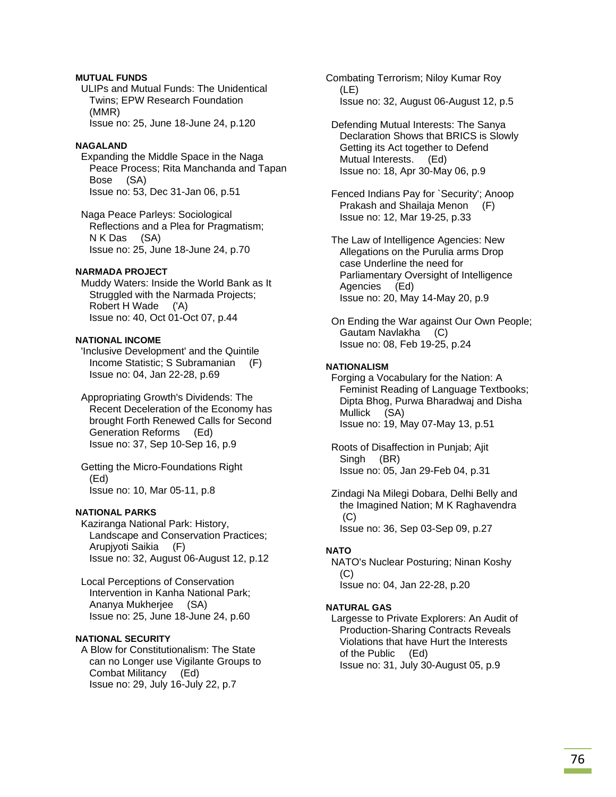## **MUTUAL FUNDS**

 ULIPs and Mutual Funds: The Unidentical Twins; EPW Research Foundation (MMR) Issue no: 25, June 18-June 24, p.120

### **NAGALAND**

 Expanding the Middle Space in the Naga Peace Process; Rita Manchanda and Tapan Bose (SA) Issue no: 53, Dec 31-Jan 06, p.51

 Naga Peace Parleys: Sociological Reflections and a Plea for Pragmatism; N K Das (SA) Issue no: 25, June 18-June 24, p.70

## **NARMADA PROJECT**

 Muddy Waters: Inside the World Bank as It Struggled with the Narmada Projects; Robert H Wade ('A) Issue no: 40, Oct 01-Oct 07, p.44

### **NATIONAL INCOME**

 'Inclusive Development' and the Quintile Income Statistic; S Subramanian (F) Issue no: 04, Jan 22-28, p.69

 Appropriating Growth's Dividends: The Recent Deceleration of the Economy has brought Forth Renewed Calls for Second Generation Reforms (Ed) Issue no: 37, Sep 10-Sep 16, p.9

 Getting the Micro-Foundations Right (Ed) Issue no: 10, Mar 05-11, p.8

### **NATIONAL PARKS**

 Kaziranga National Park: History, Landscape and Conservation Practices; Arupjyoti Saikia (F) Issue no: 32, August 06-August 12, p.12

 Local Perceptions of Conservation Intervention in Kanha National Park; Ananya Mukherjee (SA) Issue no: 25, June 18-June 24, p.60

## **NATIONAL SECURITY**

 A Blow for Constitutionalism: The State can no Longer use Vigilante Groups to Combat Militancy (Ed) Issue no: 29, July 16-July 22, p.7

Combating Terrorism; Niloy Kumar Roy (LE) Issue no: 32, August 06-August 12, p.5

 Defending Mutual Interests: The Sanya Declaration Shows that BRICS is Slowly Getting its Act together to Defend Mutual Interests. (Ed) Issue no: 18, Apr 30-May 06, p.9

 Fenced Indians Pay for `Security'; Anoop Prakash and Shailaja Menon (F) Issue no: 12, Mar 19-25, p.33

 The Law of Intelligence Agencies: New Allegations on the Purulia arms Drop case Underline the need for Parliamentary Oversight of Intelligence Agencies (Ed) Issue no: 20, May 14-May 20, p.9

 On Ending the War against Our Own People; Gautam Navlakha (C) Issue no: 08, Feb 19-25, p.24

### **NATIONALISM**

 Forging a Vocabulary for the Nation: A Feminist Reading of Language Textbooks; Dipta Bhog, Purwa Bharadwaj and Disha Mullick (SA) Issue no: 19, May 07-May 13, p.51

 Roots of Disaffection in Punjab; Ajit Singh (BR) Issue no: 05, Jan 29-Feb 04, p.31

 Zindagi Na Milegi Dobara, Delhi Belly and the Imagined Nation; M K Raghavendra  $(C)$ Issue no: 36, Sep 03-Sep 09, p.27

### **NATO**

 NATO's Nuclear Posturing; Ninan Koshy (C) Issue no: 04, Jan 22-28, p.20

#### **NATURAL GAS**

 Largesse to Private Explorers: An Audit of Production-Sharing Contracts Reveals Violations that have Hurt the Interests of the Public (Ed) Issue no: 31, July 30-August 05, p.9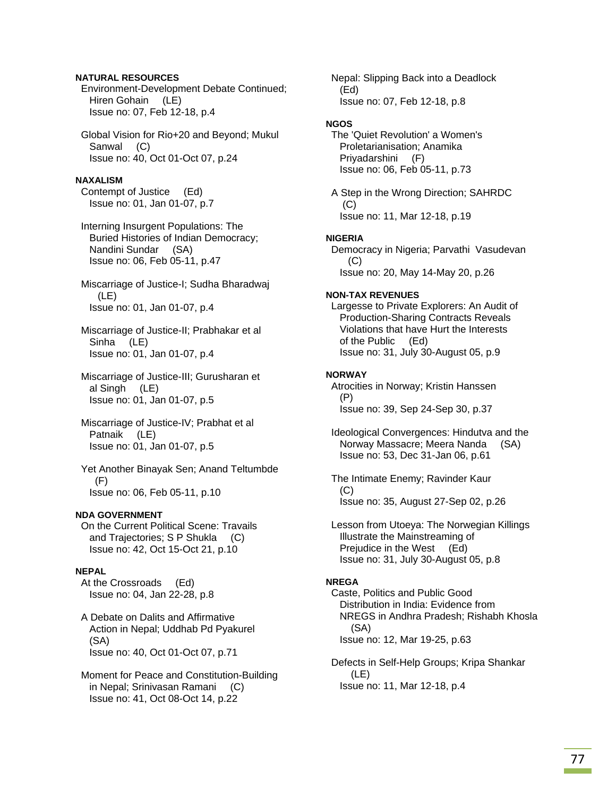## **NATURAL RESOURCES**

 Environment-Development Debate Continued; Hiren Gohain (LE) Issue no: 07, Feb 12-18, p.4

 Global Vision for Rio+20 and Beyond; Mukul Sanwal (C) Issue no: 40, Oct 01-Oct 07, p.24

### **NAXALISM**

 Contempt of Justice (Ed) Issue no: 01, Jan 01-07, p.7

 Interning Insurgent Populations: The Buried Histories of Indian Democracy; Nandini Sundar (SA) Issue no: 06, Feb 05-11, p.47

 Miscarriage of Justice-I; Sudha Bharadwaj (LE) Issue no: 01, Jan 01-07, p.4

 Miscarriage of Justice-II; Prabhakar et al Sinha (LE) Issue no: 01, Jan 01-07, p.4

 Miscarriage of Justice-III; Gurusharan et al Singh (LE) Issue no: 01, Jan 01-07, p.5

 Miscarriage of Justice-IV; Prabhat et al Patnaik (LE) Issue no: 01, Jan 01-07, p.5

 Yet Another Binayak Sen; Anand Teltumbde (F) Issue no: 06, Feb 05-11, p.10

# **NDA GOVERNMENT**

 On the Current Political Scene: Travails and Trajectories; S P Shukla (C) Issue no: 42, Oct 15-Oct 21, p.10

# **NEPAL**

 At the Crossroads (Ed) Issue no: 04, Jan 22-28, p.8

 A Debate on Dalits and Affirmative Action in Nepal; Uddhab Pd Pyakurel (SA) Issue no: 40, Oct 01-Oct 07, p.71

 Moment for Peace and Constitution-Building in Nepal; Srinivasan Ramani (C) Issue no: 41, Oct 08-Oct 14, p.22

 Nepal: Slipping Back into a Deadlock (Ed) Issue no: 07, Feb 12-18, p.8

### **NGOS**

 The 'Quiet Revolution' a Women's Proletarianisation; Anamika Priyadarshini (F) Issue no: 06, Feb 05-11, p.73

 A Step in the Wrong Direction; SAHRDC  $(C)$ Issue no: 11, Mar 12-18, p.19

## **NIGERIA**

 Democracy in Nigeria; Parvathi Vasudevan (C) Issue no: 20, May 14-May 20, p.26

### **NON-TAX REVENUES**

 Largesse to Private Explorers: An Audit of Production-Sharing Contracts Reveals Violations that have Hurt the Interests of the Public (Ed) Issue no: 31, July 30-August 05, p.9

## **NORWAY**

 Atrocities in Norway; Kristin Hanssen (P) Issue no: 39, Sep 24-Sep 30, p.37

 Ideological Convergences: Hindutva and the Norway Massacre; Meera Nanda (SA) Issue no: 53, Dec 31-Jan 06, p.61

 The Intimate Enemy; Ravinder Kaur (C) Issue no: 35, August 27-Sep 02, p.26

 Lesson from Utoeya: The Norwegian Killings Illustrate the Mainstreaming of Prejudice in the West (Ed) Issue no: 31, July 30-August 05, p.8

# **NREGA**

 Caste, Politics and Public Good Distribution in India: Evidence from NREGS in Andhra Pradesh; Rishabh Khosla (SA) Issue no: 12, Mar 19-25, p.63

 Defects in Self-Help Groups; Kripa Shankar (LE) Issue no: 11, Mar 12-18, p.4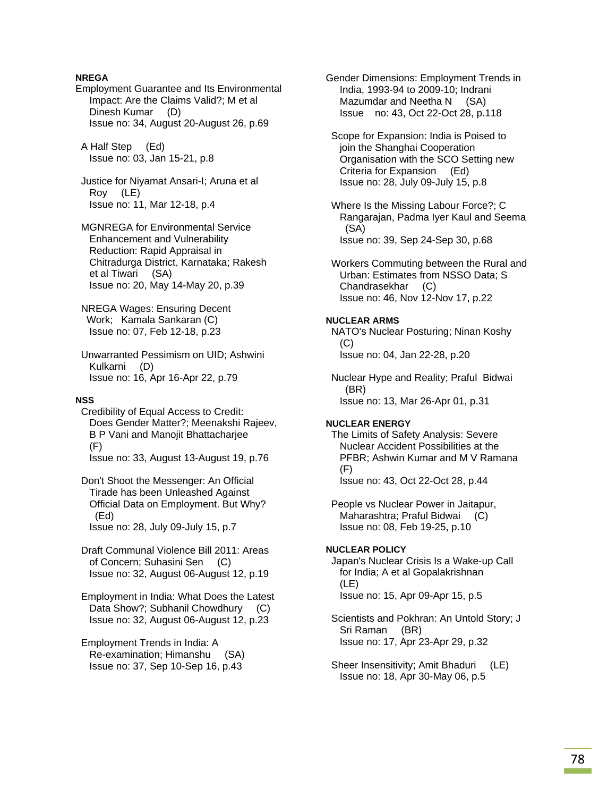# **NREGA**

Employment Guarantee and Its Environmental Impact: Are the Claims Valid?; M et al Dinesh Kumar (D) Issue no: 34, August 20-August 26, p.69

 A Half Step (Ed) Issue no: 03, Jan 15-21, p.8

 Justice for Niyamat Ansari-I; Aruna et al Roy (LE) Issue no: 11, Mar 12-18, p.4

 MGNREGA for Environmental Service Enhancement and Vulnerability Reduction: Rapid Appraisal in Chitradurga District, Karnataka; Rakesh et al Tiwari (SA) Issue no: 20, May 14-May 20, p.39

 NREGA Wages: Ensuring Decent Work; Kamala Sankaran (C) Issue no: 07, Feb 12-18, p.23

 Unwarranted Pessimism on UID; Ashwini Kulkarni (D) Issue no: 16, Apr 16-Apr 22, p.79

### **NSS**

 Credibility of Equal Access to Credit: Does Gender Matter?; Meenakshi Rajeev, B P Vani and Manojit Bhattacharjee (F) Issue no: 33, August 13-August 19, p.76

 Don't Shoot the Messenger: An Official Tirade has been Unleashed Against Official Data on Employment. But Why? (Ed) Issue no: 28, July 09-July 15, p.7

 Draft Communal Violence Bill 2011: Areas of Concern; Suhasini Sen (C) Issue no: 32, August 06-August 12, p.19

 Employment in India: What Does the Latest Data Show?; Subhanil Chowdhury (C) Issue no: 32, August 06-August 12, p.23

 Employment Trends in India: A Re-examination; Himanshu (SA) Issue no: 37, Sep 10-Sep 16, p.43

Gender Dimensions: Employment Trends in India, 1993-94 to 2009-10; Indrani Mazumdar and Neetha N (SA) Issue no: 43, Oct 22-Oct 28, p.118

 Scope for Expansion: India is Poised to join the Shanghai Cooperation Organisation with the SCO Setting new Criteria for Expansion (Ed) Issue no: 28, July 09-July 15, p.8

 Where Is the Missing Labour Force?; C Rangarajan, Padma Iyer Kaul and Seema (SA) Issue no: 39, Sep 24-Sep 30, p.68

 Workers Commuting between the Rural and Urban: Estimates from NSSO Data; S Chandrasekhar (C) Issue no: 46, Nov 12-Nov 17, p.22

### **NUCLEAR ARMS**

 NATO's Nuclear Posturing; Ninan Koshy (C) Issue no: 04, Jan 22-28, p.20

 Nuclear Hype and Reality; Praful Bidwai (BR) Issue no: 13, Mar 26-Apr 01, p.31

### **NUCLEAR ENERGY**

 The Limits of Safety Analysis: Severe Nuclear Accident Possibilities at the PFBR; Ashwin Kumar and M V Ramana (F) Issue no: 43, Oct 22-Oct 28, p.44

 People vs Nuclear Power in Jaitapur, Maharashtra; Praful Bidwai (C) Issue no: 08, Feb 19-25, p.10

#### **NUCLEAR POLICY**

 Japan's Nuclear Crisis Is a Wake-up Call for India; A et al Gopalakrishnan (LE) Issue no: 15, Apr 09-Apr 15, p.5

 Scientists and Pokhran: An Untold Story; J Sri Raman (BR) Issue no: 17, Apr 23-Apr 29, p.32

 Sheer Insensitivity; Amit Bhaduri (LE) Issue no: 18, Apr 30-May 06, p.5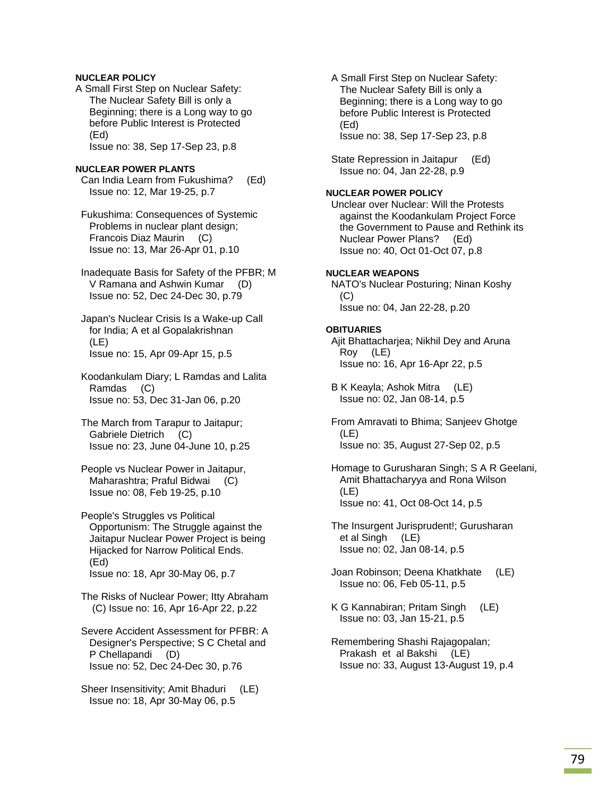## **NUCLEAR POLICY**

A Small First Step on Nuclear Safety: The Nuclear Safety Bill is only a Beginning; there is a Long way to go before Public Interest is Protected (Ed) Issue no: 38, Sep 17-Sep 23, p.8

## **NUCLEAR POWER PLANTS**

- Can India Learn from Fukushima? (Ed) Issue no: 12, Mar 19-25, p.7
- Fukushima: Consequences of Systemic Problems in nuclear plant design; Francois Diaz Maurin (C) Issue no: 13, Mar 26-Apr 01, p.10
- Inadequate Basis for Safety of the PFBR; M V Ramana and Ashwin Kumar (D) Issue no: 52, Dec 24-Dec 30, p.79
- Japan's Nuclear Crisis Is a Wake-up Call for India; A et al Gopalakrishnan (LE) Issue no: 15, Apr 09-Apr 15, p.5
- Koodankulam Diary; L Ramdas and Lalita Ramdas (C) Issue no: 53, Dec 31-Jan 06, p.20
- The March from Tarapur to Jaitapur; Gabriele Dietrich (C) Issue no: 23, June 04-June 10, p.25
- People vs Nuclear Power in Jaitapur, Maharashtra; Praful Bidwai (C) Issue no: 08, Feb 19-25, p.10
- People's Struggles vs Political Opportunism: The Struggle against the Jaitapur Nuclear Power Project is being Hijacked for Narrow Political Ends. (Ed) Issue no: 18, Apr 30-May 06, p.7
- The Risks of Nuclear Power; Itty Abraham (C) Issue no: 16, Apr 16-Apr 22, p.22
- Severe Accident Assessment for PFBR: A Designer's Perspective; S C Chetal and P Chellapandi (D) Issue no: 52, Dec 24-Dec 30, p.76
- Sheer Insensitivity; Amit Bhaduri (LE) Issue no: 18, Apr 30-May 06, p.5

 A Small First Step on Nuclear Safety: The Nuclear Safety Bill is only a Beginning; there is a Long way to go before Public Interest is Protected (Ed) Issue no: 38, Sep 17-Sep 23, p.8

 State Repression in Jaitapur (Ed) Issue no: 04, Jan 22-28, p.9

## **NUCLEAR POWER POLICY**

 Unclear over Nuclear: Will the Protests against the Koodankulam Project Force the Government to Pause and Rethink its Nuclear Power Plans? (Ed) Issue no: 40, Oct 01-Oct 07, p.8

### **NUCLEAR WEAPONS**

 NATO's Nuclear Posturing; Ninan Koshy (C) Issue no: 04, Jan 22-28, p.20

### **OBITUARIES**

 Ajit Bhattacharjea; Nikhil Dey and Aruna Roy (LE) Issue no: 16, Apr 16-Apr 22, p.5

 B K Keayla; Ashok Mitra (LE) Issue no: 02, Jan 08-14, p.5

 From Amravati to Bhima; Sanjeev Ghotge (LE) Issue no: 35, August 27-Sep 02, p.5

 Homage to Gurusharan Singh; S A R Geelani, Amit Bhattacharyya and Rona Wilson (LE) Issue no: 41, Oct 08-Oct 14, p.5

 The Insurgent Jurisprudent!; Gurusharan et al Singh (LE) Issue no: 02, Jan 08-14, p.5

- Joan Robinson; Deena Khatkhate (LE) Issue no: 06, Feb 05-11, p.5
- K G Kannabiran; Pritam Singh (LE) Issue no: 03, Jan 15-21, p.5
- Remembering Shashi Rajagopalan; Prakash et al Bakshi (LE) Issue no: 33, August 13-August 19, p.4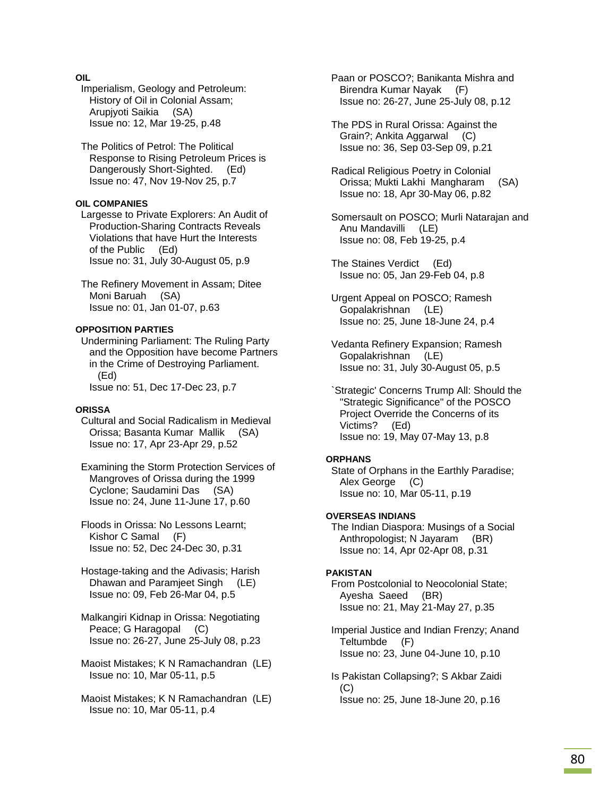# **OIL**

- Imperialism, Geology and Petroleum: History of Oil in Colonial Assam; Arupjyoti Saikia (SA) Issue no: 12, Mar 19-25, p.48
- The Politics of Petrol: The Political Response to Rising Petroleum Prices is Dangerously Short-Sighted. (Ed) Issue no: 47, Nov 19-Nov 25, p.7

# **OIL COMPANIES**

- Largesse to Private Explorers: An Audit of Production-Sharing Contracts Reveals Violations that have Hurt the Interests of the Public (Ed) Issue no: 31, July 30-August 05, p.9
- The Refinery Movement in Assam; Ditee Moni Baruah (SA) Issue no: 01, Jan 01-07, p.63

# **OPPOSITION PARTIES**

 Undermining Parliament: The Ruling Party and the Opposition have become Partners in the Crime of Destroying Parliament. (Ed)

Issue no: 51, Dec 17-Dec 23, p.7

# **ORISSA**

- Cultural and Social Radicalism in Medieval Orissa; Basanta Kumar Mallik (SA) Issue no: 17, Apr 23-Apr 29, p.52
- Examining the Storm Protection Services of Mangroves of Orissa during the 1999 Cyclone; Saudamini Das (SA) Issue no: 24, June 11-June 17, p.60
- Floods in Orissa: No Lessons Learnt; Kishor C Samal (F) Issue no: 52, Dec 24-Dec 30, p.31
- Hostage-taking and the Adivasis; Harish Dhawan and Paramjeet Singh (LE) Issue no: 09, Feb 26-Mar 04, p.5
- Malkangiri Kidnap in Orissa: Negotiating Peace; G Haragopal (C) Issue no: 26-27, June 25-July 08, p.23
- Maoist Mistakes; K N Ramachandran (LE) Issue no: 10, Mar 05-11, p.5
- Maoist Mistakes; K N Ramachandran (LE) Issue no: 10, Mar 05-11, p.4
- Paan or POSCO?; Banikanta Mishra and Birendra Kumar Nayak (F) Issue no: 26-27, June 25-July 08, p.12
- The PDS in Rural Orissa: Against the Grain?; Ankita Aggarwal (C) Issue no: 36, Sep 03-Sep 09, p.21
- Radical Religious Poetry in Colonial Orissa; Mukti Lakhi Mangharam (SA) Issue no: 18, Apr 30-May 06, p.82
- Somersault on POSCO; Murli Natarajan and Anu Mandavilli (LE) Issue no: 08, Feb 19-25, p.4
- The Staines Verdict (Ed) Issue no: 05, Jan 29-Feb 04, p.8
- Urgent Appeal on POSCO; Ramesh Gopalakrishnan (LE) Issue no: 25, June 18-June 24, p.4
- Vedanta Refinery Expansion; Ramesh Gopalakrishnan (LE) Issue no: 31, July 30-August 05, p.5
- `Strategic' Concerns Trump All: Should the "Strategic Significance" of the POSCO Project Override the Concerns of its Victims? (Ed) Issue no: 19, May 07-May 13, p.8

# **ORPHANS**

 State of Orphans in the Earthly Paradise; Alex George (C) Issue no: 10, Mar 05-11, p.19

# **OVERSEAS INDIANS**

 The Indian Diaspora: Musings of a Social Anthropologist; N Jayaram (BR) Issue no: 14, Apr 02-Apr 08, p.31

# **PAKISTAN**

 From Postcolonial to Neocolonial State; Ayesha Saeed (BR) Issue no: 21, May 21-May 27, p.35

- Imperial Justice and Indian Frenzy; Anand Teltumbde (F) Issue no: 23, June 04-June 10, p.10
- Is Pakistan Collapsing?; S Akbar Zaidi  $(C)$ Issue no: 25, June 18-June 20, p.16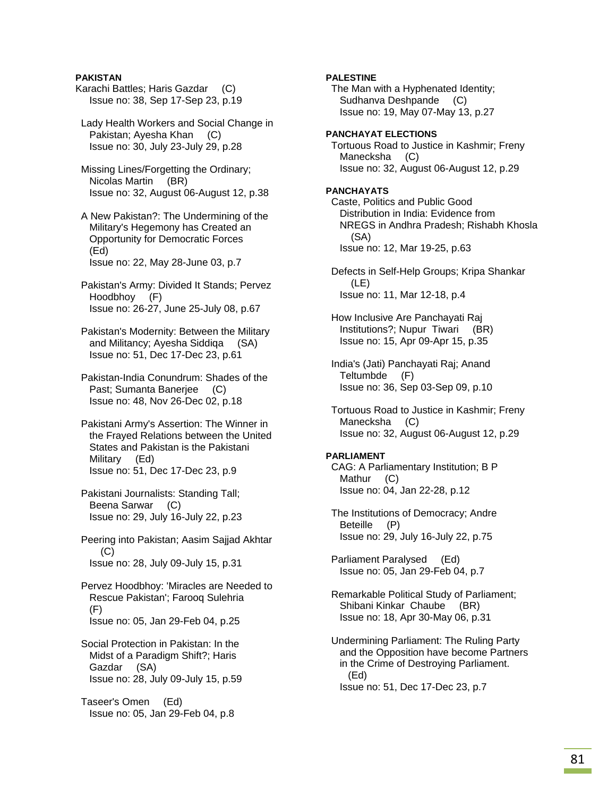## **PAKISTAN**

- Karachi Battles; Haris Gazdar (C) Issue no: 38, Sep 17-Sep 23, p.19
- Lady Health Workers and Social Change in Pakistan; Ayesha Khan (C) Issue no: 30, July 23-July 29, p.28
- Missing Lines/Forgetting the Ordinary; Nicolas Martin (BR) Issue no: 32, August 06-August 12, p.38
- A New Pakistan?: The Undermining of the Military's Hegemony has Created an Opportunity for Democratic Forces (Ed) Issue no: 22, May 28-June 03, p.7
- Pakistan's Army: Divided It Stands; Pervez Hoodbhoy (F) Issue no: 26-27, June 25-July 08, p.67
- Pakistan's Modernity: Between the Military and Militancy; Ayesha Siddiqa (SA) Issue no: 51, Dec 17-Dec 23, p.61
- Pakistan-India Conundrum: Shades of the Past; Sumanta Banerjee (C) Issue no: 48, Nov 26-Dec 02, p.18
- Pakistani Army's Assertion: The Winner in the Frayed Relations between the United States and Pakistan is the Pakistani Military (Ed) Issue no: 51, Dec 17-Dec 23, p.9
- Pakistani Journalists: Standing Tall; Beena Sarwar (C) Issue no: 29, July 16-July 22, p.23
- Peering into Pakistan; Aasim Sajjad Akhtar  $(C)$ Issue no: 28, July 09-July 15, p.31
- Pervez Hoodbhoy: 'Miracles are Needed to Rescue Pakistan'; Farooq Sulehria (F) Issue no: 05, Jan 29-Feb 04, p.25
- Social Protection in Pakistan: In the Midst of a Paradigm Shift?; Haris Gazdar (SA) Issue no: 28, July 09-July 15, p.59

 Taseer's Omen (Ed) Issue no: 05, Jan 29-Feb 04, p.8

## **PALESTINE**

 The Man with a Hyphenated Identity; Sudhanva Deshpande (C) Issue no: 19, May 07-May 13, p.27

## **PANCHAYAT ELECTIONS**

 Tortuous Road to Justice in Kashmir; Freny Manecksha (C) Issue no: 32, August 06-August 12, p.29

## **PANCHAYATS**

 Caste, Politics and Public Good Distribution in India: Evidence from NREGS in Andhra Pradesh; Rishabh Khosla (SA) Issue no: 12, Mar 19-25, p.63

 Defects in Self-Help Groups; Kripa Shankar (LE) Issue no: 11, Mar 12-18, p.4

 How Inclusive Are Panchayati Raj Institutions?; Nupur Tiwari (BR) Issue no: 15, Apr 09-Apr 15, p.35

 India's (Jati) Panchayati Raj; Anand Teltumbde (F) Issue no: 36, Sep 03-Sep 09, p.10

 Tortuous Road to Justice in Kashmir; Freny Manecksha (C) Issue no: 32, August 06-August 12, p.29

## **PARLIAMENT**

 CAG: A Parliamentary Institution; B P Mathur (C) Issue no: 04, Jan 22-28, p.12

 The Institutions of Democracy; Andre Beteille (P) Issue no: 29, July 16-July 22, p.75

 Parliament Paralysed (Ed) Issue no: 05, Jan 29-Feb 04, p.7

 Remarkable Political Study of Parliament; Shibani Kinkar Chaube (BR) Issue no: 18, Apr 30-May 06, p.31

 Undermining Parliament: The Ruling Party and the Opposition have become Partners in the Crime of Destroying Parliament. (Ed) Issue no: 51, Dec 17-Dec 23, p.7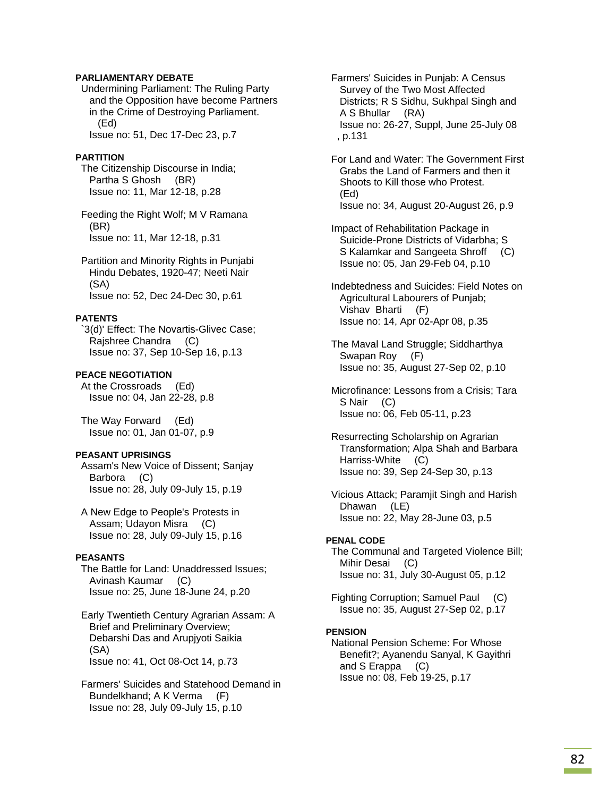# **PARLIAMENTARY DEBATE**

 Undermining Parliament: The Ruling Party and the Opposition have become Partners in the Crime of Destroying Parliament. (Ed) Issue no: 51, Dec 17-Dec 23, p.7

**PARTITION** 

 The Citizenship Discourse in India; Partha S Ghosh (BR) Issue no: 11, Mar 12-18, p.28

 Feeding the Right Wolf; M V Ramana (BR) Issue no: 11, Mar 12-18, p.31

 Partition and Minority Rights in Punjabi Hindu Debates, 1920-47; Neeti Nair (SA) Issue no: 52, Dec 24-Dec 30, p.61

### **PATENTS**

 `3(d)' Effect: The Novartis-Glivec Case; Rajshree Chandra (C) Issue no: 37, Sep 10-Sep 16, p.13

### **PEACE NEGOTIATION**

 At the Crossroads (Ed) Issue no: 04, Jan 22-28, p.8

 The Way Forward (Ed) Issue no: 01, Jan 01-07, p.9

## **PEASANT UPRISINGS**

 Assam's New Voice of Dissent; Sanjay Barbora (C) Issue no: 28, July 09-July 15, p.19

 A New Edge to People's Protests in Assam; Udayon Misra (C) Issue no: 28, July 09-July 15, p.16

### **PEASANTS**

 The Battle for Land: Unaddressed Issues; Avinash Kaumar (C) Issue no: 25, June 18-June 24, p.20

 Early Twentieth Century Agrarian Assam: A Brief and Preliminary Overview; Debarshi Das and Arupjyoti Saikia (SA) Issue no: 41, Oct 08-Oct 14, p.73

 Farmers' Suicides and Statehood Demand in Bundelkhand; A K Verma (F) Issue no: 28, July 09-July 15, p.10

 Farmers' Suicides in Punjab: A Census Survey of the Two Most Affected Districts; R S Sidhu, Sukhpal Singh and A S Bhullar (RA) Issue no: 26-27, Suppl, June 25-July 08 , p.131

 For Land and Water: The Government First Grabs the Land of Farmers and then it Shoots to Kill those who Protest. (Ed) Issue no: 34, August 20-August 26, p.9

 Impact of Rehabilitation Package in Suicide-Prone Districts of Vidarbha; S S Kalamkar and Sangeeta Shroff (C) Issue no: 05, Jan 29-Feb 04, p.10

 Indebtedness and Suicides: Field Notes on Agricultural Labourers of Punjab; Vishav Bharti (F) Issue no: 14, Apr 02-Apr 08, p.35

 The Maval Land Struggle; Siddharthya Swapan Roy (F) Issue no: 35, August 27-Sep 02, p.10

 Microfinance: Lessons from a Crisis; Tara S Nair (C) Issue no: 06, Feb 05-11, p.23

 Resurrecting Scholarship on Agrarian Transformation; Alpa Shah and Barbara Harriss-White (C) Issue no: 39, Sep 24-Sep 30, p.13

 Vicious Attack; Paramjit Singh and Harish Dhawan (LE) Issue no: 22, May 28-June 03, p.5

### **PENAL CODE**

 The Communal and Targeted Violence Bill; Mihir Desai (C) Issue no: 31, July 30-August 05, p.12

 Fighting Corruption; Samuel Paul (C) Issue no: 35, August 27-Sep 02, p.17

### **PENSION**

 National Pension Scheme: For Whose Benefit?; Ayanendu Sanyal, K Gayithri and S Erappa (C) Issue no: 08, Feb 19-25, p.17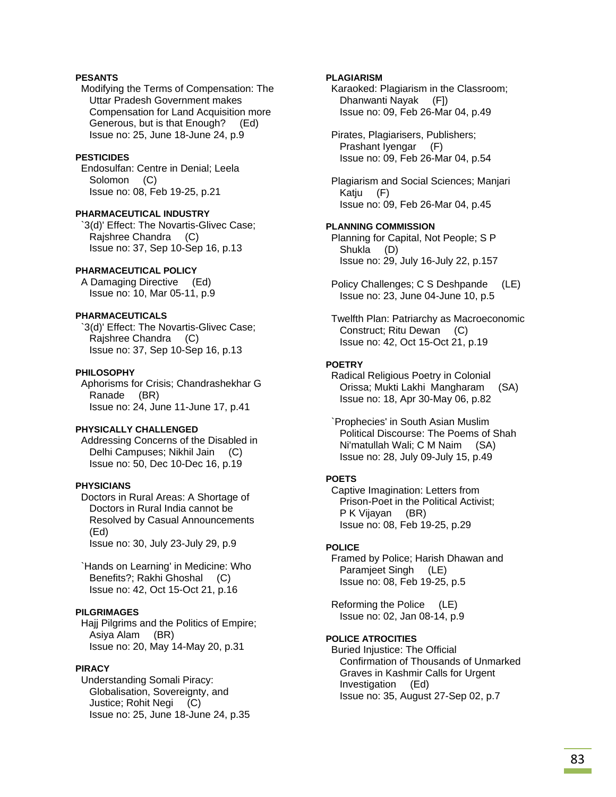# **PESANTS**

 Modifying the Terms of Compensation: The Uttar Pradesh Government makes Compensation for Land Acquisition more Generous, but is that Enough? (Ed) Issue no: 25, June 18-June 24, p.9

## **PESTICIDES**

 Endosulfan: Centre in Denial; Leela Solomon (C) Issue no: 08, Feb 19-25, p.21

## **PHARMACEUTICAL INDUSTRY**

 `3(d)' Effect: The Novartis-Glivec Case; Rajshree Chandra (C) Issue no: 37, Sep 10-Sep 16, p.13

## **PHARMACEUTICAL POLICY**

 A Damaging Directive (Ed) Issue no: 10, Mar 05-11, p.9

# **PHARMACEUTICALS**

 `3(d)' Effect: The Novartis-Glivec Case; Rajshree Chandra (C) Issue no: 37, Sep 10-Sep 16, p.13

# **PHILOSOPHY**

 Aphorisms for Crisis; Chandrashekhar G Ranade (BR) Issue no: 24, June 11-June 17, p.41

## **PHYSICALLY CHALLENGED**

 Addressing Concerns of the Disabled in Delhi Campuses; Nikhil Jain (C) Issue no: 50, Dec 10-Dec 16, p.19

### **PHYSICIANS**

 Doctors in Rural Areas: A Shortage of Doctors in Rural India cannot be Resolved by Casual Announcements (Ed) Issue no: 30, July 23-July 29, p.9

 `Hands on Learning' in Medicine: Who Benefits?; Rakhi Ghoshal (C) Issue no: 42, Oct 15-Oct 21, p.16

## **PILGRIMAGES**

 Hajj Pilgrims and the Politics of Empire; Asiya Alam (BR) Issue no: 20, May 14-May 20, p.31

## **PIRACY**

 Understanding Somali Piracy: Globalisation, Sovereignty, and Justice; Rohit Negi (C) Issue no: 25, June 18-June 24, p.35

### **PLAGIARISM**

 Karaoked: Plagiarism in the Classroom; Dhanwanti Nayak (F]) Issue no: 09, Feb 26-Mar 04, p.49

 Pirates, Plagiarisers, Publishers; Prashant Iyengar (F) Issue no: 09, Feb 26-Mar 04, p.54

 Plagiarism and Social Sciences; Manjari Katju (F) Issue no: 09, Feb 26-Mar 04, p.45

## **PLANNING COMMISSION**

 Planning for Capital, Not People; S P Shukla (D) Issue no: 29, July 16-July 22, p.157

 Policy Challenges; C S Deshpande (LE) Issue no: 23, June 04-June 10, p.5

 Twelfth Plan: Patriarchy as Macroeconomic Construct; Ritu Dewan (C) Issue no: 42, Oct 15-Oct 21, p.19

## **POETRY**

 Radical Religious Poetry in Colonial Orissa; Mukti Lakhi Mangharam (SA) Issue no: 18, Apr 30-May 06, p.82

 `Prophecies' in South Asian Muslim Political Discourse: The Poems of Shah Ni'matullah Wali; C M Naim (SA) Issue no: 28, July 09-July 15, p.49

#### **POETS**

 Captive Imagination: Letters from Prison-Poet in the Political Activist; P K Vijayan (BR) Issue no: 08, Feb 19-25, p.29

### **POLICE**

 Framed by Police; Harish Dhawan and Paramjeet Singh (LE) Issue no: 08, Feb 19-25, p.5

 Reforming the Police (LE) Issue no: 02, Jan 08-14, p.9

## **POLICE ATROCITIES**

 Buried Injustice: The Official Confirmation of Thousands of Unmarked Graves in Kashmir Calls for Urgent Investigation (Ed) Issue no: 35, August 27-Sep 02, p.7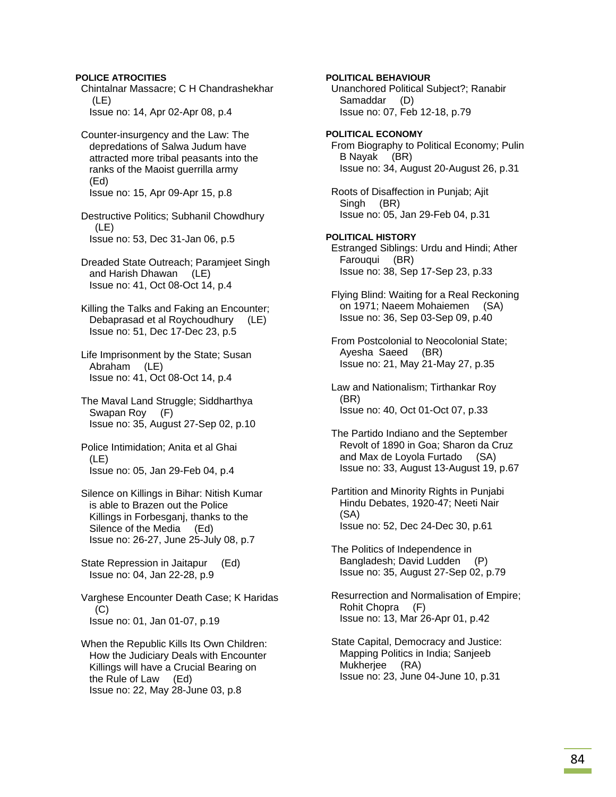## **POLICE ATROCITIES**

 Chintalnar Massacre; C H Chandrashekhar (LE) Issue no: 14, Apr 02-Apr 08, p.4

 Counter-insurgency and the Law: The depredations of Salwa Judum have attracted more tribal peasants into the ranks of the Maoist guerrilla army (Ed) Issue no: 15, Apr 09-Apr 15, p.8

 Destructive Politics; Subhanil Chowdhury (LE) Issue no: 53, Dec 31-Jan 06, p.5

 Dreaded State Outreach; Paramjeet Singh and Harish Dhawan (LE) Issue no: 41, Oct 08-Oct 14, p.4

 Killing the Talks and Faking an Encounter; Debaprasad et al Roychoudhury (LE) Issue no: 51, Dec 17-Dec 23, p.5

 Life Imprisonment by the State; Susan Abraham (LE) Issue no: 41, Oct 08-Oct 14, p.4

 The Maval Land Struggle; Siddharthya Swapan Roy (F) Issue no: 35, August 27-Sep 02, p.10

 Police Intimidation; Anita et al Ghai (LE) Issue no: 05, Jan 29-Feb 04, p.4

 Silence on Killings in Bihar: Nitish Kumar is able to Brazen out the Police Killings in Forbesganj, thanks to the Silence of the Media (Ed) Issue no: 26-27, June 25-July 08, p.7

 State Repression in Jaitapur (Ed) Issue no: 04, Jan 22-28, p.9

 Varghese Encounter Death Case; K Haridas (C) Issue no: 01, Jan 01-07, p.19

 When the Republic Kills Its Own Children: How the Judiciary Deals with Encounter Killings will have a Crucial Bearing on the Rule of Law (Ed) Issue no: 22, May 28-June 03, p.8

 Unanchored Political Subject?; Ranabir Samaddar (D) Issue no: 07, Feb 12-18, p.79 **POLITICAL ECONOMY**  From Biography to Political Economy; Pulin B Nayak (BR) Issue no: 34, August 20-August 26, p.31 Roots of Disaffection in Punjab; Ajit Singh (BR) Issue no: 05, Jan 29-Feb 04, p.31 **POLITICAL HISTORY**  Estranged Siblings: Urdu and Hindi; Ather Farouqui (BR) Issue no: 38, Sep 17-Sep 23, p.33 Flying Blind: Waiting for a Real Reckoning on 1971; Naeem Mohaiemen (SA) Issue no: 36, Sep 03-Sep 09, p.40 From Postcolonial to Neocolonial State; Ayesha Saeed (BR) Issue no: 21, May 21-May 27, p.35 Law and Nationalism; Tirthankar Roy (BR) Issue no: 40, Oct 01-Oct 07, p.33 The Partido Indiano and the September Revolt of 1890 in Goa; Sharon da Cruz and Max de Loyola Furtado (SA) Issue no: 33, August 13-August 19, p.67 Partition and Minority Rights in Punjabi Hindu Debates, 1920-47; Neeti Nair (SA) Issue no: 52, Dec 24-Dec 30, p.61 The Politics of Independence in Bangladesh; David Ludden (P) Issue no: 35, August 27-Sep 02, p.79 Resurrection and Normalisation of Empire; Rohit Chopra (F) Issue no: 13, Mar 26-Apr 01, p.42

**POLITICAL BEHAVIOUR** 

 State Capital, Democracy and Justice: Mapping Politics in India; Sanjeeb Mukherjee (RA) Issue no: 23, June 04-June 10, p.31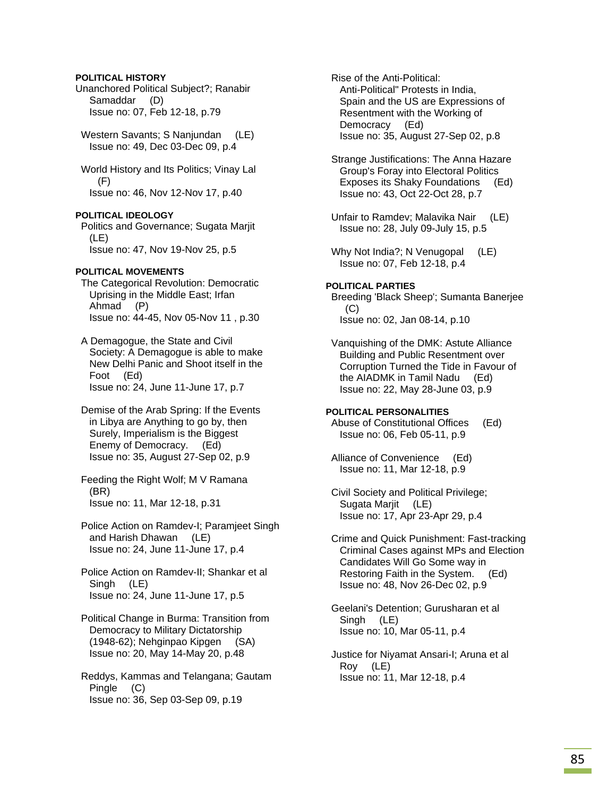## **POLITICAL HISTORY**

Unanchored Political Subject?; Ranabir Samaddar (D) Issue no: 07, Feb 12-18, p.79

Western Savants; S Nanjundan (LE) Issue no: 49, Dec 03-Dec 09, p.4

 World History and Its Politics; Vinay Lal (F) Issue no: 46, Nov 12-Nov 17, p.40

**POLITICAL IDEOLOGY**  Politics and Governance; Sugata Marjit (LE) Issue no: 47, Nov 19-Nov 25, p.5

### **POLITICAL MOVEMENTS**

 The Categorical Revolution: Democratic Uprising in the Middle East; Irfan Ahmad (P) Issue no: 44-45, Nov 05-Nov 11 , p.30

 A Demagogue, the State and Civil Society: A Demagogue is able to make New Delhi Panic and Shoot itself in the Foot (Ed) Issue no: 24, June 11-June 17, p.7

 Demise of the Arab Spring: If the Events in Libya are Anything to go by, then Surely, Imperialism is the Biggest Enemy of Democracy. (Ed) Issue no: 35, August 27-Sep 02, p.9

 Feeding the Right Wolf; M V Ramana (BR) Issue no: 11, Mar 12-18, p.31

 Police Action on Ramdev-I; Paramjeet Singh and Harish Dhawan (LE) Issue no: 24, June 11-June 17, p.4

 Police Action on Ramdev-II; Shankar et al Singh (LE) Issue no: 24, June 11-June 17, p.5

 Political Change in Burma: Transition from Democracy to Military Dictatorship (1948-62); Nehginpao Kipgen (SA) Issue no: 20, May 14-May 20, p.48

 Reddys, Kammas and Telangana; Gautam Pingle (C) Issue no: 36, Sep 03-Sep 09, p.19

 Rise of the Anti-Political: Anti-Political" Protests in India, Spain and the US are Expressions of Resentment with the Working of Democracy (Ed) Issue no: 35, August 27-Sep 02, p.8

 Strange Justifications: The Anna Hazare Group's Foray into Electoral Politics Exposes its Shaky Foundations (Ed) Issue no: 43, Oct 22-Oct 28, p.7

 Unfair to Ramdev; Malavika Nair (LE) Issue no: 28, July 09-July 15, p.5

Why Not India?; N Venugopal (LE) Issue no: 07, Feb 12-18, p.4

## **POLITICAL PARTIES**

 Breeding 'Black Sheep'; Sumanta Banerjee  $(C)$ Issue no: 02, Jan 08-14, p.10

 Vanquishing of the DMK: Astute Alliance Building and Public Resentment over Corruption Turned the Tide in Favour of the AIADMK in Tamil Nadu (Ed) Issue no: 22, May 28-June 03, p.9

### **POLITICAL PERSONALITIES**

 Abuse of Constitutional Offices (Ed) Issue no: 06, Feb 05-11, p.9

 Alliance of Convenience (Ed) Issue no: 11, Mar 12-18, p.9

 Civil Society and Political Privilege; Sugata Marjit (LE) Issue no: 17, Apr 23-Apr 29, p.4

 Crime and Quick Punishment: Fast-tracking Criminal Cases against MPs and Election Candidates Will Go Some way in Restoring Faith in the System. (Ed) Issue no: 48, Nov 26-Dec 02, p.9

 Geelani's Detention; Gurusharan et al Singh (LE) Issue no: 10, Mar 05-11, p.4

 Justice for Niyamat Ansari-I; Aruna et al Roy (LE) Issue no: 11, Mar 12-18, p.4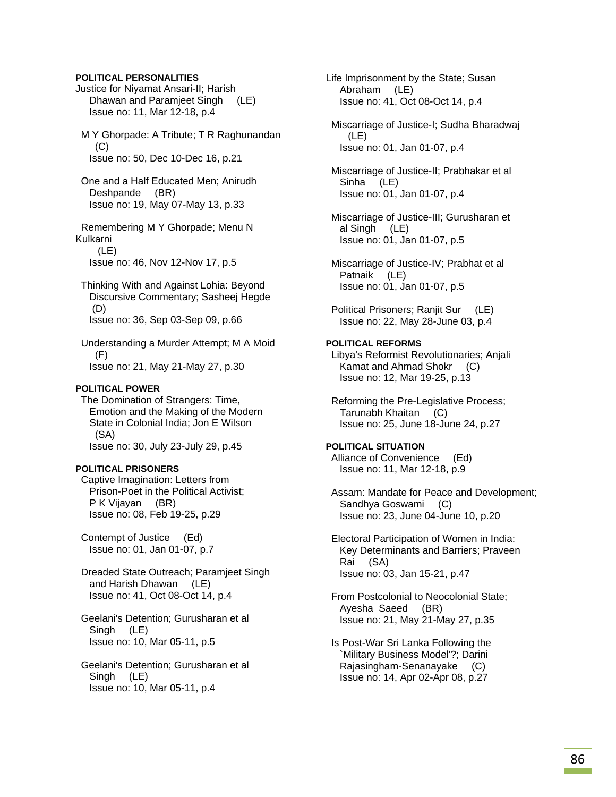## **POLITICAL PERSONALITIES**

Justice for Niyamat Ansari-II; Harish Dhawan and Paramjeet Singh (LE) Issue no: 11, Mar 12-18, p.4

 M Y Ghorpade: A Tribute; T R Raghunandan  $(C)$ Issue no: 50, Dec 10-Dec 16, p.21

 One and a Half Educated Men; Anirudh Deshpande (BR) Issue no: 19, May 07-May 13, p.33

 Remembering M Y Ghorpade; Menu N Kulkarni (LE)

Issue no: 46, Nov 12-Nov 17, p.5

 Thinking With and Against Lohia: Beyond Discursive Commentary; Sasheej Hegde (D) Issue no: 36, Sep 03-Sep 09, p.66

 Understanding a Murder Attempt; M A Moid (F) Issue no: 21, May 21-May 27, p.30

## **POLITICAL POWER**

 The Domination of Strangers: Time, Emotion and the Making of the Modern State in Colonial India; Jon E Wilson (SA) Issue no: 30, July 23-July 29, p.45

#### **POLITICAL PRISONERS**

 Captive Imagination: Letters from Prison-Poet in the Political Activist; P K Vijayan (BR) Issue no: 08, Feb 19-25, p.29

 Contempt of Justice (Ed) Issue no: 01, Jan 01-07, p.7

 Dreaded State Outreach; Paramjeet Singh and Harish Dhawan (LE) Issue no: 41, Oct 08-Oct 14, p.4

- Geelani's Detention; Gurusharan et al Singh (LE) Issue no: 10, Mar 05-11, p.5
- Geelani's Detention; Gurusharan et al Singh (LE) Issue no: 10, Mar 05-11, p.4

Life Imprisonment by the State; Susan Abraham (LE) Issue no: 41, Oct 08-Oct 14, p.4

 Miscarriage of Justice-I; Sudha Bharadwaj (LE) Issue no: 01, Jan 01-07, p.4

 Miscarriage of Justice-II; Prabhakar et al Sinha (LE) Issue no: 01, Jan 01-07, p.4

 Miscarriage of Justice-III; Gurusharan et al Singh (LE) Issue no: 01, Jan 01-07, p.5

- Miscarriage of Justice-IV; Prabhat et al Patnaik (LE) Issue no: 01, Jan 01-07, p.5
- Political Prisoners; Ranjit Sur (LE) Issue no: 22, May 28-June 03, p.4

## **POLITICAL REFORMS**

 Libya's Reformist Revolutionaries; Anjali Kamat and Ahmad Shokr (C) Issue no: 12, Mar 19-25, p.13

 Reforming the Pre-Legislative Process; Tarunabh Khaitan (C) Issue no: 25, June 18-June 24, p.27

### **POLITICAL SITUATION**

 Alliance of Convenience (Ed) Issue no: 11, Mar 12-18, p.9

 Assam: Mandate for Peace and Development; Sandhya Goswami (C) Issue no: 23, June 04-June 10, p.20

 Electoral Participation of Women in India: Key Determinants and Barriers; Praveen Rai (SA) Issue no: 03, Jan 15-21, p.47

 From Postcolonial to Neocolonial State; Ayesha Saeed (BR) Issue no: 21, May 21-May 27, p.35

 Is Post-War Sri Lanka Following the `Military Business Model'?; Darini Rajasingham-Senanayake (C) Issue no: 14, Apr 02-Apr 08, p.27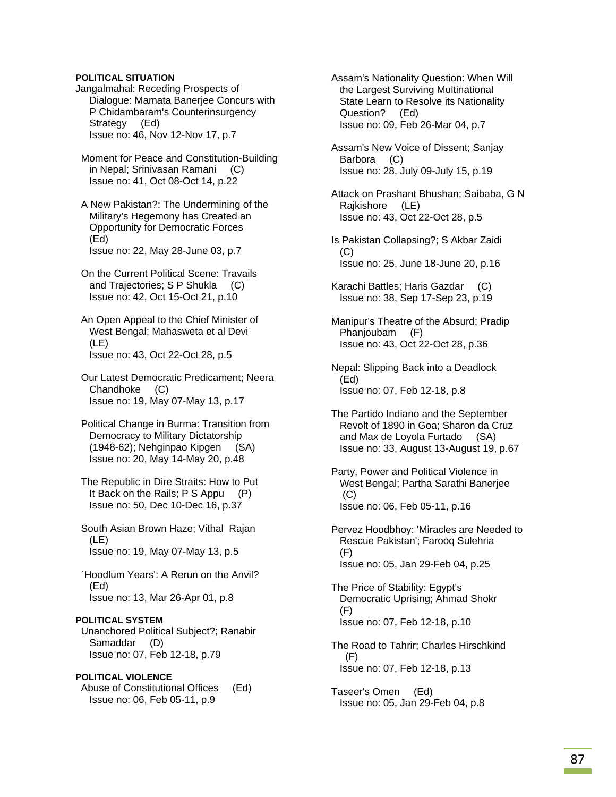# **POLITICAL SITUATION**

Jangalmahal: Receding Prospects of Dialogue: Mamata Banerjee Concurs with P Chidambaram's Counterinsurgency Strategy (Ed) Issue no: 46, Nov 12-Nov 17, p.7

 Moment for Peace and Constitution-Building in Nepal; Srinivasan Ramani (C) Issue no: 41, Oct 08-Oct 14, p.22

 A New Pakistan?: The Undermining of the Military's Hegemony has Created an Opportunity for Democratic Forces (Ed) Issue no: 22, May 28-June 03, p.7

 On the Current Political Scene: Travails and Trajectories; S P Shukla (C) Issue no: 42, Oct 15-Oct 21, p.10

 An Open Appeal to the Chief Minister of West Bengal; Mahasweta et al Devi (LE) Issue no: 43, Oct 22-Oct 28, p.5

 Our Latest Democratic Predicament; Neera Chandhoke (C) Issue no: 19, May 07-May 13, p.17

 Political Change in Burma: Transition from Democracy to Military Dictatorship (1948-62); Nehginpao Kipgen (SA) Issue no: 20, May 14-May 20, p.48

 The Republic in Dire Straits: How to Put It Back on the Rails; P S Appu (P) Issue no: 50, Dec 10-Dec 16, p.37

 South Asian Brown Haze; Vithal Rajan (LE) Issue no: 19, May 07-May 13, p.5

 `Hoodlum Years': A Rerun on the Anvil? (Ed) Issue no: 13, Mar 26-Apr 01, p.8

### **POLITICAL SYSTEM**

 Unanchored Political Subject?; Ranabir Samaddar (D) Issue no: 07, Feb 12-18, p.79

# **POLITICAL VIOLENCE**

Abuse of Constitutional Offices (Ed) Issue no: 06, Feb 05-11, p.9

 Assam's Nationality Question: When Will the Largest Surviving Multinational State Learn to Resolve its Nationality Question? (Ed) Issue no: 09, Feb 26-Mar 04, p.7

 Assam's New Voice of Dissent; Sanjay Barbora (C) Issue no: 28, July 09-July 15, p.19

 Attack on Prashant Bhushan; Saibaba, G N Rajkishore (LE) Issue no: 43, Oct 22-Oct 28, p.5

 Is Pakistan Collapsing?; S Akbar Zaidi  $(C)$ Issue no: 25, June 18-June 20, p.16

 Karachi Battles; Haris Gazdar (C) Issue no: 38, Sep 17-Sep 23, p.19

 Manipur's Theatre of the Absurd; Pradip Phanjoubam (F) Issue no: 43, Oct 22-Oct 28, p.36

 Nepal: Slipping Back into a Deadlock (Ed) Issue no: 07, Feb 12-18, p.8

 The Partido Indiano and the September Revolt of 1890 in Goa; Sharon da Cruz and Max de Loyola Furtado (SA) Issue no: 33, August 13-August 19, p.67

 Party, Power and Political Violence in West Bengal; Partha Sarathi Banerjee (C) Issue no: 06, Feb 05-11, p.16

 Pervez Hoodbhoy: 'Miracles are Needed to Rescue Pakistan'; Farooq Sulehria (F) Issue no: 05, Jan 29-Feb 04, p.25

 The Price of Stability: Egypt's Democratic Uprising; Ahmad Shokr (F) Issue no: 07, Feb 12-18, p.10

 The Road to Tahrir; Charles Hirschkind (F) Issue no: 07, Feb 12-18, p.13

 Taseer's Omen (Ed) Issue no: 05, Jan 29-Feb 04, p.8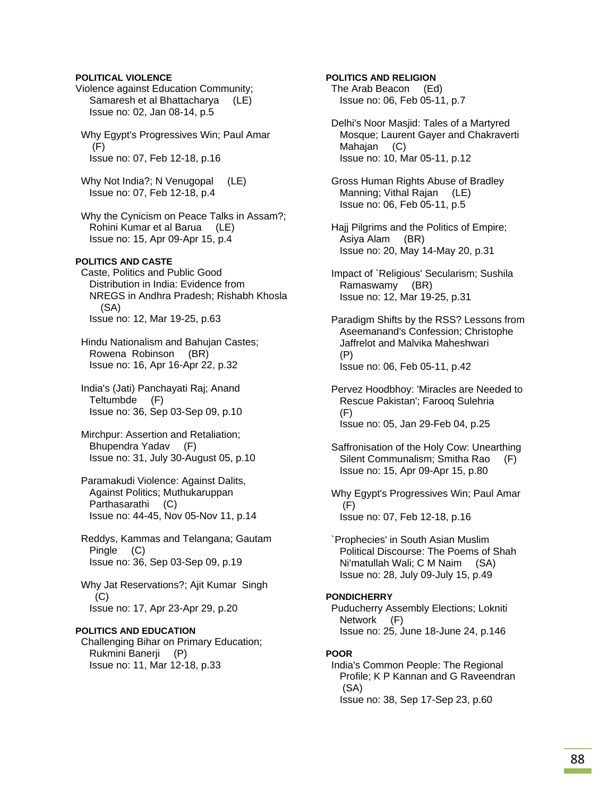## **POLITICAL VIOLENCE**

- Violence against Education Community; Samaresh et al Bhattacharya (LE) Issue no: 02, Jan 08-14, p.5
- Why Egypt's Progressives Win; Paul Amar (F) Issue no: 07, Feb 12-18, p.16
- Why Not India?; N Venugopal (LE) Issue no: 07, Feb 12-18, p.4
- Why the Cynicism on Peace Talks in Assam?; Rohini Kumar et al Barua (LE) Issue no: 15, Apr 09-Apr 15, p.4

# **POLITICS AND CASTE**

 Caste, Politics and Public Good Distribution in India: Evidence from NREGS in Andhra Pradesh; Rishabh Khosla (SA) Issue no: 12, Mar 19-25, p.63

 Hindu Nationalism and Bahujan Castes; Rowena Robinson (BR) Issue no: 16, Apr 16-Apr 22, p.32

 India's (Jati) Panchayati Raj; Anand Teltumbde (F) Issue no: 36, Sep 03-Sep 09, p.10

- Mirchpur: Assertion and Retaliation; Bhupendra Yadav (F) Issue no: 31, July 30-August 05, p.10
- Paramakudi Violence: Against Dalits, Against Politics; Muthukaruppan Parthasarathi (C) Issue no: 44-45, Nov 05-Nov 11, p.14

 Reddys, Kammas and Telangana; Gautam Pingle (C) Issue no: 36, Sep 03-Sep 09, p.19

 Why Jat Reservations?; Ajit Kumar Singh  $(C)$ Issue no: 17, Apr 23-Apr 29, p.20

## **POLITICS AND EDUCATION**

 Challenging Bihar on Primary Education; Rukmini Banerji (P) Issue no: 11, Mar 12-18, p.33

### **POLITICS AND RELIGION**

 The Arab Beacon (Ed) Issue no: 06, Feb 05-11, p.7

 Delhi's Noor Masjid: Tales of a Martyred Mosque; Laurent Gayer and Chakraverti Mahajan (C) Issue no: 10, Mar 05-11, p.12

 Gross Human Rights Abuse of Bradley Manning; Vithal Rajan (LE) Issue no: 06, Feb 05-11, p.5

 Hajj Pilgrims and the Politics of Empire; Asiya Alam (BR) Issue no: 20, May 14-May 20, p.31

 Impact of `Religious' Secularism; Sushila Ramaswamy (BR) Issue no: 12, Mar 19-25, p.31

 Paradigm Shifts by the RSS? Lessons from Aseemanand's Confession; Christophe Jaffrelot and Malvika Maheshwari (P) Issue no: 06, Feb 05-11, p.42

- Pervez Hoodbhoy: 'Miracles are Needed to Rescue Pakistan'; Farooq Sulehria (F) Issue no: 05, Jan 29-Feb 04, p.25
- Saffronisation of the Holy Cow: Unearthing Silent Communalism; Smitha Rao (F) Issue no: 15, Apr 09-Apr 15, p.80

 Why Egypt's Progressives Win; Paul Amar  $(F)$ Issue no: 07, Feb 12-18, p.16

 `Prophecies' in South Asian Muslim Political Discourse: The Poems of Shah Ni'matullah Wali; C M Naim (SA) Issue no: 28, July 09-July 15, p.49

## **PONDICHERRY**

 Puducherry Assembly Elections; Lokniti Network (F) Issue no: 25, June 18-June 24, p.146

#### **POOR**

 India's Common People: The Regional Profile; K P Kannan and G Raveendran (SA) Issue no: 38, Sep 17-Sep 23, p.60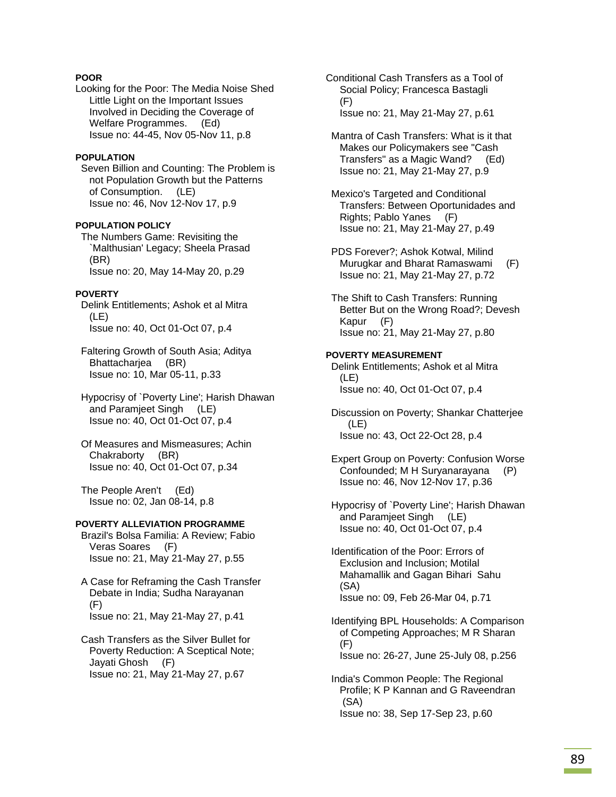# **POOR**

Looking for the Poor: The Media Noise Shed Little Light on the Important Issues Involved in Deciding the Coverage of Welfare Programmes. (Ed) Issue no: 44-45, Nov 05-Nov 11, p.8

# **POPULATION**

 Seven Billion and Counting: The Problem is not Population Growth but the Patterns of Consumption. (LE) Issue no: 46, Nov 12-Nov 17, p.9

### **POPULATION POLICY**

 The Numbers Game: Revisiting the `Malthusian' Legacy; Sheela Prasad (BR) Issue no: 20, May 14-May 20, p.29

# **POVERTY**

 Delink Entitlements; Ashok et al Mitra (LE) Issue no: 40, Oct 01-Oct 07, p.4

 Faltering Growth of South Asia; Aditya Bhattacharjea (BR) Issue no: 10, Mar 05-11, p.33

 Hypocrisy of `Poverty Line'; Harish Dhawan and Paramjeet Singh (LE) Issue no: 40, Oct 01-Oct 07, p.4

 Of Measures and Mismeasures; Achin Chakraborty (BR) Issue no: 40, Oct 01-Oct 07, p.34

 The People Aren't (Ed) Issue no: 02, Jan 08-14, p.8

### **POVERTY ALLEVIATION PROGRAMME**

 Brazil's Bolsa Familia: A Review; Fabio Veras Soares (F) Issue no: 21, May 21-May 27, p.55

 A Case for Reframing the Cash Transfer Debate in India; Sudha Narayanan (F) Issue no: 21, May 21-May 27, p.41

 Cash Transfers as the Silver Bullet for Poverty Reduction: A Sceptical Note; Jayati Ghosh (F) Issue no: 21, May 21-May 27, p.67

Conditional Cash Transfers as a Tool of Social Policy; Francesca Bastagli (F) Issue no: 21, May 21-May 27, p.61

 Mantra of Cash Transfers: What is it that Makes our Policymakers see "Cash Transfers" as a Magic Wand? (Ed) Issue no: 21, May 21-May 27, p.9

 Mexico's Targeted and Conditional Transfers: Between Oportunidades and Rights; Pablo Yanes (F) Issue no: 21, May 21-May 27, p.49

 PDS Forever?; Ashok Kotwal, Milind Murugkar and Bharat Ramaswami (F) Issue no: 21, May 21-May 27, p.72

 The Shift to Cash Transfers: Running Better But on the Wrong Road?; Devesh Kapur (F) Issue no: 21, May 21-May 27, p.80

# **POVERTY MEASUREMENT**

 Delink Entitlements; Ashok et al Mitra (LE) Issue no: 40, Oct 01-Oct 07, p.4

- Discussion on Poverty; Shankar Chatterjee (LE) Issue no: 43, Oct 22-Oct 28, p.4
- Expert Group on Poverty: Confusion Worse Confounded; M H Suryanarayana (P) Issue no: 46, Nov 12-Nov 17, p.36

 Hypocrisy of `Poverty Line'; Harish Dhawan and Paramjeet Singh (LE) Issue no: 40, Oct 01-Oct 07, p.4

 Identification of the Poor: Errors of Exclusion and Inclusion; Motilal Mahamallik and Gagan Bihari Sahu (SA) Issue no: 09, Feb 26-Mar 04, p.71

 Identifying BPL Households: A Comparison of Competing Approaches; M R Sharan (F) Issue no: 26-27, June 25-July 08, p.256

 India's Common People: The Regional Profile; K P Kannan and G Raveendran (SA) Issue no: 38, Sep 17-Sep 23, p.60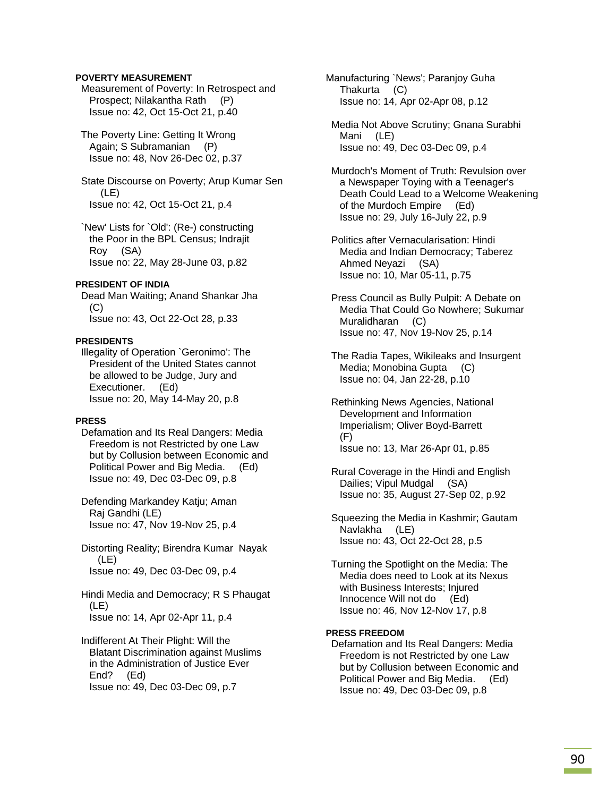## **POVERTY MEASUREMENT**

 Measurement of Poverty: In Retrospect and Prospect; Nilakantha Rath (P) Issue no: 42, Oct 15-Oct 21, p.40

 The Poverty Line: Getting It Wrong Again; S Subramanian (P) Issue no: 48, Nov 26-Dec 02, p.37

 State Discourse on Poverty; Arup Kumar Sen (LE) Issue no: 42, Oct 15-Oct 21, p.4

 `New' Lists for `Old': (Re-) constructing the Poor in the BPL Census; Indrajit Roy (SA) Issue no: 22, May 28-June 03, p.82

## **PRESIDENT OF INDIA**

 Dead Man Waiting; Anand Shankar Jha (C) Issue no: 43, Oct 22-Oct 28, p.33

### **PRESIDENTS**

 Illegality of Operation `Geronimo': The President of the United States cannot be allowed to be Judge, Jury and Executioner. (Ed) Issue no: 20, May 14-May 20, p.8

# **PRESS**

 Defamation and Its Real Dangers: Media Freedom is not Restricted by one Law but by Collusion between Economic and Political Power and Big Media. (Ed) Issue no: 49, Dec 03-Dec 09, p.8

 Defending Markandey Katju; Aman Raj Gandhi (LE) Issue no: 47, Nov 19-Nov 25, p.4

 Distorting Reality; Birendra Kumar Nayak (LE) Issue no: 49, Dec 03-Dec 09, p.4

 Hindi Media and Democracy; R S Phaugat (LE) Issue no: 14, Apr 02-Apr 11, p.4

 Indifferent At Their Plight: Will the Blatant Discrimination against Muslims in the Administration of Justice Ever End? (Ed) Issue no: 49, Dec 03-Dec 09, p.7

Manufacturing `News'; Paranjoy Guha Thakurta (C) Issue no: 14, Apr 02-Apr 08, p.12

 Media Not Above Scrutiny; Gnana Surabhi Mani (LE) Issue no: 49, Dec 03-Dec 09, p.4

 Murdoch's Moment of Truth: Revulsion over a Newspaper Toying with a Teenager's Death Could Lead to a Welcome Weakening of the Murdoch Empire (Ed) Issue no: 29, July 16-July 22, p.9

 Politics after Vernacularisation: Hindi Media and Indian Democracy; Taberez Ahmed Neyazi (SA) Issue no: 10, Mar 05-11, p.75

 Press Council as Bully Pulpit: A Debate on Media That Could Go Nowhere; Sukumar Muralidharan (C) Issue no: 47, Nov 19-Nov 25, p.14

 The Radia Tapes, Wikileaks and Insurgent Media; Monobina Gupta (C) Issue no: 04, Jan 22-28, p.10

 Rethinking News Agencies, National Development and Information Imperialism; Oliver Boyd-Barrett (F) Issue no: 13, Mar 26-Apr 01, p.85

 Rural Coverage in the Hindi and English Dailies; Vipul Mudgal (SA) Issue no: 35, August 27-Sep 02, p.92

 Squeezing the Media in Kashmir; Gautam Navlakha (LE) Issue no: 43, Oct 22-Oct 28, p.5

 Turning the Spotlight on the Media: The Media does need to Look at its Nexus with Business Interests: Injured Innocence Will not do (Ed) Issue no: 46, Nov 12-Nov 17, p.8

# **PRESS FREEDOM**

 Defamation and Its Real Dangers: Media Freedom is not Restricted by one Law but by Collusion between Economic and Political Power and Big Media. (Ed) Issue no: 49, Dec 03-Dec 09, p.8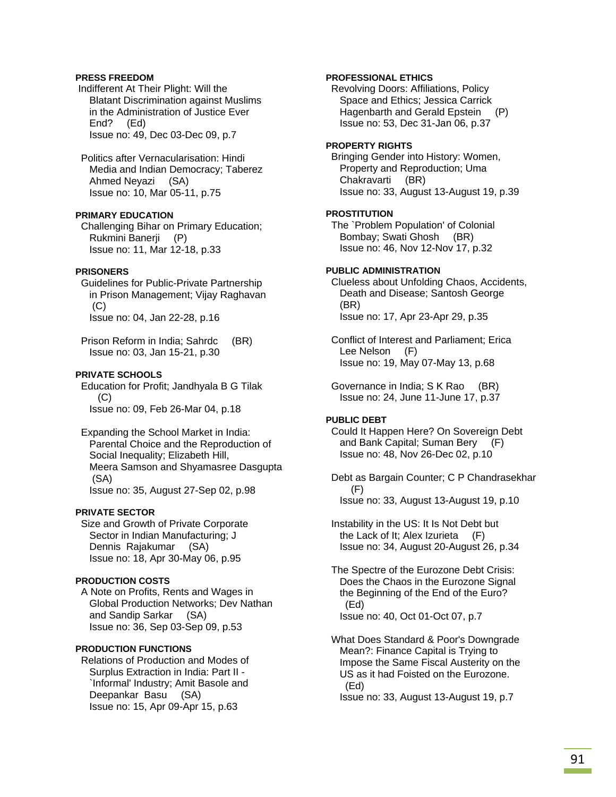## **PRESS FREEDOM**

 Indifferent At Their Plight: Will the Blatant Discrimination against Muslims in the Administration of Justice Ever End? (Ed) Issue no: 49, Dec 03-Dec 09, p.7

 Politics after Vernacularisation: Hindi Media and Indian Democracy; Taberez Ahmed Neyazi (SA) Issue no: 10, Mar 05-11, p.75

## **PRIMARY EDUCATION**

 Challenging Bihar on Primary Education; Rukmini Banerji (P) Issue no: 11, Mar 12-18, p.33

## **PRISONERS**

 Guidelines for Public-Private Partnership in Prison Management; Vijay Raghavan  $(C)$ Issue no: 04, Jan 22-28, p.16

 Prison Reform in India; Sahrdc (BR) Issue no: 03, Jan 15-21, p.30

## **PRIVATE SCHOOLS**

 Education for Profit; Jandhyala B G Tilak (C) Issue no: 09, Feb 26-Mar 04, p.18

 Expanding the School Market in India: Parental Choice and the Reproduction of Social Inequality; Elizabeth Hill, Meera Samson and Shyamasree Dasgupta (SA) Issue no: 35, August 27-Sep 02, p.98

# **PRIVATE SECTOR**

 Size and Growth of Private Corporate Sector in Indian Manufacturing; J Dennis Rajakumar (SA) Issue no: 18, Apr 30-May 06, p.95

# **PRODUCTION COSTS**

 A Note on Profits, Rents and Wages in Global Production Networks; Dev Nathan and Sandip Sarkar (SA) Issue no: 36, Sep 03-Sep 09, p.53

# **PRODUCTION FUNCTIONS**

 Relations of Production and Modes of Surplus Extraction in India: Part II - `Informal' Industry; Amit Basole and Deepankar Basu (SA) Issue no: 15, Apr 09-Apr 15, p.63

## **PROFESSIONAL ETHICS**

 Revolving Doors: Affiliations, Policy Space and Ethics; Jessica Carrick Hagenbarth and Gerald Epstein (P) Issue no: 53, Dec 31-Jan 06, p.37

### **PROPERTY RIGHTS**

 Bringing Gender into History: Women, Property and Reproduction; Uma Chakravarti (BR) Issue no: 33, August 13-August 19, p.39

### **PROSTITUTION**

 The `Problem Population' of Colonial Bombay; Swati Ghosh (BR) Issue no: 46, Nov 12-Nov 17, p.32

## **PUBLIC ADMINISTRATION**

 Clueless about Unfolding Chaos, Accidents, Death and Disease; Santosh George (BR) Issue no: 17, Apr 23-Apr 29, p.35

 Conflict of Interest and Parliament; Erica Lee Nelson (F) Issue no: 19, May 07-May 13, p.68

 Governance in India; S K Rao (BR) Issue no: 24, June 11-June 17, p.37

## **PUBLIC DEBT**

 Could It Happen Here? On Sovereign Debt and Bank Capital; Suman Bery (F) Issue no: 48, Nov 26-Dec 02, p.10

 Debt as Bargain Counter; C P Chandrasekhar (F) Issue no: 33, August 13-August 19, p.10

 Instability in the US: It Is Not Debt but the Lack of It; Alex Izurieta (F) Issue no: 34, August 20-August 26, p.34

 The Spectre of the Eurozone Debt Crisis: Does the Chaos in the Eurozone Signal the Beginning of the End of the Euro? (Ed) Issue no: 40, Oct 01-Oct 07, p.7

 What Does Standard & Poor's Downgrade Mean?: Finance Capital is Trying to Impose the Same Fiscal Austerity on the US as it had Foisted on the Eurozone. (Ed)

Issue no: 33, August 13-August 19, p.7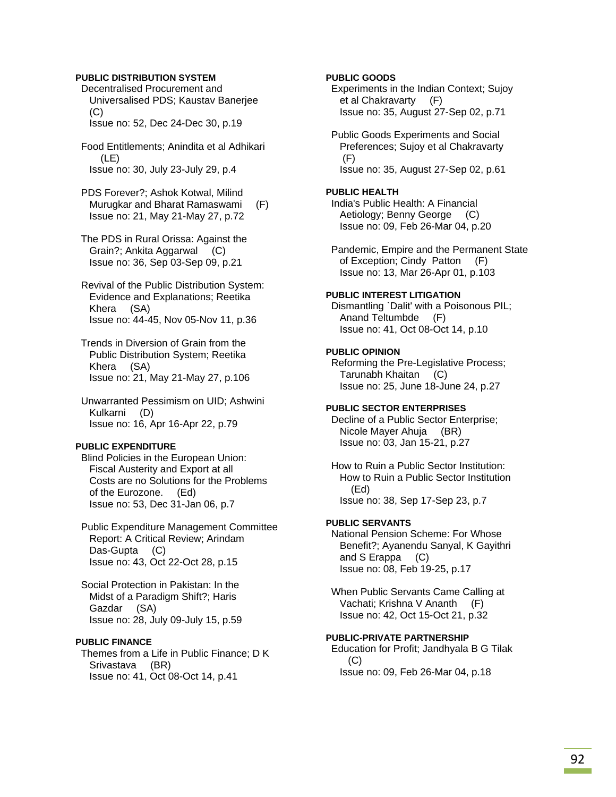## **PUBLIC DISTRIBUTION SYSTEM**

- Decentralised Procurement and Universalised PDS; Kaustav Banerjee (C) Issue no: 52, Dec 24-Dec 30, p.19
- Food Entitlements; Anindita et al Adhikari (LE) Issue no: 30, July 23-July 29, p.4

 PDS Forever?; Ashok Kotwal, Milind Murugkar and Bharat Ramaswami (F) Issue no: 21, May 21-May 27, p.72

 The PDS in Rural Orissa: Against the Grain?; Ankita Aggarwal (C) Issue no: 36, Sep 03-Sep 09, p.21

- Revival of the Public Distribution System: Evidence and Explanations; Reetika Khera (SA) Issue no: 44-45, Nov 05-Nov 11, p.36
- Trends in Diversion of Grain from the Public Distribution System; Reetika Khera (SA) Issue no: 21, May 21-May 27, p.106

 Unwarranted Pessimism on UID; Ashwini Kulkarni (D) Issue no: 16, Apr 16-Apr 22, p.79

#### **PUBLIC EXPENDITURE**

 Blind Policies in the European Union: Fiscal Austerity and Export at all Costs are no Solutions for the Problems of the Eurozone. (Ed) Issue no: 53, Dec 31-Jan 06, p.7

 Public Expenditure Management Committee Report: A Critical Review; Arindam Das-Gupta (C) Issue no: 43, Oct 22-Oct 28, p.15

 Social Protection in Pakistan: In the Midst of a Paradigm Shift?; Haris Gazdar (SA) Issue no: 28, July 09-July 15, p.59

# **PUBLIC FINANCE**

 Themes from a Life in Public Finance; D K Srivastava (BR) Issue no: 41, Oct 08-Oct 14, p.41

## **PUBLIC GOODS**

 Experiments in the Indian Context; Sujoy et al Chakravarty (F) Issue no: 35, August 27-Sep 02, p.71

 Public Goods Experiments and Social Preferences; Sujoy et al Chakravarty (F) Issue no: 35, August 27-Sep 02, p.61

#### **PUBLIC HEALTH**

 India's Public Health: A Financial Aetiology; Benny George (C) Issue no: 09, Feb 26-Mar 04, p.20

 Pandemic, Empire and the Permanent State of Exception; Cindy Patton (F) Issue no: 13, Mar 26-Apr 01, p.103

## **PUBLIC INTEREST LITIGATION**

 Dismantling `Dalit' with a Poisonous PIL; Anand Teltumbde (F) Issue no: 41, Oct 08-Oct 14, p.10

# **PUBLIC OPINION**

 Reforming the Pre-Legislative Process; Tarunabh Khaitan (C) Issue no: 25, June 18-June 24, p.27

### **PUBLIC SECTOR ENTERPRISES**

 Decline of a Public Sector Enterprise; Nicole Mayer Ahuja (BR) Issue no: 03, Jan 15-21, p.27

 How to Ruin a Public Sector Institution: How to Ruin a Public Sector Institution (Ed) Issue no: 38, Sep 17-Sep 23, p.7

### **PUBLIC SERVANTS**

 National Pension Scheme: For Whose Benefit?; Ayanendu Sanyal, K Gayithri and S Erappa (C) Issue no: 08, Feb 19-25, p.17

 When Public Servants Came Calling at Vachati; Krishna V Ananth (F) Issue no: 42, Oct 15-Oct 21, p.32

## **PUBLIC-PRIVATE PARTNERSHIP**

 Education for Profit; Jandhyala B G Tilak (C) Issue no: 09, Feb 26-Mar 04, p.18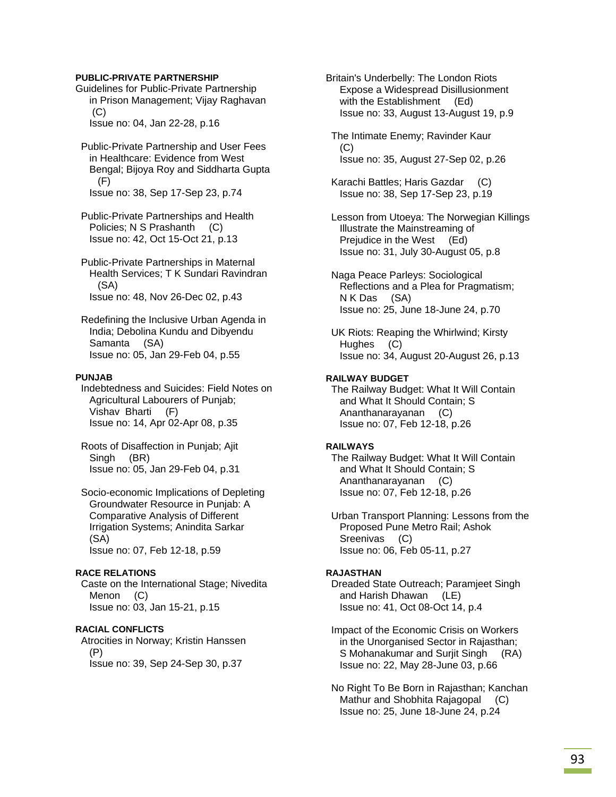### **PUBLIC-PRIVATE PARTNERSHIP**

- Guidelines for Public-Private Partnership in Prison Management; Vijay Raghavan (C) Issue no: 04, Jan 22-28, p.16
- Public-Private Partnership and User Fees in Healthcare: Evidence from West Bengal; Bijoya Roy and Siddharta Gupta  $(F)$ Issue no: 38, Sep 17-Sep 23, p.74
- Public-Private Partnerships and Health Policies; N S Prashanth (C) Issue no: 42, Oct 15-Oct 21, p.13
- Public-Private Partnerships in Maternal Health Services; T K Sundari Ravindran (SA) Issue no: 48, Nov 26-Dec 02, p.43
- Redefining the Inclusive Urban Agenda in India; Debolina Kundu and Dibyendu Samanta (SA) Issue no: 05, Jan 29-Feb 04, p.55

#### **PUNJAB**

 Indebtedness and Suicides: Field Notes on Agricultural Labourers of Punjab; Vishav Bharti (F) Issue no: 14, Apr 02-Apr 08, p.35

- Roots of Disaffection in Punjab; Ajit Singh (BR) Issue no: 05, Jan 29-Feb 04, p.31
- Socio-economic Implications of Depleting Groundwater Resource in Punjab: A Comparative Analysis of Different Irrigation Systems; Anindita Sarkar (SA) Issue no: 07, Feb 12-18, p.59

## **RACE RELATIONS**

 Caste on the International Stage; Nivedita Menon (C) Issue no: 03, Jan 15-21, p.15

### **RACIAL CONFLICTS**

 Atrocities in Norway; Kristin Hanssen (P) Issue no: 39, Sep 24-Sep 30, p.37

Britain's Underbelly: The London Riots Expose a Widespread Disillusionment with the Establishment (Ed) Issue no: 33, August 13-August 19, p.9

- The Intimate Enemy; Ravinder Kaur (C) Issue no: 35, August 27-Sep 02, p.26
- Karachi Battles; Haris Gazdar (C) Issue no: 38, Sep 17-Sep 23, p.19
- Lesson from Utoeya: The Norwegian Killings Illustrate the Mainstreaming of Prejudice in the West (Ed) Issue no: 31, July 30-August 05, p.8
- Naga Peace Parleys: Sociological Reflections and a Plea for Pragmatism; N K Das (SA) Issue no: 25, June 18-June 24, p.70
- UK Riots: Reaping the Whirlwind; Kirsty Hughes (C) Issue no: 34, August 20-August 26, p.13

### **RAILWAY BUDGET**

 The Railway Budget: What It Will Contain and What It Should Contain; S Ananthanarayanan (C) Issue no: 07, Feb 12-18, p.26

#### **RAILWAYS**

 The Railway Budget: What It Will Contain and What It Should Contain; S Ananthanarayanan (C) Issue no: 07, Feb 12-18, p.26

 Urban Transport Planning: Lessons from the Proposed Pune Metro Rail; Ashok Sreenivas (C) Issue no: 06, Feb 05-11, p.27

#### **RAJASTHAN**

 Dreaded State Outreach; Paramjeet Singh and Harish Dhawan (LE) Issue no: 41, Oct 08-Oct 14, p.4

- Impact of the Economic Crisis on Workers in the Unorganised Sector in Rajasthan; S Mohanakumar and Surjit Singh (RA) Issue no: 22, May 28-June 03, p.66
- No Right To Be Born in Rajasthan; Kanchan Mathur and Shobhita Rajagopal (C) Issue no: 25, June 18-June 24, p.24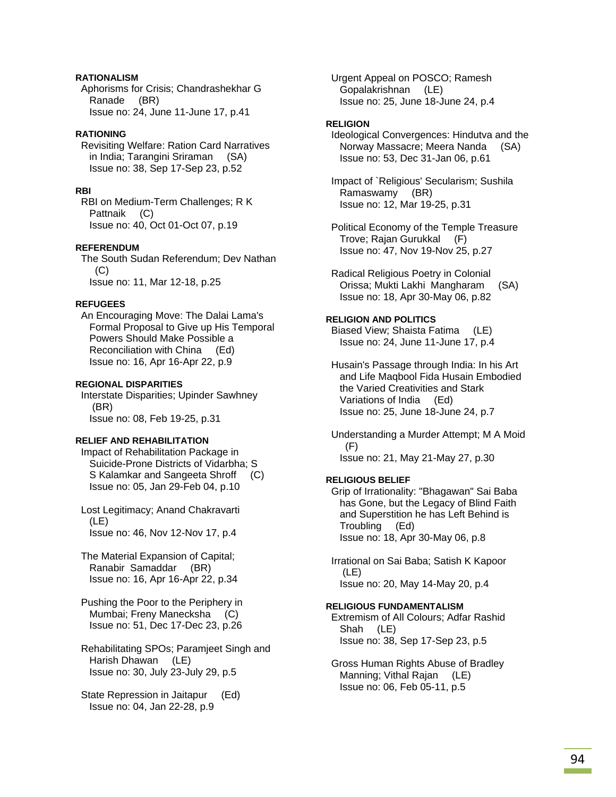# **RATIONALISM**

 Aphorisms for Crisis; Chandrashekhar G Ranade (BR) Issue no: 24, June 11-June 17, p.41

## **RATIONING**

 Revisiting Welfare: Ration Card Narratives in India; Tarangini Sriraman (SA) Issue no: 38, Sep 17-Sep 23, p.52

### **RBI**

 RBI on Medium-Term Challenges; R K Pattnaik (C) Issue no: 40, Oct 01-Oct 07, p.19

### **REFERENDUM**

 The South Sudan Referendum; Dev Nathan (C) Issue no: 11, Mar 12-18, p.25

# **REFUGEES**

 An Encouraging Move: The Dalai Lama's Formal Proposal to Give up His Temporal Powers Should Make Possible a Reconciliation with China (Ed) Issue no: 16, Apr 16-Apr 22, p.9

## **REGIONAL DISPARITIES**

 Interstate Disparities; Upinder Sawhney (BR) Issue no: 08, Feb 19-25, p.31

### **RELIEF AND REHABILITATION**

 Impact of Rehabilitation Package in Suicide-Prone Districts of Vidarbha; S S Kalamkar and Sangeeta Shroff (C) Issue no: 05, Jan 29-Feb 04, p.10

 Lost Legitimacy; Anand Chakravarti (LE) Issue no: 46, Nov 12-Nov 17, p.4

- The Material Expansion of Capital; Ranabir Samaddar (BR) Issue no: 16, Apr 16-Apr 22, p.34
- Pushing the Poor to the Periphery in Mumbai; Freny Manecksha (C) Issue no: 51, Dec 17-Dec 23, p.26
- Rehabilitating SPOs; Paramjeet Singh and Harish Dhawan (LE) Issue no: 30, July 23-July 29, p.5

 State Repression in Jaitapur (Ed) Issue no: 04, Jan 22-28, p.9

 Urgent Appeal on POSCO; Ramesh Gopalakrishnan (LE) Issue no: 25, June 18-June 24, p.4

#### **RELIGION**

 Ideological Convergences: Hindutva and the Norway Massacre; Meera Nanda (SA) Issue no: 53, Dec 31-Jan 06, p.61

 Impact of `Religious' Secularism; Sushila Ramaswamy (BR) Issue no: 12, Mar 19-25, p.31

- Political Economy of the Temple Treasure Trove; Rajan Gurukkal (F) Issue no: 47, Nov 19-Nov 25, p.27
- Radical Religious Poetry in Colonial Orissa; Mukti Lakhi Mangharam (SA) Issue no: 18, Apr 30-May 06, p.82

## **RELIGION AND POLITICS**

 Biased View; Shaista Fatima (LE) Issue no: 24, June 11-June 17, p.4

 Husain's Passage through India: In his Art and Life Maqbool Fida Husain Embodied the Varied Creativities and Stark Variations of India (Ed) Issue no: 25, June 18-June 24, p.7

 Understanding a Murder Attempt; M A Moid (F) Issue no: 21, May 21-May 27, p.30

### **RELIGIOUS BELIEF**

 Grip of Irrationality: "Bhagawan" Sai Baba has Gone, but the Legacy of Blind Faith and Superstition he has Left Behind is Troubling (Ed) Issue no: 18, Apr 30-May 06, p.8

 Irrational on Sai Baba; Satish K Kapoor (LE) Issue no: 20, May 14-May 20, p.4

## **RELIGIOUS FUNDAMENTALISM**

 Extremism of All Colours; Adfar Rashid Shah (LE) Issue no: 38, Sep 17-Sep 23, p.5

 Gross Human Rights Abuse of Bradley Manning; Vithal Rajan (LE) Issue no: 06, Feb 05-11, p.5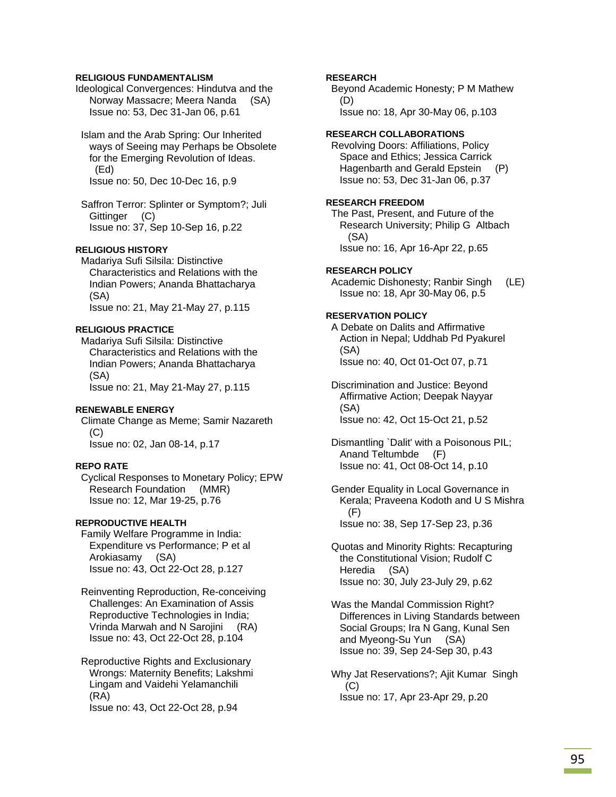## **RELIGIOUS FUNDAMENTALISM**

Ideological Convergences: Hindutva and the Norway Massacre; Meera Nanda (SA) Issue no: 53, Dec 31-Jan 06, p.61

## Islam and the Arab Spring: Our Inherited

 ways of Seeing may Perhaps be Obsolete for the Emerging Revolution of Ideas. (Ed)

Issue no: 50, Dec 10-Dec 16, p.9

 Saffron Terror: Splinter or Symptom?; Juli Gittinger (C) Issue no: 37, Sep 10-Sep 16, p.22

## **RELIGIOUS HISTORY**

 Madariya Sufi Silsila: Distinctive Characteristics and Relations with the Indian Powers; Ananda Bhattacharya (SA)

Issue no: 21, May 21-May 27, p.115

## **RELIGIOUS PRACTICE**

 Madariya Sufi Silsila: Distinctive Characteristics and Relations with the Indian Powers; Ananda Bhattacharya (SA)

Issue no: 21, May 21-May 27, p.115

# **RENEWABLE ENERGY**

 Climate Change as Meme; Samir Nazareth (C) Issue no: 02, Jan 08-14, p.17

### **REPO RATE**

 Cyclical Responses to Monetary Policy; EPW Research Foundation (MMR) Issue no: 12, Mar 19-25, p.76

# **REPRODUCTIVE HEALTH**

 Family Welfare Programme in India: Expenditure vs Performance; P et al Arokiasamy (SA) Issue no: 43, Oct 22-Oct 28, p.127

 Reinventing Reproduction, Re-conceiving Challenges: An Examination of Assis Reproductive Technologies in India; Vrinda Marwah and N Sarojini (RA) Issue no: 43, Oct 22-Oct 28, p.104

 Reproductive Rights and Exclusionary Wrongs: Maternity Benefits; Lakshmi Lingam and Vaidehi Yelamanchili (RA) Issue no: 43, Oct 22-Oct 28, p.94

## **RESEARCH**

 Beyond Academic Honesty; P M Mathew (D)

Issue no: 18, Apr 30-May 06, p.103

## **RESEARCH COLLABORATIONS**

 Revolving Doors: Affiliations, Policy Space and Ethics; Jessica Carrick Hagenbarth and Gerald Epstein (P) Issue no: 53, Dec 31-Jan 06, p.37

## **RESEARCH FREEDOM**

 The Past, Present, and Future of the Research University; Philip G Altbach (SA) Issue no: 16, Apr 16-Apr 22, p.65

### **RESEARCH POLICY**

 Academic Dishonesty; Ranbir Singh (LE) Issue no: 18, Apr 30-May 06, p.5

### **RESERVATION POLICY**

 A Debate on Dalits and Affirmative Action in Nepal; Uddhab Pd Pyakurel (SA) Issue no: 40, Oct 01-Oct 07, p.71

 Discrimination and Justice: Beyond Affirmative Action; Deepak Nayyar (SA) Issue no: 42, Oct 15-Oct 21, p.52

 Dismantling `Dalit' with a Poisonous PIL; Anand Teltumbde (F) Issue no: 41, Oct 08-Oct 14, p.10

 Gender Equality in Local Governance in Kerala; Praveena Kodoth and U S Mishra (F) Issue no: 38, Sep 17-Sep 23, p.36

 Quotas and Minority Rights: Recapturing the Constitutional Vision; Rudolf C Heredia (SA) Issue no: 30, July 23-July 29, p.62

 Was the Mandal Commission Right? Differences in Living Standards between Social Groups; Ira N Gang, Kunal Sen and Myeong-Su Yun (SA) Issue no: 39, Sep 24-Sep 30, p.43

 Why Jat Reservations?; Ajit Kumar Singh  $(C)$ Issue no: 17, Apr 23-Apr 29, p.20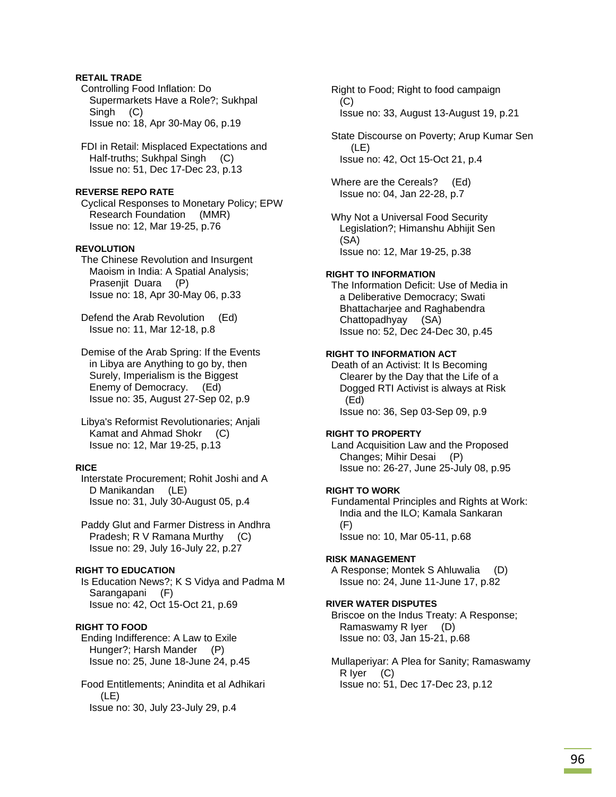# **RETAIL TRADE**

 Controlling Food Inflation: Do Supermarkets Have a Role?; Sukhpal Singh (C) Issue no: 18, Apr 30-May 06, p.19

 FDI in Retail: Misplaced Expectations and Half-truths; Sukhpal Singh (C) Issue no: 51, Dec 17-Dec 23, p.13

### **REVERSE REPO RATE**

 Cyclical Responses to Monetary Policy; EPW Research Foundation (MMR) Issue no: 12, Mar 19-25, p.76

# **REVOLUTION**

 The Chinese Revolution and Insurgent Maoism in India: A Spatial Analysis; Prasenjit Duara (P) Issue no: 18, Apr 30-May 06, p.33

 Defend the Arab Revolution (Ed) Issue no: 11, Mar 12-18, p.8

 Demise of the Arab Spring: If the Events in Libya are Anything to go by, then Surely, Imperialism is the Biggest Enemy of Democracy. (Ed) Issue no: 35, August 27-Sep 02, p.9

 Libya's Reformist Revolutionaries; Anjali Kamat and Ahmad Shokr (C) Issue no: 12, Mar 19-25, p.13

## **RICE**

 Interstate Procurement; Rohit Joshi and A D Manikandan (LE) Issue no: 31, July 30-August 05, p.4

 Paddy Glut and Farmer Distress in Andhra Pradesh; R V Ramana Murthy (C) Issue no: 29, July 16-July 22, p.27

### **RIGHT TO EDUCATION**

 Is Education News?; K S Vidya and Padma M Sarangapani (F) Issue no: 42, Oct 15-Oct 21, p.69

# **RIGHT TO FOOD**

 Ending Indifference: A Law to Exile Hunger?; Harsh Mander (P) Issue no: 25, June 18-June 24, p.45

 Food Entitlements; Anindita et al Adhikari (LE) Issue no: 30, July 23-July 29, p.4

 Right to Food; Right to food campaign  $(C)$ Issue no: 33, August 13-August 19, p.21

 State Discourse on Poverty; Arup Kumar Sen (LE) Issue no: 42, Oct 15-Oct 21, p.4

 Where are the Cereals? (Ed) Issue no: 04, Jan 22-28, p.7

 Why Not a Universal Food Security Legislation?; Himanshu Abhijit Sen (SA) Issue no: 12, Mar 19-25, p.38

#### **RIGHT TO INFORMATION**

 The Information Deficit: Use of Media in a Deliberative Democracy; Swati Bhattacharjee and Raghabendra Chattopadhyay (SA) Issue no: 52, Dec 24-Dec 30, p.45

## **RIGHT TO INFORMATION ACT**

 Death of an Activist: It Is Becoming Clearer by the Day that the Life of a Dogged RTI Activist is always at Risk (Ed) Issue no: 36, Sep 03-Sep 09, p.9

#### **RIGHT TO PROPERTY**

 Land Acquisition Law and the Proposed Changes; Mihir Desai (P) Issue no: 26-27, June 25-July 08, p.95

#### **RIGHT TO WORK**

 Fundamental Principles and Rights at Work: India and the ILO; Kamala Sankaran (F) Issue no: 10, Mar 05-11, p.68

### **RISK MANAGEMENT**

 A Response; Montek S Ahluwalia (D) Issue no: 24, June 11-June 17, p.82

# **RIVER WATER DISPUTES**

 Briscoe on the Indus Treaty: A Response; Ramaswamy R Iyer (D) Issue no: 03, Jan 15-21, p.68

 Mullaperiyar: A Plea for Sanity; Ramaswamy R Iyer (C) Issue no: 51, Dec 17-Dec 23, p.12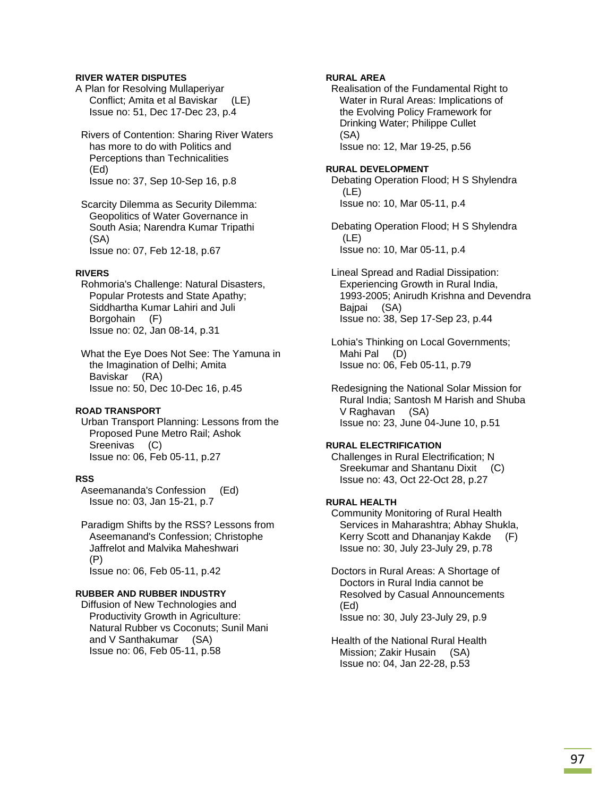## **RIVER WATER DISPUTES**

- A Plan for Resolving Mullaperiyar Conflict; Amita et al Baviskar (LE) Issue no: 51, Dec 17-Dec 23, p.4
- Rivers of Contention: Sharing River Waters has more to do with Politics and Perceptions than Technicalities (Ed) Issue no: 37, Sep 10-Sep 16, p.8
- Scarcity Dilemma as Security Dilemma: Geopolitics of Water Governance in South Asia; Narendra Kumar Tripathi (SA) Issue no: 07, Feb 12-18, p.67

### **RIVERS**

- Rohmoria's Challenge: Natural Disasters, Popular Protests and State Apathy; Siddhartha Kumar Lahiri and Juli Borgohain (F) Issue no: 02, Jan 08-14, p.31
- What the Eye Does Not See: The Yamuna in the Imagination of Delhi; Amita Baviskar (RA) Issue no: 50, Dec 10-Dec 16, p.45

### **ROAD TRANSPORT**

 Urban Transport Planning: Lessons from the Proposed Pune Metro Rail; Ashok Sreenivas (C) Issue no: 06, Feb 05-11, p.27

# **RSS**

 Aseemananda's Confession (Ed) Issue no: 03, Jan 15-21, p.7

 Paradigm Shifts by the RSS? Lessons from Aseemanand's Confession; Christophe Jaffrelot and Malvika Maheshwari (P) Issue no: 06, Feb 05-11, p.42

### **RUBBER AND RUBBER INDUSTRY**

 Diffusion of New Technologies and Productivity Growth in Agriculture: Natural Rubber vs Coconuts; Sunil Mani and V Santhakumar (SA) Issue no: 06, Feb 05-11, p.58

# **RURAL AREA**

 Realisation of the Fundamental Right to Water in Rural Areas: Implications of the Evolving Policy Framework for Drinking Water; Philippe Cullet (SA) Issue no: 12, Mar 19-25, p.56

### **RURAL DEVELOPMENT**

 Debating Operation Flood; H S Shylendra (LE) Issue no: 10, Mar 05-11, p.4

 Debating Operation Flood; H S Shylendra (LE) Issue no: 10, Mar 05-11, p.4

 Lineal Spread and Radial Dissipation: Experiencing Growth in Rural India, 1993-2005; Anirudh Krishna and Devendra Baipai (SA) Issue no: 38, Sep 17-Sep 23, p.44

 Lohia's Thinking on Local Governments; Mahi Pal (D) Issue no: 06, Feb 05-11, p.79

 Redesigning the National Solar Mission for Rural India; Santosh M Harish and Shuba V Raghavan (SA) Issue no: 23, June 04-June 10, p.51

### **RURAL ELECTRIFICATION**

 Challenges in Rural Electrification; N Sreekumar and Shantanu Dixit (C) Issue no: 43, Oct 22-Oct 28, p.27

### **RURAL HEALTH**

 Community Monitoring of Rural Health Services in Maharashtra; Abhay Shukla, Kerry Scott and Dhananjay Kakde (F) Issue no: 30, July 23-July 29, p.78

 Doctors in Rural Areas: A Shortage of Doctors in Rural India cannot be Resolved by Casual Announcements (Ed) Issue no: 30, July 23-July 29, p.9

 Health of the National Rural Health Mission; Zakir Husain (SA) Issue no: 04, Jan 22-28, p.53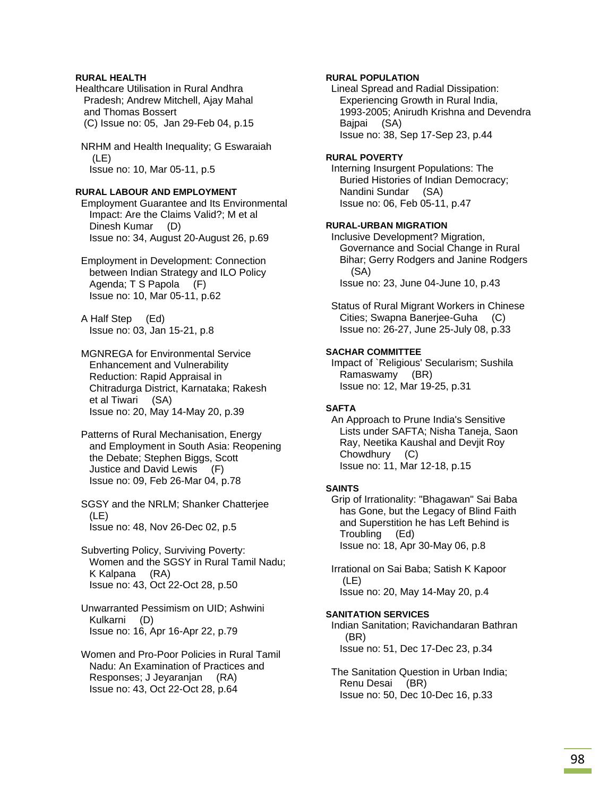# **RURAL HEALTH**

Healthcare Utilisation in Rural Andhra Pradesh; Andrew Mitchell, Ajay Mahal and Thomas Bossert (C) Issue no: 05, Jan 29-Feb 04, p.15

 NRHM and Health Inequality; G Eswaraiah (LE) Issue no: 10, Mar 05-11, p.5

## **RURAL LABOUR AND EMPLOYMENT**

 Employment Guarantee and Its Environmental Impact: Are the Claims Valid?; M et al Dinesh Kumar (D) Issue no: 34, August 20-August 26, p.69

 Employment in Development: Connection between Indian Strategy and ILO Policy Agenda; T S Papola (F) Issue no: 10, Mar 05-11, p.62

 A Half Step (Ed) Issue no: 03, Jan 15-21, p.8

 MGNREGA for Environmental Service Enhancement and Vulnerability Reduction: Rapid Appraisal in Chitradurga District, Karnataka; Rakesh et al Tiwari (SA) Issue no: 20, May 14-May 20, p.39

 Patterns of Rural Mechanisation, Energy and Employment in South Asia: Reopening the Debate; Stephen Biggs, Scott Justice and David Lewis (F) Issue no: 09, Feb 26-Mar 04, p.78

 SGSY and the NRLM; Shanker Chatterjee (LE) Issue no: 48, Nov 26-Dec 02, p.5

 Subverting Policy, Surviving Poverty: Women and the SGSY in Rural Tamil Nadu; K Kalpana (RA) Issue no: 43, Oct 22-Oct 28, p.50

 Unwarranted Pessimism on UID; Ashwini Kulkarni (D) Issue no: 16, Apr 16-Apr 22, p.79

 Women and Pro-Poor Policies in Rural Tamil Nadu: An Examination of Practices and Responses; J Jeyaranjan (RA) Issue no: 43, Oct 22-Oct 28, p.64

# **RURAL POPULATION**

 Lineal Spread and Radial Dissipation: Experiencing Growth in Rural India, 1993-2005; Anirudh Krishna and Devendra Bajpai (SA) Issue no: 38, Sep 17-Sep 23, p.44

## **RURAL POVERTY**

 Interning Insurgent Populations: The Buried Histories of Indian Democracy; Nandini Sundar (SA) Issue no: 06, Feb 05-11, p.47

### **RURAL-URBAN MIGRATION**

 Inclusive Development? Migration, Governance and Social Change in Rural Bihar; Gerry Rodgers and Janine Rodgers (SA) Issue no: 23, June 04-June 10, p.43

 Status of Rural Migrant Workers in Chinese Cities; Swapna Banerjee-Guha Issue no: 26-27, June 25-July 08, p.33

# **SACHAR COMMITTEE**

 Impact of `Religious' Secularism; Sushila Ramaswamy (BR) Issue no: 12, Mar 19-25, p.31

## **SAFTA**

 An Approach to Prune India's Sensitive Lists under SAFTA; Nisha Taneja, Saon Ray, Neetika Kaushal and Devjit Roy Chowdhury (C) Issue no: 11, Mar 12-18, p.15

### **SAINTS**

 Grip of Irrationality: "Bhagawan" Sai Baba has Gone, but the Legacy of Blind Faith and Superstition he has Left Behind is Troubling (Ed) Issue no: 18, Apr 30-May 06, p.8

 Irrational on Sai Baba; Satish K Kapoor (LE) Issue no: 20, May 14-May 20, p.4

## **SANITATION SERVICES**

 Indian Sanitation; Ravichandaran Bathran (BR) Issue no: 51, Dec 17-Dec 23, p.34

 The Sanitation Question in Urban India; Renu Desai (BR) Issue no: 50, Dec 10-Dec 16, p.33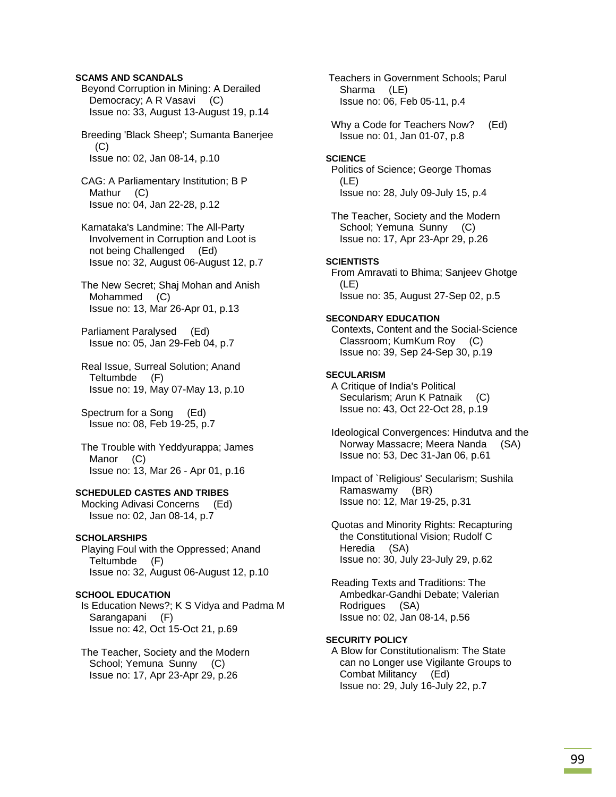## **SCAMS AND SCANDALS**

 Beyond Corruption in Mining: A Derailed Democracy; A R Vasavi (C) Issue no: 33, August 13-August 19, p.14

 Breeding 'Black Sheep'; Sumanta Banerjee  $(C)$ Issue no: 02, Jan 08-14, p.10

 CAG: A Parliamentary Institution; B P Mathur (C) Issue no: 04, Jan 22-28, p.12

- Karnataka's Landmine: The All-Party Involvement in Corruption and Loot is not being Challenged (Ed) Issue no: 32, August 06-August 12, p.7
- The New Secret; Shaj Mohan and Anish Mohammed (C) Issue no: 13, Mar 26-Apr 01, p.13

 Parliament Paralysed (Ed) Issue no: 05, Jan 29-Feb 04, p.7

 Real Issue, Surreal Solution; Anand Teltumbde (F) Issue no: 19, May 07-May 13, p.10

 Spectrum for a Song (Ed) Issue no: 08, Feb 19-25, p.7

 The Trouble with Yeddyurappa; James Manor (C) Issue no: 13, Mar 26 - Apr 01, p.16

## **SCHEDULED CASTES AND TRIBES**

 Mocking Adivasi Concerns (Ed) Issue no: 02, Jan 08-14, p.7

# **SCHOLARSHIPS**

 Playing Foul with the Oppressed; Anand Teltumbde (F) Issue no: 32, August 06-August 12, p.10

### **SCHOOL EDUCATION**

 Is Education News?; K S Vidya and Padma M Sarangapani (F) Issue no: 42, Oct 15-Oct 21, p.69

 The Teacher, Society and the Modern School; Yemuna Sunny (C) Issue no: 17, Apr 23-Apr 29, p.26

 Teachers in Government Schools; Parul Sharma (LE) Issue no: 06, Feb 05-11, p.4

 Why a Code for Teachers Now? (Ed) Issue no: 01, Jan 01-07, p.8

#### **SCIENCE**

 Politics of Science; George Thomas (LE) Issue no: 28, July 09-July 15, p.4

 The Teacher, Society and the Modern School; Yemuna Sunny (C) Issue no: 17, Apr 23-Apr 29, p.26

### **SCIENTISTS**

 From Amravati to Bhima; Sanjeev Ghotge (LE) Issue no: 35, August 27-Sep 02, p.5

### **SECONDARY EDUCATION**

 Contexts, Content and the Social-Science Classroom; KumKum Roy (C) Issue no: 39, Sep 24-Sep 30, p.19

## **SECULARISM**

 A Critique of India's Political Secularism; Arun K Patnaik (C) Issue no: 43, Oct 22-Oct 28, p.19

 Ideological Convergences: Hindutva and the Norway Massacre; Meera Nanda (SA) Issue no: 53, Dec 31-Jan 06, p.61

 Impact of `Religious' Secularism; Sushila Ramaswamy (BR) Issue no: 12, Mar 19-25, p.31

 Quotas and Minority Rights: Recapturing the Constitutional Vision; Rudolf C Heredia (SA) Issue no: 30, July 23-July 29, p.62

 Reading Texts and Traditions: The Ambedkar-Gandhi Debate; Valerian Rodrigues (SA) Issue no: 02, Jan 08-14, p.56

## **SECURITY POLICY**

 A Blow for Constitutionalism: The State can no Longer use Vigilante Groups to Combat Militancy (Ed) Issue no: 29, July 16-July 22, p.7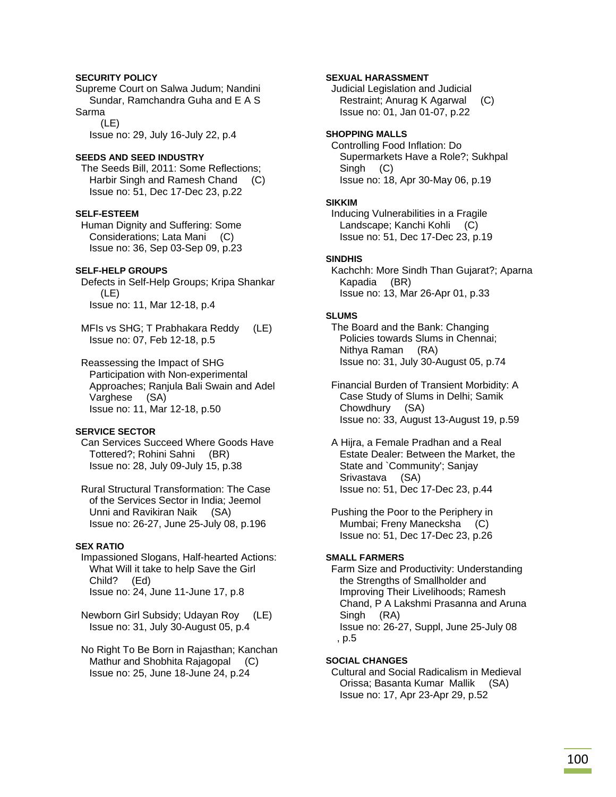# **SECURITY POLICY**

Supreme Court on Salwa Judum; Nandini Sundar, Ramchandra Guha and E A S Sarma

 (LE) Issue no: 29, July 16-July 22, p.4

# **SEEDS AND SEED INDUSTRY**

 The Seeds Bill, 2011: Some Reflections; Harbir Singh and Ramesh Chand (C) Issue no: 51, Dec 17-Dec 23, p.22

## **SELF-ESTEEM**

 Human Dignity and Suffering: Some Considerations; Lata Mani (C) Issue no: 36, Sep 03-Sep 09, p.23

# **SELF-HELP GROUPS**

 Defects in Self-Help Groups; Kripa Shankar (LE) Issue no: 11, Mar 12-18, p.4

 MFIs vs SHG; T Prabhakara Reddy (LE) Issue no: 07, Feb 12-18, p.5

 Reassessing the Impact of SHG Participation with Non-experimental Approaches; Ranjula Bali Swain and Adel Varghese (SA) Issue no: 11, Mar 12-18, p.50

# **SERVICE SECTOR**

 Can Services Succeed Where Goods Have Tottered?; Rohini Sahni (BR) Issue no: 28, July 09-July 15, p.38

 Rural Structural Transformation: The Case of the Services Sector in India; Jeemol Unni and Ravikiran Naik (SA) Issue no: 26-27, June 25-July 08, p.196

### **SEX RATIO**

 Impassioned Slogans, Half-hearted Actions: What Will it take to help Save the Girl Child? (Ed) Issue no: 24, June 11-June 17, p.8

 Newborn Girl Subsidy; Udayan Roy (LE) Issue no: 31, July 30-August 05, p.4

 No Right To Be Born in Rajasthan; Kanchan Mathur and Shobhita Rajagopal (C) Issue no: 25, June 18-June 24, p.24

# **SEXUAL HARASSMENT**

 Judicial Legislation and Judicial Restraint; Anurag K Agarwal (C) Issue no: 01, Jan 01-07, p.22

# **SHOPPING MALLS**

 Controlling Food Inflation: Do Supermarkets Have a Role?; Sukhpal Singh (C) Issue no: 18, Apr 30-May 06, p.19

### **SIKKIM**

 Inducing Vulnerabilities in a Fragile Landscape; Kanchi Kohli (C) Issue no: 51, Dec 17-Dec 23, p.19

### **SINDHIS**

 Kachchh: More Sindh Than Gujarat?; Aparna Kapadia (BR) Issue no: 13, Mar 26-Apr 01, p.33

# **SLUMS**

 The Board and the Bank: Changing Policies towards Slums in Chennai; Nithya Raman (RA) Issue no: 31, July 30-August 05, p.74

 Financial Burden of Transient Morbidity: A Case Study of Slums in Delhi; Samik Chowdhury (SA) Issue no: 33, August 13-August 19, p.59

 A Hijra, a Female Pradhan and a Real Estate Dealer: Between the Market, the State and `Community'; Sanjay Srivastava (SA) Issue no: 51, Dec 17-Dec 23, p.44

 Pushing the Poor to the Periphery in Mumbai; Freny Manecksha (C) Issue no: 51, Dec 17-Dec 23, p.26

### **SMALL FARMERS**

 Farm Size and Productivity: Understanding the Strengths of Smallholder and Improving Their Livelihoods; Ramesh Chand, P A Lakshmi Prasanna and Aruna Singh (RA) Issue no: 26-27, Suppl, June 25-July 08 , p.5

# **SOCIAL CHANGES**

 Cultural and Social Radicalism in Medieval Orissa; Basanta Kumar Mallik (SA) Issue no: 17, Apr 23-Apr 29, p.52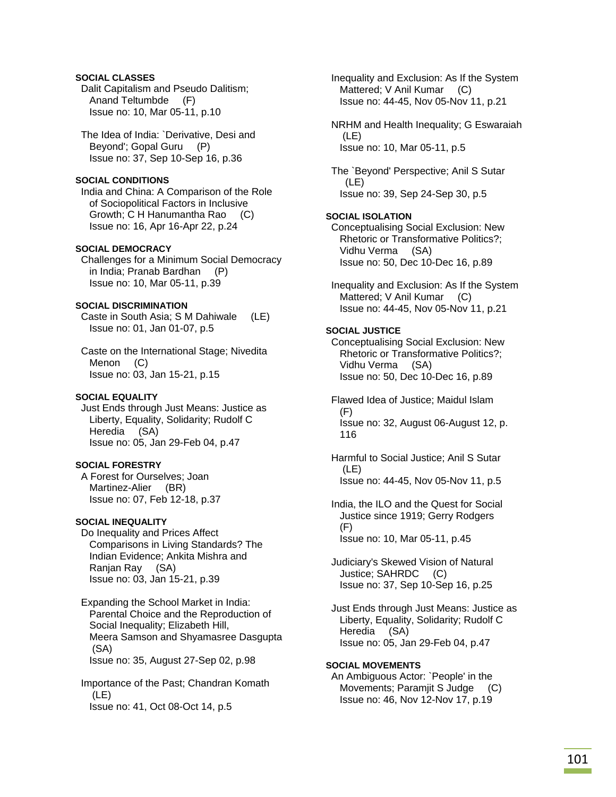# **SOCIAL CLASSES**

 Dalit Capitalism and Pseudo Dalitism; Anand Teltumbde (F) Issue no: 10, Mar 05-11, p.10

 The Idea of India: `Derivative, Desi and Beyond'; Gopal Guru (P) Issue no: 37, Sep 10-Sep 16, p.36

## **SOCIAL CONDITIONS**

 India and China: A Comparison of the Role of Sociopolitical Factors in Inclusive Growth; C H Hanumantha Rao (C) Issue no: 16, Apr 16-Apr 22, p.24

# **SOCIAL DEMOCRACY**

 Challenges for a Minimum Social Democracy in India; Pranab Bardhan (P) Issue no: 10, Mar 05-11, p.39

## **SOCIAL DISCRIMINATION**

 Caste in South Asia; S M Dahiwale (LE) Issue no: 01, Jan 01-07, p.5

 Caste on the International Stage; Nivedita Menon (C) Issue no: 03, Jan 15-21, p.15

## **SOCIAL EQUALITY**

 Just Ends through Just Means: Justice as Liberty, Equality, Solidarity; Rudolf C Heredia (SA) Issue no: 05, Jan 29-Feb 04, p.47

# **SOCIAL FORESTRY**

 A Forest for Ourselves; Joan Martinez-Alier (BR) Issue no: 07, Feb 12-18, p.37

# **SOCIAL INEQUALITY**

 Do Inequality and Prices Affect Comparisons in Living Standards? The Indian Evidence; Ankita Mishra and Ranjan Ray (SA) Issue no: 03, Jan 15-21, p.39

 Expanding the School Market in India: Parental Choice and the Reproduction of Social Inequality; Elizabeth Hill, Meera Samson and Shyamasree Dasgupta (SA) Issue no: 35, August 27-Sep 02, p.98

 Importance of the Past; Chandran Komath (LE) Issue no: 41, Oct 08-Oct 14, p.5

 Inequality and Exclusion: As If the System Mattered; V Anil Kumar (C) Issue no: 44-45, Nov 05-Nov 11, p.21 NRHM and Health Inequality; G Eswaraiah (LE) Issue no: 10, Mar 05-11, p.5 The `Beyond' Perspective; Anil S Sutar (LE) Issue no: 39, Sep 24-Sep 30, p.5 **SOCIAL ISOLATION**  Conceptualising Social Exclusion: New Rhetoric or Transformative Politics?; Vidhu Verma (SA) Issue no: 50, Dec 10-Dec 16, p.89 Inequality and Exclusion: As If the System Mattered; V Anil Kumar (C) Issue no: 44-45, Nov 05-Nov 11, p.21 **SOCIAL JUSTICE**  Conceptualising Social Exclusion: New Rhetoric or Transformative Politics?; Vidhu Verma (SA) Issue no: 50, Dec 10-Dec 16, p.89 Flawed Idea of Justice; Maidul Islam (F) Issue no: 32, August 06-August 12, p. 116 Harmful to Social Justice; Anil S Sutar (LE) Issue no: 44-45, Nov 05-Nov 11, p.5 India, the ILO and the Quest for Social Justice since 1919; Gerry Rodgers (F) Issue no: 10, Mar 05-11, p.45 Judiciary's Skewed Vision of Natural Justice; SAHRDC (C) Issue no: 37, Sep 10-Sep 16, p.25 Just Ends through Just Means: Justice as Liberty, Equality, Solidarity; Rudolf C Heredia (SA) Issue no: 05, Jan 29-Feb 04, p.47 **SOCIAL MOVEMENTS** 

 An Ambiguous Actor: `People' in the Movements; Paramiit S Judge (C) Issue no: 46, Nov 12-Nov 17, p.19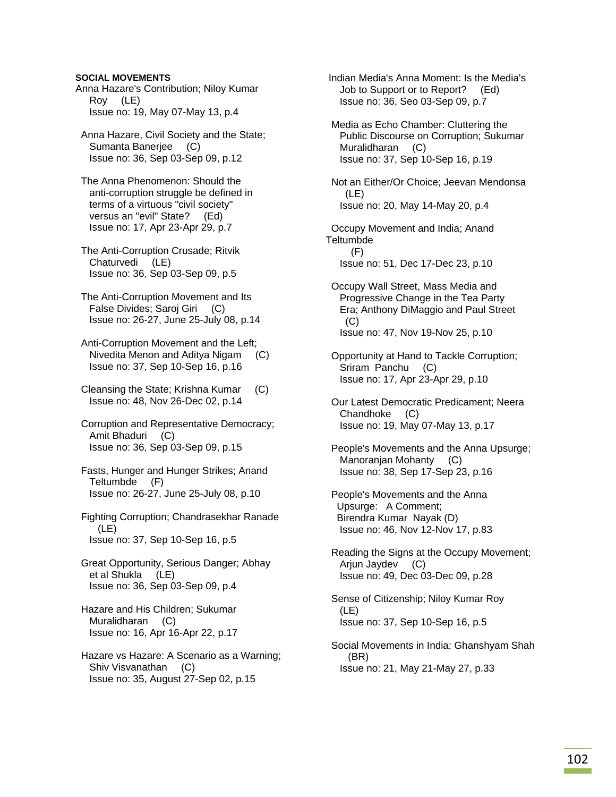### **SOCIAL MOVEMENTS**

Anna Hazare's Contribution; Niloy Kumar Roy (LE) Issue no: 19, May 07-May 13, p.4

 Anna Hazare, Civil Society and the State; Sumanta Baneriee (C) Issue no: 36, Sep 03-Sep 09, p.12

 The Anna Phenomenon: Should the anti-corruption struggle be defined in terms of a virtuous "civil society" versus an "evil" State? (Ed) Issue no: 17, Apr 23-Apr 29, p.7

 The Anti-Corruption Crusade; Ritvik Chaturvedi (LE) Issue no: 36, Sep 03-Sep 09, p.5

 The Anti-Corruption Movement and Its False Divides; Saroj Giri (C) Issue no: 26-27, June 25-July 08, p.14

 Anti-Corruption Movement and the Left; Nivedita Menon and Aditya Nigam (C) Issue no: 37, Sep 10-Sep 16, p.16

 Cleansing the State; Krishna Kumar (C) Issue no: 48, Nov 26-Dec 02, p.14

 Corruption and Representative Democracy; Amit Bhaduri (C) Issue no: 36, Sep 03-Sep 09, p.15

 Fasts, Hunger and Hunger Strikes; Anand Teltumbde (F) Issue no: 26-27, June 25-July 08, p.10

 Fighting Corruption; Chandrasekhar Ranade (LE) Issue no: 37, Sep 10-Sep 16, p.5

 Great Opportunity, Serious Danger; Abhay et al Shukla (LE) Issue no: 36, Sep 03-Sep 09, p.4

 Hazare and His Children; Sukumar Muralidharan (C) Issue no: 16, Apr 16-Apr 22, p.17

 Hazare vs Hazare: A Scenario as a Warning; Shiv Visvanathan (C) Issue no: 35, August 27-Sep 02, p.15

 Indian Media's Anna Moment: Is the Media's Job to Support or to Report? (Ed) Issue no: 36, Seo 03-Sep 09, p.7 Media as Echo Chamber: Cluttering the Public Discourse on Corruption; Sukumar Muralidharan (C) Issue no: 37, Sep 10-Sep 16, p.19 Not an Either/Or Choice; Jeevan Mendonsa (LE) Issue no: 20, May 14-May 20, p.4 Occupy Movement and India; Anand **Teltumbde**  (F) Issue no: 51, Dec 17-Dec 23, p.10 Occupy Wall Street, Mass Media and Progressive Change in the Tea Party Era; Anthony DiMaggio and Paul Street  $(C)$  Issue no: 47, Nov 19-Nov 25, p.10 Opportunity at Hand to Tackle Corruption; Sriram Panchu (C) Issue no: 17, Apr 23-Apr 29, p.10 Our Latest Democratic Predicament; Neera Chandhoke (C) Issue no: 19, May 07-May 13, p.17 People's Movements and the Anna Upsurge; Manoranjan Mohanty (C) Issue no: 38, Sep 17-Sep 23, p.16 People's Movements and the Anna Upsurge: A Comment; Birendra Kumar Nayak (D) Issue no: 46, Nov 12-Nov 17, p.83 Reading the Signs at the Occupy Movement; Arjun Jaydev (C) Issue no: 49, Dec 03-Dec 09, p.28 Sense of Citizenship; Niloy Kumar Roy (LE) Issue no: 37, Sep 10-Sep 16, p.5 Social Movements in India; Ghanshyam Shah (BR)

Issue no: 21, May 21-May 27, p.33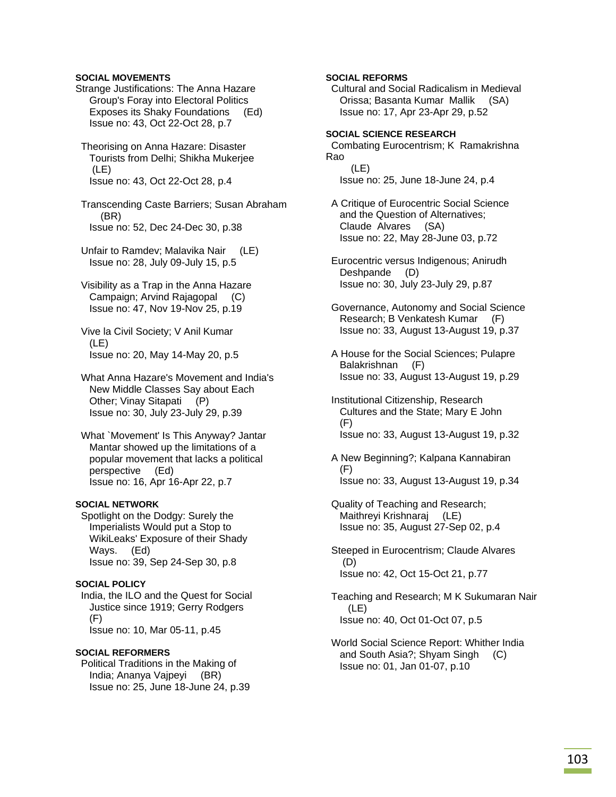## **SOCIAL MOVEMENTS**

- Strange Justifications: The Anna Hazare Group's Foray into Electoral Politics Exposes its Shaky Foundations (Ed) Issue no: 43, Oct 22-Oct 28, p.7
- Theorising on Anna Hazare: Disaster Tourists from Delhi; Shikha Mukerjee (LE) Issue no: 43, Oct 22-Oct 28, p.4

 Transcending Caste Barriers; Susan Abraham (BR) Issue no: 52, Dec 24-Dec 30, p.38

- Unfair to Ramdev; Malavika Nair (LE) Issue no: 28, July 09-July 15, p.5
- Visibility as a Trap in the Anna Hazare Campaign; Arvind Rajagopal (C) Issue no: 47, Nov 19-Nov 25, p.19
- Vive la Civil Society; V Anil Kumar (LE) Issue no: 20, May 14-May 20, p.5
- What Anna Hazare's Movement and India's New Middle Classes Say about Each Other; Vinay Sitapati (P) Issue no: 30, July 23-July 29, p.39
- What `Movement' Is This Anyway? Jantar Mantar showed up the limitations of a popular movement that lacks a political perspective (Ed) Issue no: 16, Apr 16-Apr 22, p.7

#### **SOCIAL NETWORK**

 Spotlight on the Dodgy: Surely the Imperialists Would put a Stop to WikiLeaks' Exposure of their Shady Ways. (Ed) Issue no: 39, Sep 24-Sep 30, p.8

#### **SOCIAL POLICY**

 India, the ILO and the Quest for Social Justice since 1919; Gerry Rodgers (F) Issue no: 10, Mar 05-11, p.45

### **SOCIAL REFORMERS**

 Political Traditions in the Making of India; Ananya Vajpeyi (BR) Issue no: 25, June 18-June 24, p.39

## **SOCIAL REFORMS**

 Cultural and Social Radicalism in Medieval Orissa; Basanta Kumar Mallik (SA) Issue no: 17, Apr 23-Apr 29, p.52

### **SOCIAL SCIENCE RESEARCH**

 Combating Eurocentrism; K Ramakrishna Rao

 (LE) Issue no: 25, June 18-June 24, p.4

- A Critique of Eurocentric Social Science and the Question of Alternatives; Claude Alvares (SA) Issue no: 22, May 28-June 03, p.72
- Eurocentric versus Indigenous; Anirudh Deshpande (D) Issue no: 30, July 23-July 29, p.87
- Governance, Autonomy and Social Science Research; B Venkatesh Kumar (F) Issue no: 33, August 13-August 19, p.37
- A House for the Social Sciences; Pulapre Balakrishnan (F) Issue no: 33, August 13-August 19, p.29
- Institutional Citizenship, Research Cultures and the State; Mary E John (F) Issue no: 33, August 13-August 19, p.32
- A New Beginning?; Kalpana Kannabiran (F) Issue no: 33, August 13-August 19, p.34
- Quality of Teaching and Research; Maithreyi Krishnaraj (LE) Issue no: 35, August 27-Sep 02, p.4
- Steeped in Eurocentrism; Claude Alvares (D) Issue no: 42, Oct 15-Oct 21, p.77
- Teaching and Research; M K Sukumaran Nair (LE) Issue no: 40, Oct 01-Oct 07, p.5
- World Social Science Report: Whither India and South Asia?; Shyam Singh (C) Issue no: 01, Jan 01-07, p.10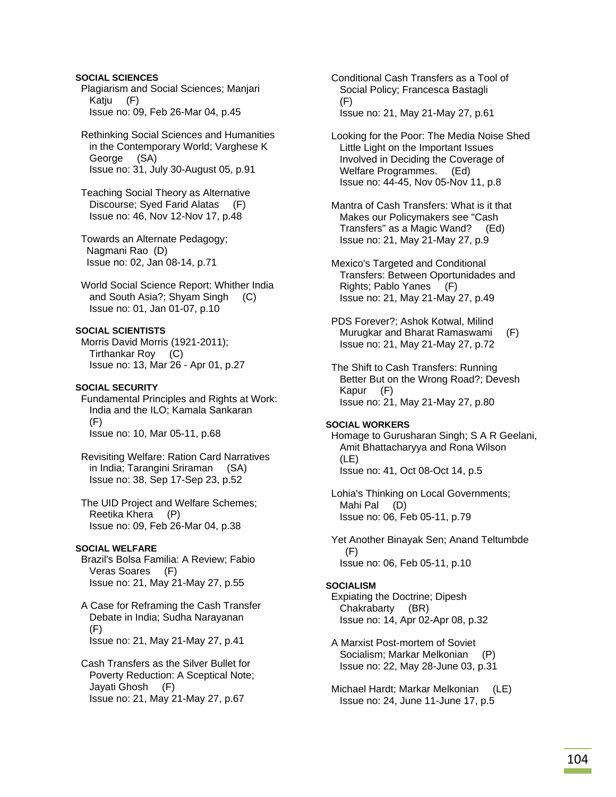## **SOCIAL SCIENCES**

 Plagiarism and Social Sciences; Manjari Katju (F) Issue no: 09, Feb 26-Mar 04, p.45

 Rethinking Social Sciences and Humanities in the Contemporary World; Varghese K George (SA) Issue no: 31, July 30-August 05, p.91

 Teaching Social Theory as Alternative Discourse; Syed Farid Alatas (F) Issue no: 46, Nov 12-Nov 17, p.48

 Towards an Alternate Pedagogy; Nagmani Rao (D) Issue no: 02, Jan 08-14, p.71

 World Social Science Report: Whither India and South Asia?; Shyam Singh (C) Issue no: 01, Jan 01-07, p.10

## **SOCIAL SCIENTISTS**

 Morris David Morris (1921-2011); Tirthankar Roy (C) Issue no: 13, Mar 26 - Apr 01, p.27

### **SOCIAL SECURITY**

 Fundamental Principles and Rights at Work: India and the ILO; Kamala Sankaran (F) Issue no: 10, Mar 05-11, p.68

 Revisiting Welfare: Ration Card Narratives in India; Tarangini Sriraman (SA) Issue no: 38, Sep 17-Sep 23, p.52

 The UID Project and Welfare Schemes; Reetika Khera (P) Issue no: 09, Feb 26-Mar 04, p.38

## **SOCIAL WELFARE**

 Brazil's Bolsa Familia: A Review; Fabio Veras Soares (F) Issue no: 21, May 21-May 27, p.55

 A Case for Reframing the Cash Transfer Debate in India; Sudha Narayanan (F) Issue no: 21, May 21-May 27, p.41

 Cash Transfers as the Silver Bullet for Poverty Reduction: A Sceptical Note; Jayati Ghosh (F) Issue no: 21, May 21-May 27, p.67

 Conditional Cash Transfers as a Tool of Social Policy; Francesca Bastagli (F) Issue no: 21, May 21-May 27, p.61

- Looking for the Poor: The Media Noise Shed Little Light on the Important Issues Involved in Deciding the Coverage of Welfare Programmes. (Ed) Issue no: 44-45, Nov 05-Nov 11, p.8
- Mantra of Cash Transfers: What is it that Makes our Policymakers see "Cash Transfers" as a Magic Wand? (Ed) Issue no: 21, May 21-May 27, p.9
- Mexico's Targeted and Conditional Transfers: Between Oportunidades and Rights; Pablo Yanes (F) Issue no: 21, May 21-May 27, p.49
- PDS Forever?; Ashok Kotwal, Milind Murugkar and Bharat Ramaswami (F) Issue no: 21, May 21-May 27, p.72
- The Shift to Cash Transfers: Running Better But on the Wrong Road?; Devesh Kapur (F) Issue no: 21, May 21-May 27, p.80

### **SOCIAL WORKERS**

 Homage to Gurusharan Singh; S A R Geelani, Amit Bhattacharyya and Rona Wilson (LE) Issue no: 41, Oct 08-Oct 14, p.5

 Lohia's Thinking on Local Governments; Mahi Pal (D) Issue no: 06, Feb 05-11, p.79

 Yet Another Binayak Sen; Anand Teltumbde (F) Issue no: 06, Feb 05-11, p.10

### **SOCIALISM**

 Expiating the Doctrine; Dipesh Chakrabarty (BR) Issue no: 14, Apr 02-Apr 08, p.32

- A Marxist Post-mortem of Soviet Socialism; Markar Melkonian (P) Issue no: 22, May 28-June 03, p.31
- Michael Hardt; Markar Melkonian (LE) Issue no: 24, June 11-June 17, p.5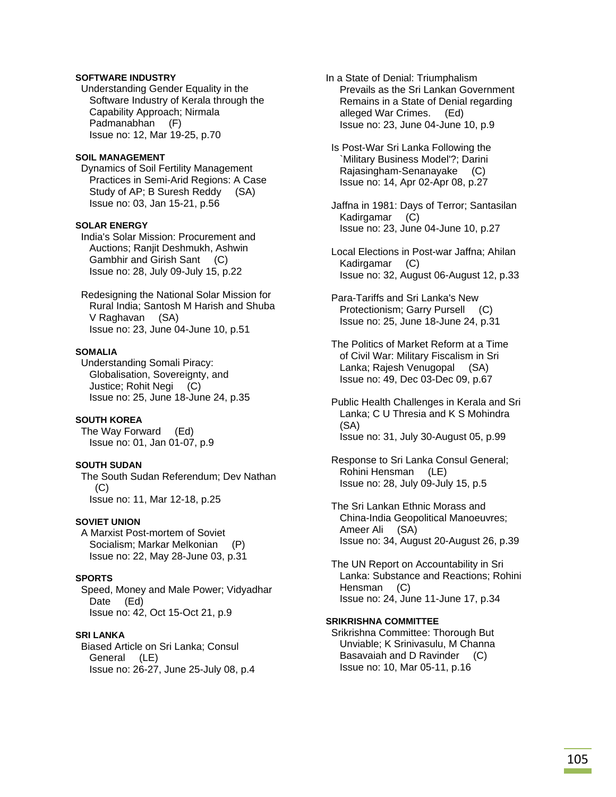# **SOFTWARE INDUSTRY**

 Understanding Gender Equality in the Software Industry of Kerala through the Capability Approach; Nirmala Padmanabhan (F) Issue no: 12, Mar 19-25, p.70

### **SOIL MANAGEMENT**

 Dynamics of Soil Fertility Management Practices in Semi-Arid Regions: A Case Study of AP; B Suresh Reddy (SA) Issue no: 03, Jan 15-21, p.56

#### **SOLAR ENERGY**

 India's Solar Mission: Procurement and Auctions; Ranjit Deshmukh, Ashwin Gambhir and Girish Sant (C) Issue no: 28, July 09-July 15, p.22

 Redesigning the National Solar Mission for Rural India; Santosh M Harish and Shuba V Raghavan (SA) Issue no: 23, June 04-June 10, p.51

#### **SOMALIA**

 Understanding Somali Piracy: Globalisation, Sovereignty, and Justice; Rohit Negi (C) Issue no: 25, June 18-June 24, p.35

### **SOUTH KOREA**

 The Way Forward (Ed) Issue no: 01, Jan 01-07, p.9

# **SOUTH SUDAN**

 The South Sudan Referendum; Dev Nathan (C) Issue no: 11, Mar 12-18, p.25

# **SOVIET UNION**

 A Marxist Post-mortem of Soviet Socialism; Markar Melkonian (P) Issue no: 22, May 28-June 03, p.31

### **SPORTS**

 Speed, Money and Male Power; Vidyadhar Date (Ed) Issue no: 42, Oct 15-Oct 21, p.9

### **SRI LANKA**

 Biased Article on Sri Lanka; Consul General (LE) Issue no: 26-27, June 25-July 08, p.4 In a State of Denial: Triumphalism Prevails as the Sri Lankan Government Remains in a State of Denial regarding alleged War Crimes. (Ed) Issue no: 23, June 04-June 10, p.9

 Is Post-War Sri Lanka Following the `Military Business Model'?; Darini Rajasingham-Senanayake (C) Issue no: 14, Apr 02-Apr 08, p.27

 Jaffna in 1981: Days of Terror; Santasilan Kadirgamar (C) Issue no: 23, June 04-June 10, p.27

 Local Elections in Post-war Jaffna; Ahilan Kadirgamar (C) Issue no: 32, August 06-August 12, p.33

 Para-Tariffs and Sri Lanka's New Protectionism; Garry Pursell (C) Issue no: 25, June 18-June 24, p.31

 The Politics of Market Reform at a Time of Civil War: Military Fiscalism in Sri Lanka; Rajesh Venugopal (SA) Issue no: 49, Dec 03-Dec 09, p.67

 Public Health Challenges in Kerala and Sri Lanka; C U Thresia and K S Mohindra (SA) Issue no: 31, July 30-August 05, p.99

 Response to Sri Lanka Consul General; Rohini Hensman (LE) Issue no: 28, July 09-July 15, p.5

 The Sri Lankan Ethnic Morass and China-India Geopolitical Manoeuvres; Ameer Ali (SA) Issue no: 34, August 20-August 26, p.39

 The UN Report on Accountability in Sri Lanka: Substance and Reactions; Rohini Hensman (C) Issue no: 24, June 11-June 17, p.34

## **SRIKRISHNA COMMITTEE**

 Srikrishna Committee: Thorough But Unviable; K Srinivasulu, M Channa Basavaiah and D Ravinder (C) Issue no: 10, Mar 05-11, p.16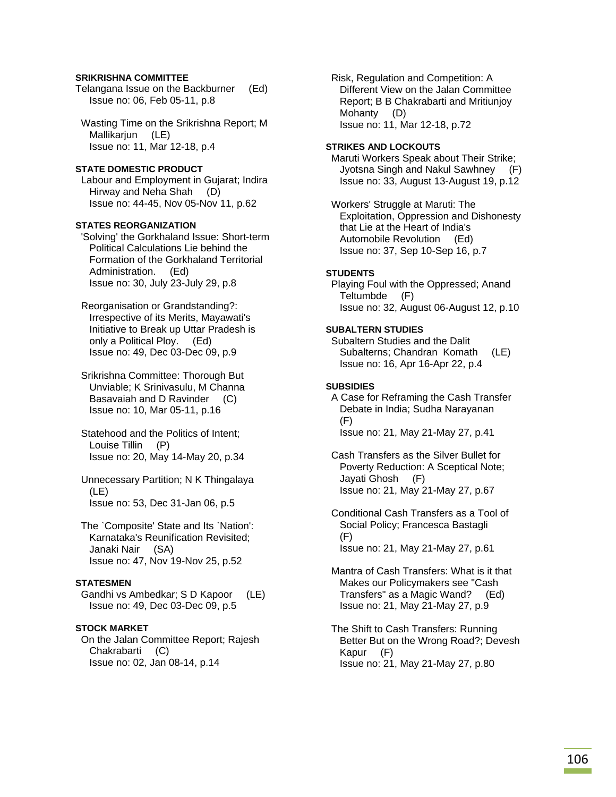## **SRIKRISHNA COMMITTEE**

Telangana Issue on the Backburner (Ed) Issue no: 06, Feb 05-11, p.8

 Wasting Time on the Srikrishna Report; M Mallikarjun (LE) Issue no: 11, Mar 12-18, p.4

## **STATE DOMESTIC PRODUCT**

 Labour and Employment in Gujarat; Indira Hirway and Neha Shah (D) Issue no: 44-45, Nov 05-Nov 11, p.62

### **STATES REORGANIZATION**

 'Solving' the Gorkhaland Issue: Short-term Political Calculations Lie behind the Formation of the Gorkhaland Territorial Administration. (Ed) Issue no: 30, July 23-July 29, p.8

 Reorganisation or Grandstanding?: Irrespective of its Merits, Mayawati's Initiative to Break up Uttar Pradesh is only a Political Ploy. (Ed) Issue no: 49, Dec 03-Dec 09, p.9

 Srikrishna Committee: Thorough But Unviable; K Srinivasulu, M Channa Basavaiah and D Ravinder (C) Issue no: 10, Mar 05-11, p.16

 Statehood and the Politics of Intent; Louise Tillin (P) Issue no: 20, May 14-May 20, p.34

 Unnecessary Partition; N K Thingalaya (LE) Issue no: 53, Dec 31-Jan 06, p.5

 The `Composite' State and Its `Nation': Karnataka's Reunification Revisited; Janaki Nair (SA) Issue no: 47, Nov 19-Nov 25, p.52

## **STATESMEN**

 Gandhi vs Ambedkar; S D Kapoor (LE) Issue no: 49, Dec 03-Dec 09, p.5

#### **STOCK MARKET**

 On the Jalan Committee Report; Rajesh Chakrabarti (C) Issue no: 02, Jan 08-14, p.14

 Risk, Regulation and Competition: A Different View on the Jalan Committee Report; B B Chakrabarti and Mritiunjoy Mohanty (D) Issue no: 11, Mar 12-18, p.72

### **STRIKES AND LOCKOUTS**

 Maruti Workers Speak about Their Strike; Jyotsna Singh and Nakul Sawhney (F) Issue no: 33, August 13-August 19, p.12

 Workers' Struggle at Maruti: The Exploitation, Oppression and Dishonesty that Lie at the Heart of India's Automobile Revolution (Ed) Issue no: 37, Sep 10-Sep 16, p.7

#### **STUDENTS**

 Playing Foul with the Oppressed; Anand Teltumbde (F) Issue no: 32, August 06-August 12, p.10

#### **SUBALTERN STUDIES**

 Subaltern Studies and the Dalit Subalterns; Chandran Komath (LE) Issue no: 16, Apr 16-Apr 22, p.4

#### **SUBSIDIES**

 A Case for Reframing the Cash Transfer Debate in India; Sudha Narayanan (F) Issue no: 21, May 21-May 27, p.41

 Cash Transfers as the Silver Bullet for Poverty Reduction: A Sceptical Note; Jayati Ghosh (F) Issue no: 21, May 21-May 27, p.67

 Conditional Cash Transfers as a Tool of Social Policy; Francesca Bastagli (F) Issue no: 21, May 21-May 27, p.61

 Mantra of Cash Transfers: What is it that Makes our Policymakers see "Cash Transfers" as a Magic Wand? (Ed) Issue no: 21, May 21-May 27, p.9

 The Shift to Cash Transfers: Running Better But on the Wrong Road?; Devesh Kapur (F) Issue no: 21, May 21-May 27, p.80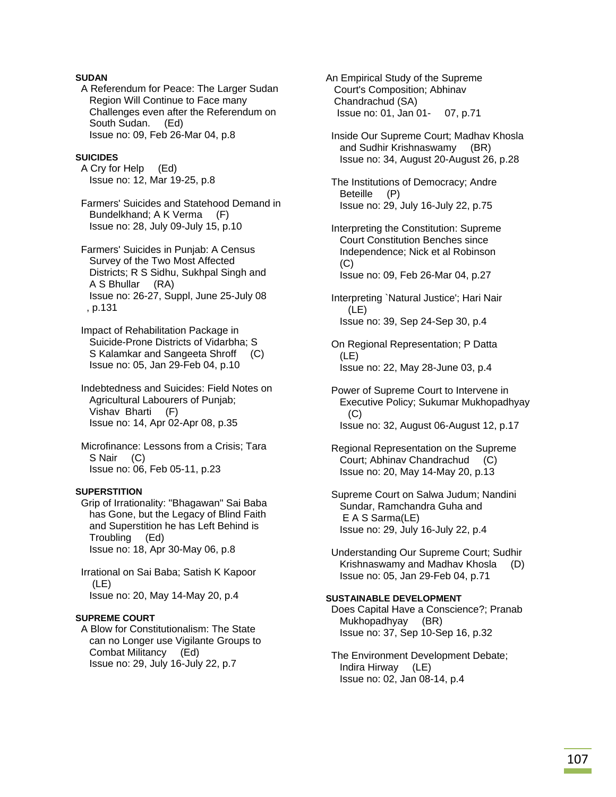# **SUDAN**

 A Referendum for Peace: The Larger Sudan Region Will Continue to Face many Challenges even after the Referendum on South Sudan. (Ed) Issue no: 09, Feb 26-Mar 04, p.8

## **SUICIDES**

 A Cry for Help (Ed) Issue no: 12, Mar 19-25, p.8

 Farmers' Suicides and Statehood Demand in Bundelkhand; A K Verma (F) Issue no: 28, July 09-July 15, p.10

 Farmers' Suicides in Punjab: A Census Survey of the Two Most Affected Districts; R S Sidhu, Sukhpal Singh and A S Bhullar (RA) Issue no: 26-27, Suppl, June 25-July 08 , p.131

 Impact of Rehabilitation Package in Suicide-Prone Districts of Vidarbha; S S Kalamkar and Sangeeta Shroff (C) Issue no: 05, Jan 29-Feb 04, p.10

 Indebtedness and Suicides: Field Notes on Agricultural Labourers of Punjab; Vishav Bharti (F) Issue no: 14, Apr 02-Apr 08, p.35

 Microfinance: Lessons from a Crisis; Tara S Nair (C) Issue no: 06, Feb 05-11, p.23

# **SUPERSTITION**

 Grip of Irrationality: "Bhagawan" Sai Baba has Gone, but the Legacy of Blind Faith and Superstition he has Left Behind is Troubling (Ed) Issue no: 18, Apr 30-May 06, p.8

 Irrational on Sai Baba; Satish K Kapoor (LE) Issue no: 20, May 14-May 20, p.4

# **SUPREME COURT**

 A Blow for Constitutionalism: The State can no Longer use Vigilante Groups to Combat Militancy (Ed) Issue no: 29, July 16-July 22, p.7

An Empirical Study of the Supreme Court's Composition; Abhinav Chandrachud (SA) Issue no: 01, Jan 01- 07, p.71

 Inside Our Supreme Court; Madhav Khosla and Sudhir Krishnaswamy (BR) Issue no: 34, August 20-August 26, p.28

 The Institutions of Democracy; Andre Beteille (P) Issue no: 29, July 16-July 22, p.75

 Interpreting the Constitution: Supreme Court Constitution Benches since Independence; Nick et al Robinson (C) Issue no: 09, Feb 26-Mar 04, p.27

 Interpreting `Natural Justice'; Hari Nair (LE) Issue no: 39, Sep 24-Sep 30, p.4

 On Regional Representation; P Datta (LE) Issue no: 22, May 28-June 03, p.4

 Power of Supreme Court to Intervene in Executive Policy; Sukumar Mukhopadhyay (C) Issue no: 32, August 06-August 12, p.17

 Regional Representation on the Supreme Court; Abhinav Chandrachud (C) Issue no: 20, May 14-May 20, p.13

 Supreme Court on Salwa Judum; Nandini Sundar, Ramchandra Guha and E A S Sarma(LE) Issue no: 29, July 16-July 22, p.4

 Understanding Our Supreme Court; Sudhir Krishnaswamy and Madhav Khosla (D) Issue no: 05, Jan 29-Feb 04, p.71

# **SUSTAINABLE DEVELOPMENT**

 Does Capital Have a Conscience?; Pranab Mukhopadhyay (BR) Issue no: 37, Sep 10-Sep 16, p.32

 The Environment Development Debate; Indira Hirway (LE) Issue no: 02, Jan 08-14, p.4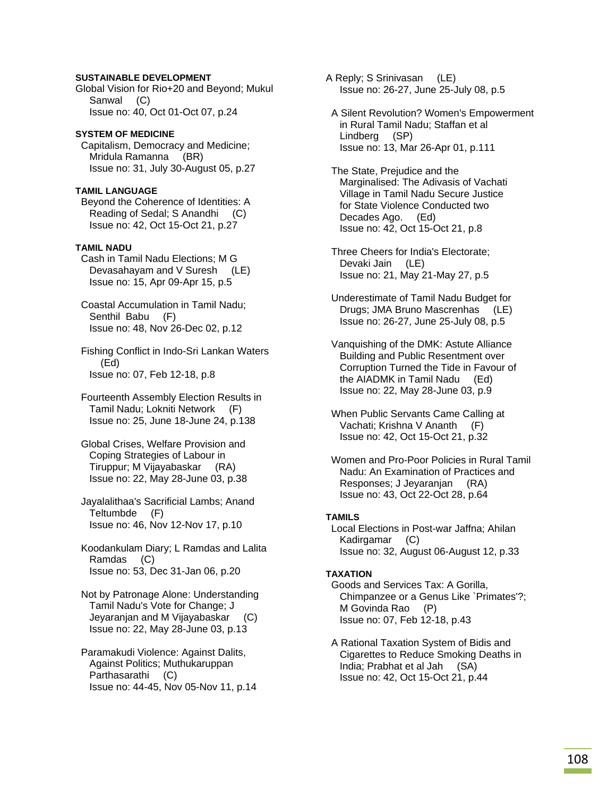## **SUSTAINABLE DEVELOPMENT**

Global Vision for Rio+20 and Beyond; Mukul Sanwal (C) Issue no: 40, Oct 01-Oct 07, p.24

# **SYSTEM OF MEDICINE**

 Capitalism, Democracy and Medicine; Mridula Ramanna (BR) Issue no: 31, July 30-August 05, p.27

## **TAMIL LANGUAGE**

 Beyond the Coherence of Identities: A Reading of Sedal; S Anandhi (C) Issue no: 42, Oct 15-Oct 21, p.27

## **TAMIL NADU**

 Cash in Tamil Nadu Elections; M G Devasahayam and V Suresh (LE) Issue no: 15, Apr 09-Apr 15, p.5

 Coastal Accumulation in Tamil Nadu; Senthil Babu (F) Issue no: 48, Nov 26-Dec 02, p.12

 Fishing Conflict in Indo-Sri Lankan Waters (Ed) Issue no: 07, Feb 12-18, p.8

 Fourteenth Assembly Election Results in Tamil Nadu; Lokniti Network (F) Issue no: 25, June 18-June 24, p.138

 Global Crises, Welfare Provision and Coping Strategies of Labour in Tiruppur; M Vijayabaskar (RA) Issue no: 22, May 28-June 03, p.38

 Jayalalithaa's Sacrificial Lambs; Anand Teltumbde (F) Issue no: 46, Nov 12-Nov 17, p.10

 Koodankulam Diary; L Ramdas and Lalita Ramdas (C) Issue no: 53, Dec 31-Jan 06, p.20

 Not by Patronage Alone: Understanding Tamil Nadu's Vote for Change; J Jeyaranjan and M Vijayabaskar (C) Issue no: 22, May 28-June 03, p.13

 Paramakudi Violence: Against Dalits, Against Politics; Muthukaruppan Parthasarathi (C) Issue no: 44-45, Nov 05-Nov 11, p.14 A Reply; S Srinivasan (LE) Issue no: 26-27, June 25-July 08, p.5

 A Silent Revolution? Women's Empowerment in Rural Tamil Nadu; Staffan et al Lindberg (SP) Issue no: 13, Mar 26-Apr 01, p.111

 The State, Prejudice and the Marginalised: The Adivasis of Vachati Village in Tamil Nadu Secure Justice for State Violence Conducted two Decades Ago. (Ed) Issue no: 42, Oct 15-Oct 21, p.8

 Three Cheers for India's Electorate; Devaki Jain (LE) Issue no: 21, May 21-May 27, p.5

 Underestimate of Tamil Nadu Budget for Drugs; JMA Bruno Mascrenhas (LE) Issue no: 26-27, June 25-July 08, p.5

 Vanquishing of the DMK: Astute Alliance Building and Public Resentment over Corruption Turned the Tide in Favour of the AIADMK in Tamil Nadu (Ed) Issue no: 22, May 28-June 03, p.9

 When Public Servants Came Calling at Vachati; Krishna V Ananth (F) Issue no: 42, Oct 15-Oct 21, p.32

 Women and Pro-Poor Policies in Rural Tamil Nadu: An Examination of Practices and Responses; J Jeyaranjan (RA) Issue no: 43, Oct 22-Oct 28, p.64

### **TAMILS**

 Local Elections in Post-war Jaffna; Ahilan Kadirgamar (C) Issue no: 32, August 06-August 12, p.33

### **TAXATION**

 Goods and Services Tax: A Gorilla, Chimpanzee or a Genus Like `Primates'?; M Govinda Rao (P) Issue no: 07, Feb 12-18, p.43

 A Rational Taxation System of Bidis and Cigarettes to Reduce Smoking Deaths in India; Prabhat et al Jah (SA) Issue no: 42, Oct 15-Oct 21, p.44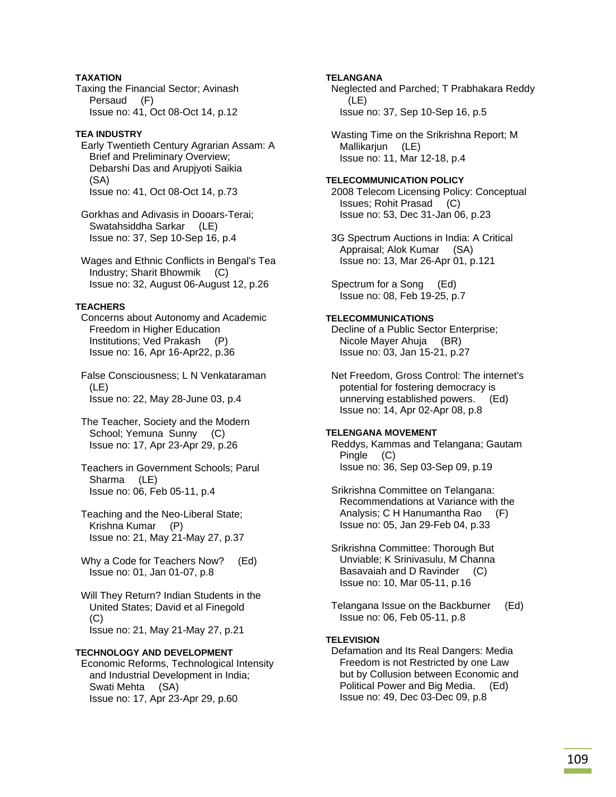## **TAXATION**

Taxing the Financial Sector; Avinash Persaud (F) Issue no: 41, Oct 08-Oct 14, p.12

## **TEA INDUSTRY**

- Early Twentieth Century Agrarian Assam: A Brief and Preliminary Overview; Debarshi Das and Arupjyoti Saikia (SA) Issue no: 41, Oct 08-Oct 14, p.73
- Gorkhas and Adivasis in Dooars-Terai; Swatahsiddha Sarkar (LE) Issue no: 37, Sep 10-Sep 16, p.4

 Wages and Ethnic Conflicts in Bengal's Tea Industry; Sharit Bhowmik (C) Issue no: 32, August 06-August 12, p.26

## **TEACHERS**

 Concerns about Autonomy and Academic Freedom in Higher Education Institutions; Ved Prakash (P) Issue no: 16, Apr 16-Apr22, p.36

 False Consciousness; L N Venkataraman (LE) Issue no: 22, May 28-June 03, p.4

- The Teacher, Society and the Modern School; Yemuna Sunny (C) Issue no: 17, Apr 23-Apr 29, p.26
- Teachers in Government Schools; Parul Sharma (LE) Issue no: 06, Feb 05-11, p.4
- Teaching and the Neo-Liberal State; Krishna Kumar (P) Issue no: 21, May 21-May 27, p.37
- Why a Code for Teachers Now? (Ed) Issue no: 01, Jan 01-07, p.8
- Will They Return? Indian Students in the United States; David et al Finegold (C) Issue no: 21, May 21-May 27, p.21

# **TECHNOLOGY AND DEVELOPMENT**

 Economic Reforms, Technological Intensity and Industrial Development in India; Swati Mehta (SA) Issue no: 17, Apr 23-Apr 29, p.60

## **TELANGANA**

 Neglected and Parched; T Prabhakara Reddy (LE) Issue no: 37, Sep 10-Sep 16, p.5

 Wasting Time on the Srikrishna Report; M Mallikariun (LE) Issue no: 11, Mar 12-18, p.4

### **TELECOMMUNICATION POLICY**

 2008 Telecom Licensing Policy: Conceptual Issues; Rohit Prasad (C) Issue no: 53, Dec 31-Jan 06, p.23

 3G Spectrum Auctions in India: A Critical Appraisal; Alok Kumar (SA) Issue no: 13, Mar 26-Apr 01, p.121

 Spectrum for a Song (Ed) Issue no: 08, Feb 19-25, p.7

## **TELECOMMUNICATIONS**

 Decline of a Public Sector Enterprise; Nicole Mayer Ahuja (BR) Issue no: 03, Jan 15-21, p.27

 Net Freedom, Gross Control: The internet's potential for fostering democracy is unnerving established powers. (Ed) Issue no: 14, Apr 02-Apr 08, p.8

# **TELENGANA MOVEMENT**

 Reddys, Kammas and Telangana; Gautam Pingle (C) Issue no: 36, Sep 03-Sep 09, p.19

- Srikrishna Committee on Telangana: Recommendations at Variance with the Analysis; C H Hanumantha Rao (F) Issue no: 05, Jan 29-Feb 04, p.33
- Srikrishna Committee: Thorough But Unviable; K Srinivasulu, M Channa Basavaiah and D Ravinder (C) Issue no: 10, Mar 05-11, p.16
- Telangana Issue on the Backburner (Ed) Issue no: 06, Feb 05-11, p.8

# **TELEVISION**

 Defamation and Its Real Dangers: Media Freedom is not Restricted by one Law but by Collusion between Economic and Political Power and Big Media. (Ed) Issue no: 49, Dec 03-Dec 09, p.8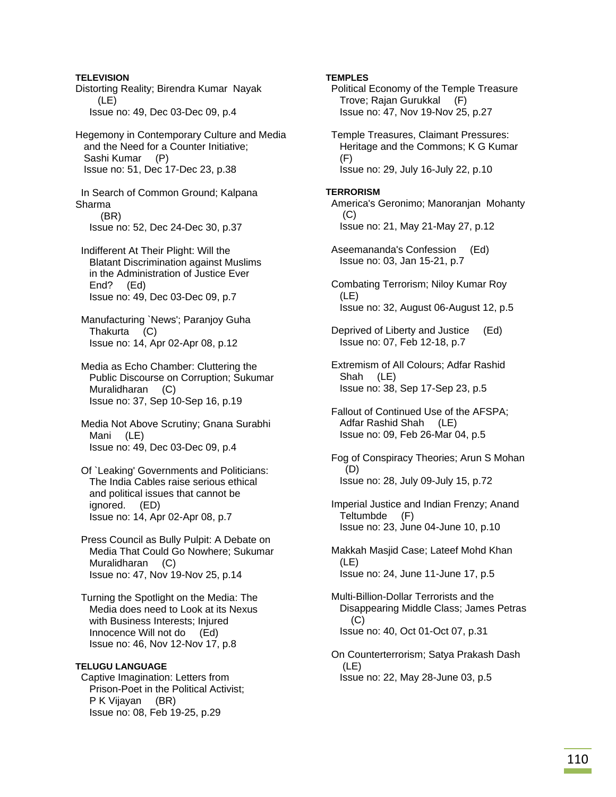Distorting Reality; Birendra Kumar Nayak (LE) Issue no: 49, Dec 03-Dec 09, p.4 Hegemony in Contemporary Culture and Media and the Need for a Counter Initiative; Sashi Kumar (P) Issue no: 51, Dec 17-Dec 23, p.38 In Search of Common Ground; Kalpana Sharma (BR) Issue no: 52, Dec 24-Dec 30, p.37 Indifferent At Their Plight: Will the Blatant Discrimination against Muslims in the Administration of Justice Ever End? (Ed) Issue no: 49, Dec 03-Dec 09, p.7 Manufacturing `News'; Paranjoy Guha Thakurta (C) Issue no: 14, Apr 02-Apr 08, p.12 Media as Echo Chamber: Cluttering the Public Discourse on Corruption; Sukumar Muralidharan (C) Issue no: 37, Sep 10-Sep 16, p.19 Media Not Above Scrutiny; Gnana Surabhi Mani (LE) Issue no: 49, Dec 03-Dec 09, p.4 Of `Leaking' Governments and Politicians: The India Cables raise serious ethical and political issues that cannot be ignored. (ED) Issue no: 14, Apr 02-Apr 08, p.7 Press Council as Bully Pulpit: A Debate on Media That Could Go Nowhere; Sukumar Muralidharan (C) Issue no: 47, Nov 19-Nov 25, p.14 Turning the Spotlight on the Media: The Media does need to Look at its Nexus with Business Interests; Injured Innocence Will not do (Ed) Issue no: 46, Nov 12-Nov 17, p.8 **TELUGU LANGUAGE**  Captive Imagination: Letters from Prison-Poet in the Political Activist; P K Vijayan (BR) Issue no: 08, Feb 19-25, p.29

**TELEVISION** 

#### **TEMPLES**

 Political Economy of the Temple Treasure Trove; Rajan Gurukkal (F) Issue no: 47, Nov 19-Nov 25, p.27

 Temple Treasures, Claimant Pressures: Heritage and the Commons; K G Kumar (F) Issue no: 29, July 16-July 22, p.10

#### **TERRORISM**

 America's Geronimo; Manoranjan Mohanty (C) Issue no: 21, May 21-May 27, p.12

 Aseemananda's Confession (Ed) Issue no: 03, Jan 15-21, p.7

 Combating Terrorism; Niloy Kumar Roy (LE) Issue no: 32, August 06-August 12, p.5

 Deprived of Liberty and Justice (Ed) Issue no: 07, Feb 12-18, p.7

 Extremism of All Colours; Adfar Rashid Shah (LE) Issue no: 38, Sep 17-Sep 23, p.5

 Fallout of Continued Use of the AFSPA; Adfar Rashid Shah (LE) Issue no: 09, Feb 26-Mar 04, p.5

 Fog of Conspiracy Theories; Arun S Mohan (D) Issue no: 28, July 09-July 15, p.72

 Imperial Justice and Indian Frenzy; Anand Teltumbde (F) Issue no: 23, June 04-June 10, p.10

 Makkah Masjid Case; Lateef Mohd Khan (LE) Issue no: 24, June 11-June 17, p.5

 Multi-Billion-Dollar Terrorists and the Disappearing Middle Class; James Petras (C) Issue no: 40, Oct 01-Oct 07, p.31

 On Counterterrorism; Satya Prakash Dash (LE) Issue no: 22, May 28-June 03, p.5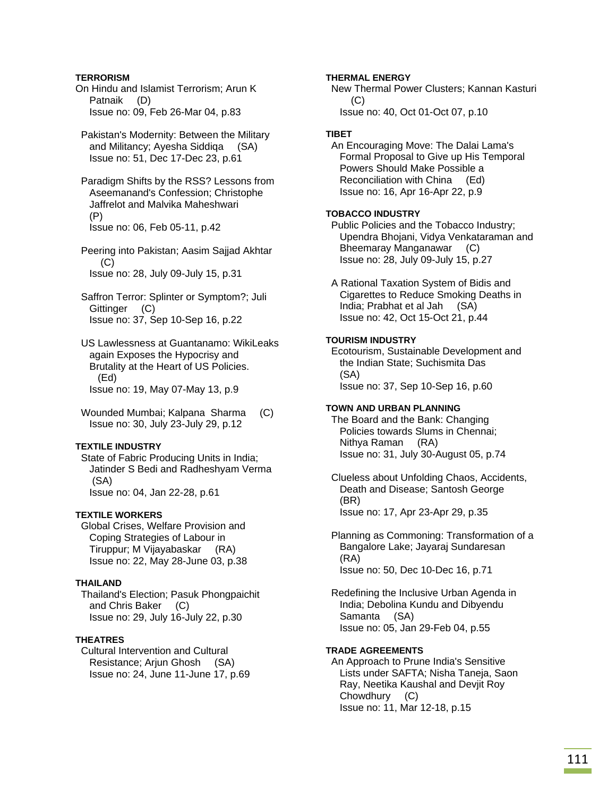### **TERRORISM**

- On Hindu and Islamist Terrorism; Arun K Patnaik (D) Issue no: 09, Feb 26-Mar 04, p.83
- Pakistan's Modernity: Between the Military and Militancy; Ayesha Siddiqa (SA) Issue no: 51, Dec 17-Dec 23, p.61
- Paradigm Shifts by the RSS? Lessons from Aseemanand's Confession; Christophe Jaffrelot and Malvika Maheshwari (P) Issue no: 06, Feb 05-11, p.42

 Peering into Pakistan; Aasim Sajjad Akhtar  $(C)$ Issue no: 28, July 09-July 15, p.31

- Saffron Terror: Splinter or Symptom?; Juli Gittinger (C) Issue no: 37, Sep 10-Sep 16, p.22
- US Lawlessness at Guantanamo: WikiLeaks again Exposes the Hypocrisy and Brutality at the Heart of US Policies. (Ed) Issue no: 19, May 07-May 13, p.9
- Wounded Mumbai; Kalpana Sharma (C) Issue no: 30, July 23-July 29, p.12

### **TEXTILE INDUSTRY**

 State of Fabric Producing Units in India; Jatinder S Bedi and Radheshyam Verma (SA) Issue no: 04, Jan 22-28, p.61

### **TEXTILE WORKERS**

 Global Crises, Welfare Provision and Coping Strategies of Labour in Tiruppur; M Vijayabaskar (RA) Issue no: 22, May 28-June 03, p.38

### **THAILAND**

 Thailand's Election; Pasuk Phongpaichit and Chris Baker (C) Issue no: 29, July 16-July 22, p.30

#### **THEATRES**

 Cultural Intervention and Cultural Resistance; Arjun Ghosh (SA) Issue no: 24, June 11-June 17, p.69

### **THERMAL ENERGY**

 New Thermal Power Clusters; Kannan Kasturi (C)

Issue no: 40, Oct 01-Oct 07, p.10

# **TIBET**

 An Encouraging Move: The Dalai Lama's Formal Proposal to Give up His Temporal Powers Should Make Possible a Reconciliation with China (Ed) Issue no: 16, Apr 16-Apr 22, p.9

#### **TOBACCO INDUSTRY**

 Public Policies and the Tobacco Industry; Upendra Bhojani, Vidya Venkataraman and Bheemaray Manganawar (C) Issue no: 28, July 09-July 15, p.27

 A Rational Taxation System of Bidis and Cigarettes to Reduce Smoking Deaths in India; Prabhat et al Jah (SA) Issue no: 42, Oct 15-Oct 21, p.44

#### **TOURISM INDUSTRY**

 Ecotourism, Sustainable Development and the Indian State; Suchismita Das (SA) Issue no: 37, Sep 10-Sep 16, p.60

### **TOWN AND URBAN PLANNING**

 The Board and the Bank: Changing Policies towards Slums in Chennai; Nithya Raman (RA) Issue no: 31, July 30-August 05, p.74

 Clueless about Unfolding Chaos, Accidents, Death and Disease; Santosh George (BR) Issue no: 17, Apr 23-Apr 29, p.35

 Planning as Commoning: Transformation of a Bangalore Lake; Jayaraj Sundaresan (RA) Issue no: 50, Dec 10-Dec 16, p.71

 Redefining the Inclusive Urban Agenda in India; Debolina Kundu and Dibyendu Samanta (SA) Issue no: 05, Jan 29-Feb 04, p.55

### **TRADE AGREEMENTS**

 An Approach to Prune India's Sensitive Lists under SAFTA; Nisha Taneja, Saon Ray, Neetika Kaushal and Devjit Roy Chowdhury (C) Issue no: 11, Mar 12-18, p.15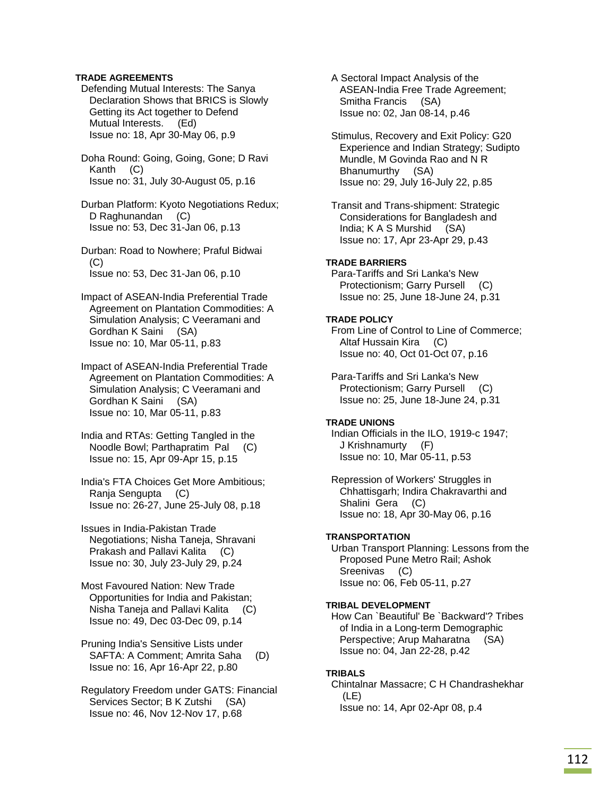### **TRADE AGREEMENTS**

- Defending Mutual Interests: The Sanya Declaration Shows that BRICS is Slowly Getting its Act together to Defend Mutual Interests. (Ed) Issue no: 18, Apr 30-May 06, p.9
- Doha Round: Going, Going, Gone; D Ravi Kanth (C) Issue no: 31, July 30-August 05, p.16

 Durban Platform: Kyoto Negotiations Redux; D Raghunandan (C) Issue no: 53, Dec 31-Jan 06, p.13

- Durban: Road to Nowhere; Praful Bidwai  $(C)$ Issue no: 53, Dec 31-Jan 06, p.10
- Impact of ASEAN-India Preferential Trade Agreement on Plantation Commodities: A Simulation Analysis; C Veeramani and Gordhan K Saini (SA) Issue no: 10, Mar 05-11, p.83
- Impact of ASEAN-India Preferential Trade Agreement on Plantation Commodities: A Simulation Analysis; C Veeramani and Gordhan K Saini (SA) Issue no: 10, Mar 05-11, p.83
- India and RTAs: Getting Tangled in the Noodle Bowl; Parthapratim Pal (C) Issue no: 15, Apr 09-Apr 15, p.15
- India's FTA Choices Get More Ambitious; Ranja Sengupta (C) Issue no: 26-27, June 25-July 08, p.18
- Issues in India-Pakistan Trade Negotiations; Nisha Taneja, Shravani Prakash and Pallavi Kalita (C) Issue no: 30, July 23-July 29, p.24
- Most Favoured Nation: New Trade Opportunities for India and Pakistan; Nisha Taneja and Pallavi Kalita (C) Issue no: 49, Dec 03-Dec 09, p.14
- Pruning India's Sensitive Lists under SAFTA: A Comment; Amrita Saha (D) Issue no: 16, Apr 16-Apr 22, p.80
- Regulatory Freedom under GATS: Financial Services Sector; B K Zutshi (SA) Issue no: 46, Nov 12-Nov 17, p.68
- A Sectoral Impact Analysis of the ASEAN-India Free Trade Agreement; Smitha Francis (SA) Issue no: 02, Jan 08-14, p.46
- Stimulus, Recovery and Exit Policy: G20 Experience and Indian Strategy; Sudipto Mundle, M Govinda Rao and N R Bhanumurthy (SA) Issue no: 29, July 16-July 22, p.85
- Transit and Trans-shipment: Strategic Considerations for Bangladesh and India; K A S Murshid (SA) Issue no: 17, Apr 23-Apr 29, p.43

#### **TRADE BARRIERS**

 Para-Tariffs and Sri Lanka's New Protectionism; Garry Pursell (C) Issue no: 25, June 18-June 24, p.31

#### **TRADE POLICY**

 From Line of Control to Line of Commerce; Altaf Hussain Kira (C) Issue no: 40, Oct 01-Oct 07, p.16

 Para-Tariffs and Sri Lanka's New Protectionism; Garry Pursell (C) Issue no: 25, June 18-June 24, p.31

#### **TRADE UNIONS**

 Indian Officials in the ILO, 1919-c 1947; J Krishnamurty (F) Issue no: 10, Mar 05-11, p.53

 Repression of Workers' Struggles in Chhattisgarh; Indira Chakravarthi and Shalini Gera (C) Issue no: 18, Apr 30-May 06, p.16

#### **TRANSPORTATION**

 Urban Transport Planning: Lessons from the Proposed Pune Metro Rail; Ashok Sreenivas (C) Issue no: 06, Feb 05-11, p.27

### **TRIBAL DEVELOPMENT**

 How Can `Beautiful' Be `Backward'? Tribes of India in a Long-term Demographic Perspective; Arup Maharatna (SA) Issue no: 04, Jan 22-28, p.42

#### **TRIBALS**

 Chintalnar Massacre; C H Chandrashekhar (LE) Issue no: 14, Apr 02-Apr 08, p.4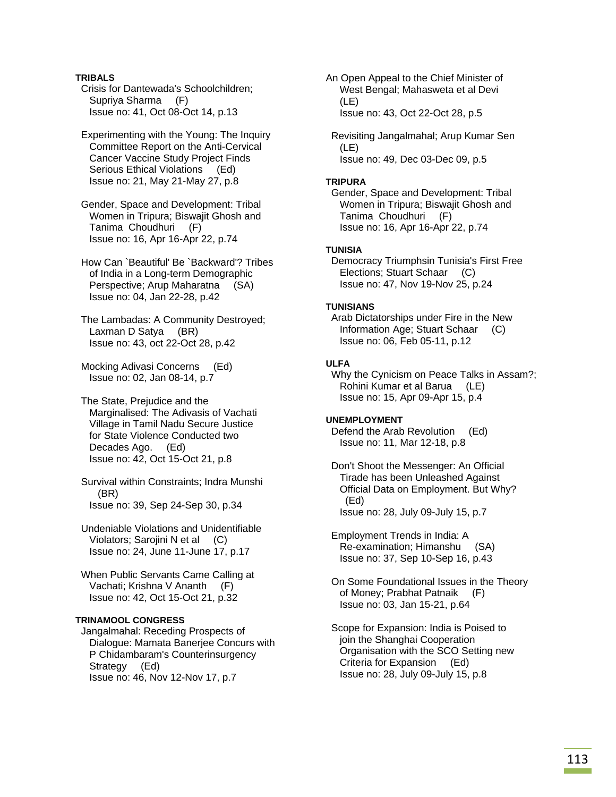## **TRIBALS**

 Crisis for Dantewada's Schoolchildren; Supriya Sharma (F) Issue no: 41, Oct 08-Oct 14, p.13

 Experimenting with the Young: The Inquiry Committee Report on the Anti-Cervical Cancer Vaccine Study Project Finds Serious Ethical Violations (Ed) Issue no: 21, May 21-May 27, p.8

 Gender, Space and Development: Tribal Women in Tripura; Biswajit Ghosh and Tanima Choudhuri (F) Issue no: 16, Apr 16-Apr 22, p.74

 How Can `Beautiful' Be `Backward'? Tribes of India in a Long-term Demographic Perspective; Arup Maharatna (SA) Issue no: 04, Jan 22-28, p.42

 The Lambadas: A Community Destroyed; Laxman D Satya (BR) Issue no: 43, oct 22-Oct 28, p.42

 Mocking Adivasi Concerns (Ed) Issue no: 02, Jan 08-14, p.7

 The State, Prejudice and the Marginalised: The Adivasis of Vachati Village in Tamil Nadu Secure Justice for State Violence Conducted two Decades Ago. (Ed) Issue no: 42, Oct 15-Oct 21, p.8

 Survival within Constraints; Indra Munshi (BR) Issue no: 39, Sep 24-Sep 30, p.34

 Undeniable Violations and Unidentifiable Violators; Sarojini N et al (C) Issue no: 24, June 11-June 17, p.17

 When Public Servants Came Calling at Vachati; Krishna V Ananth (F) Issue no: 42, Oct 15-Oct 21, p.32

### **TRINAMOOL CONGRESS**

 Jangalmahal: Receding Prospects of Dialogue: Mamata Banerjee Concurs with P Chidambaram's Counterinsurgency Strategy (Ed) Issue no: 46, Nov 12-Nov 17, p.7

An Open Appeal to the Chief Minister of West Bengal; Mahasweta et al Devi (LE) Issue no: 43, Oct 22-Oct 28, p.5

 Revisiting Jangalmahal; Arup Kumar Sen (LE) Issue no: 49, Dec 03-Dec 09, p.5

### **TRIPURA**

 Gender, Space and Development: Tribal Women in Tripura; Biswajit Ghosh and Tanima Choudhuri (F) Issue no: 16, Apr 16-Apr 22, p.74

### **TUNISIA**

 Democracy Triumphsin Tunisia's First Free Elections; Stuart Schaar (C) Issue no: 47, Nov 19-Nov 25, p.24

### **TUNISIANS**

 Arab Dictatorships under Fire in the New Information Age; Stuart Schaar (C) Issue no: 06, Feb 05-11, p.12

#### **ULFA**

 Why the Cynicism on Peace Talks in Assam?; Rohini Kumar et al Barua (LE) Issue no: 15, Apr 09-Apr 15, p.4

#### **UNEMPLOYMENT**

 Defend the Arab Revolution (Ed) Issue no: 11, Mar 12-18, p.8

 Don't Shoot the Messenger: An Official Tirade has been Unleashed Against Official Data on Employment. But Why? (Ed) Issue no: 28, July 09-July 15, p.7

 Employment Trends in India: A Re-examination; Himanshu (SA) Issue no: 37, Sep 10-Sep 16, p.43

 On Some Foundational Issues in the Theory of Money; Prabhat Patnaik (F) Issue no: 03, Jan 15-21, p.64

 Scope for Expansion: India is Poised to join the Shanghai Cooperation Organisation with the SCO Setting new Criteria for Expansion (Ed) Issue no: 28, July 09-July 15, p.8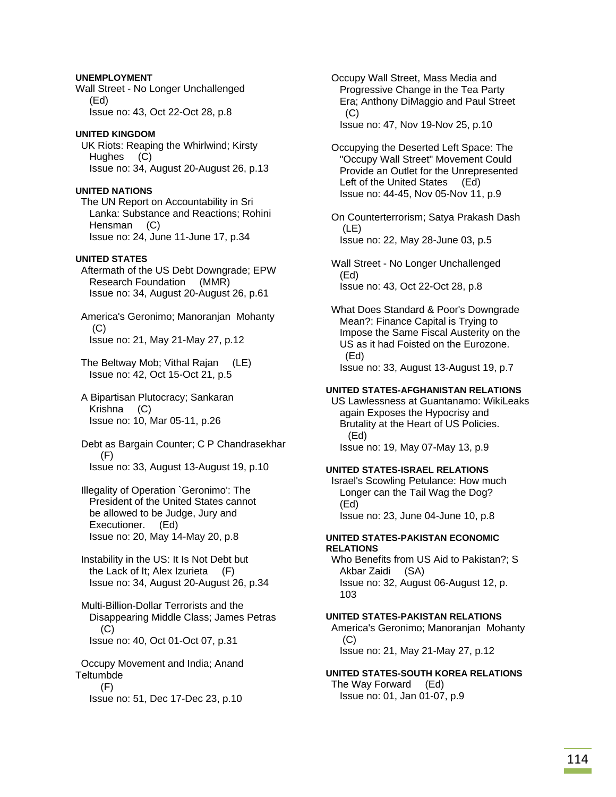#### **UNEMPLOYMENT**

Wall Street - No Longer Unchallenged (Ed) Issue no: 43, Oct 22-Oct 28, p.8

### **UNITED KINGDOM**

 UK Riots: Reaping the Whirlwind; Kirsty Hughes (C) Issue no: 34, August 20-August 26, p.13

#### **UNITED NATIONS**

 The UN Report on Accountability in Sri Lanka: Substance and Reactions; Rohini Hensman (C) Issue no: 24, June 11-June 17, p.34

### **UNITED STATES**

 Aftermath of the US Debt Downgrade; EPW Research Foundation (MMR) Issue no: 34, August 20-August 26, p.61

 America's Geronimo; Manoranjan Mohanty (C) Issue no: 21, May 21-May 27, p.12

 The Beltway Mob; Vithal Rajan (LE) Issue no: 42, Oct 15-Oct 21, p.5

 A Bipartisan Plutocracy; Sankaran Krishna (C) Issue no: 10, Mar 05-11, p.26

 Debt as Bargain Counter; C P Chandrasekhar (F) Issue no: 33, August 13-August 19, p.10

 Illegality of Operation `Geronimo': The President of the United States cannot be allowed to be Judge, Jury and Executioner. (Ed) Issue no: 20, May 14-May 20, p.8

 Instability in the US: It Is Not Debt but the Lack of It; Alex Izurieta (F) Issue no: 34, August 20-August 26, p.34

 Multi-Billion-Dollar Terrorists and the Disappearing Middle Class; James Petras  $(C)$ Issue no: 40, Oct 01-Oct 07, p.31

 Occupy Movement and India; Anand **Teltumbde**  (F) Issue no: 51, Dec 17-Dec 23, p.10

 Occupy Wall Street, Mass Media and Progressive Change in the Tea Party Era; Anthony DiMaggio and Paul Street  $(C)$ Issue no: 47, Nov 19-Nov 25, p.10

 Occupying the Deserted Left Space: The "Occupy Wall Street" Movement Could Provide an Outlet for the Unrepresented Left of the United States (Ed) Issue no: 44-45, Nov 05-Nov 11, p.9

 On Counterterrorism; Satya Prakash Dash (LE) Issue no: 22, May 28-June 03, p.5

 Wall Street - No Longer Unchallenged (Ed) Issue no: 43, Oct 22-Oct 28, p.8

 What Does Standard & Poor's Downgrade Mean?: Finance Capital is Trying to Impose the Same Fiscal Austerity on the US as it had Foisted on the Eurozone. (Ed) Issue no: 33, August 13-August 19, p.7

### **UNITED STATES-AFGHANISTAN RELATIONS**

 US Lawlessness at Guantanamo: WikiLeaks again Exposes the Hypocrisy and Brutality at the Heart of US Policies. (Ed) Issue no: 19, May 07-May 13, p.9

#### **UNITED STATES-ISRAEL RELATIONS**

 Israel's Scowling Petulance: How much Longer can the Tail Wag the Dog? (Ed) Issue no: 23, June 04-June 10, p.8

#### **UNITED STATES-PAKISTAN ECONOMIC RELATIONS**

 Who Benefits from US Aid to Pakistan?; S Akbar Zaidi (SA) Issue no: 32, August 06-August 12, p. 103

### **UNITED STATES-PAKISTAN RELATIONS**

 America's Geronimo; Manoranjan Mohanty (C) Issue no: 21, May 21-May 27, p.12

**UNITED STATES-SOUTH KOREA RELATIONS**  The Way Forward (Ed) Issue no: 01, Jan 01-07, p.9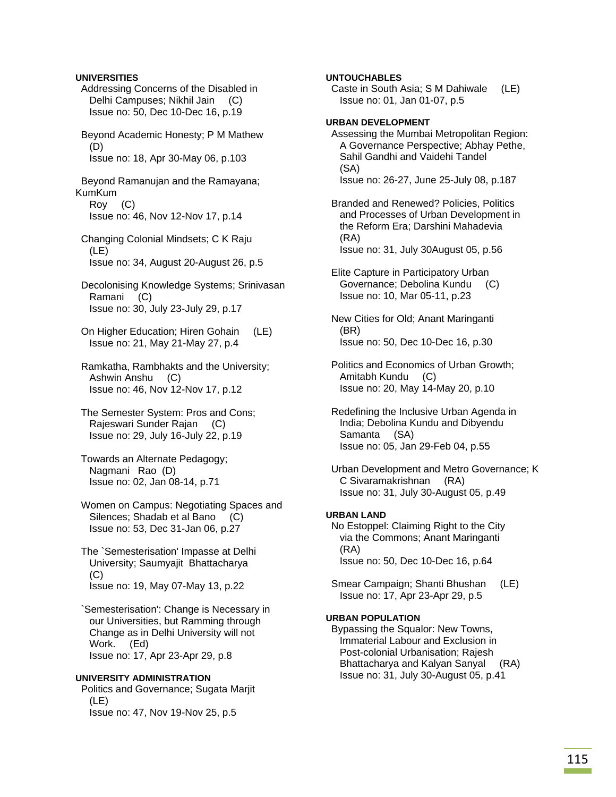## **UNIVERSITIES**

 Addressing Concerns of the Disabled in Delhi Campuses; Nikhil Jain (C) Issue no: 50, Dec 10-Dec 16, p.19

 Beyond Academic Honesty; P M Mathew (D) Issue no: 18, Apr 30-May 06, p.103

 Beyond Ramanujan and the Ramayana; KumKum Roy (C) Issue no: 46, Nov 12-Nov 17, p.14

- Changing Colonial Mindsets; C K Raju (LE) Issue no: 34, August 20-August 26, p.5
- Decolonising Knowledge Systems; Srinivasan Ramani (C) Issue no: 30, July 23-July 29, p.17
- On Higher Education; Hiren Gohain (LE) Issue no: 21, May 21-May 27, p.4
- Ramkatha, Rambhakts and the University; Ashwin Anshu (C) Issue no: 46, Nov 12-Nov 17, p.12
- The Semester System: Pros and Cons; Rajeswari Sunder Rajan (C) Issue no: 29, July 16-July 22, p.19

 Towards an Alternate Pedagogy; Nagmani Rao (D) Issue no: 02, Jan 08-14, p.71

- Women on Campus: Negotiating Spaces and Silences; Shadab et al Bano (C) Issue no: 53, Dec 31-Jan 06, p.27
- The `Semesterisation' Impasse at Delhi University; Saumyajit Bhattacharya (C) Issue no: 19, May 07-May 13, p.22
- `Semesterisation': Change is Necessary in our Universities, but Ramming through Change as in Delhi University will not Work. (Ed) Issue no: 17, Apr 23-Apr 29, p.8

# **UNIVERSITY ADMINISTRATION**

 Politics and Governance; Sugata Marjit (LE) Issue no: 47, Nov 19-Nov 25, p.5

### **UNTOUCHABLES**

 Caste in South Asia; S M Dahiwale (LE) Issue no: 01, Jan 01-07, p.5

## **URBAN DEVELOPMENT**

 Assessing the Mumbai Metropolitan Region: A Governance Perspective; Abhay Pethe, Sahil Gandhi and Vaidehi Tandel (SA) Issue no: 26-27, June 25-July 08, p.187

- Branded and Renewed? Policies, Politics and Processes of Urban Development in the Reform Era; Darshini Mahadevia (RA) Issue no: 31, July 30August 05, p.56
- Elite Capture in Participatory Urban Governance; Debolina Kundu (C) Issue no: 10, Mar 05-11, p.23
- New Cities for Old; Anant Maringanti (BR) Issue no: 50, Dec 10-Dec 16, p.30
- Politics and Economics of Urban Growth; Amitabh Kundu (C) Issue no: 20, May 14-May 20, p.10
- Redefining the Inclusive Urban Agenda in India; Debolina Kundu and Dibyendu Samanta (SA) Issue no: 05, Jan 29-Feb 04, p.55

 Urban Development and Metro Governance; K C Sivaramakrishnan (RA) Issue no: 31, July 30-August 05, p.49

### **URBAN LAND**

 No Estoppel: Claiming Right to the City via the Commons; Anant Maringanti (RA) Issue no: 50, Dec 10-Dec 16, p.64

 Smear Campaign; Shanti Bhushan (LE) Issue no: 17, Apr 23-Apr 29, p.5

#### **URBAN POPULATION**

 Bypassing the Squalor: New Towns, Immaterial Labour and Exclusion in Post-colonial Urbanisation; Rajesh Bhattacharya and Kalyan Sanyal (RA) Issue no: 31, July 30-August 05, p.41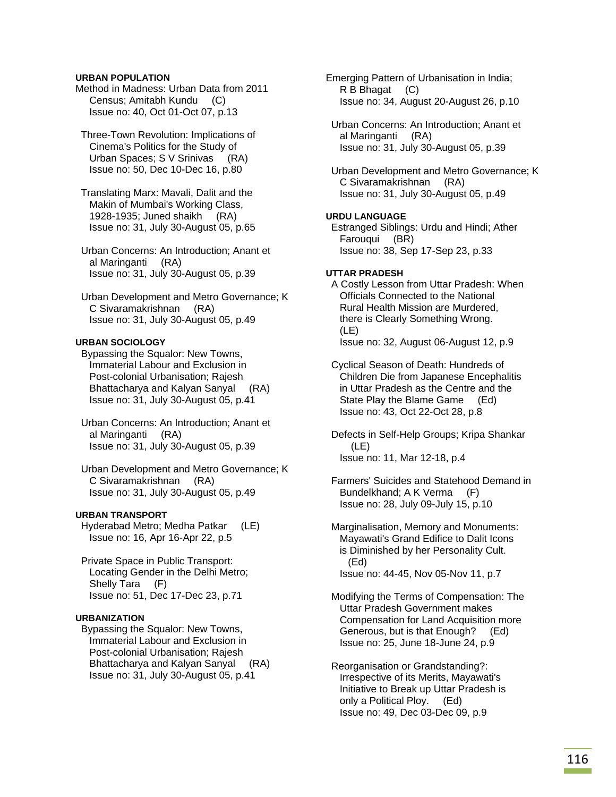#### **URBAN POPULATION**

Method in Madness: Urban Data from 2011 Census; Amitabh Kundu (C) Issue no: 40, Oct 01-Oct 07, p.13

 Three-Town Revolution: Implications of Cinema's Politics for the Study of Urban Spaces; S V Srinivas (RA) Issue no: 50, Dec 10-Dec 16, p.80

 Translating Marx: Mavali, Dalit and the Makin of Mumbai's Working Class, 1928-1935; Juned shaikh (RA) Issue no: 31, July 30-August 05, p.65

 Urban Concerns: An Introduction; Anant et al Maringanti (RA) Issue no: 31, July 30-August 05, p.39

 Urban Development and Metro Governance; K C Sivaramakrishnan (RA) Issue no: 31, July 30-August 05, p.49

#### **URBAN SOCIOLOGY**

 Bypassing the Squalor: New Towns, Immaterial Labour and Exclusion in Post-colonial Urbanisation; Rajesh Bhattacharya and Kalyan Sanyal (RA) Issue no: 31, July 30-August 05, p.41

 Urban Concerns: An Introduction; Anant et al Maringanti (RA) Issue no: 31, July 30-August 05, p.39

 Urban Development and Metro Governance; K C Sivaramakrishnan (RA) Issue no: 31, July 30-August 05, p.49

#### **URBAN TRANSPORT**

 Hyderabad Metro; Medha Patkar (LE) Issue no: 16, Apr 16-Apr 22, p.5

 Private Space in Public Transport: Locating Gender in the Delhi Metro; Shelly Tara (F) Issue no: 51, Dec 17-Dec 23, p.71

#### **URBANIZATION**

 Bypassing the Squalor: New Towns, Immaterial Labour and Exclusion in Post-colonial Urbanisation; Rajesh Bhattacharya and Kalyan Sanyal (RA) Issue no: 31, July 30-August 05, p.41

Emerging Pattern of Urbanisation in India; R B Bhagat (C) Issue no: 34, August 20-August 26, p.10

 Urban Concerns: An Introduction; Anant et al Maringanti (RA) Issue no: 31, July 30-August 05, p.39

 Urban Development and Metro Governance; K C Sivaramakrishnan (RA) Issue no: 31, July 30-August 05, p.49

### **URDU LANGUAGE**

 Estranged Siblings: Urdu and Hindi; Ather Farouqui (BR) Issue no: 38, Sep 17-Sep 23, p.33

#### **UTTAR PRADESH**

 A Costly Lesson from Uttar Pradesh: When Officials Connected to the National Rural Health Mission are Murdered, there is Clearly Something Wrong. (LE) Issue no: 32, August 06-August 12, p.9

 Cyclical Season of Death: Hundreds of Children Die from Japanese Encephalitis in Uttar Pradesh as the Centre and the State Play the Blame Game (Ed) Issue no: 43, Oct 22-Oct 28, p.8

 Defects in Self-Help Groups; Kripa Shankar (LE) Issue no: 11, Mar 12-18, p.4

 Farmers' Suicides and Statehood Demand in Bundelkhand; A K Verma (F) Issue no: 28, July 09-July 15, p.10

 Marginalisation, Memory and Monuments: Mayawati's Grand Edifice to Dalit Icons is Diminished by her Personality Cult. (Ed) Issue no: 44-45, Nov 05-Nov 11, p.7

 Modifying the Terms of Compensation: The Uttar Pradesh Government makes Compensation for Land Acquisition more Generous, but is that Enough? (Ed) Issue no: 25, June 18-June 24, p.9

 Reorganisation or Grandstanding?: Irrespective of its Merits, Mayawati's Initiative to Break up Uttar Pradesh is only a Political Ploy. (Ed) Issue no: 49, Dec 03-Dec 09, p.9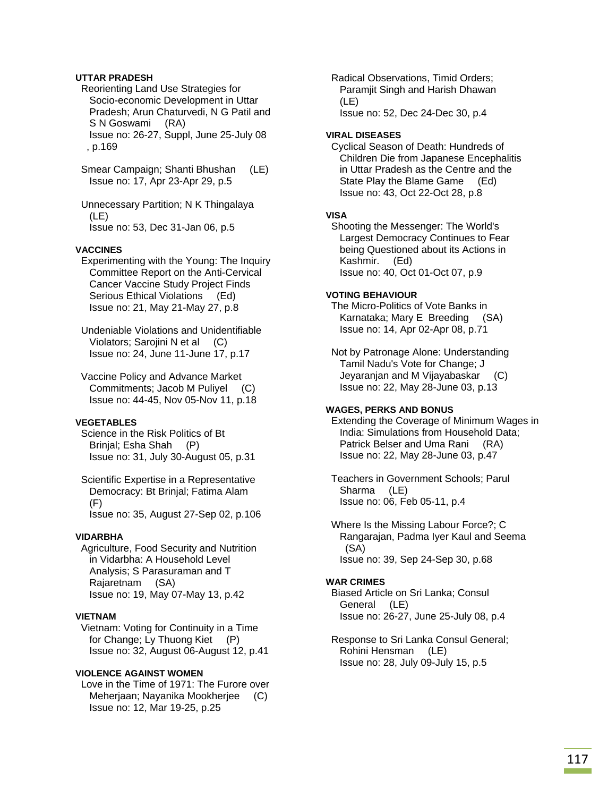### **UTTAR PRADESH**

 Reorienting Land Use Strategies for Socio-economic Development in Uttar Pradesh; Arun Chaturvedi, N G Patil and S N Goswami (RA) Issue no: 26-27, Suppl, June 25-July 08 , p.169

 Smear Campaign; Shanti Bhushan (LE) Issue no: 17, Apr 23-Apr 29, p.5

 Unnecessary Partition; N K Thingalaya (LE) Issue no: 53, Dec 31-Jan 06, p.5

#### **VACCINES**

 Experimenting with the Young: The Inquiry Committee Report on the Anti-Cervical Cancer Vaccine Study Project Finds Serious Ethical Violations (Ed) Issue no: 21, May 21-May 27, p.8

 Undeniable Violations and Unidentifiable Violators; Sarojini N et al (C) Issue no: 24, June 11-June 17, p.17

 Vaccine Policy and Advance Market Commitments; Jacob M Puliyel (C) Issue no: 44-45, Nov 05-Nov 11, p.18

#### **VEGETABLES**

 Science in the Risk Politics of Bt Brinjal; Esha Shah (P) Issue no: 31, July 30-August 05, p.31

 Scientific Expertise in a Representative Democracy: Bt Brinjal; Fatima Alam (F) Issue no: 35, August 27-Sep 02, p.106

#### **VIDARBHA**

 Agriculture, Food Security and Nutrition in Vidarbha: A Household Level Analysis; S Parasuraman and T Rajaretnam (SA) Issue no: 19, May 07-May 13, p.42

#### **VIETNAM**

 Vietnam: Voting for Continuity in a Time for Change; Ly Thuong Kiet (P) Issue no: 32, August 06-August 12, p.41

### **VIOLENCE AGAINST WOMEN**

 Love in the Time of 1971: The Furore over Meherjaan; Nayanika Mookherjee (C) Issue no: 12, Mar 19-25, p.25

 Radical Observations, Timid Orders; Paramjit Singh and Harish Dhawan (LE) Issue no: 52, Dec 24-Dec 30, p.4

### **VIRAL DISEASES**

 Cyclical Season of Death: Hundreds of Children Die from Japanese Encephalitis in Uttar Pradesh as the Centre and the State Play the Blame Game (Ed) Issue no: 43, Oct 22-Oct 28, p.8

### **VISA**

 Shooting the Messenger: The World's Largest Democracy Continues to Fear being Questioned about its Actions in Kashmir. (Ed) Issue no: 40, Oct 01-Oct 07, p.9

#### **VOTING BEHAVIOUR**

 The Micro-Politics of Vote Banks in Karnataka; Mary E Breeding (SA) Issue no: 14, Apr 02-Apr 08, p.71

 Not by Patronage Alone: Understanding Tamil Nadu's Vote for Change; J Jeyaranjan and M Vijayabaskar (C) Issue no: 22, May 28-June 03, p.13

### **WAGES, PERKS AND BONUS**

 Extending the Coverage of Minimum Wages in India: Simulations from Household Data; Patrick Belser and Uma Rani (RA) Issue no: 22, May 28-June 03, p.47

 Teachers in Government Schools; Parul Sharma (LE) Issue no: 06, Feb 05-11, p.4

 Where Is the Missing Labour Force?; C Rangarajan, Padma Iyer Kaul and Seema (SA) Issue no: 39, Sep 24-Sep 30, p.68

### **WAR CRIMES**

 Biased Article on Sri Lanka; Consul General (LE) Issue no: 26-27, June 25-July 08, p.4

 Response to Sri Lanka Consul General; Rohini Hensman (LE) Issue no: 28, July 09-July 15, p.5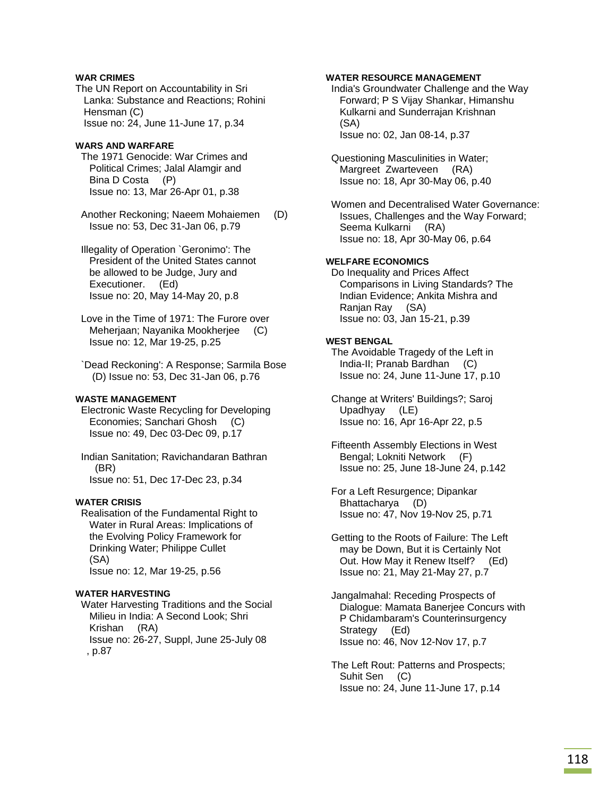### **WAR CRIMES**

The UN Report on Accountability in Sri Lanka: Substance and Reactions; Rohini Hensman (C) Issue no: 24, June 11-June 17, p.34

#### **WARS AND WARFARE**

- The 1971 Genocide: War Crimes and Political Crimes; Jalal Alamgir and Bina D Costa (P) Issue no: 13, Mar 26-Apr 01, p.38
- Another Reckoning; Naeem Mohaiemen (D) Issue no: 53, Dec 31-Jan 06, p.79

 Illegality of Operation `Geronimo': The President of the United States cannot be allowed to be Judge, Jury and Executioner. (Ed) Issue no: 20, May 14-May 20, p.8

- Love in the Time of 1971: The Furore over Meherjaan; Nayanika Mookherjee (C) Issue no: 12, Mar 19-25, p.25
- `Dead Reckoning': A Response; Sarmila Bose (D) Issue no: 53, Dec 31-Jan 06, p.76

#### **WASTE MANAGEMENT**

 Electronic Waste Recycling for Developing Economies; Sanchari Ghosh (C) Issue no: 49, Dec 03-Dec 09, p.17

 Indian Sanitation; Ravichandaran Bathran (BR) Issue no: 51, Dec 17-Dec 23, p.34

#### **WATER CRISIS**

 Realisation of the Fundamental Right to Water in Rural Areas: Implications of the Evolving Policy Framework for Drinking Water; Philippe Cullet (SA) Issue no: 12, Mar 19-25, p.56

#### **WATER HARVESTING**

 Water Harvesting Traditions and the Social Milieu in India: A Second Look; Shri Krishan (RA) Issue no: 26-27, Suppl, June 25-July 08 , p.87

### **WATER RESOURCE MANAGEMENT**

 India's Groundwater Challenge and the Way Forward; P S Vijay Shankar, Himanshu Kulkarni and Sunderrajan Krishnan (SA) Issue no: 02, Jan 08-14, p.37

 Questioning Masculinities in Water; Margreet Zwarteveen (RA) Issue no: 18, Apr 30-May 06, p.40

 Women and Decentralised Water Governance: Issues, Challenges and the Way Forward; Seema Kulkarni (RA) Issue no: 18, Apr 30-May 06, p.64

#### **WELFARE ECONOMICS**

 Do Inequality and Prices Affect Comparisons in Living Standards? The Indian Evidence; Ankita Mishra and Ranjan Ray (SA) Issue no: 03, Jan 15-21, p.39

#### **WEST BENGAL**

 The Avoidable Tragedy of the Left in India-II; Pranab Bardhan (C) Issue no: 24, June 11-June 17, p.10

 Change at Writers' Buildings?; Saroj Upadhyay (LE) Issue no: 16, Apr 16-Apr 22, p.5

 Fifteenth Assembly Elections in West Bengal; Lokniti Network (F) Issue no: 25, June 18-June 24, p.142

 For a Left Resurgence; Dipankar Bhattacharya (D) Issue no: 47, Nov 19-Nov 25, p.71

 Getting to the Roots of Failure: The Left may be Down, But it is Certainly Not Out. How May it Renew Itself? (Ed) Issue no: 21, May 21-May 27, p.7

 Jangalmahal: Receding Prospects of Dialogue: Mamata Banerjee Concurs with P Chidambaram's Counterinsurgency Strategy (Ed) Issue no: 46, Nov 12-Nov 17, p.7

 The Left Rout: Patterns and Prospects; Suhit Sen (C) Issue no: 24, June 11-June 17, p.14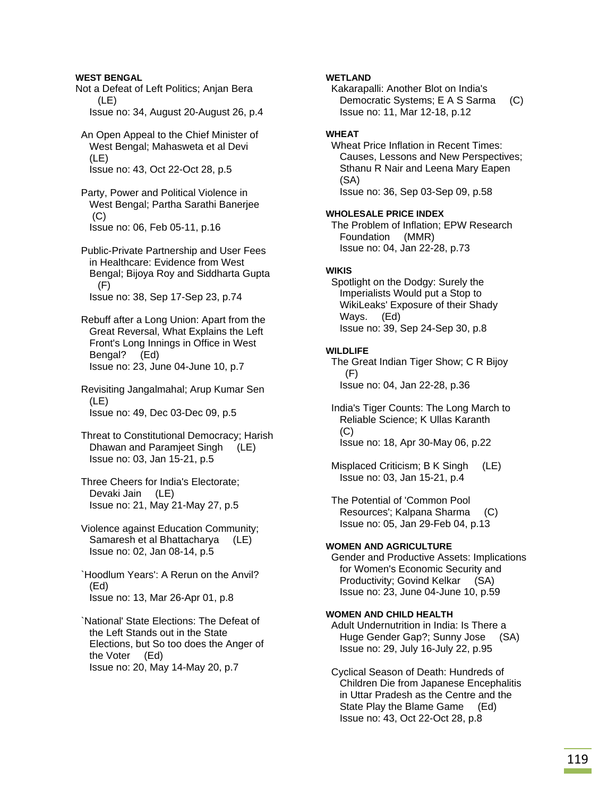### **WEST BENGAL**

- Not a Defeat of Left Politics; Anjan Bera (LE) Issue no: 34, August 20-August 26, p.4
- An Open Appeal to the Chief Minister of West Bengal; Mahasweta et al Devi (LE) Issue no: 43, Oct 22-Oct 28, p.5
- Party, Power and Political Violence in West Bengal; Partha Sarathi Banerjee (C) Issue no: 06, Feb 05-11, p.16
- Public-Private Partnership and User Fees in Healthcare: Evidence from West Bengal; Bijoya Roy and Siddharta Gupta (F) Issue no: 38, Sep 17-Sep 23, p.74
- Rebuff after a Long Union: Apart from the Great Reversal, What Explains the Left Front's Long Innings in Office in West Bengal? (Ed) Issue no: 23, June 04-June 10, p.7
- Revisiting Jangalmahal; Arup Kumar Sen (LE) Issue no: 49, Dec 03-Dec 09, p.5
- Threat to Constitutional Democracy; Harish Dhawan and Paramjeet Singh (LE) Issue no: 03, Jan 15-21, p.5
- Three Cheers for India's Electorate; Devaki Jain (LE) Issue no: 21, May 21-May 27, p.5
- Violence against Education Community; Samaresh et al Bhattacharya (LE) Issue no: 02, Jan 08-14, p.5
- `Hoodlum Years': A Rerun on the Anvil? (Ed) Issue no: 13, Mar 26-Apr 01, p.8
- `National' State Elections: The Defeat of the Left Stands out in the State Elections, but So too does the Anger of the Voter (Ed) Issue no: 20, May 14-May 20, p.7

## **WETLAND**

 Kakarapalli: Another Blot on India's Democratic Systems; E A S Sarma (C) Issue no: 11, Mar 12-18, p.12

# **WHEAT**

 Wheat Price Inflation in Recent Times: Causes, Lessons and New Perspectives; Sthanu R Nair and Leena Mary Eapen (SA) Issue no: 36, Sep 03-Sep 09, p.58

### **WHOLESALE PRICE INDEX**

 The Problem of Inflation; EPW Research Foundation (MMR) Issue no: 04, Jan 22-28, p.73

### **WIKIS**

 Spotlight on the Dodgy: Surely the Imperialists Would put a Stop to WikiLeaks' Exposure of their Shady Ways. (Ed) Issue no: 39, Sep 24-Sep 30, p.8

### **WILDLIFE**

 The Great Indian Tiger Show; C R Bijoy (F) Issue no: 04, Jan 22-28, p.36

 India's Tiger Counts: The Long March to Reliable Science; K Ullas Karanth (C) Issue no: 18, Apr 30-May 06, p.22

 Misplaced Criticism; B K Singh (LE) Issue no: 03, Jan 15-21, p.4

 The Potential of 'Common Pool Resources'; Kalpana Sharma (C) Issue no: 05, Jan 29-Feb 04, p.13

## **WOMEN AND AGRICULTURE**

 Gender and Productive Assets: Implications for Women's Economic Security and Productivity; Govind Kelkar (SA) Issue no: 23, June 04-June 10, p.59

### **WOMEN AND CHILD HEALTH**

 Adult Undernutrition in India: Is There a Huge Gender Gap?; Sunny Jose (SA) Issue no: 29, July 16-July 22, p.95

 Cyclical Season of Death: Hundreds of Children Die from Japanese Encephalitis in Uttar Pradesh as the Centre and the State Play the Blame Game (Ed) Issue no: 43, Oct 22-Oct 28, p.8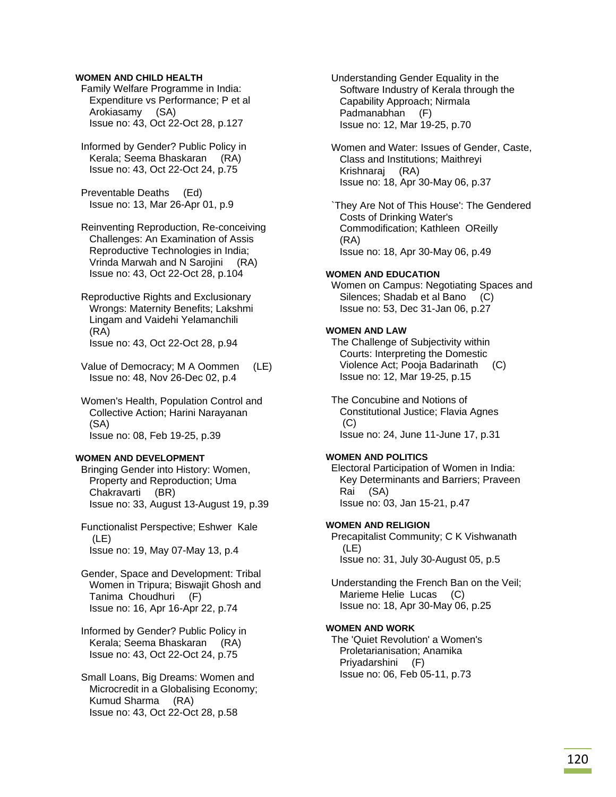#### **WOMEN AND CHILD HEALTH**

 Family Welfare Programme in India: Expenditure vs Performance; P et al Arokiasamy (SA) Issue no: 43, Oct 22-Oct 28, p.127

 Informed by Gender? Public Policy in Kerala; Seema Bhaskaran (RA) Issue no: 43, Oct 22-Oct 24, p.75

 Preventable Deaths (Ed) Issue no: 13, Mar 26-Apr 01, p.9

 Reinventing Reproduction, Re-conceiving Challenges: An Examination of Assis Reproductive Technologies in India; Vrinda Marwah and N Sarojini (RA) Issue no: 43, Oct 22-Oct 28, p.104

 Reproductive Rights and Exclusionary Wrongs: Maternity Benefits; Lakshmi Lingam and Vaidehi Yelamanchili (RA) Issue no: 43, Oct 22-Oct 28, p.94

 Value of Democracy; M A Oommen (LE) Issue no: 48, Nov 26-Dec 02, p.4

 Women's Health, Population Control and Collective Action; Harini Narayanan (SA) Issue no: 08, Feb 19-25, p.39

#### **WOMEN AND DEVELOPMENT**

 Bringing Gender into History: Women, Property and Reproduction; Uma Chakravarti (BR) Issue no: 33, August 13-August 19, p.39

 Functionalist Perspective; Eshwer Kale (LE) Issue no: 19, May 07-May 13, p.4

 Gender, Space and Development: Tribal Women in Tripura; Biswajit Ghosh and Tanima Choudhuri (F) Issue no: 16, Apr 16-Apr 22, p.74

 Informed by Gender? Public Policy in Kerala; Seema Bhaskaran (RA) Issue no: 43, Oct 22-Oct 24, p.75

 Small Loans, Big Dreams: Women and Microcredit in a Globalising Economy; Kumud Sharma (RA) Issue no: 43, Oct 22-Oct 28, p.58

 Understanding Gender Equality in the Software Industry of Kerala through the Capability Approach; Nirmala Padmanabhan (F) Issue no: 12, Mar 19-25, p.70

 Women and Water: Issues of Gender, Caste, Class and Institutions; Maithreyi Krishnaraj (RA) Issue no: 18, Apr 30-May 06, p.37

 `They Are Not of This House': The Gendered Costs of Drinking Water's Commodification; Kathleen OReilly (RA) Issue no: 18, Apr 30-May 06, p.49

#### **WOMEN AND EDUCATION**

 Women on Campus: Negotiating Spaces and Silences; Shadab et al Bano (C) Issue no: 53, Dec 31-Jan 06, p.27

### **WOMEN AND LAW**

 The Challenge of Subjectivity within Courts: Interpreting the Domestic Violence Act; Pooja Badarinath (C) Issue no: 12, Mar 19-25, p.15

 The Concubine and Notions of Constitutional Justice; Flavia Agnes (C) Issue no: 24, June 11-June 17, p.31

#### **WOMEN AND POLITICS**

 Electoral Participation of Women in India: Key Determinants and Barriers; Praveen Rai (SA) Issue no: 03, Jan 15-21, p.47

#### **WOMEN AND RELIGION**

 Precapitalist Community; C K Vishwanath (LE) Issue no: 31, July 30-August 05, p.5

 Understanding the French Ban on the Veil; Marieme Helie Lucas (C) Issue no: 18, Apr 30-May 06, p.25

#### **WOMEN AND WORK**

 The 'Quiet Revolution' a Women's Proletarianisation; Anamika Priyadarshini (F) Issue no: 06, Feb 05-11, p.73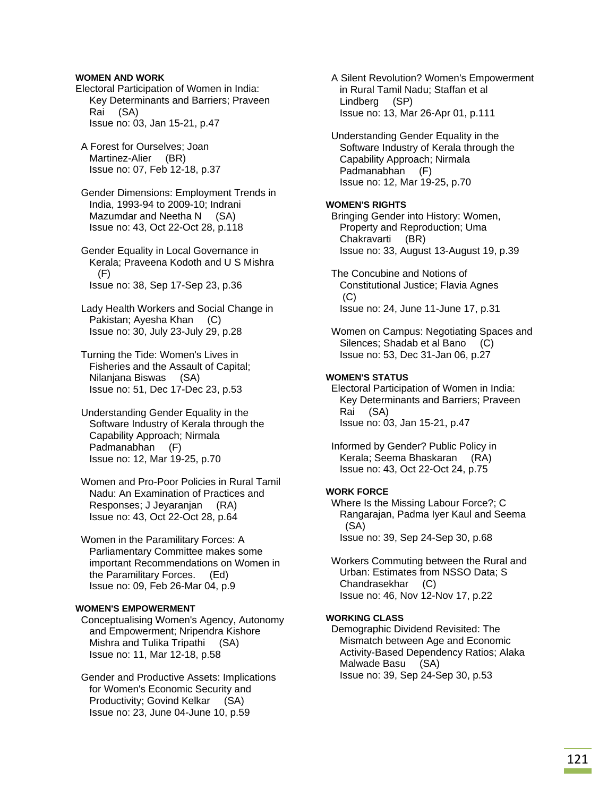#### **WOMEN AND WORK**

Electoral Participation of Women in India: Key Determinants and Barriers; Praveen Rai (SA) Issue no: 03, Jan 15-21, p.47

 A Forest for Ourselves; Joan Martinez-Alier (BR) Issue no: 07, Feb 12-18, p.37

 Gender Dimensions: Employment Trends in India, 1993-94 to 2009-10; Indrani Mazumdar and Neetha N (SA) Issue no: 43, Oct 22-Oct 28, p.118

 Gender Equality in Local Governance in Kerala; Praveena Kodoth and U S Mishra  $(F)$ Issue no: 38, Sep 17-Sep 23, p.36

 Lady Health Workers and Social Change in Pakistan; Ayesha Khan (C) Issue no: 30, July 23-July 29, p.28

 Turning the Tide: Women's Lives in Fisheries and the Assault of Capital; Nilanjana Biswas (SA) Issue no: 51, Dec 17-Dec 23, p.53

 Understanding Gender Equality in the Software Industry of Kerala through the Capability Approach; Nirmala Padmanabhan (F) Issue no: 12, Mar 19-25, p.70

 Women and Pro-Poor Policies in Rural Tamil Nadu: An Examination of Practices and Responses; J Jeyaranjan (RA) Issue no: 43, Oct 22-Oct 28, p.64

 Women in the Paramilitary Forces: A Parliamentary Committee makes some important Recommendations on Women in the Paramilitary Forces. (Ed) Issue no: 09, Feb 26-Mar 04, p.9

#### **WOMEN'S EMPOWERMENT**

 Conceptualising Women's Agency, Autonomy and Empowerment; Nripendra Kishore Mishra and Tulika Tripathi (SA) Issue no: 11, Mar 12-18, p.58

 Gender and Productive Assets: Implications for Women's Economic Security and Productivity; Govind Kelkar (SA) Issue no: 23, June 04-June 10, p.59

 A Silent Revolution? Women's Empowerment in Rural Tamil Nadu; Staffan et al Lindberg (SP) Issue no: 13, Mar 26-Apr 01, p.111

 Understanding Gender Equality in the Software Industry of Kerala through the Capability Approach; Nirmala Padmanabhan (F) Issue no: 12, Mar 19-25, p.70

### **WOMEN'S RIGHTS**

 Bringing Gender into History: Women, Property and Reproduction; Uma Chakravarti (BR) Issue no: 33, August 13-August 19, p.39

 The Concubine and Notions of Constitutional Justice; Flavia Agnes  $(C)$ Issue no: 24, June 11-June 17, p.31

 Women on Campus: Negotiating Spaces and Silences; Shadab et al Bano (C) Issue no: 53, Dec 31-Jan 06, p.27

#### **WOMEN'S STATUS**

 Electoral Participation of Women in India: Key Determinants and Barriers; Praveen Rai (SA) Issue no: 03, Jan 15-21, p.47

 Informed by Gender? Public Policy in Kerala; Seema Bhaskaran (RA) Issue no: 43, Oct 22-Oct 24, p.75

#### **WORK FORCE**

 Where Is the Missing Labour Force?; C Rangarajan, Padma Iyer Kaul and Seema (SA) Issue no: 39, Sep 24-Sep 30, p.68

 Workers Commuting between the Rural and Urban: Estimates from NSSO Data; S Chandrasekhar (C) Issue no: 46, Nov 12-Nov 17, p.22

#### **WORKING CLASS**

 Demographic Dividend Revisited: The Mismatch between Age and Economic Activity-Based Dependency Ratios; Alaka Malwade Basu (SA) Issue no: 39, Sep 24-Sep 30, p.53